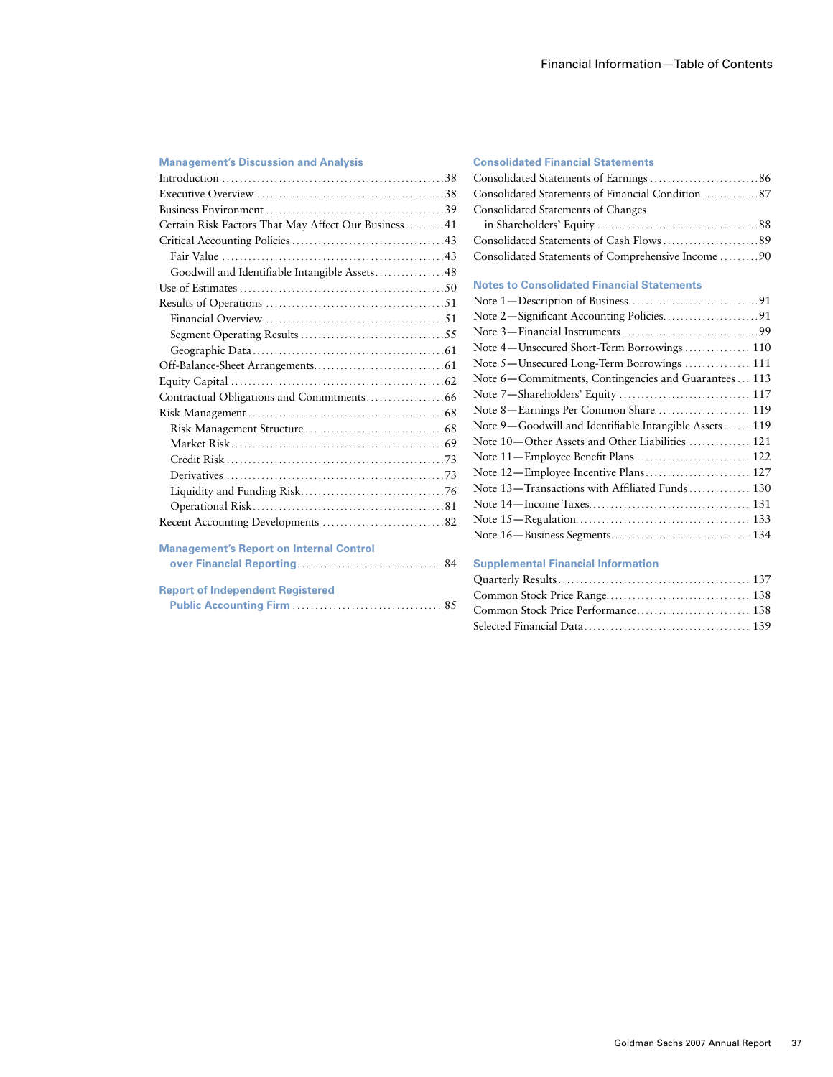# **Management's Discussion and Analysis**  Introduction . . . . . . . . . . . . . . . . . . . . . . . . . . . . . . . . . . . . . . . . . . . . . . . . . . 38 Executive Overview . . . . . . . . . . . . . . . . . . . . . . . . . . . . . . . . . . . . . . . . . . 38 Business Environment . . . . . . . . . . . . . . . . . . . . . . . . . . . . . . . . . . . . . . . . 39 Certain Risk Factors That May Affect Our Business . . . . . . . . 41 Critical Accounting Policies . . . . . . . . . . . . . . . . . . . . . . . . . . . . . . . . . . 43 Fair Value . . . . . . . . . . . . . . . . . . . . . . . . . . . . . . . . . . . . . . . . . . . . . . . . . . 43 Goodwill and Identifiable Intangible Assets . . . . . . . . . . . . . . . 48 Use of Estimates . . . . . . . . . . . . . . . . . . . . . . . . . . . . . . . . . . . . . . . . . . . . . . 50 Results of Operations . . . . . . . . . . . . . . . . . . . . . . . . . . . . . . . . . . . . . . . . 51 Financial Overview . . . . . . . . . . . . . . . . . . . . . . . . . . . . . . . . . . . . . . . . 51 Segment Operating Results . . . . . . . . . . . . . . . . . . . . . . . . . . . . . . . . 55 Geographic Data . . . . . . . . . . . . . . . . . . . . . . . . . . . . . . . . . . . . . . . . . . . 61 Off-Balance-Sheet Arrangements . . . . . . . . . . . . . . . . . . . . . . . . . . . . . 61 Equity Capital . . . . . . . . . . . . . . . . . . . . . . . . . . . . . . . . . . . . . . . . . . . . . . . . 62 Contractual Obligations and Commitments . . . . . . . . . . . . . . . . . 66 Risk Management . . . . . . . . . . . . . . . . . . . . . . . . . . . . . . . . . . . . . . . . . . . . 68 Risk Management Structure . . . . . . . . . . . . . . . . . . . . . . . . . . . . . . . 68 Market Risk . . . . . . . . . . . . . . . . . . . . . . . . . . . . . . . . . . . . . . . . . . . . . . . . 69 Credit Risk . . . . . . . . . . . . . . . . . . . . . . . . . . . . . . . . . . . . . . . . . . . . . . . . . 73 Derivatives . . . . . . . . . . . . . . . . . . . . . . . . . . . . . . . . . . . . . . . . . . . . . . . . . 73 Liquidity and Funding Risk . . . . . . . . . . . . . . . . . . . . . . . . . . . . . . . . 76 Operational Risk . . . . . . . . . . . . . . . . . . . . . . . . . . . . . . . . . . . . . . . . . . . 81 Recent Accounting Developments . . . . . . . . . . . . . . . . . . . . . . . . . . . 82 **Management's Report on Internal Control over Financial Reporting** . . . . . . . . . . . . . . . . . . . . . . . . . . . . . . . . 84 **Report of Independent Registered Public Accounting Firm** . . . . . . . . . . . . . . . . . . . . . . . . . . . . . . . . . 85

#### **Consolidated Financial Statements**

| Consolidated Statements of Changes                 |
|----------------------------------------------------|
|                                                    |
|                                                    |
| Consolidated Statements of Comprehensive Income 90 |

### **Notes to Consolidated Financial Statements**

#### **Supplemental Financial Information**

| Common Stock Price Performance 138 |  |
|------------------------------------|--|
|                                    |  |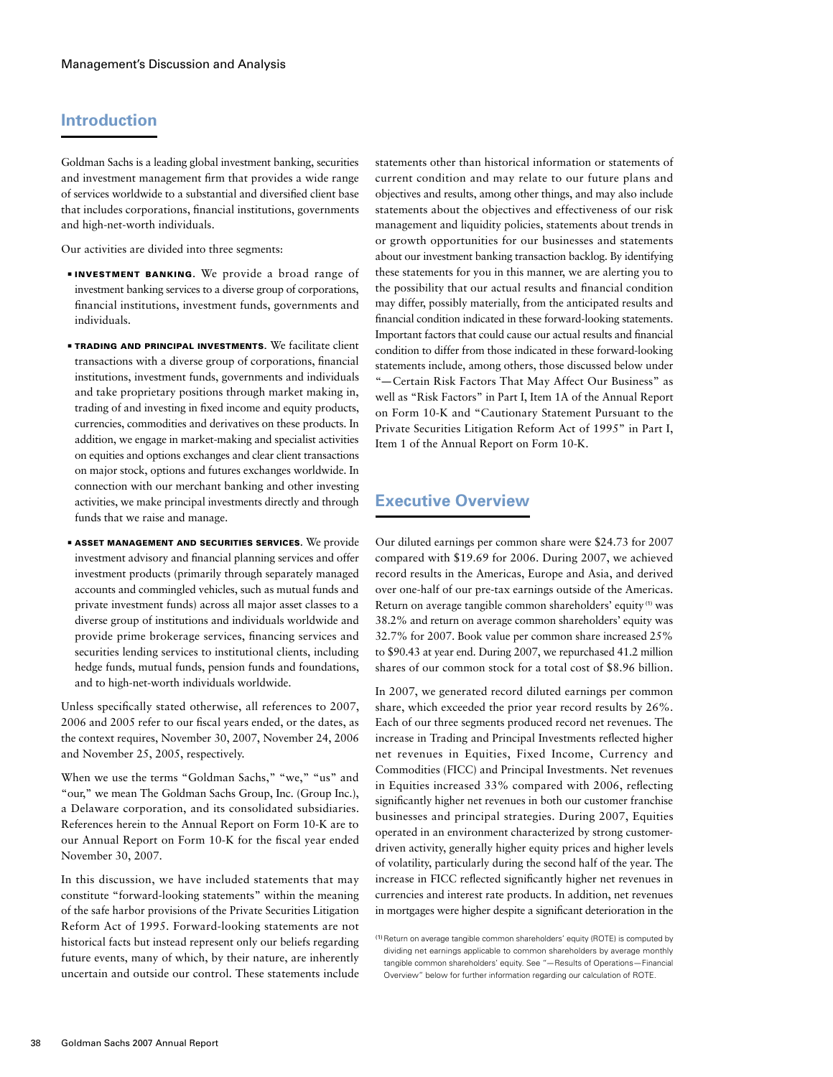# **Introduction**

Goldman Sachs is a leading global investment banking, securities and investment management firm that provides a wide range of services worldwide to a substantial and diversified client base that includes corporations, financial institutions, governments and high-net-worth individuals.

Our activities are divided into three segments:

- ■ Investment Banking. We provide a broad range of investment banking services to a diverse group of corporations, financial institutions, investment funds, governments and individuals.
- **EXPADING AND PRINCIPAL INVESTMENTS.** We facilitate client transactions with a diverse group of corporations, financial institutions, investment funds, governments and individuals and take proprietary positions through market making in, trading of and investing in fixed income and equity products, currencies, commodities and derivatives on these products. In addition, we engage in market-making and specialist activities on equities and options exchanges and clear client transactions on major stock, options and futures exchanges worldwide. In connection with our merchant banking and other investing activities, we make principal investments directly and through funds that we raise and manage.
- **ASSET MANAGEMENT AND SECURITIES SERVICES.** We provide investment advisory and financial planning services and offer investment products (primarily through separately managed accounts and commingled vehicles, such as mutual funds and private investment funds) across all major asset classes to a diverse group of institutions and individuals worldwide and provide prime brokerage services, financing services and securities lending services to institutional clients, including hedge funds, mutual funds, pension funds and foundations, and to high-net-worth individuals worldwide.

Unless specifically stated otherwise, all references to 2007, 2006 and 2005 refer to our fiscal years ended, or the dates, as the context requires, November 30, 2007, November 24, 2006 and November 25, 2005, respectively.

When we use the terms "Goldman Sachs," "we," "us" and "our," we mean The Goldman Sachs Group, Inc. (Group Inc.), a Delaware corporation, and its consolidated subsidiaries. References herein to the Annual Report on Form 10-K are to our Annual Report on Form 10-K for the fiscal year ended November 30, 2007.

In this discussion, we have included statements that may constitute "forward-looking statements" within the meaning of the safe harbor provisions of the Private Securities Litigation Reform Act of 1995. Forward-looking statements are not historical facts but instead represent only our beliefs regarding future events, many of which, by their nature, are inherently uncertain and outside our control. These statements include

statements other than historical information or statements of current condition and may relate to our future plans and objectives and results, among other things, and may also include statements about the objectives and effectiveness of our risk management and liquidity policies, statements about trends in or growth opportunities for our businesses and statements about our investment banking transaction backlog. By identifying these statements for you in this manner, we are alerting you to the possibility that our actual results and financial condition may differ, possibly materially, from the anticipated results and financial condition indicated in these forward-looking statements. Important factors that could cause our actual results and financial condition to differ from those indicated in these forward-looking statements include, among others, those discussed below under "—Certain Risk Factors That May Affect Our Business" as well as "Risk Factors" in Part I, Item 1A of the Annual Report on Form 10-K and "Cautionary Statement Pursuant to the Private Securities Litigation Reform Act of 1995" in Part I, Item 1 of the Annual Report on Form 10-K.

# **Executive Overview**

Our diluted earnings per common share were \$24.73 for 2007 compared with \$19.69 for 2006. During 2007, we achieved record results in the Americas, Europe and Asia, and derived over one-half of our pre-tax earnings outside of the Americas. Return on average tangible common shareholders' equity (1) was 38.2% and return on average common shareholders' equity was 32.7% for 2007. Book value per common share increased 25% to \$90.43 at year end. During 2007, we repurchased 41.2 million shares of our common stock for a total cost of \$8.96 billion.

In 2007, we generated record diluted earnings per common share, which exceeded the prior year record results by 26%. Each of our three segments produced record net revenues. The increase in Trading and Principal Investments reflected higher net revenues in Equities, Fixed Income, Currency and Commodities (FICC) and Principal Investments. Net revenues in Equities increased 33% compared with 2006, reflecting significantly higher net revenues in both our customer franchise businesses and principal strategies. During 2007, Equities operated in an environment characterized by strong customerdriven activity, generally higher equity prices and higher levels of volatility, particularly during the second half of the year. The increase in FICC reflected significantly higher net revenues in currencies and interest rate products. In addition, net revenues in mortgages were higher despite a significant deterioration in the

<sup>(1)</sup>Return on average tangible common shareholders' equity (ROTE) is computed by dividing net earnings applicable to common shareholders by average monthly tangible common shareholders' equity. See "—Results of Operations—Financial Overview" below for further information regarding our calculation of ROTE.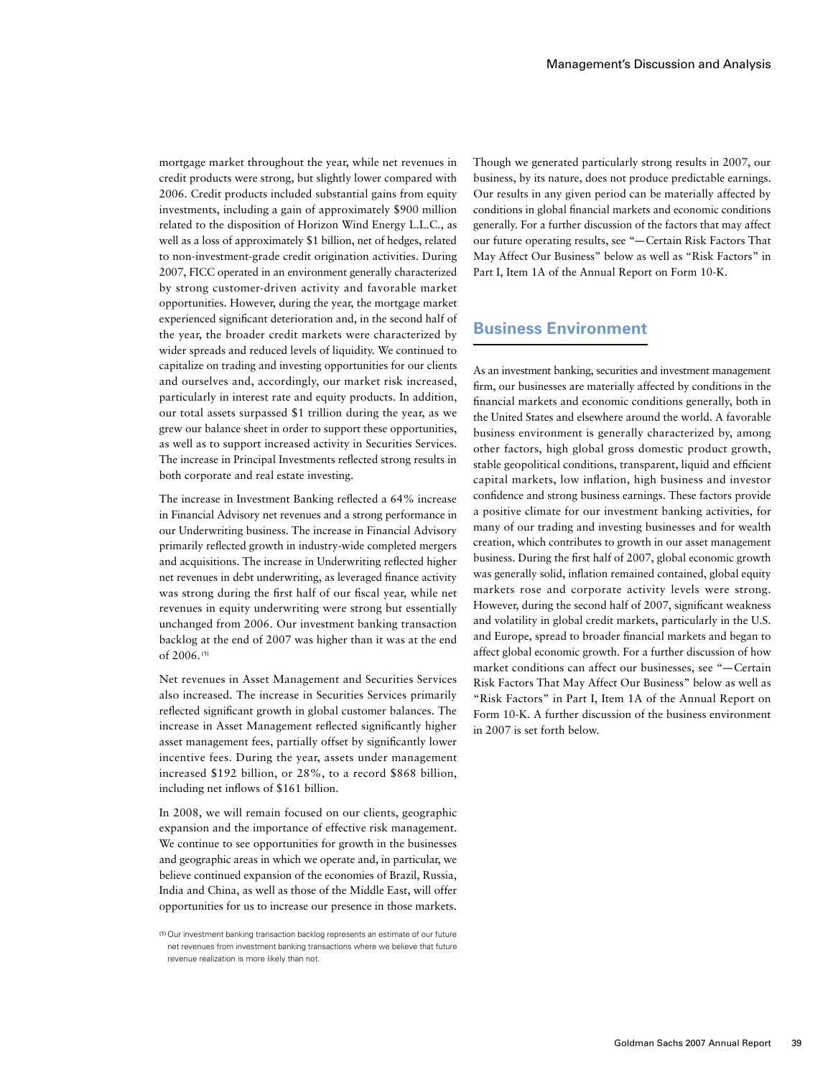mortgage market throughout the year, while net revenues in credit products were strong, but slightly lower compared with 2006. Credit products included substantial gains from equity investments, including a gain of approximately \$900 million related to the disposition of Horizon Wind Energy L.L.C., as well as a loss of approximately \$1 billion, net of hedges, related to non-investment-grade credit origination activities. During 2007, FICC operated in an environment generally characterized by strong customer-driven activity and favorable market opportunities. However, during the year, the mortgage market experienced significant deterioration and, in the second half of the year, the broader credit markets were characterized by wider spreads and reduced levels of liquidity. We continued to capitalize on trading and investing opportunities for our clients and ourselves and, accordingly, our market risk increased, particularly in interest rate and equity products. In addition, our total assets surpassed \$1 trillion during the year, as we grew our balance sheet in order to support these opportunities, as well as to support increased activity in Securities Services. The increase in Principal Investments reflected strong results in both corporate and real estate investing.

The increase in Investment Banking reflected a 64% increase in Financial Advisory net revenues and a strong performance in our Underwriting business. The increase in Financial Advisory primarily reflected growth in industry-wide completed mergers and acquisitions. The increase in Underwriting reflected higher net revenues in debt underwriting, as leveraged finance activity was strong during the first half of our fiscal year, while net revenues in equity underwriting were strong but essentially unchanged from 2006. Our investment banking transaction backlog at the end of 2007 was higher than it was at the end of 2006. (1)

Net revenues in Asset Management and Securities Services also increased. The increase in Securities Services primarily reflected significant growth in global customer balances. The increase in Asset Management reflected significantly higher asset management fees, partially offset by significantly lower incentive fees. During the year, assets under management increased \$192 billion, or 28%, to a record \$868 billion, including net inflows of \$161 billion.

In 2008, we will remain focused on our clients, geographic expansion and the importance of effective risk management. We continue to see opportunities for growth in the businesses and geographic areas in which we operate and, in particular, we believe continued expansion of the economies of Brazil, Russia, India and China, as well as those of the Middle East, will offer opportunities for us to increase our presence in those markets. Though we generated particularly strong results in 2007, our business, by its nature, does not produce predictable earnings. Our results in any given period can be materially affected by conditions in global financial markets and economic conditions generally. For a further discussion of the factors that may affect our future operating results, see "—Certain Risk Factors That May Affect Our Business" below as well as "Risk Factors" in Part I, Item 1A of the Annual Report on Form 10-K.

# **Business Environment**

As an investment banking, securities and investment management firm, our businesses are materially affected by conditions in the financial markets and economic conditions generally, both in the United States and elsewhere around the world. A favorable business environment is generally characterized by, among other factors, high global gross domestic product growth, stable geopolitical conditions, transparent, liquid and efficient capital markets, low inflation, high business and investor confidence and strong business earnings. These factors provide a positive climate for our investment banking activities, for many of our trading and investing businesses and for wealth creation, which contributes to growth in our asset management business. During the first half of 2007, global economic growth was generally solid, inflation remained contained, global equity markets rose and corporate activity levels were strong. However, during the second half of 2007, significant weakness and volatility in global credit markets, particularly in the U.S. and Europe, spread to broader financial markets and began to affect global economic growth. For a further discussion of how market conditions can affect our businesses, see "—Certain Risk Factors That May Affect Our Business" below as well as "Risk Factors" in Part I, Item 1A of the Annual Report on Form 10-K. A further discussion of the business environment in 2007 is set forth below.

<sup>(1)</sup>Our investment banking transaction backlog represents an estimate of our future net revenues from investment banking transactions where we believe that future revenue realization is more likely than not.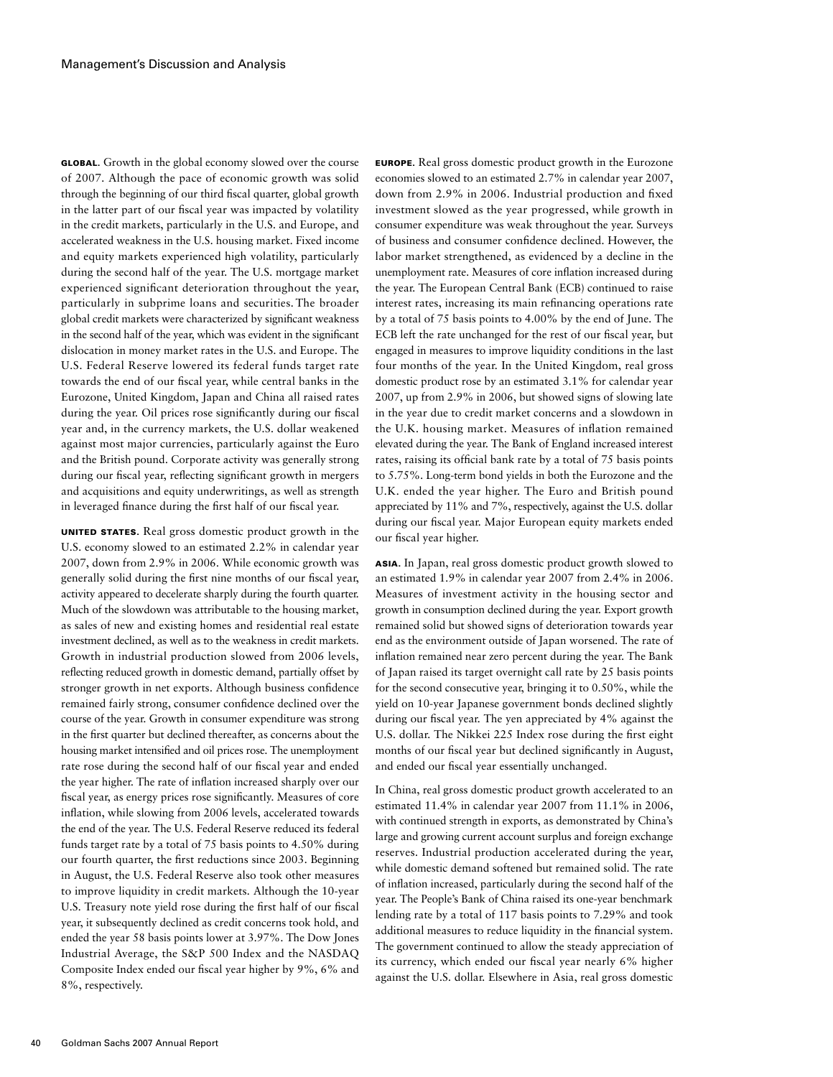Global. Growth in the global economy slowed over the course of 2007. Although the pace of economic growth was solid through the beginning of our third fiscal quarter, global growth in the latter part of our fiscal year was impacted by volatility in the credit markets, particularly in the U.S. and Europe, and accelerated weakness in the U.S. housing market. Fixed income and equity markets experienced high volatility, particularly during the second half of the year. The U.S. mortgage market experienced significant deterioration throughout the year, particularly in subprime loans and securities. The broader global credit markets were characterized by significant weakness in the second half of the year, which was evident in the significant dislocation in money market rates in the U.S. and Europe. The U.S. Federal Reserve lowered its federal funds target rate towards the end of our fiscal year, while central banks in the Eurozone, United Kingdom, Japan and China all raised rates during the year. Oil prices rose significantly during our fiscal year and, in the currency markets, the U.S. dollar weakened against most major currencies, particularly against the Euro and the British pound. Corporate activity was generally strong during our fiscal year, reflecting significant growth in mergers and acquisitions and equity underwritings, as well as strength in leveraged finance during the first half of our fiscal year.

UNITED STATES. Real gross domestic product growth in the U.S. economy slowed to an estimated 2.2% in calendar year 2007, down from 2.9% in 2006. While economic growth was generally solid during the first nine months of our fiscal year, activity appeared to decelerate sharply during the fourth quarter. Much of the slowdown was attributable to the housing market, as sales of new and existing homes and residential real estate investment declined, as well as to the weakness in credit markets. Growth in industrial production slowed from 2006 levels, reflecting reduced growth in domestic demand, partially offset by stronger growth in net exports. Although business confidence remained fairly strong, consumer confidence declined over the course of the year. Growth in consumer expenditure was strong in the first quarter but declined thereafter, as concerns about the housing market intensified and oil prices rose. The unemployment rate rose during the second half of our fiscal year and ended the year higher. The rate of inflation increased sharply over our fiscal year, as energy prices rose significantly. Measures of core inflation, while slowing from 2006 levels, accelerated towards the end of the year. The U.S. Federal Reserve reduced its federal funds target rate by a total of 75 basis points to 4.50% during our fourth quarter, the first reductions since 2003. Beginning in August, the U.S. Federal Reserve also took other measures to improve liquidity in credit markets. Although the 10-year U.S. Treasury note yield rose during the first half of our fiscal year, it subsequently declined as credit concerns took hold, and ended the year 58 basis points lower at 3.97%. The Dow Jones Industrial Average, the S&P 500 Index and the NASDAQ Composite Index ended our fiscal year higher by 9%, 6% and 8%, respectively.

Europe. Real gross domestic product growth in the Eurozone economies slowed to an estimated 2.7% in calendar year 2007, down from 2.9% in 2006. Industrial production and fixed investment slowed as the year progressed, while growth in consumer expenditure was weak throughout the year. Surveys of business and consumer confidence declined. However, the labor market strengthened, as evidenced by a decline in the unemployment rate. Measures of core inflation increased during the year. The European Central Bank (ECB) continued to raise interest rates, increasing its main refinancing operations rate by a total of 75 basis points to 4.00% by the end of June. The ECB left the rate unchanged for the rest of our fiscal year, but engaged in measures to improve liquidity conditions in the last four months of the year. In the United Kingdom, real gross domestic product rose by an estimated 3.1% for calendar year 2007, up from 2.9% in 2006, but showed signs of slowing late in the year due to credit market concerns and a slowdown in the U.K. housing market. Measures of inflation remained elevated during the year. The Bank of England increased interest rates, raising its official bank rate by a total of 75 basis points to 5.75%. Long-term bond yields in both the Eurozone and the U.K. ended the year higher. The Euro and British pound appreciated by 11% and 7%, respectively, against the U.S. dollar during our fiscal year. Major European equity markets ended our fiscal year higher.

Asia. In Japan, real gross domestic product growth slowed to an estimated 1.9% in calendar year 2007 from 2.4% in 2006. Measures of investment activity in the housing sector and growth in consumption declined during the year. Export growth remained solid but showed signs of deterioration towards year end as the environment outside of Japan worsened. The rate of inflation remained near zero percent during the year. The Bank of Japan raised its target overnight call rate by 25 basis points for the second consecutive year, bringing it to 0.50%, while the yield on 10-year Japanese government bonds declined slightly during our fiscal year. The yen appreciated by 4% against the U.S. dollar. The Nikkei 225 Index rose during the first eight months of our fiscal year but declined significantly in August, and ended our fiscal year essentially unchanged.

In China, real gross domestic product growth accelerated to an estimated 11.4% in calendar year 2007 from 11.1% in 2006, with continued strength in exports, as demonstrated by China's large and growing current account surplus and foreign exchange reserves. Industrial production accelerated during the year, while domestic demand softened but remained solid. The rate of inflation increased, particularly during the second half of the year. The People's Bank of China raised its one-year benchmark lending rate by a total of 117 basis points to 7.29% and took additional measures to reduce liquidity in the financial system. The government continued to allow the steady appreciation of its currency, which ended our fiscal year nearly 6% higher against the U.S. dollar. Elsewhere in Asia, real gross domestic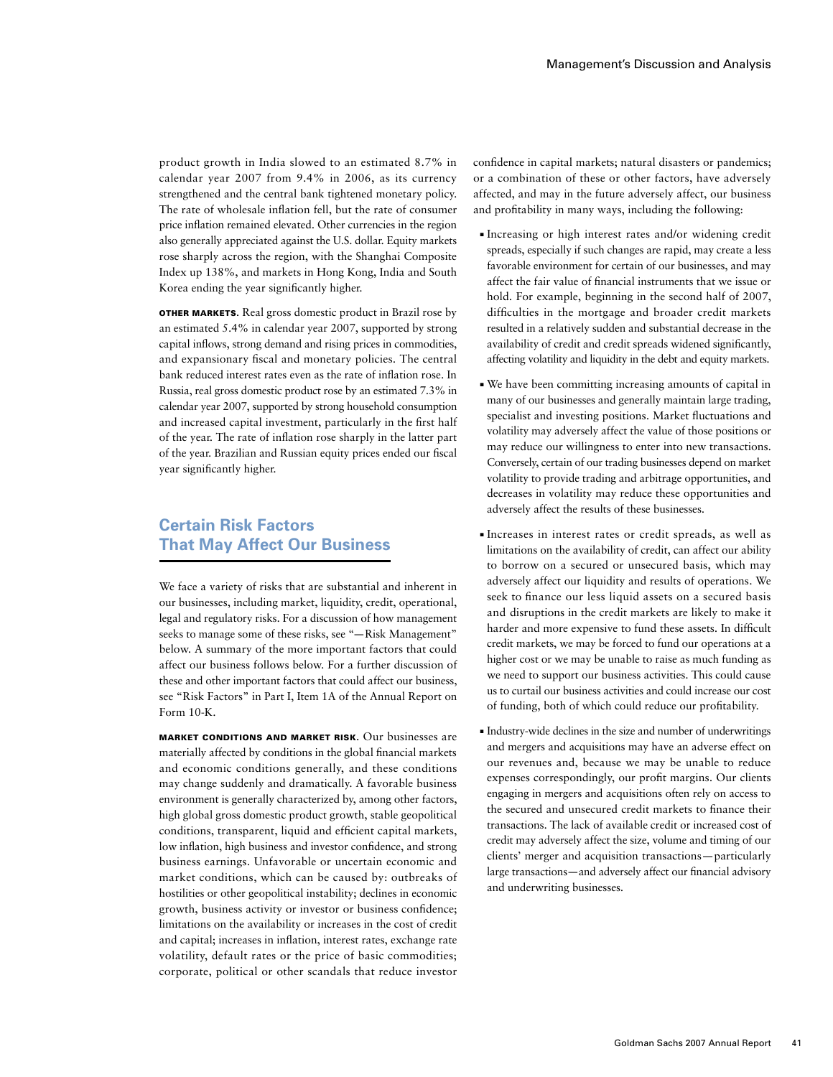product growth in India slowed to an estimated 8.7% in calendar year 2007 from 9.4% in 2006, as its currency strengthened and the central bank tightened monetary policy. The rate of wholesale inflation fell, but the rate of consumer price inflation remained elevated. Other currencies in the region also generally appreciated against the U.S. dollar. Equity markets rose sharply across the region, with the Shanghai Composite Index up 138%, and markets in Hong Kong, India and South Korea ending the year significantly higher.

Other Markets. Real gross domestic product in Brazil rose by an estimated 5.4% in calendar year 2007, supported by strong capital inflows, strong demand and rising prices in commodities, and expansionary fiscal and monetary policies. The central bank reduced interest rates even as the rate of inflation rose. In Russia, real gross domestic product rose by an estimated 7.3% in calendar year 2007, supported by strong household consumption and increased capital investment, particularly in the first half of the year. The rate of inflation rose sharply in the latter part of the year. Brazilian and Russian equity prices ended our fiscal year significantly higher.

# **Certain Risk Factors That May Affect Our Business**

We face a variety of risks that are substantial and inherent in our businesses, including market, liquidity, credit, operational, legal and regulatory risks. For a discussion of how management seeks to manage some of these risks, see "—Risk Management" below. A summary of the more important factors that could affect our business follows below. For a further discussion of these and other important factors that could affect our business, see "Risk Factors" in Part I, Item 1A of the Annual Report on Form 10-K.

Market Conditions and Market Risk. Our businesses are materially affected by conditions in the global financial markets and economic conditions generally, and these conditions may change suddenly and dramatically. A favorable business environment is generally characterized by, among other factors, high global gross domestic product growth, stable geopolitical conditions, transparent, liquid and efficient capital markets, low inflation, high business and investor confidence, and strong business earnings. Unfavorable or uncertain economic and market conditions, which can be caused by: outbreaks of hostilities or other geopolitical instability; declines in economic growth, business activity or investor or business confidence; limitations on the availability or increases in the cost of credit and capital; increases in inflation, interest rates, exchange rate volatility, default rates or the price of basic commodities; corporate, political or other scandals that reduce investor

confidence in capital markets; natural disasters or pandemics; or a combination of these or other factors, have adversely affected, and may in the future adversely affect, our business and profitability in many ways, including the following:

- ■ Increasing or high interest rates and/or widening credit spreads, especially if such changes are rapid, may create a less favorable environment for certain of our businesses, and may affect the fair value of financial instruments that we issue or hold. For example, beginning in the second half of 2007, difficulties in the mortgage and broader credit markets resulted in a relatively sudden and substantial decrease in the availability of credit and credit spreads widened significantly, affecting volatility and liquidity in the debt and equity markets.
- ■ We have been committing increasing amounts of capital in many of our businesses and generally maintain large trading, specialist and investing positions. Market fluctuations and volatility may adversely affect the value of those positions or may reduce our willingness to enter into new transactions. Conversely, certain of our trading businesses depend on market volatility to provide trading and arbitrage opportunities, and decreases in volatility may reduce these opportunities and adversely affect the results of these businesses.
- ■ Increases in interest rates or credit spreads, as well as limitations on the availability of credit, can affect our ability to borrow on a secured or unsecured basis, which may adversely affect our liquidity and results of operations. We seek to finance our less liquid assets on a secured basis and disruptions in the credit markets are likely to make it harder and more expensive to fund these assets. In difficult credit markets, we may be forced to fund our operations at a higher cost or we may be unable to raise as much funding as we need to support our business activities. This could cause us to curtail our business activities and could increase our cost of funding, both of which could reduce our profitability.
- ■ Industry-wide declines in the size and number of underwritings and mergers and acquisitions may have an adverse effect on our revenues and, because we may be unable to reduce expenses correspondingly, our profit margins. Our clients engaging in mergers and acquisitions often rely on access to the secured and unsecured credit markets to finance their transactions. The lack of available credit or increased cost of credit may adversely affect the size, volume and timing of our clients' merger and acquisition transactions—particularly large transactions—and adversely affect our financial advisory and underwriting businesses.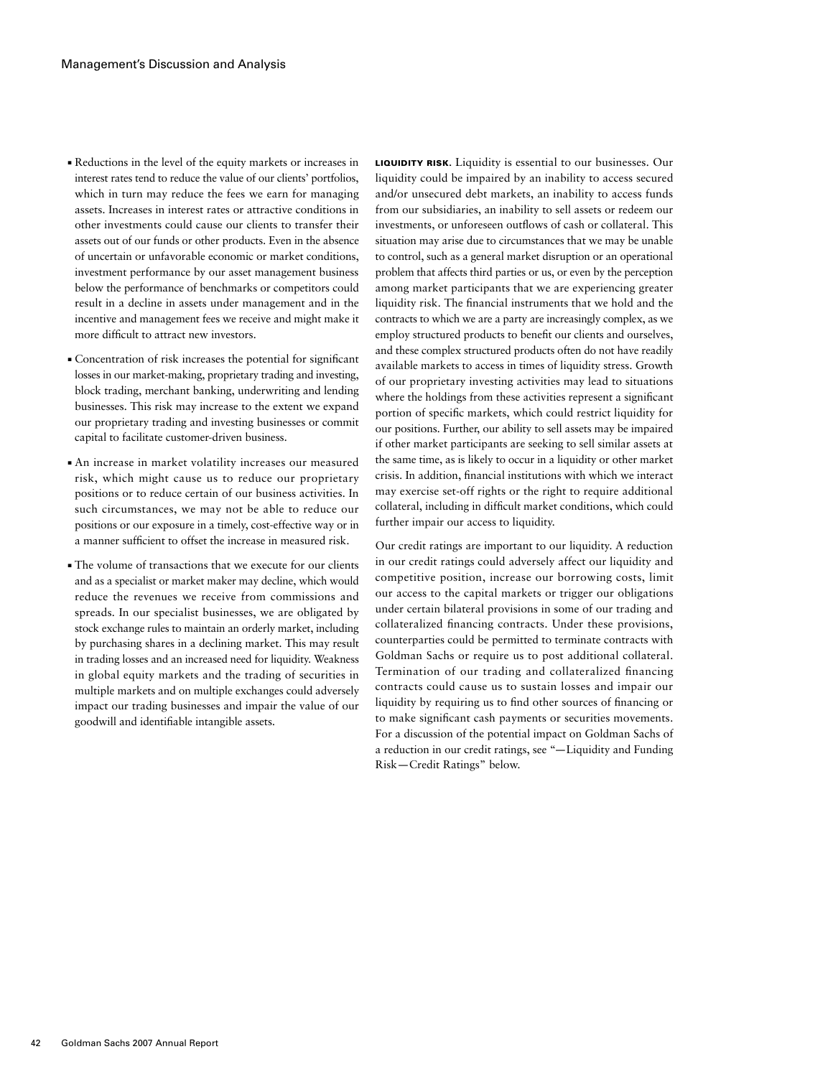- ■ Reductions in the level of the equity markets or increases in interest rates tend to reduce the value of our clients' portfolios, which in turn may reduce the fees we earn for managing assets. Increases in interest rates or attractive conditions in other investments could cause our clients to transfer their assets out of our funds or other products. Even in the absence of uncertain or unfavorable economic or market conditions, investment performance by our asset management business below the performance of benchmarks or competitors could result in a decline in assets under management and in the incentive and management fees we receive and might make it more difficult to attract new investors.
- ■ Concentration of risk increases the potential for significant losses in our market-making, proprietary trading and investing, block trading, merchant banking, underwriting and lending businesses. This risk may increase to the extent we expand our proprietary trading and investing businesses or commit capital to facilitate customer-driven business.
- ■ An increase in market volatility increases our measured risk, which might cause us to reduce our proprietary positions or to reduce certain of our business activities. In such circumstances, we may not be able to reduce our positions or our exposure in a timely, cost-effective way or in a manner sufficient to offset the increase in measured risk.
- The volume of transactions that we execute for our clients and as a specialist or market maker may decline, which would reduce the revenues we receive from commissions and spreads. In our specialist businesses, we are obligated by stock exchange rules to maintain an orderly market, including by purchasing shares in a declining market. This may result in trading losses and an increased need for liquidity. Weakness in global equity markets and the trading of securities in multiple markets and on multiple exchanges could adversely impact our trading businesses and impair the value of our goodwill and identifiable intangible assets.

LIQUIDITY RISK. Liquidity is essential to our businesses. Our liquidity could be impaired by an inability to access secured and/or unsecured debt markets, an inability to access funds from our subsidiaries, an inability to sell assets or redeem our investments, or unforeseen outflows of cash or collateral. This situation may arise due to circumstances that we may be unable to control, such as a general market disruption or an operational problem that affects third parties or us, or even by the perception among market participants that we are experiencing greater liquidity risk. The financial instruments that we hold and the contracts to which we are a party are increasingly complex, as we employ structured products to benefit our clients and ourselves, and these complex structured products often do not have readily available markets to access in times of liquidity stress. Growth of our proprietary investing activities may lead to situations where the holdings from these activities represent a significant portion of specific markets, which could restrict liquidity for our positions. Further, our ability to sell assets may be impaired if other market participants are seeking to sell similar assets at the same time, as is likely to occur in a liquidity or other market crisis. In addition, financial institutions with which we interact may exercise set-off rights or the right to require additional collateral, including in difficult market conditions, which could further impair our access to liquidity.

Our credit ratings are important to our liquidity. A reduction in our credit ratings could adversely affect our liquidity and competitive position, increase our borrowing costs, limit our access to the capital markets or trigger our obligations under certain bilateral provisions in some of our trading and collateralized financing contracts. Under these provisions, counterparties could be permitted to terminate contracts with Goldman Sachs or require us to post additional collateral. Termination of our trading and collateralized financing contracts could cause us to sustain losses and impair our liquidity by requiring us to find other sources of financing or to make significant cash payments or securities movements. For a discussion of the potential impact on Goldman Sachs of a reduction in our credit ratings, see "—Liquidity and Funding Risk—Credit Ratings" below.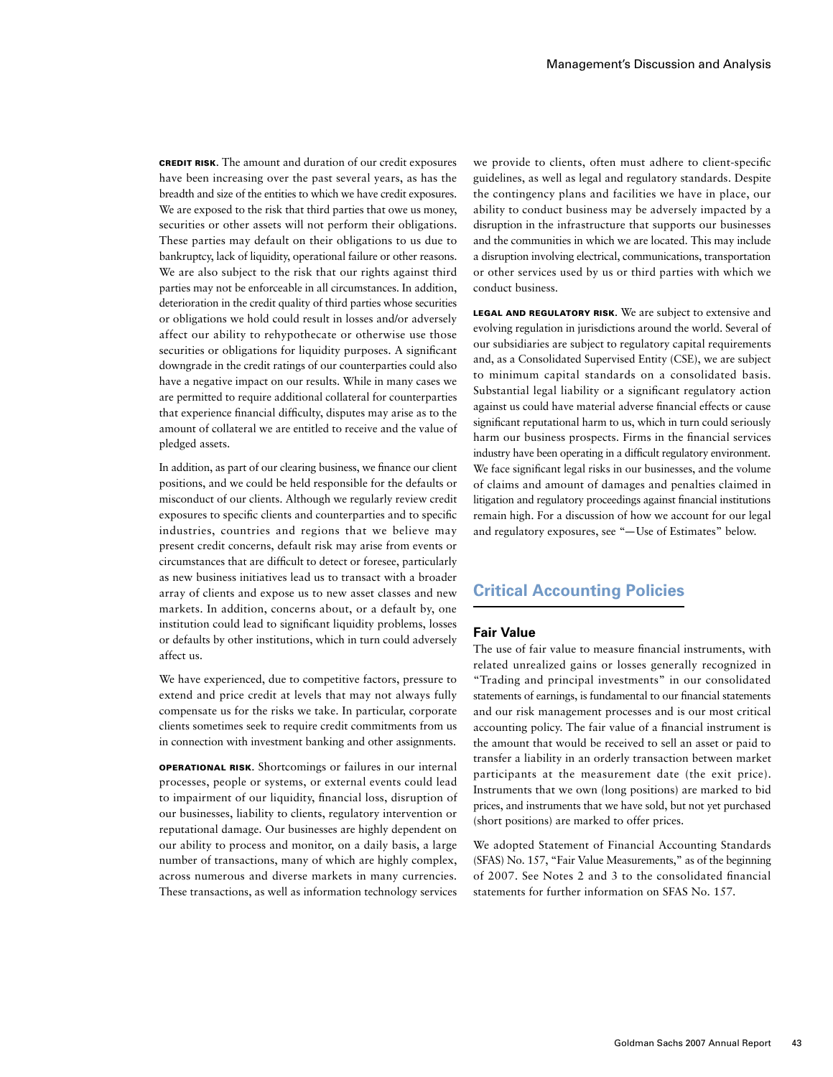Credit Risk. The amount and duration of our credit exposures have been increasing over the past several years, as has the breadth and size of the entities to which we have credit exposures. We are exposed to the risk that third parties that owe us money, securities or other assets will not perform their obligations. These parties may default on their obligations to us due to bankruptcy, lack of liquidity, operational failure or other reasons. We are also subject to the risk that our rights against third parties may not be enforceable in all circumstances. In addition, deterioration in the credit quality of third parties whose securities or obligations we hold could result in losses and/or adversely affect our ability to rehypothecate or otherwise use those securities or obligations for liquidity purposes. A significant downgrade in the credit ratings of our counterparties could also have a negative impact on our results. While in many cases we are permitted to require additional collateral for counterparties that experience financial difficulty, disputes may arise as to the amount of collateral we are entitled to receive and the value of pledged assets.

In addition, as part of our clearing business, we finance our client positions, and we could be held responsible for the defaults or misconduct of our clients. Although we regularly review credit exposures to specific clients and counterparties and to specific industries, countries and regions that we believe may present credit concerns, default risk may arise from events or circumstances that are difficult to detect or foresee, particularly as new business initiatives lead us to transact with a broader array of clients and expose us to new asset classes and new markets. In addition, concerns about, or a default by, one institution could lead to significant liquidity problems, losses or defaults by other institutions, which in turn could adversely affect us.

We have experienced, due to competitive factors, pressure to extend and price credit at levels that may not always fully compensate us for the risks we take. In particular, corporate clients sometimes seek to require credit commitments from us in connection with investment banking and other assignments.

**OPERATIONAL RISK.** Shortcomings or failures in our internal processes, people or systems, or external events could lead to impairment of our liquidity, financial loss, disruption of our businesses, liability to clients, regulatory intervention or reputational damage. Our businesses are highly dependent on our ability to process and monitor, on a daily basis, a large number of transactions, many of which are highly complex, across numerous and diverse markets in many currencies. These transactions, as well as information technology services

we provide to clients, often must adhere to client-specific guidelines, as well as legal and regulatory standards. Despite the contingency plans and facilities we have in place, our ability to conduct business may be adversely impacted by a disruption in the infrastructure that supports our businesses and the communities in which we are located. This may include a disruption involving electrical, communications, transportation or other services used by us or third parties with which we conduct business.

LEGAL AND REGULATORY RISK. We are subject to extensive and evolving regulation in jurisdictions around the world. Several of our subsidiaries are subject to regulatory capital requirements and, as a Consolidated Supervised Entity (CSE), we are subject to minimum capital standards on a consolidated basis. Substantial legal liability or a significant regulatory action against us could have material adverse financial effects or cause significant reputational harm to us, which in turn could seriously harm our business prospects. Firms in the financial services industry have been operating in a difficult regulatory environment. We face significant legal risks in our businesses, and the volume of claims and amount of damages and penalties claimed in litigation and regulatory proceedings against financial institutions remain high. For a discussion of how we account for our legal and regulatory exposures, see "—Use of Estimates" below.

# **Critical Accounting Policies**

# **Fair Value**

The use of fair value to measure financial instruments, with related unrealized gains or losses generally recognized in "Trading and principal investments" in our consolidated statements of earnings, is fundamental to our financial statements and our risk management processes and is our most critical accounting policy. The fair value of a financial instrument is the amount that would be received to sell an asset or paid to transfer a liability in an orderly transaction between market participants at the measurement date (the exit price). Instruments that we own (long positions) are marked to bid prices, and instruments that we have sold, but not yet purchased (short positions) are marked to offer prices.

We adopted Statement of Financial Accounting Standards (SFAS) No. 157, "Fair Value Measurements," as of the beginning of 2007. See Notes 2 and 3 to the consolidated financial statements for further information on SFAS No. 157.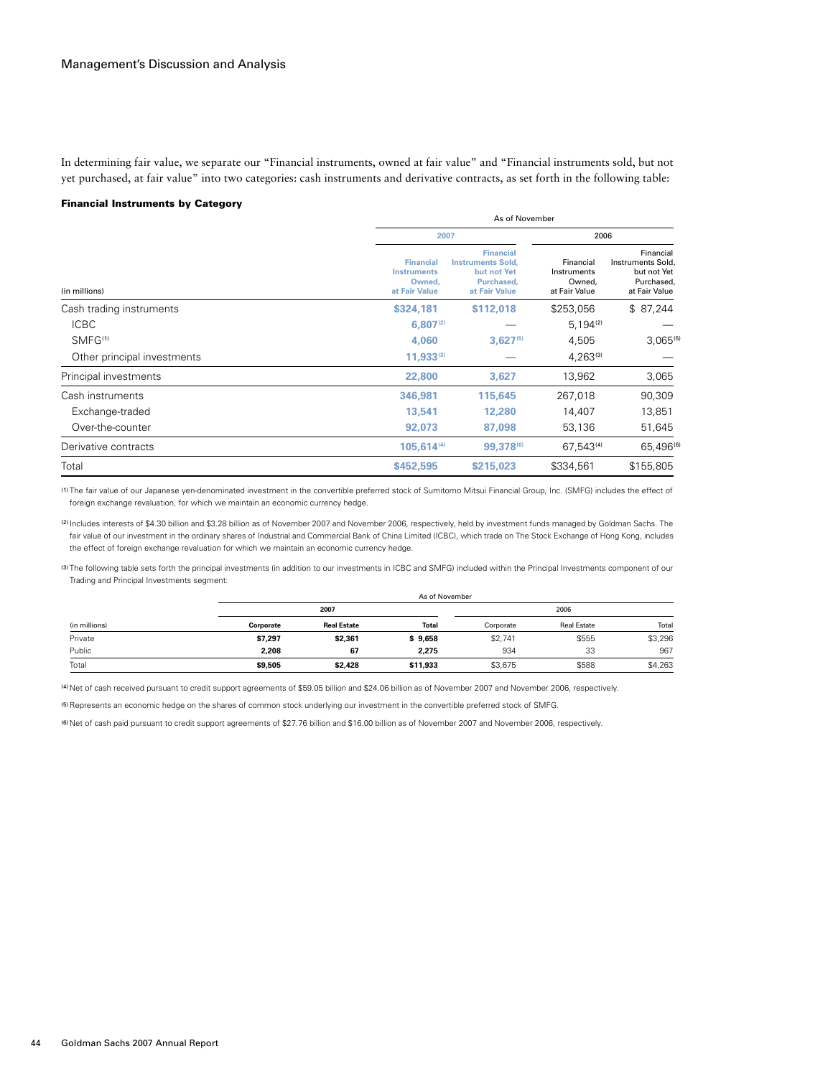In determining fair value, we separate our "Financial instruments, owned at fair value" and "Financial instruments sold, but not yet purchased, at fair value" into two categories: cash instruments and derivative contracts, as set forth in the following table:

#### Financial Instruments by Category

|                             |                                                                   | As of November                                                                             |                                                     |                                                                              |  |
|-----------------------------|-------------------------------------------------------------------|--------------------------------------------------------------------------------------------|-----------------------------------------------------|------------------------------------------------------------------------------|--|
|                             |                                                                   | 2007                                                                                       |                                                     | 2006                                                                         |  |
| (in millions)               | <b>Financial</b><br><b>Instruments</b><br>Owned.<br>at Fair Value | <b>Financial</b><br><b>Instruments Sold,</b><br>but not Yet<br>Purchased.<br>at Fair Value | Financial<br>Instruments<br>Owned.<br>at Fair Value | Financial<br>Instruments Sold,<br>but not Yet<br>Purchased,<br>at Fair Value |  |
| Cash trading instruments    | \$324,181                                                         | \$112,018                                                                                  | \$253,056                                           | \$87,244                                                                     |  |
| <b>ICBC</b>                 | $6,807^{(2)}$                                                     |                                                                                            | $5,194^{(2)}$                                       |                                                                              |  |
| SMFG <sup>(1)</sup>         | 4.060                                                             | $3,627^{(5)}$                                                                              | 4,505                                               | $3,065^{(5)}$                                                                |  |
| Other principal investments | $11,933^{(3)}$                                                    |                                                                                            | $4,263^{(3)}$                                       |                                                                              |  |
| Principal investments       | 22,800                                                            | 3,627                                                                                      | 13,962                                              | 3,065                                                                        |  |
| Cash instruments            | 346,981                                                           | 115,645                                                                                    | 267,018                                             | 90,309                                                                       |  |
| Exchange-traded             | 13,541                                                            | 12,280                                                                                     | 14,407                                              | 13,851                                                                       |  |
| Over-the-counter            | 92,073                                                            | 87.098                                                                                     | 53,136                                              | 51,645                                                                       |  |
| Derivative contracts        | 105,614(4)                                                        | 99,378(6)                                                                                  | 67,543(4)                                           | 65,496(6)                                                                    |  |
| Total                       | \$452,595                                                         | \$215,023                                                                                  | \$334,561                                           | \$155,805                                                                    |  |

(1) The fair value of our Japanese yen-denominated investment in the convertible preferred stock of Sumitomo Mitsui Financial Group, Inc. (SMFG) includes the effect of foreign exchange revaluation, for which we maintain an economic currency hedge.

(2) Includes interests of \$4.30 billion and \$3.28 billion as of November 2007 and November 2006, respectively, held by investment funds managed by Goldman Sachs. The fair value of our investment in the ordinary shares of Industrial and Commercial Bank of China Limited (ICBC), which trade on The Stock Exchange of Hong Kong, includes the effect of foreign exchange revaluation for which we maintain an economic currency hedge.

(3) The following table sets forth the principal investments (in addition to our investments in ICBC and SMFG) included within the Principal Investments component of our Trading and Principal Investments segment:

|               |           |                    | As of November |           |                    |         |
|---------------|-----------|--------------------|----------------|-----------|--------------------|---------|
|               |           | 2007               |                |           | 2006               |         |
| (in millions) | Corporate | <b>Real Estate</b> | Total          | Corporate | <b>Real Estate</b> | Total   |
| Private       | \$7,297   | \$2,361            | \$9,658        | \$2,741   | \$555              | \$3,296 |
| Public        | 2.208     | 67                 | 2.275          | 934       | 33                 | 967     |
| Total         | \$9.505   | \$2,428            | \$11.933       | \$3.675   | \$588              | \$4,263 |

(4) Net of cash received pursuant to credit support agreements of \$59.05 billion and \$24.06 billion as of November 2007 and November 2006, respectively.

(5)Represents an economic hedge on the shares of common stock underlying our investment in the convertible preferred stock of SMFG.

(6) Net of cash paid pursuant to credit support agreements of \$27.76 billion and \$16.00 billion as of November 2007 and November 2006, respectively.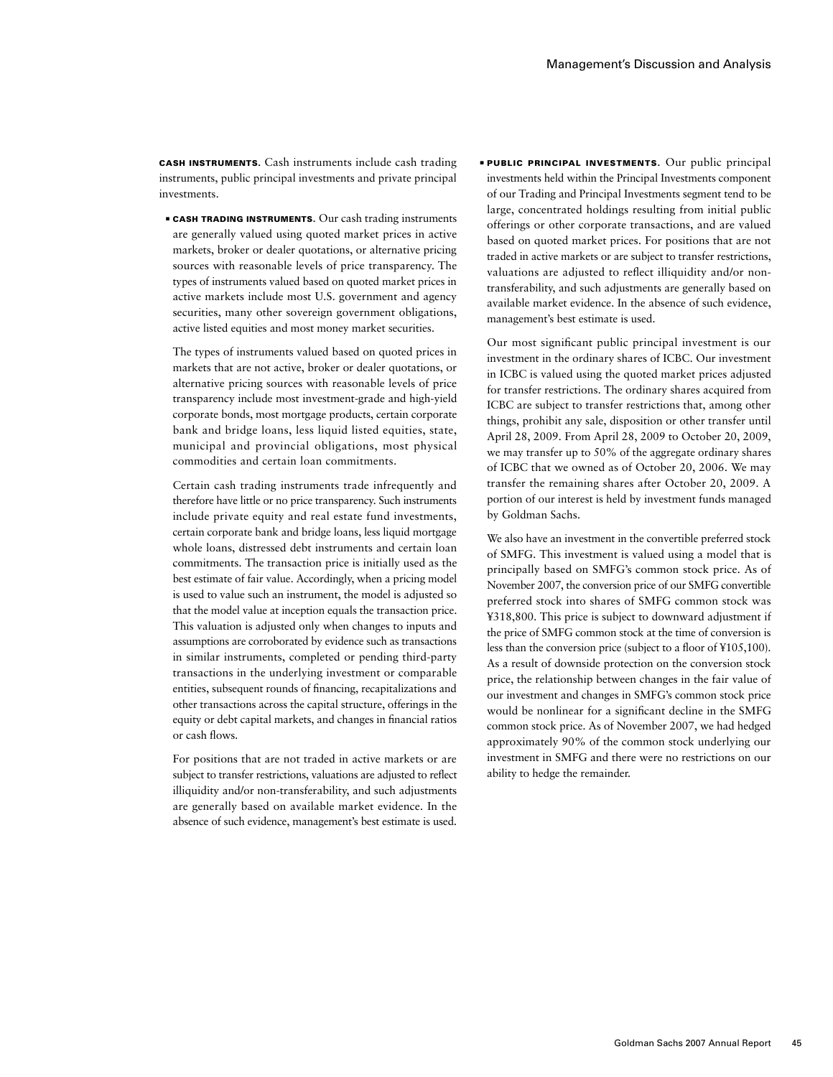Cash Instruments. Cash instruments include cash trading instruments, public principal investments and private principal investments.

**EXASH TRADING INSTRUMENTS.** Our cash trading instruments are generally valued using quoted market prices in active markets, broker or dealer quotations, or alternative pricing sources with reasonable levels of price transparency. The types of instruments valued based on quoted market prices in active markets include most U.S. government and agency securities, many other sovereign government obligations, active listed equities and most money market securities.

The types of instruments valued based on quoted prices in markets that are not active, broker or dealer quotations, or alternative pricing sources with reasonable levels of price transparency include most investment-grade and high-yield corporate bonds, most mortgage products, certain corporate bank and bridge loans, less liquid listed equities, state, municipal and provincial obligations, most physical commodities and certain loan commitments.

Certain cash trading instruments trade infrequently and therefore have little or no price transparency. Such instruments include private equity and real estate fund investments, certain corporate bank and bridge loans, less liquid mortgage whole loans, distressed debt instruments and certain loan commitments. The transaction price is initially used as the best estimate of fair value. Accordingly, when a pricing model is used to value such an instrument, the model is adjusted so that the model value at inception equals the transaction price. This valuation is adjusted only when changes to inputs and assumptions are corroborated by evidence such as transactions in similar instruments, completed or pending third-party transactions in the underlying investment or comparable entities, subsequent rounds of financing, recapitalizations and other transactions across the capital structure, offerings in the equity or debt capital markets, and changes in financial ratios or cash flows.

For positions that are not traded in active markets or are subject to transfer restrictions, valuations are adjusted to reflect illiquidity and/or non-transferability, and such adjustments are generally based on available market evidence. In the absence of such evidence, management's best estimate is used.

**■ PUBLIC PRINCIPAL INVESTMENTS.** Our public principal investments held within the Principal Investments component of our Trading and Principal Investments segment tend to be large, concentrated holdings resulting from initial public offerings or other corporate transactions, and are valued based on quoted market prices. For positions that are not traded in active markets or are subject to transfer restrictions, valuations are adjusted to reflect illiquidity and/or nontransferability, and such adjustments are generally based on available market evidence. In the absence of such evidence, management's best estimate is used.

Our most significant public principal investment is our investment in the ordinary shares of ICBC. Our investment in ICBC is valued using the quoted market prices adjusted for transfer restrictions. The ordinary shares acquired from ICBC are subject to transfer restrictions that, among other things, prohibit any sale, disposition or other transfer until April 28, 2009. From April 28, 2009 to October 20, 2009, we may transfer up to 50% of the aggregate ordinary shares of ICBC that we owned as of October 20, 2006. We may transfer the remaining shares after October 20, 2009. A portion of our interest is held by investment funds managed by Goldman Sachs.

We also have an investment in the convertible preferred stock of SMFG. This investment is valued using a model that is principally based on SMFG's common stock price. As of November 2007, the conversion price of our SMFG convertible preferred stock into shares of SMFG common stock was ¥318,800. This price is subject to downward adjustment if the price of SMFG common stock at the time of conversion is less than the conversion price (subject to a floor of ¥105,100). As a result of downside protection on the conversion stock price, the relationship between changes in the fair value of our investment and changes in SMFG's common stock price would be nonlinear for a significant decline in the SMFG common stock price. As of November 2007, we had hedged approximately 90% of the common stock underlying our investment in SMFG and there were no restrictions on our ability to hedge the remainder.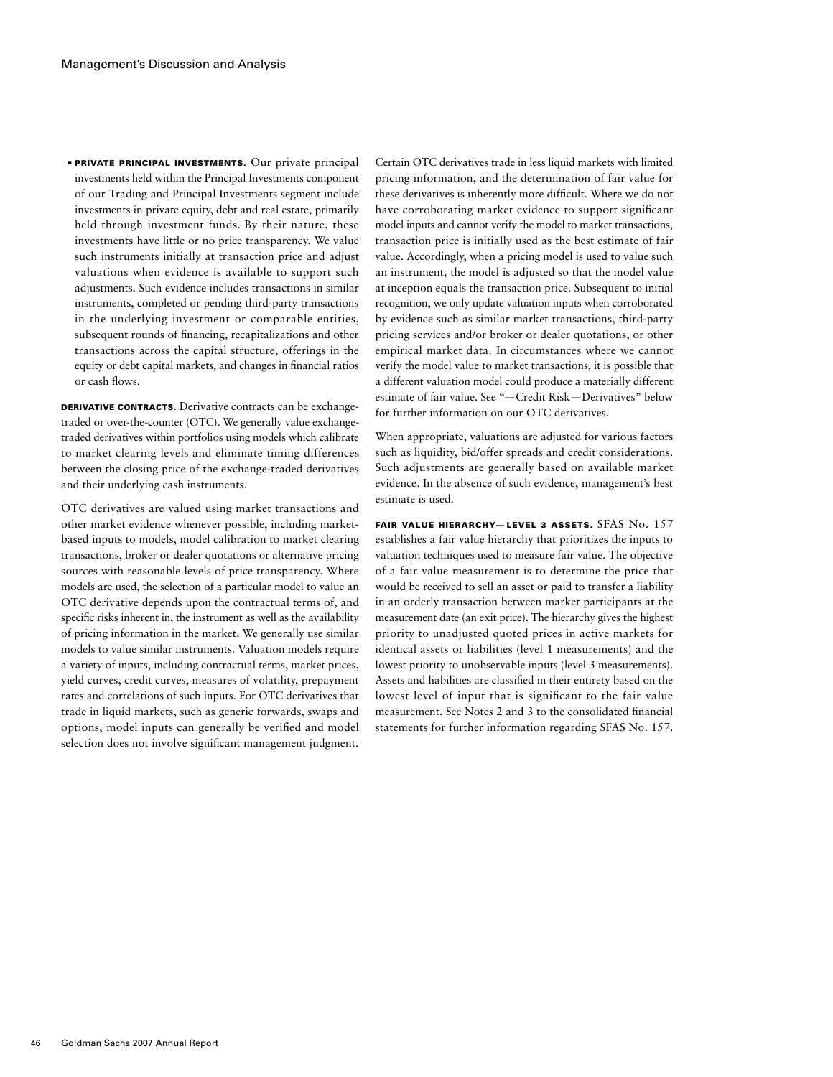**· PRIVATE PRINCIPAL INVESTMENTS.** Our private principal investments held within the Principal Investments component of our Trading and Principal Investments segment include investments in private equity, debt and real estate, primarily held through investment funds. By their nature, these investments have little or no price transparency. We value such instruments initially at transaction price and adjust valuations when evidence is available to support such adjustments. Such evidence includes transactions in similar instruments, completed or pending third-party transactions in the underlying investment or comparable entities, subsequent rounds of financing, recapitalizations and other transactions across the capital structure, offerings in the equity or debt capital markets, and changes in financial ratios or cash flows.

DERIVATIVE CONTRACTS. Derivative contracts can be exchangetraded or over-the-counter (OTC). We generally value exchangetraded derivatives within portfolios using models which calibrate to market clearing levels and eliminate timing differences between the closing price of the exchange-traded derivatives and their underlying cash instruments.

OTC derivatives are valued using market transactions and other market evidence whenever possible, including marketbased inputs to models, model calibration to market clearing transactions, broker or dealer quotations or alternative pricing sources with reasonable levels of price transparency. Where models are used, the selection of a particular model to value an OTC derivative depends upon the contractual terms of, and specific risks inherent in, the instrument as well as the availability of pricing information in the market. We generally use similar models to value similar instruments. Valuation models require a variety of inputs, including contractual terms, market prices, yield curves, credit curves, measures of volatility, prepayment rates and correlations of such inputs. For OTC derivatives that trade in liquid markets, such as generic forwards, swaps and options, model inputs can generally be verified and model selection does not involve significant management judgment.

Certain OTC derivatives trade in less liquid markets with limited pricing information, and the determination of fair value for these derivatives is inherently more difficult. Where we do not have corroborating market evidence to support significant model inputs and cannot verify the model to market transactions, transaction price is initially used as the best estimate of fair value. Accordingly, when a pricing model is used to value such an instrument, the model is adjusted so that the model value at inception equals the transaction price. Subsequent to initial recognition, we only update valuation inputs when corroborated by evidence such as similar market transactions, third-party pricing services and/or broker or dealer quotations, or other empirical market data. In circumstances where we cannot verify the model value to market transactions, it is possible that a different valuation model could produce a materially different estimate of fair value. See "—Credit Risk—Derivatives" below for further information on our OTC derivatives.

When appropriate, valuations are adjusted for various factors such as liquidity, bid/offer spreads and credit considerations. Such adjustments are generally based on available market evidence. In the absence of such evidence, management's best estimate is used.

FAIR VALUE HIERARCHY-LEVEL 3 ASSETS. SFAS No. 157 establishes a fair value hierarchy that prioritizes the inputs to valuation techniques used to measure fair value. The objective of a fair value measurement is to determine the price that would be received to sell an asset or paid to transfer a liability in an orderly transaction between market participants at the measurement date (an exit price). The hierarchy gives the highest priority to unadjusted quoted prices in active markets for identical assets or liabilities (level 1 measurements) and the lowest priority to unobservable inputs (level 3 measurements). Assets and liabilities are classified in their entirety based on the lowest level of input that is significant to the fair value measurement. See Notes 2 and 3 to the consolidated financial statements for further information regarding SFAS No. 157.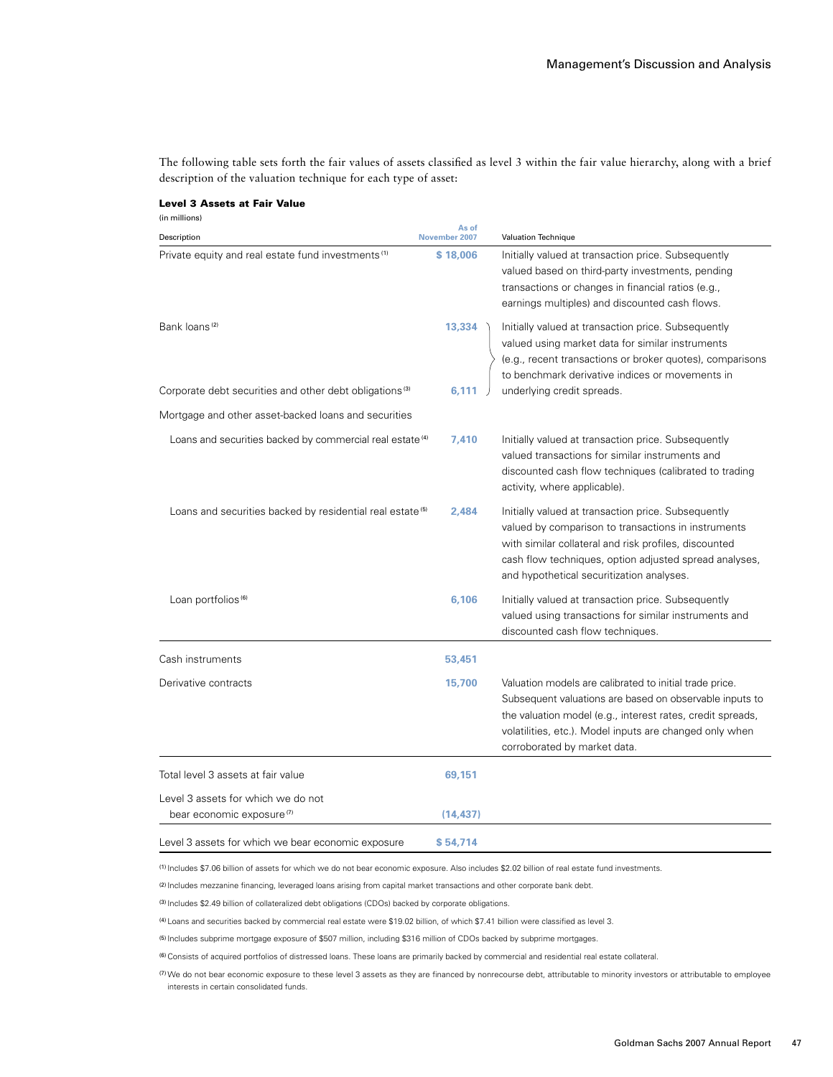The following table sets forth the fair values of assets classified as level 3 within the fair value hierarchy, along with a brief description of the valuation technique for each type of asset:

# Level 3 Assets at Fair Value (in millions) **As of**  Description **November 2007** Valuation Technique Private equity and real estate fund investments(1) **\$ 18,006** Initially valued at transaction price. Subsequently valued based on third-party investments, pending transactions or changes in financial ratios (e.g., earnings multiples) and discounted cash flows. Bank loans<sup>(2)</sup> **13,334** Initially valued at transaction price. Subsequently valued using market data for similar instruments (e.g., recent transactions or broker quotes), comparisons to benchmark derivative indices or movements in Corporate debt securities and other debt obligations<sup>(3)</sup> 6,111  $\int$  underlying credit spreads. Mortgage and other asset-backed loans and securities Loans and securities backed by commercial real estate<sup>(4)</sup> 7,410 Initially valued at transaction price. Subsequently valued transactions for similar instruments and discounted cash flow techniques (calibrated to trading activity, where applicable). Loans and securities backed by residential real estate<sup>(5)</sup> 2,484 Initially valued at transaction price. Subsequently valued by comparison to transactions in instruments with similar collateral and risk profiles, discounted cash flow techniques, option adjusted spread analyses, and hypothetical securitization analyses. Loan portfolios<sup>(6)</sup> **6,106 Initially valued at transaction price. Subsequently** valued using transactions for similar instruments and discounted cash flow techniques. Cash instruments **53,451**  Derivative contracts **15,700** Valuation models are calibrated to initial trade price. Subsequent valuations are based on observable inputs to the valuation model (e.g., interest rates, credit spreads, volatilities, etc.). Model inputs are changed only when corroborated by market data. Total level 3 assets at fair value **69,151**

| Level i<br>acc∆tc<br>TOE WHICE<br>i we bear economic. |  |
|-------------------------------------------------------|--|

(1) Includes \$7.06 billion of assets for which we do not bear economic exposure. Also includes \$2.02 billion of real estate fund investments.

(2) Includes mezzanine financing, leveraged loans arising from capital market transactions and other corporate bank debt.

(3) Includes \$2.49 billion of collateralized debt obligations (CDOs) backed by corporate obligations.

bear economic exposure<sup>(7)</sup> (14,437)

Level 3 assets for which we do not

(4) Loans and securities backed by commercial real estate were \$19.02 billion, of which \$7.41 billion were classified as level 3.

(5) Includes subprime mortgage exposure of \$507 million, including \$316 million of CDOs backed by subprime mortgages.

(6)Consists of acquired portfolios of distressed loans. These loans are primarily backed by commercial and residential real estate collateral.

(7)We do not bear economic exposure to these level 3 assets as they are financed by nonrecourse debt, attributable to minority investors or attributable to employee interests in certain consolidated funds.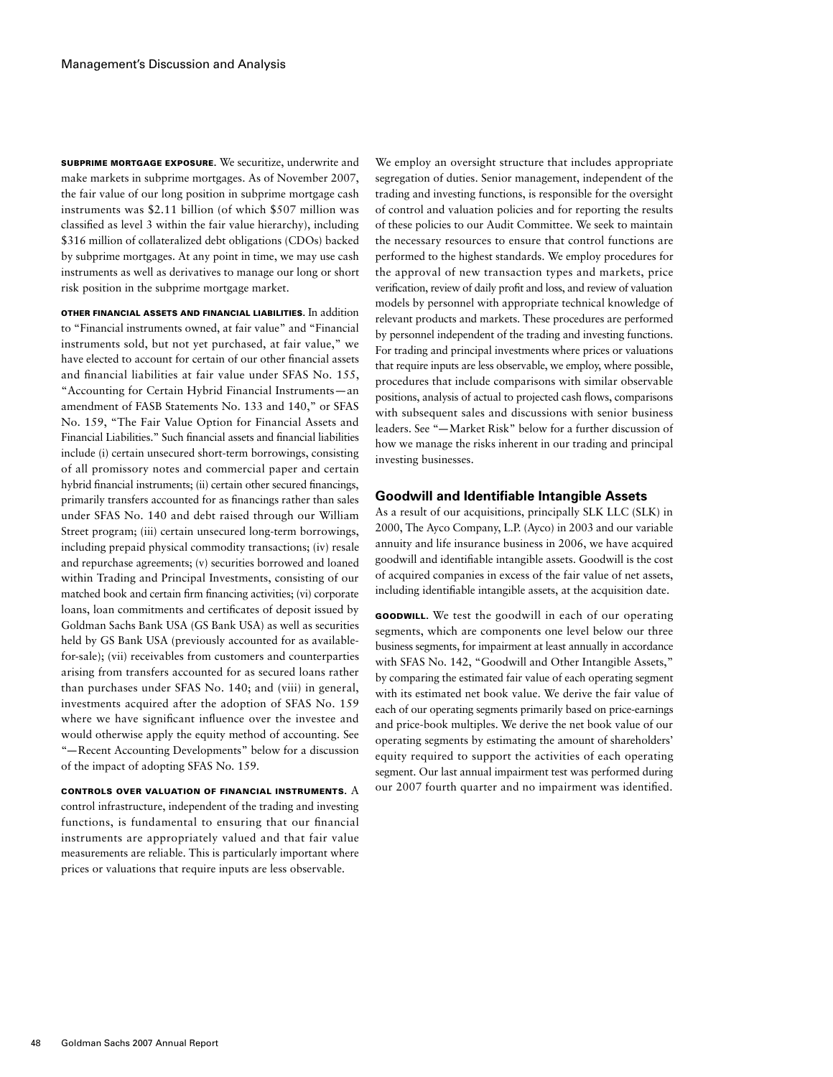Subprime mortgage exposure. We securitize, underwrite and make markets in subprime mortgages. As of November 2007, the fair value of our long position in subprime mortgage cash instruments was \$2.11 billion (of which \$507 million was classified as level 3 within the fair value hierarchy), including \$316 million of collateralized debt obligations (CDOs) backed by subprime mortgages. At any point in time, we may use cash instruments as well as derivatives to manage our long or short risk position in the subprime mortgage market.

Other Financial Assets and Financial Liabilities. In addition to "Financial instruments owned, at fair value" and "Financial instruments sold, but not yet purchased, at fair value," we have elected to account for certain of our other financial assets and financial liabilities at fair value under SFAS No. 155, "Accounting for Certain Hybrid Financial Instruments—an amendment of FASB Statements No. 133 and 140," or SFAS No. 159, "The Fair Value Option for Financial Assets and Financial Liabilities." Such financial assets and financial liabilities include (i) certain unsecured short-term borrowings, consisting of all promissory notes and commercial paper and certain hybrid financial instruments; (ii) certain other secured financings, primarily transfers accounted for as financings rather than sales under SFAS No. 140 and debt raised through our William Street program; (iii) certain unsecured long-term borrowings, including prepaid physical commodity transactions; (iv) resale and repurchase agreements; (v) securities borrowed and loaned within Trading and Principal Investments, consisting of our matched book and certain firm financing activities; (vi) corporate loans, loan commitments and certificates of deposit issued by Goldman Sachs Bank USA (GS Bank USA) as well as securities held by GS Bank USA (previously accounted for as availablefor-sale); (vii) receivables from customers and counterparties arising from transfers accounted for as secured loans rather than purchases under SFAS No. 140; and (viii) in general, investments acquired after the adoption of SFAS No. 159 where we have significant influence over the investee and would otherwise apply the equity method of accounting. See "—Recent Accounting Developments" below for a discussion of the impact of adopting SFAS No. 159.

CONTROLS OVER VALUATION OF FINANCIAL INSTRUMENTS.  $\rm A$ control infrastructure, independent of the trading and investing functions, is fundamental to ensuring that our financial instruments are appropriately valued and that fair value measurements are reliable. This is particularly important where prices or valuations that require inputs are less observable.

We employ an oversight structure that includes appropriate segregation of duties. Senior management, independent of the trading and investing functions, is responsible for the oversight of control and valuation policies and for reporting the results of these policies to our Audit Committee. We seek to maintain the necessary resources to ensure that control functions are performed to the highest standards. We employ procedures for the approval of new transaction types and markets, price verification, review of daily profit and loss, and review of valuation models by personnel with appropriate technical knowledge of relevant products and markets. These procedures are performed by personnel independent of the trading and investing functions. For trading and principal investments where prices or valuations that require inputs are less observable, we employ, where possible, procedures that include comparisons with similar observable positions, analysis of actual to projected cash flows, comparisons with subsequent sales and discussions with senior business leaders. See "—Market Risk" below for a further discussion of how we manage the risks inherent in our trading and principal investing businesses.

### **Goodwill and Identifiable Intangible Assets**

As a result of our acquisitions, principally SLK LLC (SLK) in 2000, The Ayco Company, L.P. (Ayco) in 2003 and our variable annuity and life insurance business in 2006, we have acquired goodwill and identifiable intangible assets. Goodwill is the cost of acquired companies in excess of the fair value of net assets, including identifiable intangible assets, at the acquisition date.

Goodwill. We test the goodwill in each of our operating segments, which are components one level below our three business segments, for impairment at least annually in accordance with SFAS No. 142, "Goodwill and Other Intangible Assets," by comparing the estimated fair value of each operating segment with its estimated net book value. We derive the fair value of each of our operating segments primarily based on price-earnings and price-book multiples. We derive the net book value of our operating segments by estimating the amount of shareholders' equity required to support the activities of each operating segment. Our last annual impairment test was performed during our 2007 fourth quarter and no impairment was identified.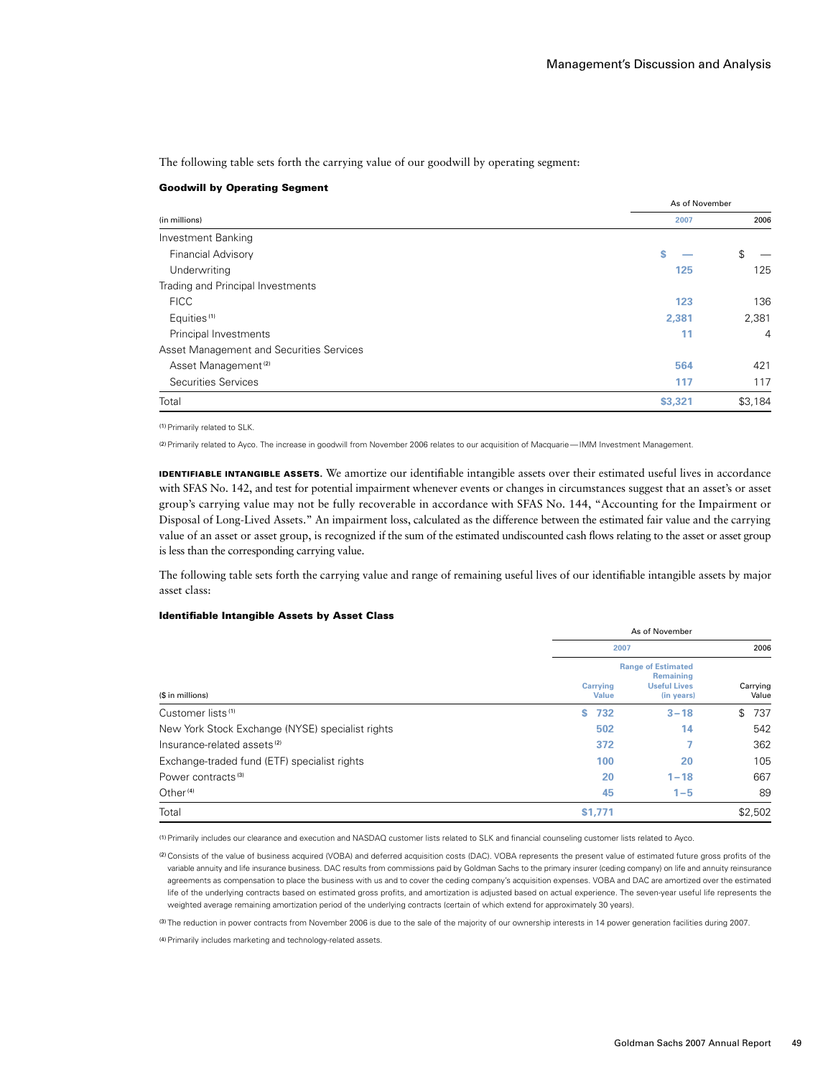The following table sets forth the carrying value of our goodwill by operating segment:

### Goodwill by Operating Segment

|                                          | As of November |                |  |
|------------------------------------------|----------------|----------------|--|
| (in millions)                            | 2007           | 2006           |  |
| <b>Investment Banking</b>                |                |                |  |
| <b>Financial Advisory</b>                | S              | \$             |  |
| Underwriting                             | 125            | 125            |  |
| Trading and Principal Investments        |                |                |  |
| <b>FICC</b>                              | 123            | 136            |  |
| Equities <sup>(1)</sup>                  | 2,381          | 2,381          |  |
| Principal Investments                    | 11             | $\overline{4}$ |  |
| Asset Management and Securities Services |                |                |  |
| Asset Management <sup>(2)</sup>          | 564            | 421            |  |
| Securities Services                      | 117            | 117            |  |
| Total                                    | \$3,321        | \$3,184        |  |

(1)Primarily related to SLK.

(2)Primarily related to Ayco. The increase in goodwill from November 2006 relates to our acquisition of Macquarie—IMM Investment Management.

**IDENTIFIABLE INTANGIBLE ASSETS.** We amortize our identifiable intangible assets over their estimated useful lives in accordance with SFAS No. 142, and test for potential impairment whenever events or changes in circumstances suggest that an asset's or asset group's carrying value may not be fully recoverable in accordance with SFAS No. 144, "Accounting for the Impairment or Disposal of Long-Lived Assets." An impairment loss, calculated as the difference between the estimated fair value and the carrying value of an asset or asset group, is recognized if the sum of the estimated undiscounted cash flows relating to the asset or asset group is less than the corresponding carrying value.

The following table sets forth the carrying value and range of remaining useful lives of our identifiable intangible assets by major asset class:

# Identifiable Intangible Assets by Asset Class

|                                                  |                          | As of November                                                              |                   |
|--------------------------------------------------|--------------------------|-----------------------------------------------------------------------------|-------------------|
|                                                  | 2007                     | 2006                                                                        |                   |
| (\$ in millions)                                 | Carrying<br><b>Value</b> | <b>Range of Estimated</b><br>Remaining<br><b>Useful Lives</b><br>(in years) | Carrying<br>Value |
| Customer lists <sup>(1)</sup>                    | \$732                    | $3 - 18$                                                                    | 737<br>\$         |
| New York Stock Exchange (NYSE) specialist rights | 502                      | 14                                                                          | 542               |
| Insurance-related assets <sup>(2)</sup>          | 372                      |                                                                             | 362               |
| Exchange-traded fund (ETF) specialist rights     | 100                      | 20                                                                          | 105               |
| Power contracts <sup>(3)</sup>                   | 20                       | $1 - 18$                                                                    | 667               |
| Other <sup>(4)</sup>                             | 45                       | $1 - 5$                                                                     | 89                |
| Total                                            | \$1,771                  |                                                                             | \$2,502           |

(1)Primarily includes our clearance and execution and NASDAQ customer lists related to SLK and financial counseling customer lists related to Ayco.

(2)Consists of the value of business acquired (VOBA) and deferred acquisition costs (DAC). VOBA represents the present value of estimated future gross profits of the variable annuity and life insurance business. DAC results from commissions paid by Goldman Sachs to the primary insurer (ceding company) on life and annuity reinsurance agreements as compensation to place the business with us and to cover the ceding company's acquisition expenses. VOBA and DAC are amortized over the estimated life of the underlying contracts based on estimated gross profits, and amortization is adjusted based on actual experience. The seven-year useful life represents the weighted average remaining amortization period of the underlying contracts (certain of which extend for approximately 30 years).

(3) The reduction in power contracts from November 2006 is due to the sale of the majority of our ownership interests in 14 power generation facilities during 2007.

(4) Primarily includes marketing and technology-related assets.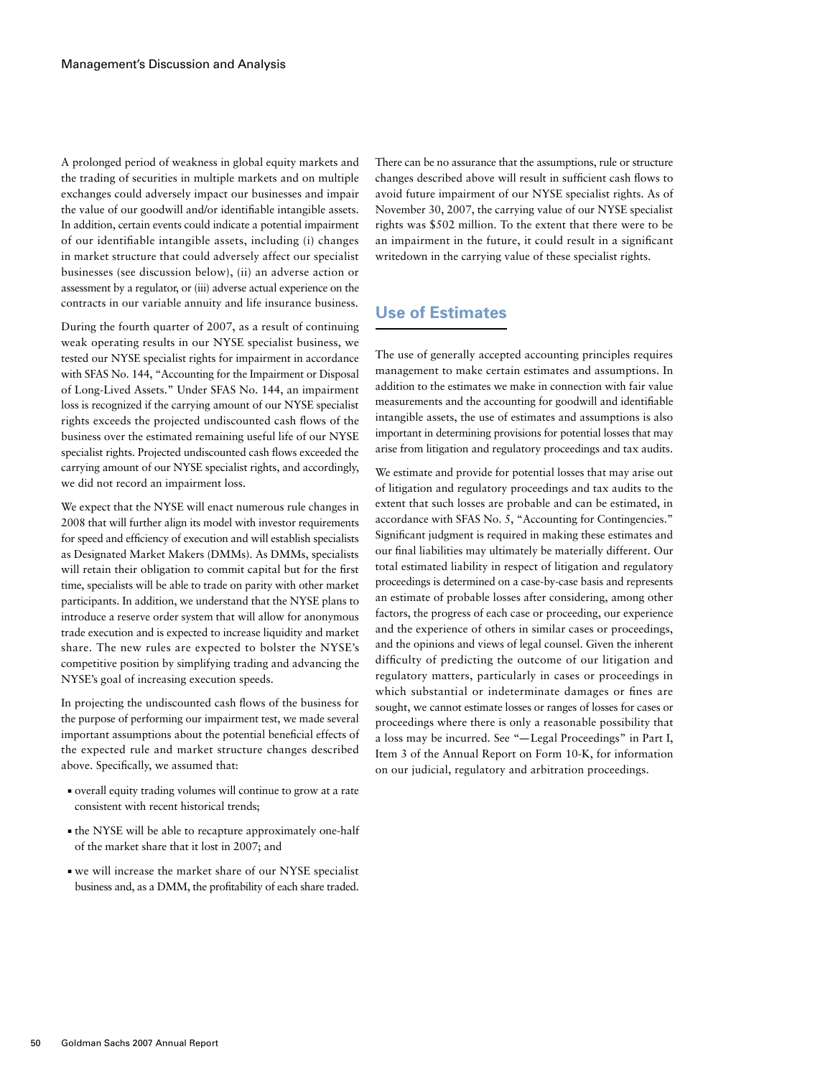A prolonged period of weakness in global equity markets and the trading of securities in multiple markets and on multiple exchanges could adversely impact our businesses and impair the value of our goodwill and/or identifiable intangible assets. In addition, certain events could indicate a potential impairment of our identifiable intangible assets, including (i) changes in market structure that could adversely affect our specialist businesses (see discussion below), (ii) an adverse action or assessment by a regulator, or (iii) adverse actual experience on the contracts in our variable annuity and life insurance business.

During the fourth quarter of 2007, as a result of continuing weak operating results in our NYSE specialist business, we tested our NYSE specialist rights for impairment in accordance with SFAS No. 144, "Accounting for the Impairment or Disposal of Long-Lived Assets." Under SFAS No. 144, an impairment loss is recognized if the carrying amount of our NYSE specialist rights exceeds the projected undiscounted cash flows of the business over the estimated remaining useful life of our NYSE specialist rights. Projected undiscounted cash flows exceeded the carrying amount of our NYSE specialist rights, and accordingly, we did not record an impairment loss.

We expect that the NYSE will enact numerous rule changes in 2008 that will further align its model with investor requirements for speed and efficiency of execution and will establish specialists as Designated Market Makers (DMMs). As DMMs, specialists will retain their obligation to commit capital but for the first time, specialists will be able to trade on parity with other market participants. In addition, we understand that the NYSE plans to introduce a reserve order system that will allow for anonymous trade execution and is expected to increase liquidity and market share. The new rules are expected to bolster the NYSE's competitive position by simplifying trading and advancing the NYSE's goal of increasing execution speeds.

In projecting the undiscounted cash flows of the business for the purpose of performing our impairment test, we made several important assumptions about the potential beneficial effects of the expected rule and market structure changes described above. Specifically, we assumed that:

- ■ overall equity trading volumes will continue to grow at a rate consistent with recent historical trends;
- ■ the NYSE will be able to recapture approximately one-half of the market share that it lost in 2007; and
- ■ we will increase the market share of our NYSE specialist business and, as a DMM, the profitability of each share traded.

There can be no assurance that the assumptions, rule or structure changes described above will result in sufficient cash flows to avoid future impairment of our NYSE specialist rights. As of November 30, 2007, the carrying value of our NYSE specialist rights was \$502 million. To the extent that there were to be an impairment in the future, it could result in a significant writedown in the carrying value of these specialist rights.

# **Use of Estimates**

The use of generally accepted accounting principles requires management to make certain estimates and assumptions. In addition to the estimates we make in connection with fair value measurements and the accounting for goodwill and identifiable intangible assets, the use of estimates and assumptions is also important in determining provisions for potential losses that may arise from litigation and regulatory proceedings and tax audits.

We estimate and provide for potential losses that may arise out of litigation and regulatory proceedings and tax audits to the extent that such losses are probable and can be estimated, in accordance with SFAS No. 5, "Accounting for Contingencies." Significant judgment is required in making these estimates and our final liabilities may ultimately be materially different. Our total estimated liability in respect of litigation and regulatory proceedings is determined on a case-by-case basis and represents an estimate of probable losses after considering, among other factors, the progress of each case or proceeding, our experience and the experience of others in similar cases or proceedings, and the opinions and views of legal counsel. Given the inherent difficulty of predicting the outcome of our litigation and regulatory matters, particularly in cases or proceedings in which substantial or indeterminate damages or fines are sought, we cannot estimate losses or ranges of losses for cases or proceedings where there is only a reasonable possibility that a loss may be incurred. See "—Legal Proceedings" in Part I, Item 3 of the Annual Report on Form 10-K, for information on our judicial, regulatory and arbitration proceedings.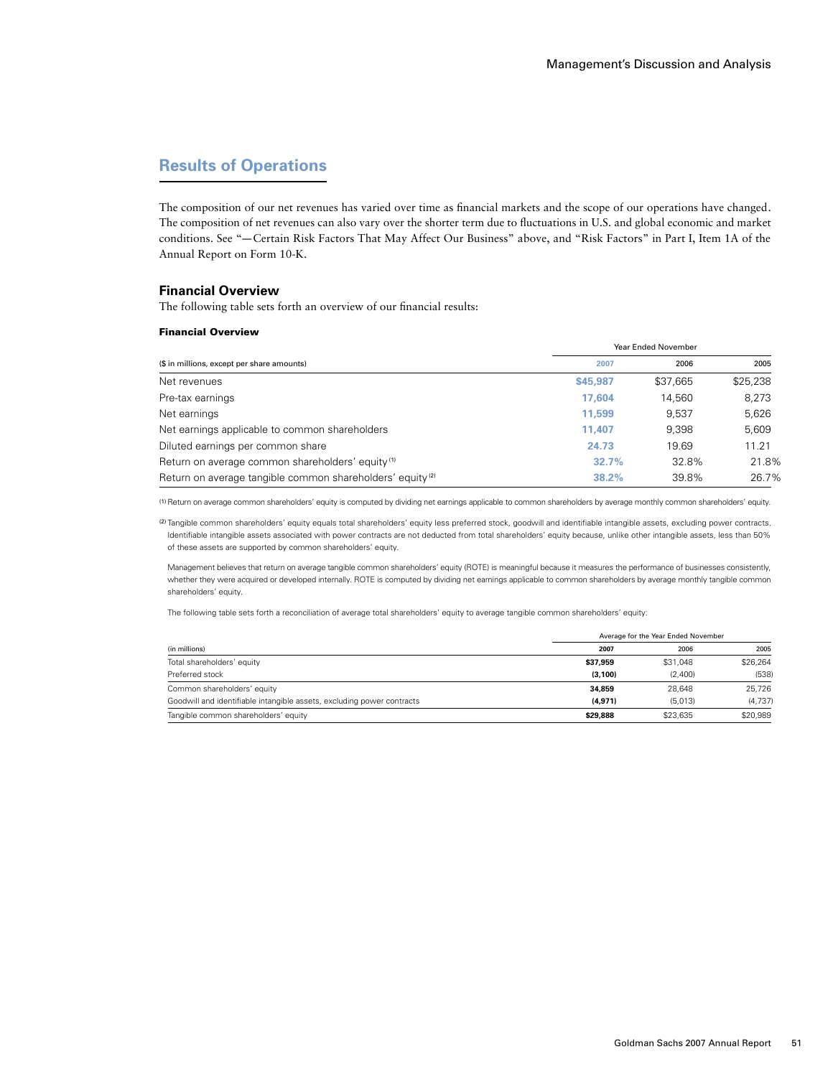# **Results of Operations**

The composition of our net revenues has varied over time as financial markets and the scope of our operations have changed. The composition of net revenues can also vary over the shorter term due to fluctuations in U.S. and global economic and market conditions. See "—Certain Risk Factors That May Affect Our Business" above, and "Risk Factors" in Part I, Item 1A of the Annual Report on Form 10-K.

### **Financial Overview**

The following table sets forth an overview of our financial results:

#### Financial Overview

|                                                                       |          | <b>Year Ended November</b> |          |  |
|-----------------------------------------------------------------------|----------|----------------------------|----------|--|
| (\$ in millions, except per share amounts)                            | 2007     | 2006                       | 2005     |  |
| Net revenues                                                          | \$45,987 | \$37,665                   | \$25,238 |  |
| Pre-tax earnings                                                      | 17.604   | 14,560                     | 8,273    |  |
| Net earnings                                                          | 11.599   | 9.537                      | 5,626    |  |
| Net earnings applicable to common shareholders                        | 11.407   | 9.398                      | 5,609    |  |
| Diluted earnings per common share                                     | 24.73    | 19.69                      | 11.21    |  |
| Return on average common shareholders' equity <sup>(1)</sup>          | 32.7%    | 32.8%                      | 21.8%    |  |
| Return on average tangible common shareholders' equity <sup>(2)</sup> | 38.2%    | 39.8%                      | 26.7%    |  |

(1)Return on average common shareholders' equity is computed by dividing net earnings applicable to common shareholders by average monthly common shareholders' equity.

(2) Tangible common shareholders' equity equals total shareholders' equity less preferred stock, goodwill and identifiable intangible assets, excluding power contracts. Identifiable intangible assets associated with power contracts are not deducted from total shareholders' equity because, unlike other intangible assets, less than 50% of these assets are supported by common shareholders' equity.

Management believes that return on average tangible common shareholders' equity (ROTE) is meaningful because it measures the performance of businesses consistently, whether they were acquired or developed internally. ROTE is computed by dividing net earnings applicable to common shareholders by average monthly tangible common shareholders' equity.

The following table sets forth a reconciliation of average total shareholders' equity to average tangible common shareholders' equity:

| (in millions)                                                          |          | Average for the Year Ended November |          |
|------------------------------------------------------------------------|----------|-------------------------------------|----------|
|                                                                        | 2007     | 2006                                | 2005     |
| Total shareholders' equity                                             | \$37.959 | \$31.048                            | \$26.264 |
| Preferred stock                                                        | (3.100)  | (2.400)                             | (538)    |
| Common shareholders' equity                                            | 34.859   | 28.648                              | 25.726   |
| Goodwill and identifiable intangible assets, excluding power contracts | (4.971)  | (5.013)                             | (4.737)  |
| Tangible common shareholders' equity                                   | \$29.888 | \$23.635                            | \$20.989 |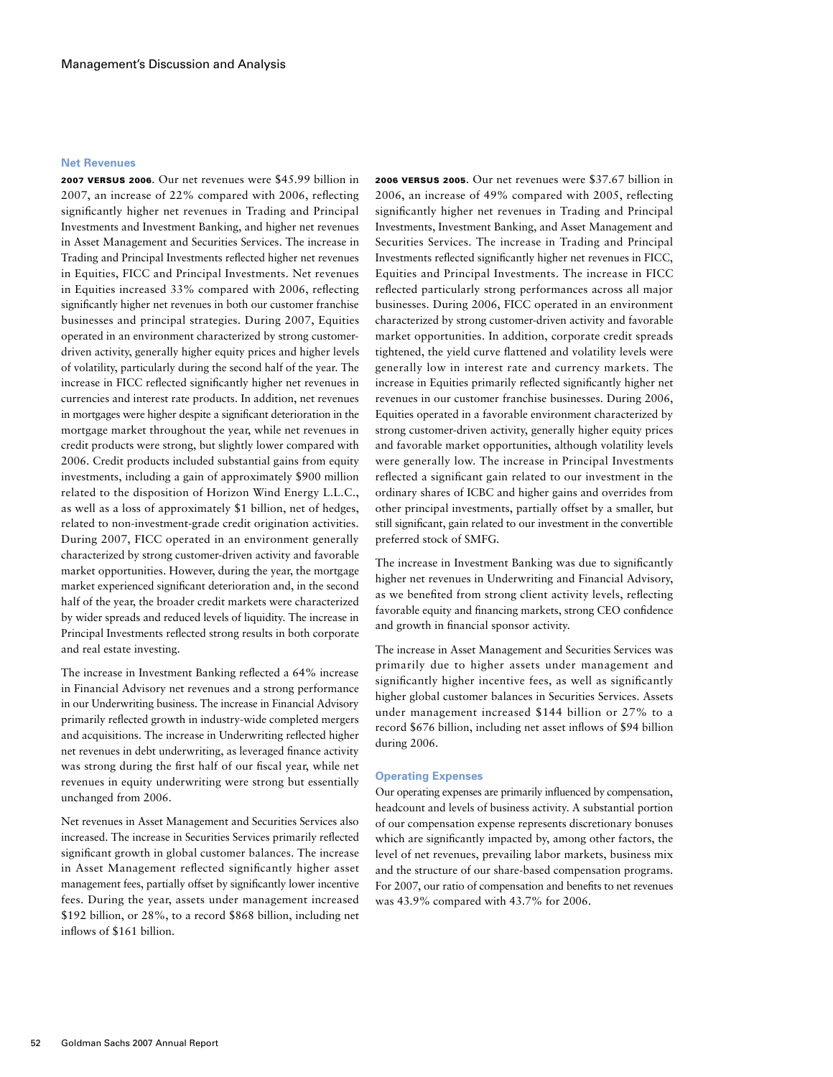#### **Net Revenues**

2007 versus 2006. Our net revenues were \$45.99 billion in 2007, an increase of 22% compared with 2006, reflecting significantly higher net revenues in Trading and Principal Investments and Investment Banking, and higher net revenues in Asset Management and Securities Services. The increase in Trading and Principal Investments reflected higher net revenues in Equities, FICC and Principal Investments. Net revenues in Equities increased 33% compared with 2006, reflecting significantly higher net revenues in both our customer franchise businesses and principal strategies. During 2007, Equities operated in an environment characterized by strong customerdriven activity, generally higher equity prices and higher levels of volatility, particularly during the second half of the year. The increase in FICC reflected significantly higher net revenues in currencies and interest rate products. In addition, net revenues in mortgages were higher despite a significant deterioration in the mortgage market throughout the year, while net revenues in credit products were strong, but slightly lower compared with 2006. Credit products included substantial gains from equity investments, including a gain of approximately \$900 million related to the disposition of Horizon Wind Energy L.L.C., as well as a loss of approximately \$1 billion, net of hedges, related to non-investment-grade credit origination activities. During 2007, FICC operated in an environment generally characterized by strong customer-driven activity and favorable market opportunities. However, during the year, the mortgage market experienced significant deterioration and, in the second half of the year, the broader credit markets were characterized by wider spreads and reduced levels of liquidity. The increase in Principal Investments reflected strong results in both corporate and real estate investing.

The increase in Investment Banking reflected a 64% increase in Financial Advisory net revenues and a strong performance in our Underwriting business. The increase in Financial Advisory primarily reflected growth in industry-wide completed mergers and acquisitions. The increase in Underwriting reflected higher net revenues in debt underwriting, as leveraged finance activity was strong during the first half of our fiscal year, while net revenues in equity underwriting were strong but essentially unchanged from 2006.

Net revenues in Asset Management and Securities Services also increased. The increase in Securities Services primarily reflected significant growth in global customer balances. The increase in Asset Management reflected significantly higher asset management fees, partially offset by significantly lower incentive fees. During the year, assets under management increased \$192 billion, or 28%, to a record \$868 billion, including net inflows of \$161 billion.

2006 versus 2005. Our net revenues were \$37.67 billion in 2006, an increase of 49% compared with 2005, reflecting significantly higher net revenues in Trading and Principal Investments, Investment Banking, and Asset Management and Securities Services. The increase in Trading and Principal Investments reflected significantly higher net revenues in FICC, Equities and Principal Investments. The increase in FICC reflected particularly strong performances across all major businesses. During 2006, FICC operated in an environment characterized by strong customer-driven activity and favorable market opportunities. In addition, corporate credit spreads tightened, the yield curve flattened and volatility levels were generally low in interest rate and currency markets. The increase in Equities primarily reflected significantly higher net revenues in our customer franchise businesses. During 2006, Equities operated in a favorable environment characterized by strong customer-driven activity, generally higher equity prices and favorable market opportunities, although volatility levels were generally low. The increase in Principal Investments reflected a significant gain related to our investment in the ordinary shares of ICBC and higher gains and overrides from other principal investments, partially offset by a smaller, but still significant, gain related to our investment in the convertible preferred stock of SMFG.

The increase in Investment Banking was due to significantly higher net revenues in Underwriting and Financial Advisory, as we benefited from strong client activity levels, reflecting favorable equity and financing markets, strong CEO confidence and growth in financial sponsor activity.

The increase in Asset Management and Securities Services was primarily due to higher assets under management and significantly higher incentive fees, as well as significantly higher global customer balances in Securities Services. Assets under management increased \$144 billion or 27% to a record \$676 billion, including net asset inflows of \$94 billion during 2006.

## **Operating Expenses**

Our operating expenses are primarily influenced by compensation, headcount and levels of business activity. A substantial portion of our compensation expense represents discretionary bonuses which are significantly impacted by, among other factors, the level of net revenues, prevailing labor markets, business mix and the structure of our share-based compensation programs. For 2007, our ratio of compensation and benefits to net revenues was 43.9% compared with 43.7% for 2006.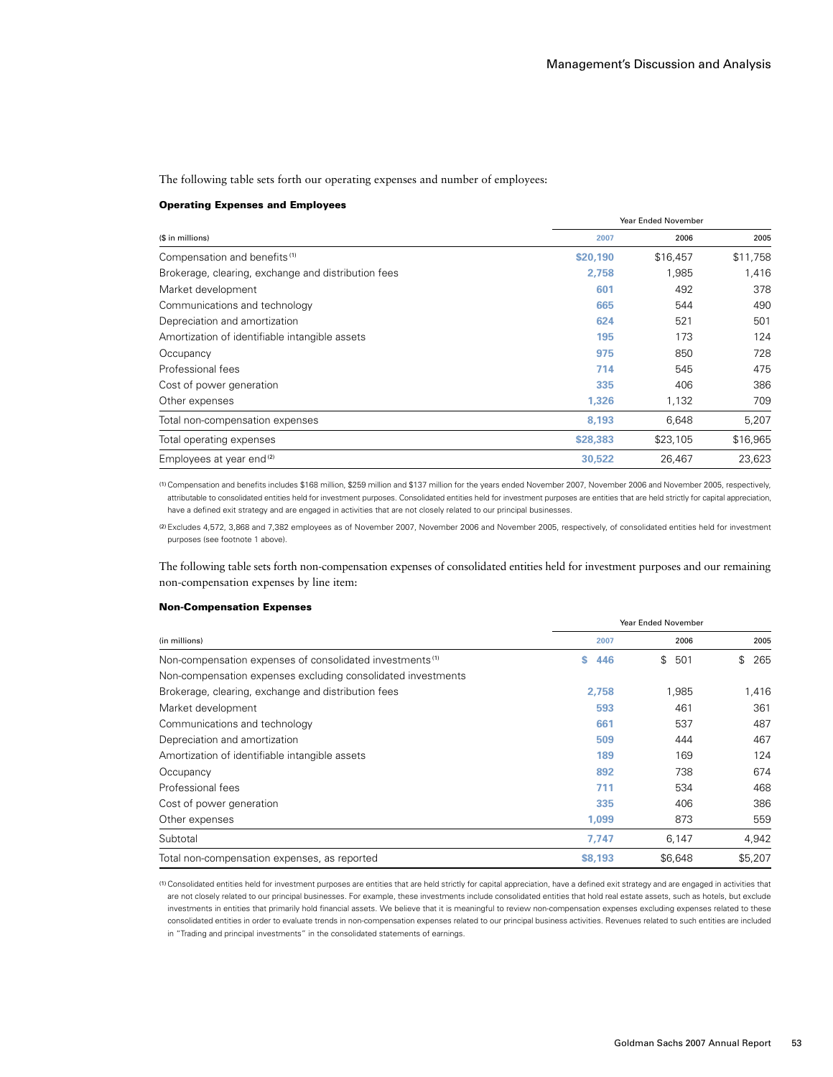The following table sets forth our operating expenses and number of employees:

#### Operating Expenses and Employees

|                                                     | <b>Year Ended November</b> |          |          |
|-----------------------------------------------------|----------------------------|----------|----------|
| (\$ in millions)                                    | 2007                       | 2006     | 2005     |
| Compensation and benefits <sup>(1)</sup>            | \$20,190                   | \$16,457 | \$11,758 |
| Brokerage, clearing, exchange and distribution fees | 2,758                      | 1,985    | 1,416    |
| Market development                                  | 601                        | 492      | 378      |
| Communications and technology                       | 665                        | 544      | 490      |
| Depreciation and amortization                       | 624                        | 521      | 501      |
| Amortization of identifiable intangible assets      | 195                        | 173      | 124      |
| Occupancy                                           | 975                        | 850      | 728      |
| Professional fees                                   | 714                        | 545      | 475      |
| Cost of power generation                            | 335                        | 406      | 386      |
| Other expenses                                      | 1,326                      | 1,132    | 709      |
| Total non-compensation expenses                     | 8,193                      | 6,648    | 5,207    |
| Total operating expenses                            | \$28,383                   | \$23,105 | \$16,965 |
| Employees at year end <sup>(2)</sup>                | 30.522                     | 26.467   | 23.623   |

(1)Compensation and benefits includes \$168 million, \$259 million and \$137 million for the years ended November 2007, November 2006 and November 2005, respectively, attributable to consolidated entities held for investment purposes. Consolidated entities held for investment purposes are entities that are held strictly for capital appreciation, have a defined exit strategy and are engaged in activities that are not closely related to our principal businesses.

(2)Excludes 4,572, 3,868 and 7,382 employees as of November 2007, November 2006 and November 2005, respectively, of consolidated entities held for investment purposes (see footnote 1 above).

The following table sets forth non-compensation expenses of consolidated entities held for investment purposes and our remaining non-compensation expenses by line item:

#### Non-Compensation Expenses

|                                                                      | Year Ended November |           |                     |  |
|----------------------------------------------------------------------|---------------------|-----------|---------------------|--|
| (in millions)                                                        | 2007                | 2006      | 2005                |  |
| Non-compensation expenses of consolidated investments <sup>(1)</sup> | 446<br>s.           | \$<br>501 | $\mathbb{S}$<br>265 |  |
| Non-compensation expenses excluding consolidated investments         |                     |           |                     |  |
| Brokerage, clearing, exchange and distribution fees                  | 2.758               | 1.985     | 1,416               |  |
| Market development                                                   | 593                 | 461       | 361                 |  |
| Communications and technology                                        | 661                 | 537       | 487                 |  |
| Depreciation and amortization                                        | 509                 | 444       | 467                 |  |
| Amortization of identifiable intangible assets                       | 189                 | 169       | 124                 |  |
| Occupancy                                                            | 892                 | 738       | 674                 |  |
| Professional fees                                                    | 711                 | 534       | 468                 |  |
| Cost of power generation                                             | 335                 | 406       | 386                 |  |
| Other expenses                                                       | 1,099               | 873       | 559                 |  |
| Subtotal                                                             | 7,747               | 6,147     | 4,942               |  |
| Total non-compensation expenses, as reported                         | \$8,193             | \$6,648   | \$5,207             |  |

(1)Consolidated entities held for investment purposes are entities that are held strictly for capital appreciation, have a defined exit strategy and are engaged in activities that are not closely related to our principal businesses. For example, these investments include consolidated entities that hold real estate assets, such as hotels, but exclude investments in entities that primarily hold financial assets. We believe that it is meaningful to review non-compensation expenses excluding expenses related to these consolidated entities in order to evaluate trends in non-compensation expenses related to our principal business activities. Revenues related to such entities are included in "Trading and principal investments" in the consolidated statements of earnings.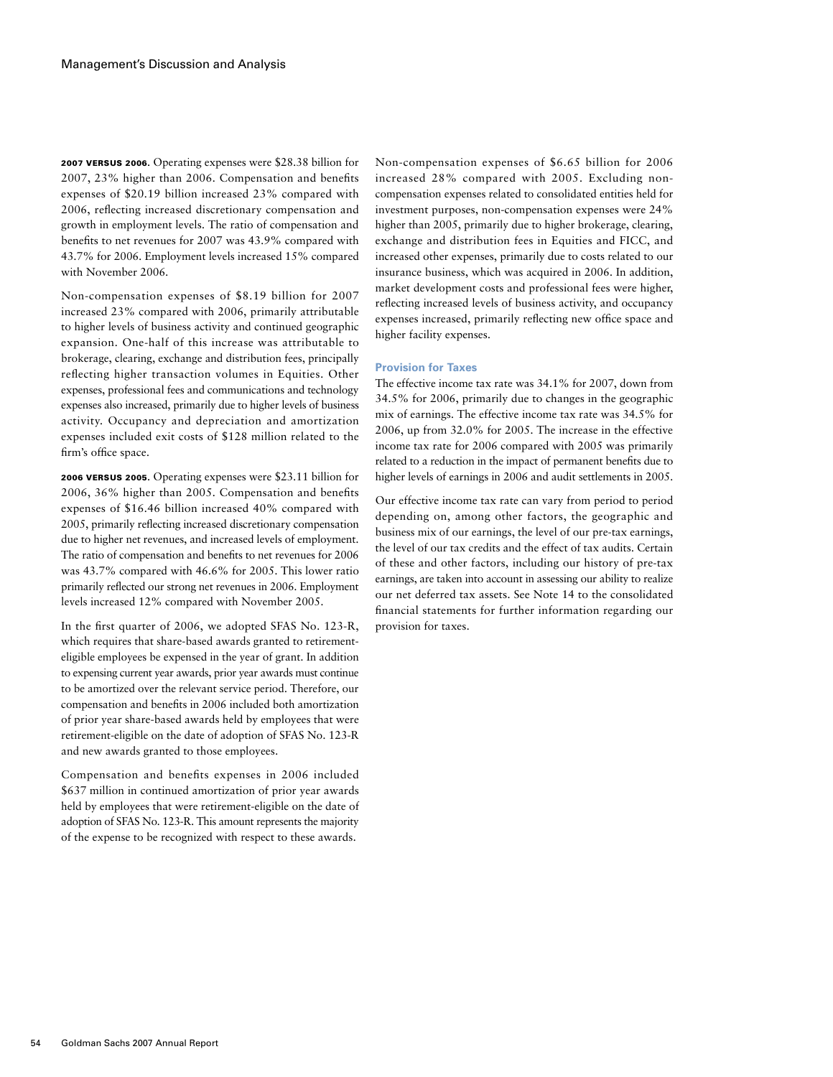2007 versus 2006. Operating expenses were \$28.38 billion for 2007, 23% higher than 2006. Compensation and benefits expenses of \$20.19 billion increased 23% compared with 2006, reflecting increased discretionary compensation and growth in employment levels. The ratio of compensation and benefits to net revenues for 2007 was 43.9% compared with 43.7% for 2006. Employment levels increased 15% compared with November 2006.

Non-compensation expenses of \$8.19 billion for 2007 increased 23% compared with 2006, primarily attributable to higher levels of business activity and continued geographic expansion. One-half of this increase was attributable to brokerage, clearing, exchange and distribution fees, principally reflecting higher transaction volumes in Equities. Other expenses, professional fees and communications and technology expenses also increased, primarily due to higher levels of business activity. Occupancy and depreciation and amortization expenses included exit costs of \$128 million related to the firm's office space.

2006 versus 2005. Operating expenses were \$23.11 billion for 2006, 36% higher than 2005. Compensation and benefits expenses of \$16.46 billion increased 40% compared with 2005, primarily reflecting increased discretionary compensation due to higher net revenues, and increased levels of employment. The ratio of compensation and benefits to net revenues for 2006 was 43.7% compared with 46.6% for 2005. This lower ratio primarily reflected our strong net revenues in 2006. Employment levels increased 12% compared with November 2005.

In the first quarter of 2006, we adopted SFAS No. 123-R, which requires that share-based awards granted to retirementeligible employees be expensed in the year of grant. In addition to expensing current year awards, prior year awards must continue to be amortized over the relevant service period. Therefore, our compensation and benefits in 2006 included both amortization of prior year share-based awards held by employees that were retirement-eligible on the date of adoption of SFAS No. 123-R and new awards granted to those employees.

Compensation and benefits expenses in 2006 included \$637 million in continued amortization of prior year awards held by employees that were retirement-eligible on the date of adoption of SFAS No. 123-R. This amount represents the majority of the expense to be recognized with respect to these awards.

Non-compensation expenses of \$6.65 billion for 2006 increased 28% compared with 2005. Excluding noncompensation expenses related to consolidated entities held for investment purposes, non-compensation expenses were 24% higher than 2005, primarily due to higher brokerage, clearing, exchange and distribution fees in Equities and FICC, and increased other expenses, primarily due to costs related to our insurance business, which was acquired in 2006. In addition, market development costs and professional fees were higher, reflecting increased levels of business activity, and occupancy expenses increased, primarily reflecting new office space and higher facility expenses.

# **Provision for Taxes**

The effective income tax rate was 34.1% for 2007, down from 34.5% for 2006, primarily due to changes in the geographic mix of earnings. The effective income tax rate was 34.5% for 2006, up from 32.0% for 2005. The increase in the effective income tax rate for 2006 compared with 2005 was primarily related to a reduction in the impact of permanent benefits due to higher levels of earnings in 2006 and audit settlements in 2005.

Our effective income tax rate can vary from period to period depending on, among other factors, the geographic and business mix of our earnings, the level of our pre-tax earnings, the level of our tax credits and the effect of tax audits. Certain of these and other factors, including our history of pre-tax earnings, are taken into account in assessing our ability to realize our net deferred tax assets. See Note 14 to the consolidated financial statements for further information regarding our provision for taxes.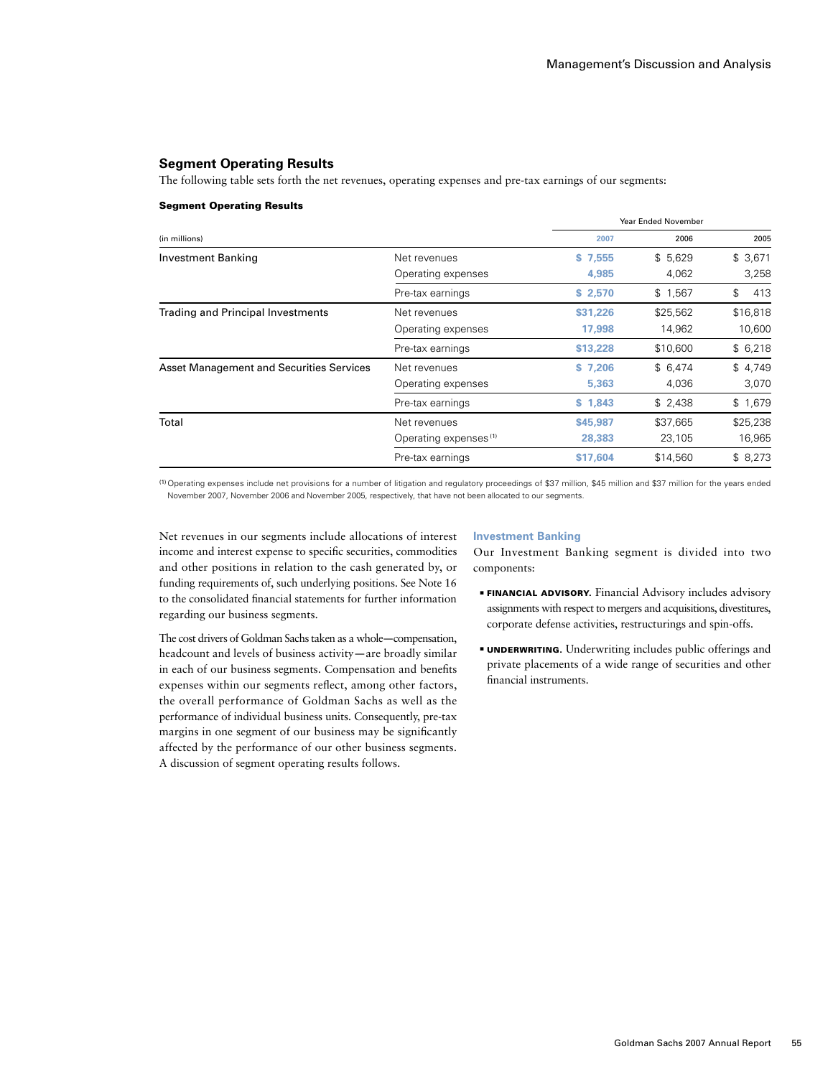# **Segment Operating Results**

The following table sets forth the net revenues, operating expenses and pre-tax earnings of our segments:

#### Segment Operating Results

|                                                 |                                   |          | Year Ended November |           |
|-------------------------------------------------|-----------------------------------|----------|---------------------|-----------|
| (in millions)                                   |                                   | 2007     | 2006                | 2005      |
| <b>Investment Banking</b>                       | Net revenues                      | \$7,555  | \$5,629             | \$3,671   |
|                                                 | Operating expenses                | 4,985    | 4,062               | 3,258     |
|                                                 | Pre-tax earnings                  | \$2,570  | \$1,567             | 413<br>\$ |
| <b>Trading and Principal Investments</b>        | Net revenues                      | \$31.226 | \$25,562            | \$16,818  |
|                                                 | Operating expenses                | 17,998   | 14,962              | 10,600    |
|                                                 | Pre-tax earnings                  | \$13,228 | \$10,600            | \$6,218   |
| <b>Asset Management and Securities Services</b> | Net revenues                      | \$7.206  | \$6,474             | \$4,749   |
|                                                 | Operating expenses                | 5,363    | 4,036               | 3,070     |
|                                                 | Pre-tax earnings                  | \$1,843  | \$2,438             | \$1,679   |
| Total                                           | Net revenues                      | \$45,987 | \$37,665            | \$25,238  |
|                                                 | Operating expenses <sup>(1)</sup> | 28,383   | 23,105              | 16,965    |
|                                                 | Pre-tax earnings                  | \$17,604 | \$14,560            | \$8,273   |

(1)Operating expenses include net provisions for a number of litigation and regulatory proceedings of \$37 million, \$45 million and \$37 million for the years ended November 2007, November 2006 and November 2005, respectively, that have not been allocated to our segments.

Net revenues in our segments include allocations of interest income and interest expense to specific securities, commodities and other positions in relation to the cash generated by, or funding requirements of, such underlying positions. See Note 16 to the consolidated financial statements for further information regarding our business segments.

The cost drivers of Goldman Sachs taken as a whole—compensation, headcount and levels of business activity—are broadly similar in each of our business segments. Compensation and benefits expenses within our segments reflect, among other factors, the overall performance of Goldman Sachs as well as the performance of individual business units. Consequently, pre-tax margins in one segment of our business may be significantly affected by the performance of our other business segments. A discussion of segment operating results follows.

#### **Investment Banking**

Our Investment Banking segment is divided into two components:

- **FINANCIAL ADVISORY.** Financial Advisory includes advisory assignments with respect to mergers and acquisitions, divestitures, corporate defense activities, restructurings and spin-offs.
- **UNDERWRITING.** Underwriting includes public offerings and private placements of a wide range of securities and other financial instruments.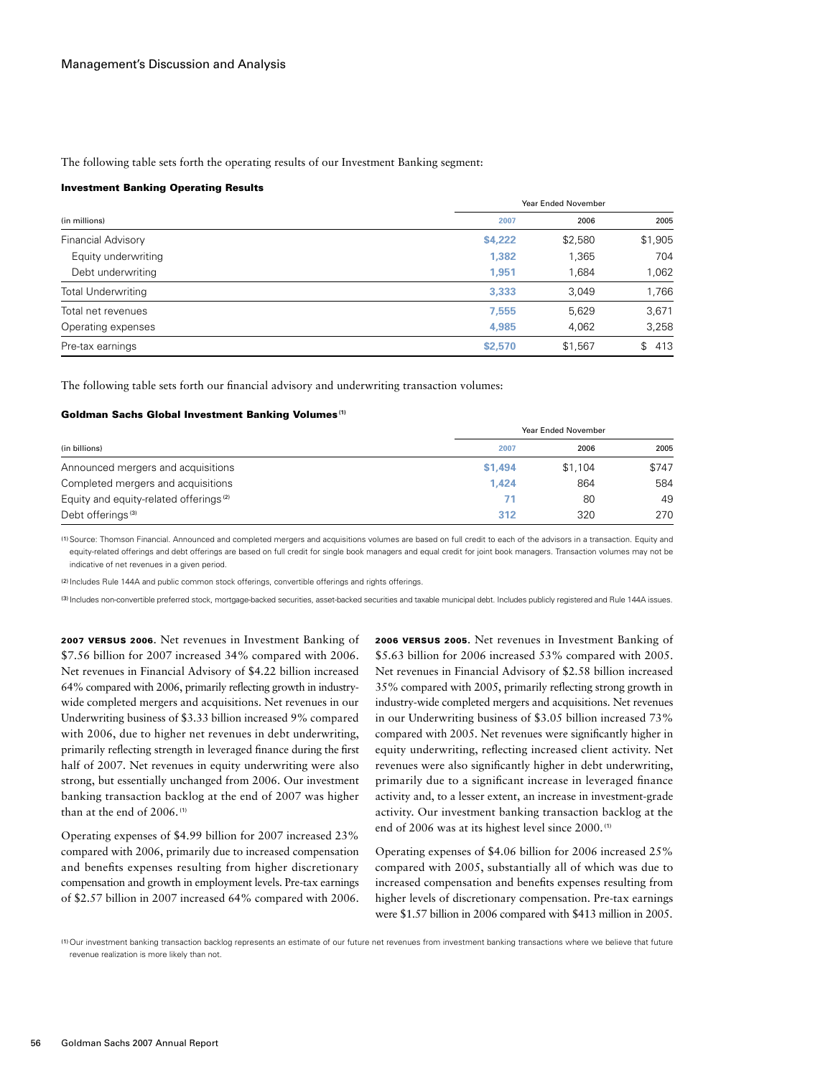The following table sets forth the operating results of our Investment Banking segment:

#### Investment Banking Operating Results

|                           | Year Ended November |         |           |
|---------------------------|---------------------|---------|-----------|
| (in millions)             | 2007                | 2006    | 2005      |
| <b>Financial Advisory</b> | \$4,222             | \$2,580 | \$1,905   |
| Equity underwriting       | 1,382               | 1,365   | 704       |
| Debt underwriting         | 1,951               | 1,684   | 1,062     |
| <b>Total Underwriting</b> | 3,333               | 3,049   | 1,766     |
| Total net revenues        | 7,555               | 5,629   | 3,671     |
| Operating expenses        | 4,985               | 4,062   | 3,258     |
| Pre-tax earnings          | \$2,570             | \$1,567 | 413<br>\$ |

The following table sets forth our financial advisory and underwriting transaction volumes:

#### Goldman Sachs Global Investment Banking Volumes**(1)**

|                                                    | Year Ended November |         |       |
|----------------------------------------------------|---------------------|---------|-------|
| (in billions)                                      | 2007                | 2006    | 2005  |
| Announced mergers and acquisitions                 | \$1,494             | \$1,104 | \$747 |
| Completed mergers and acquisitions                 | 1.424               | 864     | 584   |
| Equity and equity-related offerings <sup>(2)</sup> | 71                  | 80      | 49    |
| Debt offerings <sup>(3)</sup>                      | 312                 | 320     | 270   |

(1)Source: Thomson Financial. Announced and completed mergers and acquisitions volumes are based on full credit to each of the advisors in a transaction. Equity and equity-related offerings and debt offerings are based on full credit for single book managers and equal credit for joint book managers. Transaction volumes may not be indicative of net revenues in a given period.

(2) Includes Rule 144A and public common stock offerings, convertible offerings and rights offerings.

(3) Includes non-convertible preferred stock, mortgage-backed securities, asset-backed securities and taxable municipal debt. Includes publicly registered and Rule 144A issues.

2007 VERSUS 2006. Net revenues in Investment Banking of \$7.56 billion for 2007 increased 34% compared with 2006. Net revenues in Financial Advisory of \$4.22 billion increased 64% compared with 2006, primarily reflecting growth in industrywide completed mergers and acquisitions. Net revenues in our Underwriting business of \$3.33 billion increased 9% compared with 2006, due to higher net revenues in debt underwriting, primarily reflecting strength in leveraged finance during the first half of 2007. Net revenues in equity underwriting were also strong, but essentially unchanged from 2006. Our investment banking transaction backlog at the end of 2007 was higher than at the end of 2006. (1)

Operating expenses of \$4.99 billion for 2007 increased 23% compared with 2006, primarily due to increased compensation and benefits expenses resulting from higher discretionary compensation and growth in employment levels. Pre-tax earnings of \$2.57 billion in 2007 increased 64% compared with 2006.

2006 versus 2005. Net revenues in Investment Banking of \$5.63 billion for 2006 increased 53% compared with 2005. Net revenues in Financial Advisory of \$2.58 billion increased 35% compared with 2005, primarily reflecting strong growth in industry-wide completed mergers and acquisitions. Net revenues in our Underwriting business of \$3.05 billion increased 73% compared with 2005. Net revenues were significantly higher in equity underwriting, reflecting increased client activity. Net revenues were also significantly higher in debt underwriting, primarily due to a significant increase in leveraged finance activity and, to a lesser extent, an increase in investment-grade activity. Our investment banking transaction backlog at the end of 2006 was at its highest level since 2000. (1)

Operating expenses of \$4.06 billion for 2006 increased 25% compared with 2005, substantially all of which was due to increased compensation and benefits expenses resulting from higher levels of discretionary compensation. Pre-tax earnings were \$1.57 billion in 2006 compared with \$413 million in 2005.

(1)Our investment banking transaction backlog represents an estimate of our future net revenues from investment banking transactions where we believe that future revenue realization is more likely than not.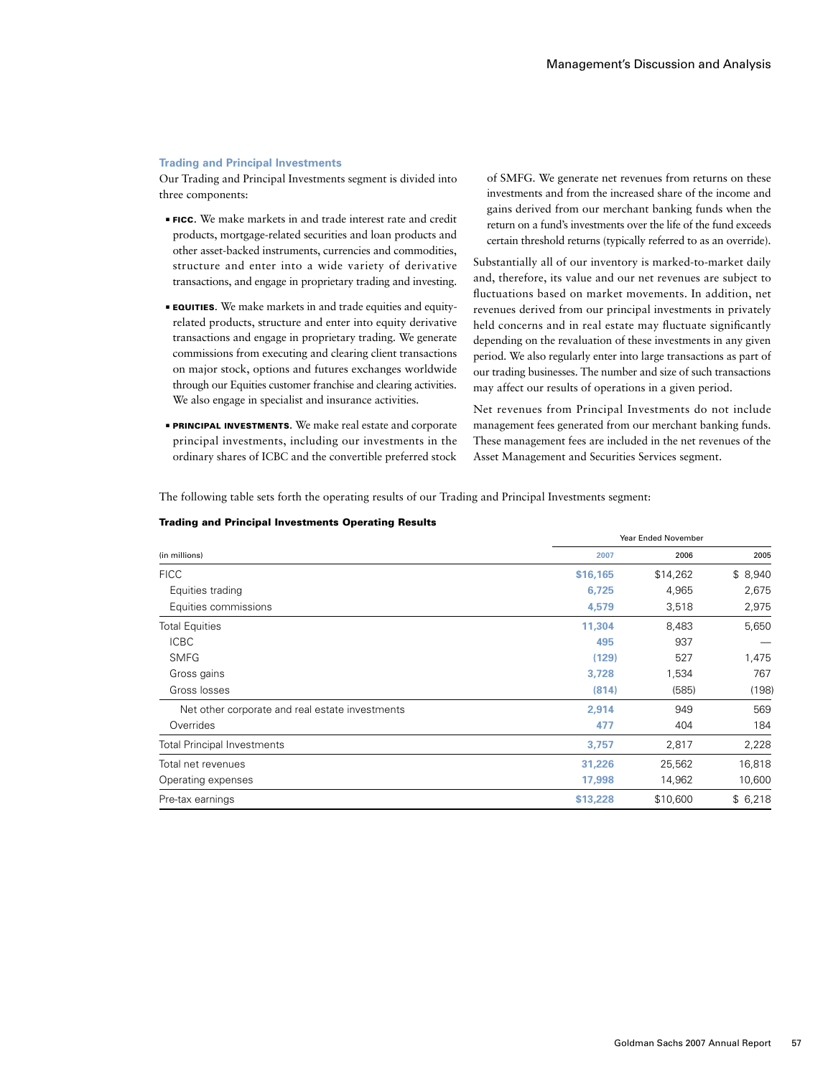#### **Trading and Principal Investments**

Our Trading and Principal Investments segment is divided into three components:

- **FICC.** We make markets in and trade interest rate and credit products, mortgage-related securities and loan products and other asset-backed instruments, currencies and commodities, structure and enter into a wide variety of derivative transactions, and engage in proprietary trading and investing.
- **EQUITIES.** We make markets in and trade equities and equityrelated products, structure and enter into equity derivative transactions and engage in proprietary trading. We generate commissions from executing and clearing client transactions on major stock, options and futures exchanges worldwide through our Equities customer franchise and clearing activities. We also engage in specialist and insurance activities.
- **PRINCIPAL INVESTMENTS.** We make real estate and corporate principal investments, including our investments in the ordinary shares of ICBC and the convertible preferred stock

of SMFG. We generate net revenues from returns on these investments and from the increased share of the income and gains derived from our merchant banking funds when the return on a fund's investments over the life of the fund exceeds certain threshold returns (typically referred to as an override).

Substantially all of our inventory is marked-to-market daily and, therefore, its value and our net revenues are subject to fluctuations based on market movements. In addition, net revenues derived from our principal investments in privately held concerns and in real estate may fluctuate significantly depending on the revaluation of these investments in any given period. We also regularly enter into large transactions as part of our trading businesses. The number and size of such transactions may affect our results of operations in a given period.

Net revenues from Principal Investments do not include management fees generated from our merchant banking funds. These management fees are included in the net revenues of the Asset Management and Securities Services segment.

Year Ended November

The following table sets forth the operating results of our Trading and Principal Investments segment:

| (in millions)                                   | 2007     | 2006     | 2005    |
|-------------------------------------------------|----------|----------|---------|
| <b>FICC</b>                                     | \$16,165 | \$14,262 | \$8,940 |
| Equities trading                                | 6,725    | 4,965    | 2,675   |
| Equities commissions                            | 4,579    | 3,518    | 2,975   |
| <b>Total Equities</b>                           | 11,304   | 8,483    | 5,650   |
| <b>ICBC</b>                                     | 495      | 937      |         |
| <b>SMFG</b>                                     | (129)    | 527      | 1,475   |
| Gross gains                                     | 3,728    | 1,534    | 767     |
| Gross losses                                    | (814)    | (585)    | (198)   |
| Net other corporate and real estate investments | 2.914    | 949      | 569     |
| Overrides                                       | 477      | 404      | 184     |
| <b>Total Principal Investments</b>              | 3,757    | 2,817    | 2,228   |
| Total net revenues                              | 31,226   | 25,562   | 16,818  |
| Operating expenses                              | 17,998   | 14,962   | 10,600  |
| Pre-tax earnings                                | \$13,228 | \$10,600 | \$6,218 |

#### Trading and Principal Investments Operating Results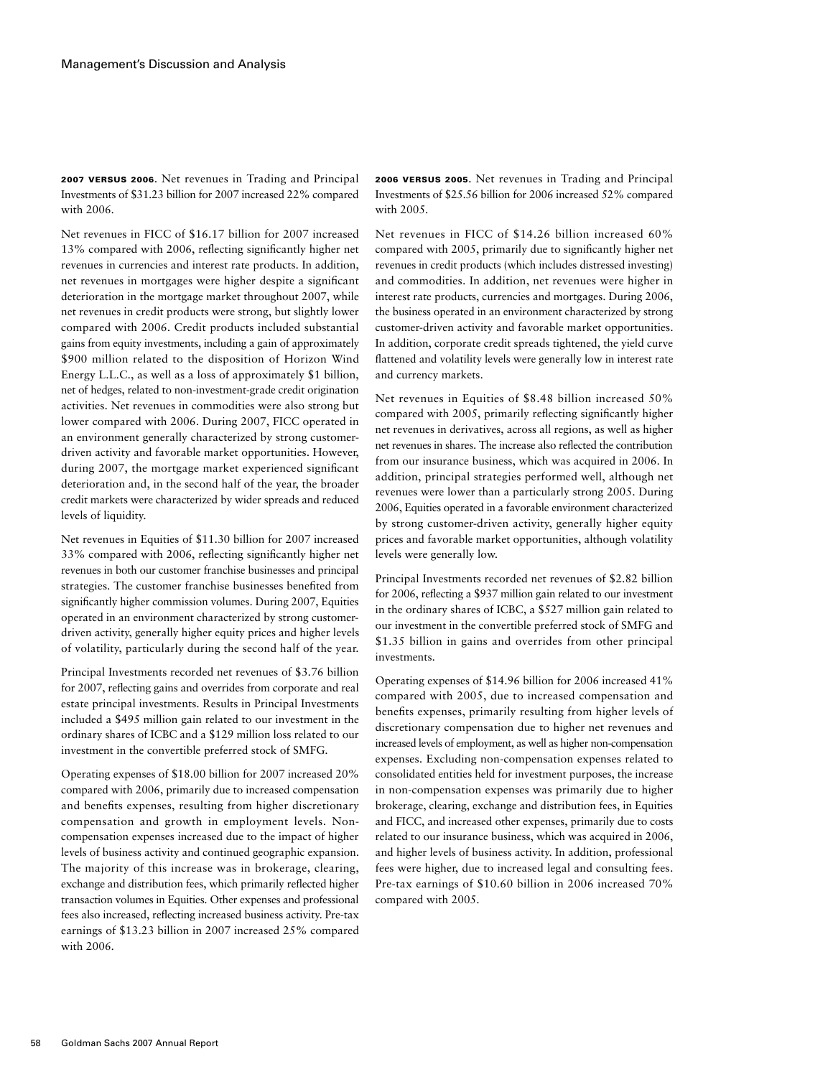2007 VERSUS 2006. Net revenues in Trading and Principal Investments of \$31.23 billion for 2007 increased 22% compared with 2006.

Net revenues in FICC of \$16.17 billion for 2007 increased 13% compared with 2006, reflecting significantly higher net revenues in currencies and interest rate products. In addition, net revenues in mortgages were higher despite a significant deterioration in the mortgage market throughout 2007, while net revenues in credit products were strong, but slightly lower compared with 2006. Credit products included substantial gains from equity investments, including a gain of approximately \$900 million related to the disposition of Horizon Wind Energy L.L.C., as well as a loss of approximately \$1 billion, net of hedges, related to non-investment-grade credit origination activities. Net revenues in commodities were also strong but lower compared with 2006. During 2007, FICC operated in an environment generally characterized by strong customerdriven activity and favorable market opportunities. However, during 2007, the mortgage market experienced significant deterioration and, in the second half of the year, the broader credit markets were characterized by wider spreads and reduced levels of liquidity.

Net revenues in Equities of \$11.30 billion for 2007 increased 33% compared with 2006, reflecting significantly higher net revenues in both our customer franchise businesses and principal strategies. The customer franchise businesses benefited from significantly higher commission volumes. During 2007, Equities operated in an environment characterized by strong customerdriven activity, generally higher equity prices and higher levels of volatility, particularly during the second half of the year.

Principal Investments recorded net revenues of \$3.76 billion for 2007, reflecting gains and overrides from corporate and real estate principal investments. Results in Principal Investments included a \$495 million gain related to our investment in the ordinary shares of ICBC and a \$129 million loss related to our investment in the convertible preferred stock of SMFG.

Operating expenses of \$18.00 billion for 2007 increased 20% compared with 2006, primarily due to increased compensation and benefits expenses, resulting from higher discretionary compensation and growth in employment levels. Noncompensation expenses increased due to the impact of higher levels of business activity and continued geographic expansion. The majority of this increase was in brokerage, clearing, exchange and distribution fees, which primarily reflected higher transaction volumes in Equities. Other expenses and professional fees also increased, reflecting increased business activity. Pre-tax earnings of \$13.23 billion in 2007 increased 25% compared with 2006.

2006 versus 2005. Net revenues in Trading and Principal Investments of \$25.56 billion for 2006 increased 52% compared with 2005.

Net revenues in FICC of \$14.26 billion increased 60% compared with 2005, primarily due to significantly higher net revenues in credit products (which includes distressed investing) and commodities. In addition, net revenues were higher in interest rate products, currencies and mortgages. During 2006, the business operated in an environment characterized by strong customer-driven activity and favorable market opportunities. In addition, corporate credit spreads tightened, the yield curve flattened and volatility levels were generally low in interest rate and currency markets.

Net revenues in Equities of \$8.48 billion increased 50% compared with 2005, primarily reflecting significantly higher net revenues in derivatives, across all regions, as well as higher net revenues in shares. The increase also reflected the contribution from our insurance business, which was acquired in 2006. In addition, principal strategies performed well, although net revenues were lower than a particularly strong 2005. During 2006, Equities operated in a favorable environment characterized by strong customer-driven activity, generally higher equity prices and favorable market opportunities, although volatility levels were generally low.

Principal Investments recorded net revenues of \$2.82 billion for 2006, reflecting a \$937 million gain related to our investment in the ordinary shares of ICBC, a \$527 million gain related to our investment in the convertible preferred stock of SMFG and \$1.35 billion in gains and overrides from other principal investments.

Operating expenses of \$14.96 billion for 2006 increased 41% compared with 2005, due to increased compensation and benefits expenses, primarily resulting from higher levels of discretionary compensation due to higher net revenues and increased levels of employment, as well as higher non-compensation expenses. Excluding non-compensation expenses related to consolidated entities held for investment purposes, the increase in non-compensation expenses was primarily due to higher brokerage, clearing, exchange and distribution fees, in Equities and FICC, and increased other expenses, primarily due to costs related to our insurance business, which was acquired in 2006, and higher levels of business activity. In addition, professional fees were higher, due to increased legal and consulting fees. Pre-tax earnings of \$10.60 billion in 2006 increased 70% compared with 2005.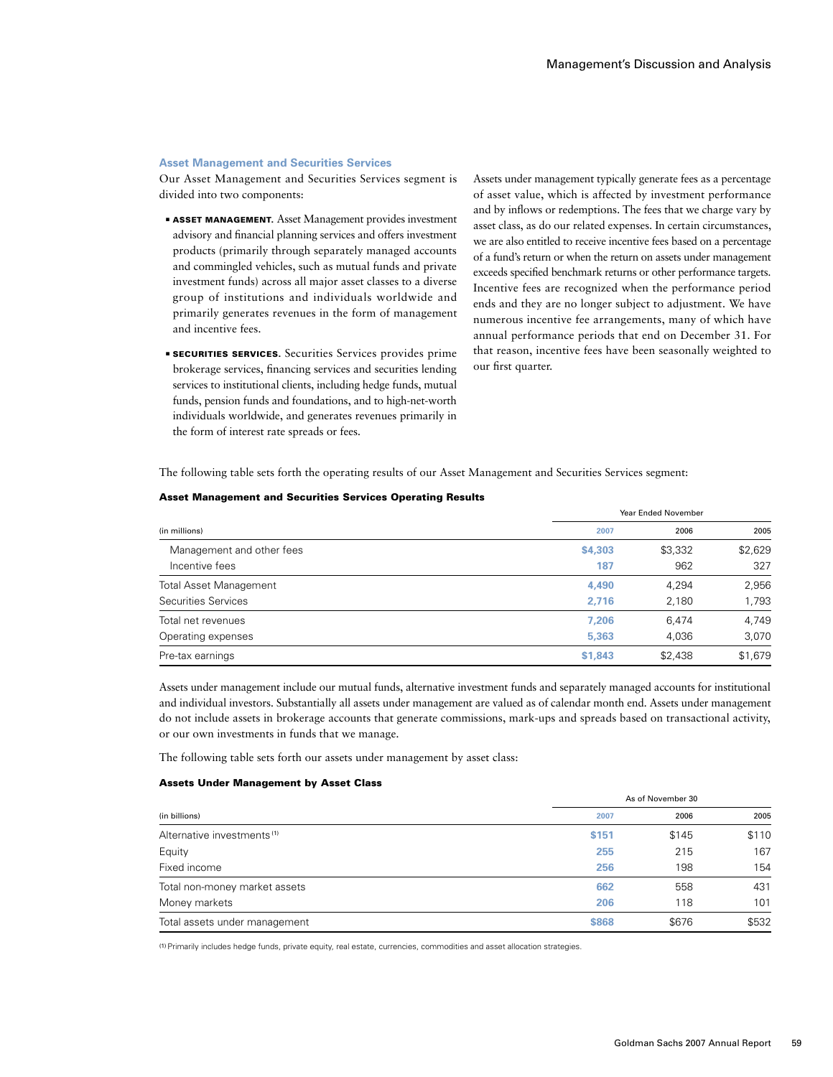### **Asset Management and Securities Services**

Our Asset Management and Securities Services segment is divided into two components:

- **EXSET MANAGEMENT.** Asset Management provides investment advisory and financial planning services and offers investment products (primarily through separately managed accounts and commingled vehicles, such as mutual funds and private investment funds) across all major asset classes to a diverse group of institutions and individuals worldwide and primarily generates revenues in the form of management and incentive fees.
- **EXECURITIES SERVICES.** Securities Services provides prime brokerage services, financing services and securities lending services to institutional clients, including hedge funds, mutual funds, pension funds and foundations, and to high-net-worth individuals worldwide, and generates revenues primarily in the form of interest rate spreads or fees.

Assets under management typically generate fees as a percentage of asset value, which is affected by investment performance and by inflows or redemptions. The fees that we charge vary by asset class, as do our related expenses. In certain circumstances, we are also entitled to receive incentive fees based on a percentage of a fund's return or when the return on assets under management exceeds specified benchmark returns or other performance targets. Incentive fees are recognized when the performance period ends and they are no longer subject to adjustment. We have numerous incentive fee arrangements, many of which have annual performance periods that end on December 31. For that reason, incentive fees have been seasonally weighted to our first quarter.

Year Ended November

The following table sets forth the operating results of our Asset Management and Securities Services segment:

|                               | <u>ical Lilucu Inovellibel</u> |         |         |
|-------------------------------|--------------------------------|---------|---------|
| (in millions)                 | 2007                           | 2006    | 2005    |
| Management and other fees     | \$4,303                        | \$3,332 | \$2,629 |
| Incentive fees                | 187                            | 962     | 327     |
| <b>Total Asset Management</b> | 4,490                          | 4,294   | 2,956   |
| Securities Services           | 2,716                          | 2,180   | 1,793   |
| Total net revenues            | 7,206                          | 6.474   | 4,749   |
| Operating expenses            | 5,363                          | 4,036   | 3,070   |
| Pre-tax earnings              | \$1,843                        | \$2,438 | \$1,679 |

Assets under management include our mutual funds, alternative investment funds and separately managed accounts for institutional and individual investors. Substantially all assets under management are valued as of calendar month end. Assets under management do not include assets in brokerage accounts that generate commissions, mark-ups and spreads based on transactional activity, or our own investments in funds that we manage.

The following table sets forth our assets under management by asset class:

#### Assets Under Management by Asset Class

|                                        | As of November 30 |       |       |
|----------------------------------------|-------------------|-------|-------|
| (in billions)                          | 2007              | 2006  | 2005  |
| Alternative investments <sup>(1)</sup> | \$151             | \$145 | \$110 |
| Equity                                 | 255               | 215   | 167   |
| Fixed income                           | 256               | 198   | 154   |
| Total non-money market assets          | 662               | 558   | 431   |
| Money markets                          | 206               | 118   | 101   |
| Total assets under management          | \$868             | \$676 | \$532 |

(1)Primarily includes hedge funds, private equity, real estate, currencies, commodities and asset allocation strategies.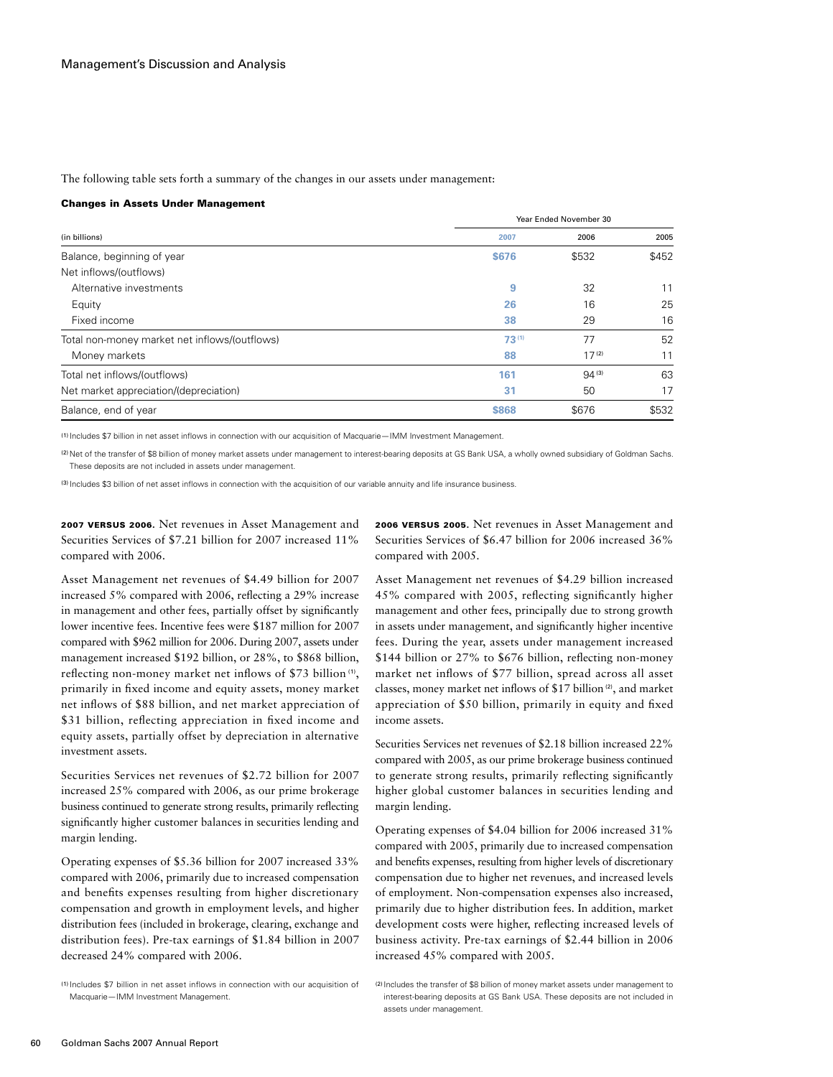The following table sets forth a summary of the changes in our assets under management:

#### Changes in Assets Under Management

|                                               |              | Year Ended November 30 |       |  |
|-----------------------------------------------|--------------|------------------------|-------|--|
| (in billions)                                 | 2007         | 2006                   | 2005  |  |
| Balance, beginning of year                    | <b>\$676</b> | \$532                  | \$452 |  |
| Net inflows/(outflows)                        |              |                        |       |  |
| Alternative investments                       | 9            | 32                     | 11    |  |
| Equity                                        | 26           | 16                     | 25    |  |
| Fixed income                                  | 38           | 29                     | 16    |  |
| Total non-money market net inflows/(outflows) | $73^{(1)}$   | 77                     | 52    |  |
| Money markets                                 | 88           | 17 <sup>(2)</sup>      | 11    |  |
| Total net inflows/(outflows)                  | 161          | $94^{(3)}$             | 63    |  |
| Net market appreciation/(depreciation)        | 31           | 50                     | 17    |  |
| Balance, end of year                          | \$868        | \$676                  | \$532 |  |

(1) Includes \$7 billion in net asset inflows in connection with our acquisition of Macquarie—IMM Investment Management.

<sup>(2)</sup> Net of the transfer of \$8 billion of money market assets under management to interest-bearing deposits at GS Bank USA, a wholly owned subsidiary of Goldman Sachs. These deposits are not included in assets under management.

(3) Includes \$3 billion of net asset inflows in connection with the acquisition of our variable annuity and life insurance business.

2007 VERSUS 2006. Net revenues in Asset Management and Securities Services of \$7.21 billion for 2007 increased 11% compared with 2006.

Asset Management net revenues of \$4.49 billion for 2007 increased 5% compared with 2006, reflecting a 29% increase in management and other fees, partially offset by significantly lower incentive fees. Incentive fees were \$187 million for 2007 compared with \$962 million for 2006. During 2007, assets under management increased \$192 billion, or 28%, to \$868 billion, reflecting non-money market net inflows of \$73 billion (1), primarily in fixed income and equity assets, money market net inflows of \$88 billion, and net market appreciation of \$31 billion, reflecting appreciation in fixed income and equity assets, partially offset by depreciation in alternative investment assets.

Securities Services net revenues of \$2.72 billion for 2007 increased 25% compared with 2006, as our prime brokerage business continued to generate strong results, primarily reflecting significantly higher customer balances in securities lending and margin lending.

Operating expenses of \$5.36 billion for 2007 increased 33% compared with 2006, primarily due to increased compensation and benefits expenses resulting from higher discretionary compensation and growth in employment levels, and higher distribution fees (included in brokerage, clearing, exchange and distribution fees). Pre-tax earnings of \$1.84 billion in 2007 decreased 24% compared with 2006.

2006 versus 2005. Net revenues in Asset Management and Securities Services of \$6.47 billion for 2006 increased 36% compared with 2005.

Asset Management net revenues of \$4.29 billion increased 45% compared with 2005, reflecting significantly higher management and other fees, principally due to strong growth in assets under management, and significantly higher incentive fees. During the year, assets under management increased \$144 billion or 27% to \$676 billion, reflecting non-money market net inflows of \$77 billion, spread across all asset classes, money market net inflows of \$17 billion (2), and market appreciation of \$50 billion, primarily in equity and fixed income assets.

Securities Services net revenues of \$2.18 billion increased 22% compared with 2005, as our prime brokerage business continued to generate strong results, primarily reflecting significantly higher global customer balances in securities lending and margin lending.

Operating expenses of \$4.04 billion for 2006 increased 31% compared with 2005, primarily due to increased compensation and benefits expenses, resulting from higher levels of discretionary compensation due to higher net revenues, and increased levels of employment. Non-compensation expenses also increased, primarily due to higher distribution fees. In addition, market development costs were higher, reflecting increased levels of business activity. Pre-tax earnings of \$2.44 billion in 2006 increased 45% compared with 2005.

<sup>(1)</sup> Includes \$7 billion in net asset inflows in connection with our acquisition of Macquarie—IMM Investment Management.

<sup>(2)</sup> Includes the transfer of \$8 billion of money market assets under management to interest-bearing deposits at GS Bank USA. These deposits are not included in assets under management.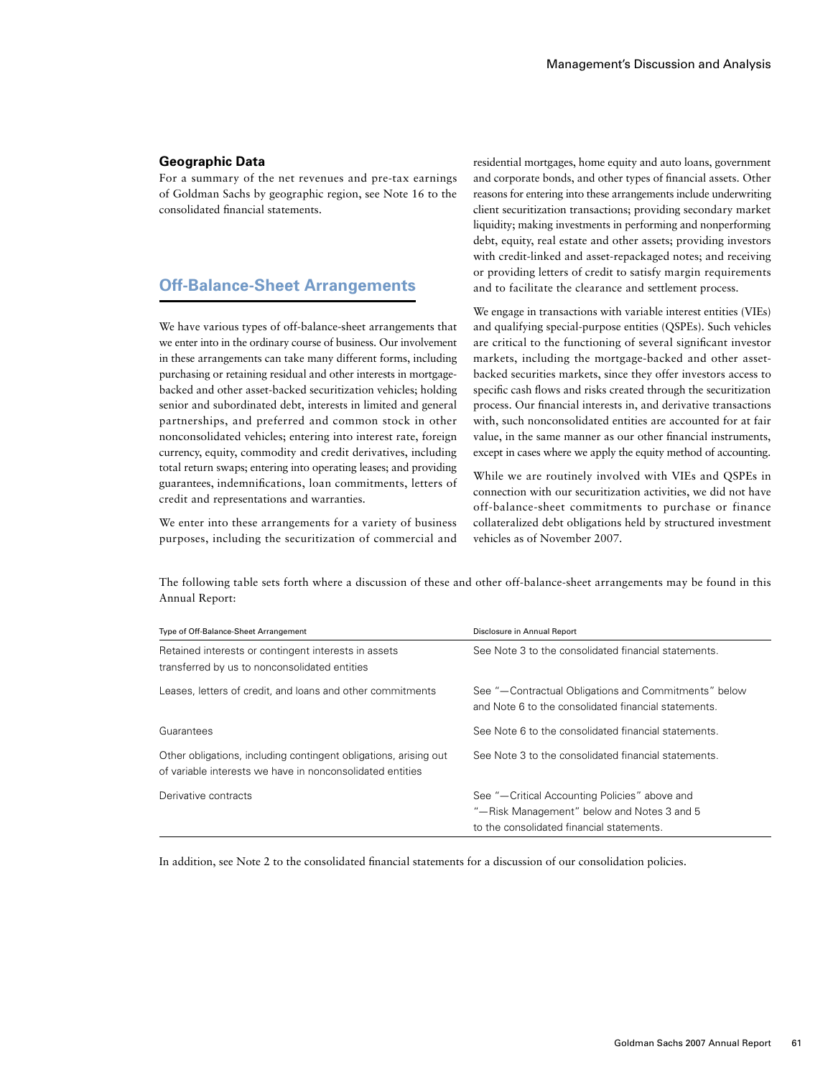# **Geographic Data**

For a summary of the net revenues and pre-tax earnings of Goldman Sachs by geographic region, see Note 16 to the consolidated financial statements.

# **Off-Balance-Sheet Arrangements**

We have various types of off-balance-sheet arrangements that we enter into in the ordinary course of business. Our involvement in these arrangements can take many different forms, including purchasing or retaining residual and other interests in mortgagebacked and other asset-backed securitization vehicles; holding senior and subordinated debt, interests in limited and general partnerships, and preferred and common stock in other nonconsolidated vehicles; entering into interest rate, foreign currency, equity, commodity and credit derivatives, including total return swaps; entering into operating leases; and providing guarantees, indemnifications, loan commitments, letters of credit and representations and warranties.

We enter into these arrangements for a variety of business purposes, including the securitization of commercial and residential mortgages, home equity and auto loans, government and corporate bonds, and other types of financial assets. Other reasons for entering into these arrangements include underwriting client securitization transactions; providing secondary market liquidity; making investments in performing and nonperforming debt, equity, real estate and other assets; providing investors with credit-linked and asset-repackaged notes; and receiving or providing letters of credit to satisfy margin requirements and to facilitate the clearance and settlement process.

We engage in transactions with variable interest entities (VIEs) and qualifying special-purpose entities (QSPEs). Such vehicles are critical to the functioning of several significant investor markets, including the mortgage-backed and other assetbacked securities markets, since they offer investors access to specific cash flows and risks created through the securitization process. Our financial interests in, and derivative transactions with, such nonconsolidated entities are accounted for at fair value, in the same manner as our other financial instruments, except in cases where we apply the equity method of accounting.

While we are routinely involved with VIEs and QSPEs in connection with our securitization activities, we did not have off-balance-sheet commitments to purchase or finance collateralized debt obligations held by structured investment vehicles as of November 2007.

The following table sets forth where a discussion of these and other off-balance-sheet arrangements may be found in this Annual Report:

| Type of Off-Balance-Sheet Arrangement                                                                                         | Disclosure in Annual Report                                                                                                              |
|-------------------------------------------------------------------------------------------------------------------------------|------------------------------------------------------------------------------------------------------------------------------------------|
| Retained interests or contingent interests in assets<br>transferred by us to nonconsolidated entities                         | See Note 3 to the consolidated financial statements.                                                                                     |
| Leases, letters of credit, and loans and other commitments                                                                    | See "-Contractual Obligations and Commitments" below<br>and Note 6 to the consolidated financial statements.                             |
| Guarantees                                                                                                                    | See Note 6 to the consolidated financial statements.                                                                                     |
| Other obligations, including contingent obligations, arising out<br>of variable interests we have in nonconsolidated entities | See Note 3 to the consolidated financial statements.                                                                                     |
| Derivative contracts                                                                                                          | See "-Critical Accounting Policies" above and<br>"-Risk Management" below and Notes 3 and 5<br>to the consolidated financial statements. |

In addition, see Note 2 to the consolidated financial statements for a discussion of our consolidation policies.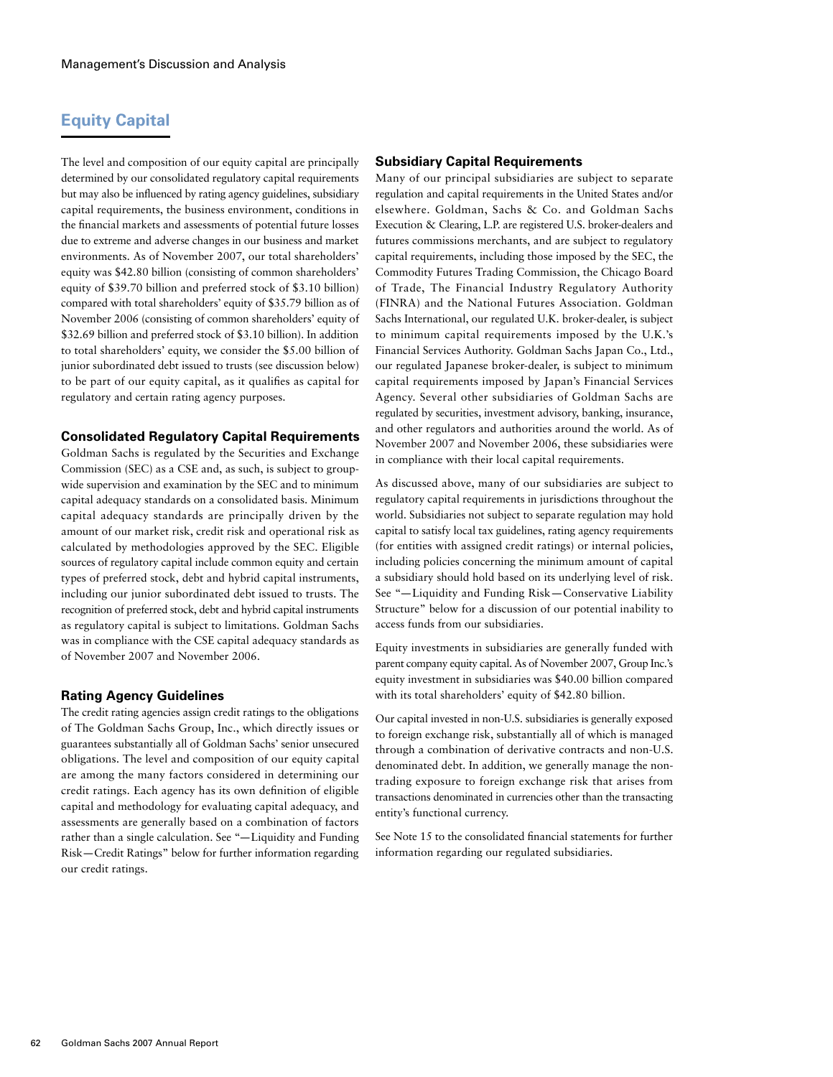# **Equity Capital**

The level and composition of our equity capital are principally determined by our consolidated regulatory capital requirements but may also be influenced by rating agency guidelines, subsidiary capital requirements, the business environment, conditions in the financial markets and assessments of potential future losses due to extreme and adverse changes in our business and market environments. As of November 2007, our total shareholders' equity was \$42.80 billion (consisting of common shareholders' equity of \$39.70 billion and preferred stock of \$3.10 billion) compared with total shareholders' equity of \$35.79 billion as of November 2006 (consisting of common shareholders' equity of \$32.69 billion and preferred stock of \$3.10 billion). In addition to total shareholders' equity, we consider the \$5.00 billion of junior subordinated debt issued to trusts (see discussion below) to be part of our equity capital, as it qualifies as capital for regulatory and certain rating agency purposes.

# **Consolidated Regulatory Capital Requirements**

Goldman Sachs is regulated by the Securities and Exchange Commission (SEC) as a CSE and, as such, is subject to groupwide supervision and examination by the SEC and to minimum capital adequacy standards on a consolidated basis. Minimum capital adequacy standards are principally driven by the amount of our market risk, credit risk and operational risk as calculated by methodologies approved by the SEC. Eligible sources of regulatory capital include common equity and certain types of preferred stock, debt and hybrid capital instruments, including our junior subordinated debt issued to trusts. The recognition of preferred stock, debt and hybrid capital instruments as regulatory capital is subject to limitations. Goldman Sachs was in compliance with the CSE capital adequacy standards as of November 2007 and November 2006.

# **Rating Agency Guidelines**

The credit rating agencies assign credit ratings to the obligations of The Goldman Sachs Group, Inc., which directly issues or guarantees substantially all of Goldman Sachs' senior unsecured obligations. The level and composition of our equity capital are among the many factors considered in determining our credit ratings. Each agency has its own definition of eligible capital and methodology for evaluating capital adequacy, and assessments are generally based on a combination of factors rather than a single calculation. See "—Liquidity and Funding Risk—Credit Ratings" below for further information regarding our credit ratings.

# **Subsidiary Capital Requirements**

Many of our principal subsidiaries are subject to separate regulation and capital requirements in the United States and/or elsewhere. Goldman, Sachs & Co. and Goldman Sachs Execution & Clearing, L.P. are registered U.S. broker-dealers and futures commissions merchants, and are subject to regulatory capital requirements, including those imposed by the SEC, the Commodity Futures Trading Commission, the Chicago Board of Trade, The Financial Industry Regulatory Authority (FINRA) and the National Futures Association. Goldman Sachs International, our regulated U.K. broker-dealer, is subject to minimum capital requirements imposed by the U.K.'s Financial Services Authority. Goldman Sachs Japan Co., Ltd., our regulated Japanese broker-dealer, is subject to minimum capital requirements imposed by Japan's Financial Services Agency. Several other subsidiaries of Goldman Sachs are regulated by securities, investment advisory, banking, insurance, and other regulators and authorities around the world. As of November 2007 and November 2006, these subsidiaries were in compliance with their local capital requirements.

As discussed above, many of our subsidiaries are subject to regulatory capital requirements in jurisdictions throughout the world. Subsidiaries not subject to separate regulation may hold capital to satisfy local tax guidelines, rating agency requirements (for entities with assigned credit ratings) or internal policies, including policies concerning the minimum amount of capital a subsidiary should hold based on its underlying level of risk. See "—Liquidity and Funding Risk—Conservative Liability Structure" below for a discussion of our potential inability to access funds from our subsidiaries.

Equity investments in subsidiaries are generally funded with parent company equity capital. As of November 2007, Group Inc.'s equity investment in subsidiaries was \$40.00 billion compared with its total shareholders' equity of \$42.80 billion.

Our capital invested in non-U.S. subsidiaries is generally exposed to foreign exchange risk, substantially all of which is managed through a combination of derivative contracts and non-U.S. denominated debt. In addition, we generally manage the nontrading exposure to foreign exchange risk that arises from transactions denominated in currencies other than the transacting entity's functional currency.

See Note 15 to the consolidated financial statements for further information regarding our regulated subsidiaries.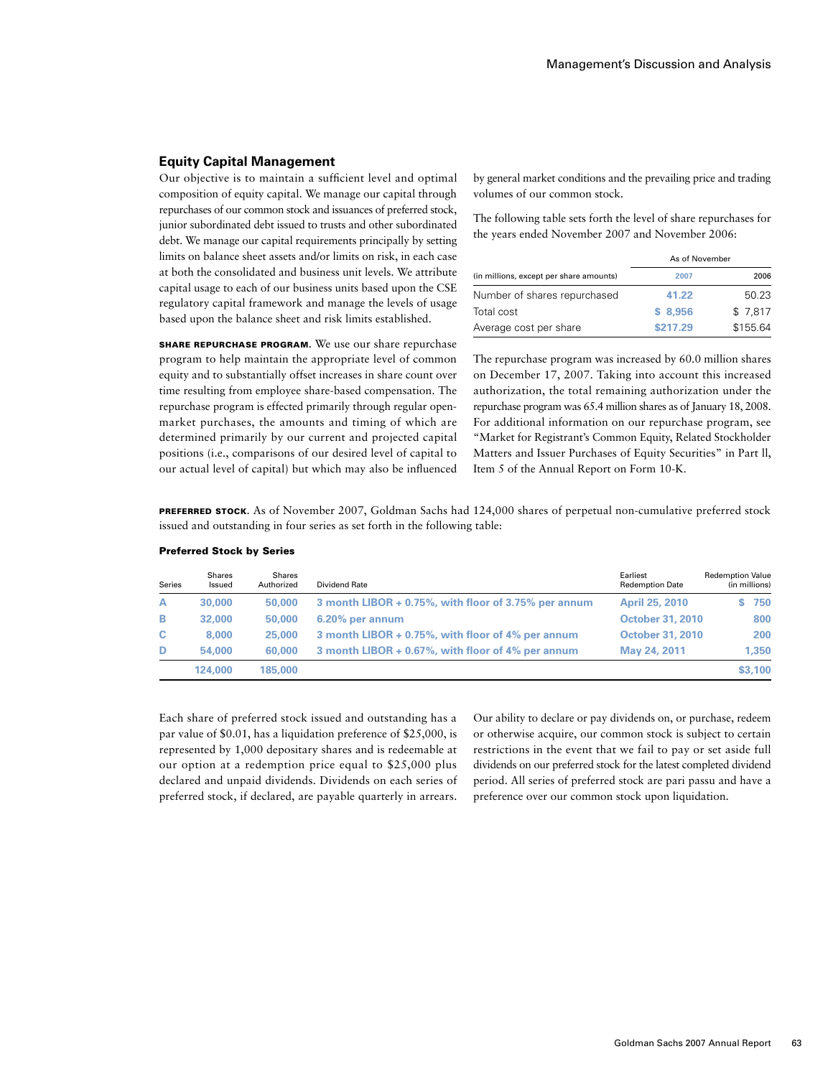# **Equity Capital Management**

Our objective is to maintain a sufficient level and optimal composition of equity capital. We manage our capital through repurchases of our common stock and issuances of preferred stock, junior subordinated debt issued to trusts and other subordinated debt. We manage our capital requirements principally by setting limits on balance sheet assets and/or limits on risk, in each case at both the consolidated and business unit levels. We attribute capital usage to each of our business units based upon the CSE regulatory capital framework and manage the levels of usage based upon the balance sheet and risk limits established.

SHARE REPURCHASE PROGRAM. We use our share repurchase program to help maintain the appropriate level of common equity and to substantially offset increases in share count over time resulting from employee share-based compensation. The repurchase program is effected primarily through regular openmarket purchases, the amounts and timing of which are determined primarily by our current and projected capital positions (i.e., comparisons of our desired level of capital to our actual level of capital) but which may also be influenced

by general market conditions and the prevailing price and trading volumes of our common stock.

The following table sets forth the level of share repurchases for the years ended November 2007 and November 2006:

|                                         | As of November |          |
|-----------------------------------------|----------------|----------|
| (in millions, except per share amounts) | 2007           | 2006     |
| Number of shares repurchased            | 41.22          | 50.23    |
| Total cost                              | \$8.956        | \$7.817  |
| Average cost per share                  | \$217.29       | \$155.64 |

The repurchase program was increased by 60.0 million shares on December 17, 2007. Taking into account this increased authorization, the total remaining authorization under the repurchase program was 65.4 million shares as of January 18, 2008. For additional information on our repurchase program, see "Market for Registrant's Common Equity, Related Stockholder Matters and Issuer Purchases of Equity Securities" in Part ll, Item 5 of the Annual Report on Form 10-K.

PREFERRED STOCK. As of November 2007, Goldman Sachs had 124,000 shares of perpetual non-cumulative preferred stock issued and outstanding in four series as set forth in the following table:

| <b>Series</b> | Shares<br>Issued | <b>Shares</b><br>Authorized | Dividend Rate                                        | Earliest<br><b>Redemption Date</b> | <b>Redemption Value</b><br>(in millions) |
|---------------|------------------|-----------------------------|------------------------------------------------------|------------------------------------|------------------------------------------|
| A             | 30,000           | 50,000                      | 3 month LIBOR + 0.75%, with floor of 3.75% per annum | <b>April 25, 2010</b>              | 750                                      |
| в             | 32,000           | 50,000                      | 6.20% per annum                                      | <b>October 31, 2010</b>            | 800                                      |
| C.            | 8,000            | 25,000                      | 3 month LIBOR + 0.75%, with floor of 4% per annum    | <b>October 31, 2010</b>            | 200                                      |
| D             | 54.000           | 60,000                      | 3 month LIBOR + 0.67%, with floor of 4% per annum    | May 24, 2011                       | 1.350                                    |
|               | 124,000          | 185,000                     |                                                      |                                    | \$3,100                                  |

#### Preferred Stock by Series

Each share of preferred stock issued and outstanding has a par value of \$0.01, has a liquidation preference of \$25,000, is represented by 1,000 depositary shares and is redeemable at our option at a redemption price equal to \$25,000 plus declared and unpaid dividends. Dividends on each series of preferred stock, if declared, are payable quarterly in arrears.

Our ability to declare or pay dividends on, or purchase, redeem or otherwise acquire, our common stock is subject to certain restrictions in the event that we fail to pay or set aside full dividends on our preferred stock for the latest completed dividend period. All series of preferred stock are pari passu and have a preference over our common stock upon liquidation.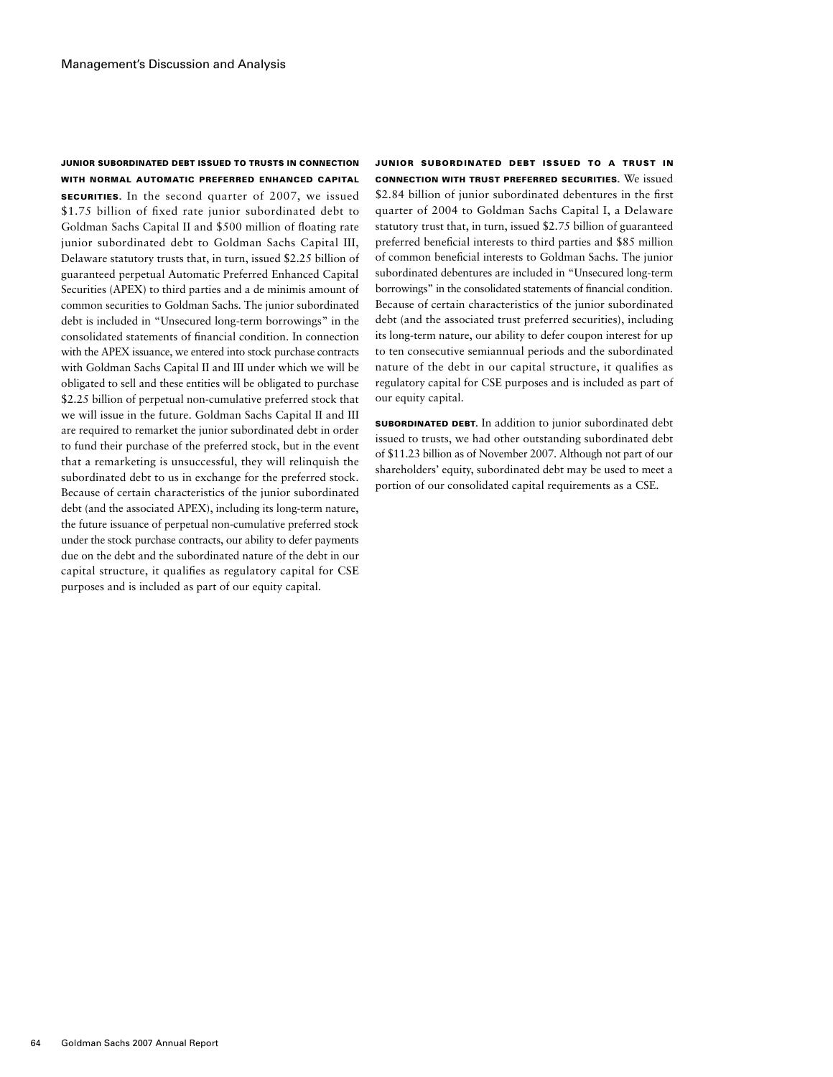### Junior Subordinated Debt Issued to Trusts in Connection with Normal Automatic Preferred Enhanced Capital

SECURITIES. In the second quarter of 2007, we issued \$1.75 billion of fixed rate junior subordinated debt to Goldman Sachs Capital II and \$500 million of floating rate junior subordinated debt to Goldman Sachs Capital III, Delaware statutory trusts that, in turn, issued \$2.25 billion of guaranteed perpetual Automatic Preferred Enhanced Capital Securities (APEX) to third parties and a de minimis amount of common securities to Goldman Sachs. The junior subordinated debt is included in "Unsecured long-term borrowings" in the consolidated statements of financial condition. In connection with the APEX issuance, we entered into stock purchase contracts with Goldman Sachs Capital II and III under which we will be obligated to sell and these entities will be obligated to purchase \$2.25 billion of perpetual non-cumulative preferred stock that we will issue in the future. Goldman Sachs Capital II and III are required to remarket the junior subordinated debt in order to fund their purchase of the preferred stock, but in the event that a remarketing is unsuccessful, they will relinquish the subordinated debt to us in exchange for the preferred stock. Because of certain characteristics of the junior subordinated debt (and the associated APEX), including its long-term nature, the future issuance of perpetual non-cumulative preferred stock under the stock purchase contracts, our ability to defer payments due on the debt and the subordinated nature of the debt in our capital structure, it qualifies as regulatory capital for CSE purposes and is included as part of our equity capital.

Junior Subordinated Debt Issued to a Trust in Connection with Trust Preferred Securities. We issued \$2.84 billion of junior subordinated debentures in the first quarter of 2004 to Goldman Sachs Capital I, a Delaware statutory trust that, in turn, issued \$2.75 billion of guaranteed preferred beneficial interests to third parties and \$85 million of common beneficial interests to Goldman Sachs. The junior subordinated debentures are included in "Unsecured long-term borrowings" in the consolidated statements of financial condition. Because of certain characteristics of the junior subordinated debt (and the associated trust preferred securities), including its long-term nature, our ability to defer coupon interest for up to ten consecutive semiannual periods and the subordinated nature of the debt in our capital structure, it qualifies as regulatory capital for CSE purposes and is included as part of our equity capital.

Subordinated Debt. In addition to junior subordinated debt issued to trusts, we had other outstanding subordinated debt of \$11.23 billion as of November 2007. Although not part of our shareholders' equity, subordinated debt may be used to meet a portion of our consolidated capital requirements as a CSE.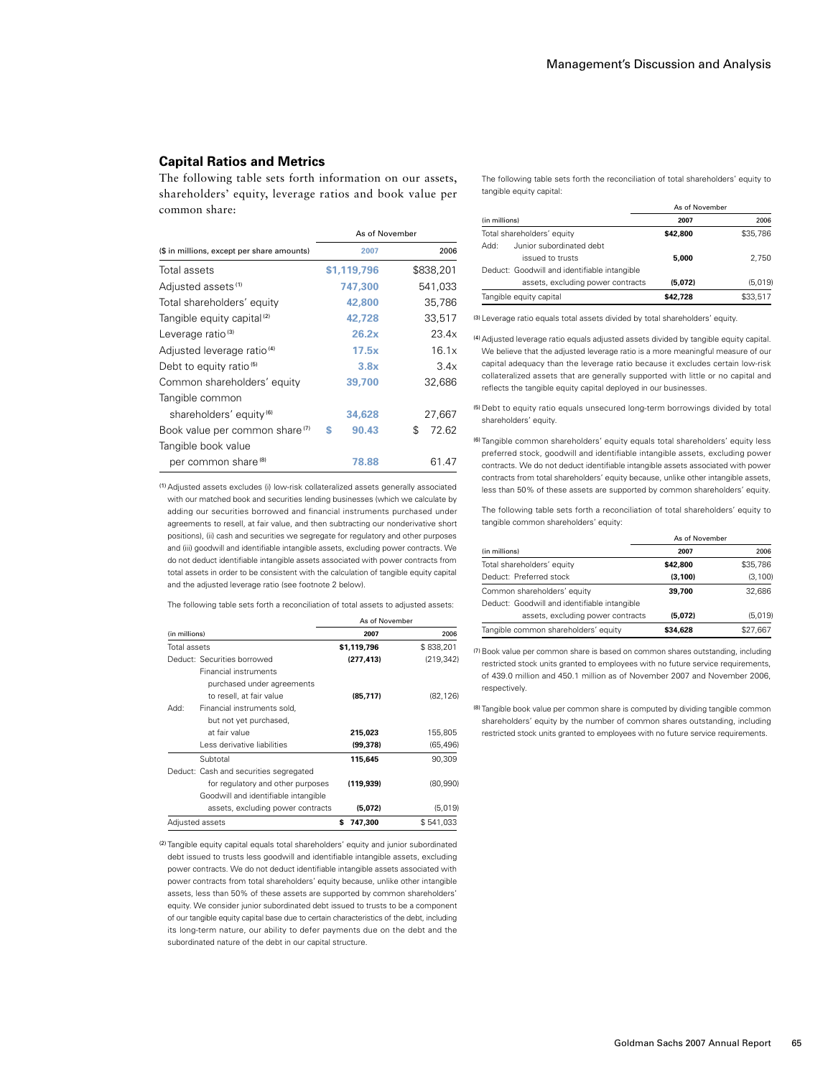# **Capital Ratios and Metrics**

The following table sets forth information on our assets, shareholders' equity, leverage ratios and book value per common share:

The following table sets forth the reconciliation of total shareholders' equity to tangible equity capital:

|                                              | As of November |          |
|----------------------------------------------|----------------|----------|
| (in millions)                                | 2007           | 2006     |
| Total shareholders' equity                   | \$42.800       | \$35,786 |
| Junior subordinated debt<br>Add:             |                |          |
| issued to trusts                             | 5.000          | 2.750    |
| Deduct: Goodwill and identifiable intangible |                |          |
| assets, excluding power contracts            | (5.072)        | (5.019)  |
| Tangible equity capital                      | \$42.728       | \$33,517 |

(3) Leverage ratio equals total assets divided by total shareholders' equity.

(4)Adjusted leverage ratio equals adjusted assets divided by tangible equity capital. We believe that the adjusted leverage ratio is a more meaningful measure of our capital adequacy than the leverage ratio because it excludes certain low-risk collateralized assets that are generally supported with little or no capital and reflects the tangible equity capital deployed in our businesses.

(5)Debt to equity ratio equals unsecured long-term borrowings divided by total shareholders' equity.

(6) Tangible common shareholders' equity equals total shareholders' equity less preferred stock, goodwill and identifiable intangible assets, excluding power contracts. We do not deduct identifiable intangible assets associated with power contracts from total shareholders' equity because, unlike other intangible assets, less than 50% of these assets are supported by common shareholders' equity.

The following table sets forth a reconciliation of total shareholders' equity to tangible common shareholders' equity:

|                                              | As of November |          |
|----------------------------------------------|----------------|----------|
| (in millions)                                | 2007           | 2006     |
| Total shareholders' equity                   | \$42.800       | \$35,786 |
| Deduct: Preferred stock                      | (3.100)        | (3, 100) |
| Common shareholders' equity                  | 39.700         | 32.686   |
| Deduct: Goodwill and identifiable intangible |                |          |
| assets, excluding power contracts            | (5.072)        | (5,019)  |
| Tangible common shareholders' equity         | \$34.628       | \$27.667 |

(7)Book value per common share is based on common shares outstanding, including restricted stock units granted to employees with no future service requirements, of 439.0 million and 450.1 million as of November 2007 and November 2006, respectively.

(8) Tangible book value per common share is computed by dividing tangible common shareholders' equity by the number of common shares outstanding, including restricted stock units granted to employees with no future service requirements.

|                                            | As of November |             |  |
|--------------------------------------------|----------------|-------------|--|
| (\$ in millions, except per share amounts) | 2007           | 2006        |  |
| Total assets                               | \$1.119.796    | \$838,201   |  |
| Adjusted assets <sup>(1)</sup>             | 747,300        | 541,033     |  |
| Total shareholders' equity                 | 42,800         | 35,786      |  |
| Tangible equity capital <sup>(2)</sup>     | 42,728         | 33,517      |  |
| Leverage ratio <sup>(3)</sup>              | 26.2x          | 23.4x       |  |
| Adjusted leverage ratio <sup>(4)</sup>     | 17.5x          | 16.1x       |  |
| Debt to equity ratio <sup>(5)</sup>        | 3.8x           | 3.4x        |  |
| Common shareholders' equity                | 39,700         | 32,686      |  |
| Tangible common                            |                |             |  |
| shareholders' equity <sup>(6)</sup>        | 34,628         | 27,667      |  |
| Book value per common share <sup>(7)</sup> | 90.43<br>S     | 72.62<br>\$ |  |
| Tangible book value                        |                |             |  |
| per common share ®                         | 78.88          | 61.47       |  |

(1)Adjusted assets excludes (i) low-risk collateralized assets generally associated with our matched book and securities lending businesses (which we calculate by adding our securities borrowed and financial instruments purchased under agreements to resell, at fair value, and then subtracting our nonderivative short positions), (ii) cash and securities we segregate for regulatory and other purposes and (iii) goodwill and identifiable intangible assets, excluding power contracts. We do not deduct identifiable intangible assets associated with power contracts from total assets in order to be consistent with the calculation of tangible equity capital and the adjusted leverage ratio (see footnote 2 below).

The following table sets forth a reconciliation of total assets to adjusted assets:

|               |                                        | As of November |            |
|---------------|----------------------------------------|----------------|------------|
| (in millions) |                                        | 2007           | 2006       |
| Total assets  |                                        | \$1,119,796    | \$838,201  |
|               | Deduct: Securities borrowed            | (277, 413)     | (219, 342) |
|               | <b>Financial instruments</b>           |                |            |
|               | purchased under agreements             |                |            |
|               | to resell, at fair value               | (85.717)       | (82.126)   |
| :Add          | Financial instruments sold,            |                |            |
|               | but not yet purchased,                 |                |            |
|               | at fair value                          | 215,023        | 155,805    |
|               | Less derivative liabilities            | (99, 378)      | (65, 496)  |
|               | Subtotal                               | 115,645        | 90.309     |
|               | Deduct: Cash and securities segregated |                |            |
|               | for regulatory and other purposes      | (119, 939)     | (80,990)   |
|               | Goodwill and identifiable intangible   |                |            |
|               | assets, excluding power contracts      | (5,072)        | (5,019)    |
|               | Adjusted assets                        | 747,300<br>s   | \$541,033  |

(2) Tangible equity capital equals total shareholders' equity and junior subordinated debt issued to trusts less goodwill and identifiable intangible assets, excluding power contracts. We do not deduct identifiable intangible assets associated with power contracts from total shareholders' equity because, unlike other intangible assets, less than 50% of these assets are supported by common shareholders' equity. We consider junior subordinated debt issued to trusts to be a component of our tangible equity capital base due to certain characteristics of the debt, including its long-term nature, our ability to defer payments due on the debt and the subordinated nature of the debt in our capital structure.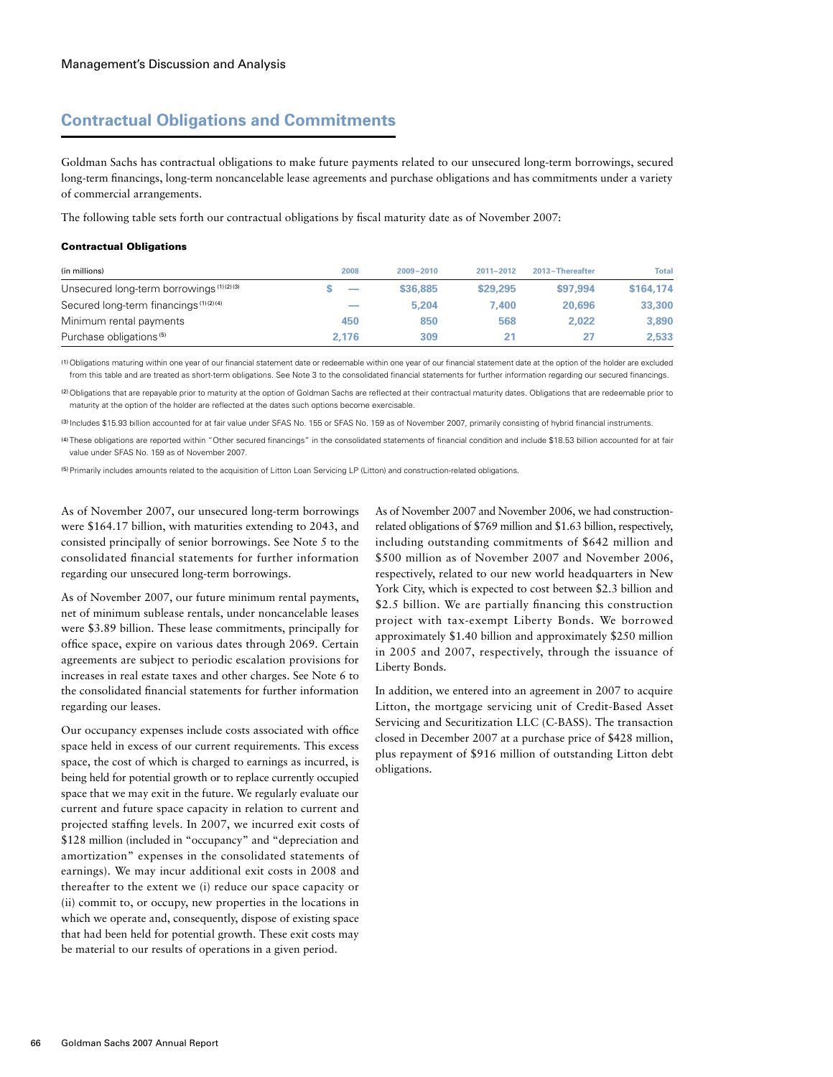# **Contractual Obligations and Commitments**

Goldman Sachs has contractual obligations to make future payments related to our unsecured long-term borrowings, secured long-term financings, long-term noncancelable lease agreements and purchase obligations and has commitments under a variety of commercial arrangements.

The following table sets forth our contractual obligations by fiscal maturity date as of November 2007:

#### Contractual Obligations

| (in millions)                              | 2008  | $2009 - 2010$ | 2011-2012 | 2013-Thereafter | <b>Total</b> |
|--------------------------------------------|-------|---------------|-----------|-----------------|--------------|
| Unsecured long-term borrowings (1) (2) (3) | -     | \$36,885      | \$29,295  | \$97,994        | \$164,174    |
| Secured long-term financings (1)(2)(4)     | ___   | 5,204         | 7.400     | 20,696          | 33,300       |
| Minimum rental payments                    | 450   | 850           | 568       | 2.022           | 3,890        |
| Purchase obligations <sup>(5)</sup>        | 2.176 | 309           | 21        | 27              | 2.533        |

(1) Obligations maturing within one year of our financial statement date or redeemable within one year of our financial statement date at the option of the holder are excluded from this table and are treated as short-term obligations. See Note 3 to the consolidated financial statements for further information regarding our secured financings.

(2)Obligations that are repayable prior to maturity at the option of Goldman Sachs are reflected at their contractual maturity dates. Obligations that are redeemable prior to maturity at the option of the holder are reflected at the dates such options become exercisable.

(3) Includes \$15.93 billion accounted for at fair value under SFAS No. 155 or SFAS No. 159 as of November 2007, primarily consisting of hybrid financial instruments.

(4) These obligations are reported within "Other secured financings" in the consolidated statements of financial condition and include \$18.53 billion accounted for at fair value under SFAS No. 159 as of November 2007.

(5)Primarily includes amounts related to the acquisition of Litton Loan Servicing LP (Litton) and construction-related obligations.

As of November 2007, our unsecured long-term borrowings were \$164.17 billion, with maturities extending to 2043, and consisted principally of senior borrowings. See Note 5 to the consolidated financial statements for further information regarding our unsecured long-term borrowings.

As of November 2007, our future minimum rental payments, net of minimum sublease rentals, under noncancelable leases were \$3.89 billion. These lease commitments, principally for office space, expire on various dates through 2069. Certain agreements are subject to periodic escalation provisions for increases in real estate taxes and other charges. See Note 6 to the consolidated financial statements for further information regarding our leases.

Our occupancy expenses include costs associated with office space held in excess of our current requirements. This excess space, the cost of which is charged to earnings as incurred, is being held for potential growth or to replace currently occupied space that we may exit in the future. We regularly evaluate our current and future space capacity in relation to current and projected staffing levels. In 2007, we incurred exit costs of \$128 million (included in "occupancy" and "depreciation and amortization" expenses in the consolidated statements of earnings). We may incur additional exit costs in 2008 and thereafter to the extent we (i) reduce our space capacity or (ii) commit to, or occupy, new properties in the locations in which we operate and, consequently, dispose of existing space that had been held for potential growth. These exit costs may be material to our results of operations in a given period.

As of November 2007 and November 2006, we had constructionrelated obligations of \$769 million and \$1.63 billion, respectively, including outstanding commitments of \$642 million and \$500 million as of November 2007 and November 2006, respectively, related to our new world headquarters in New York City, which is expected to cost between \$2.3 billion and \$2.5 billion. We are partially financing this construction project with tax-exempt Liberty Bonds. We borrowed approximately \$1.40 billion and approximately \$250 million in 2005 and 2007, respectively, through the issuance of Liberty Bonds.

In addition, we entered into an agreement in 2007 to acquire Litton, the mortgage servicing unit of Credit-Based Asset Servicing and Securitization LLC (C-BASS). The transaction closed in December 2007 at a purchase price of \$428 million, plus repayment of \$916 million of outstanding Litton debt obligations.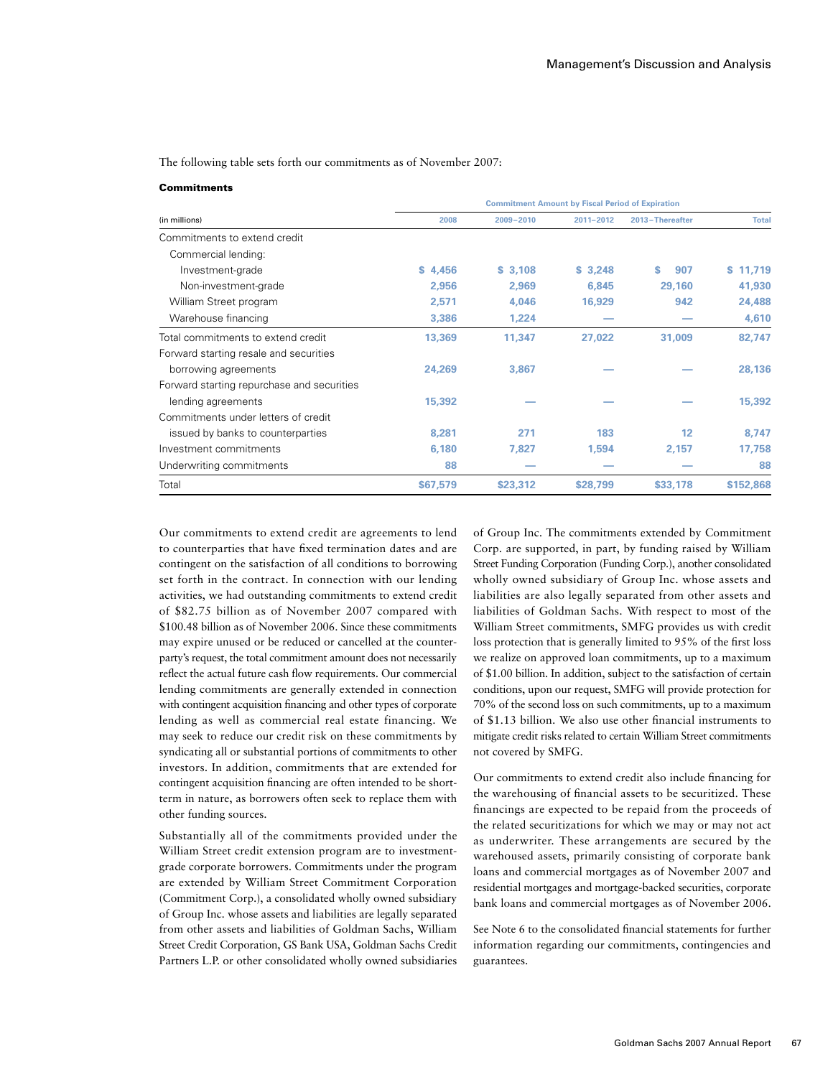The following table sets forth our commitments as of November 2007:

#### **Commitments**

|                                            | <b>Commitment Amount by Fiscal Period of Expiration</b> |           |           |                 |              |
|--------------------------------------------|---------------------------------------------------------|-----------|-----------|-----------------|--------------|
| (in millions)                              | 2008                                                    | 2009-2010 | 2011-2012 | 2013-Thereafter | <b>Total</b> |
| Commitments to extend credit               |                                                         |           |           |                 |              |
| Commercial lending:                        |                                                         |           |           |                 |              |
| Investment-grade                           | \$4,456                                                 | \$3,108   | \$3,248   | 907<br>s        | 11,719<br>s. |
| Non-investment-grade                       | 2,956                                                   | 2,969     | 6,845     | 29,160          | 41,930       |
| William Street program                     | 2,571                                                   | 4,046     | 16,929    | 942             | 24,488       |
| Warehouse financing                        | 3,386                                                   | 1,224     |           |                 | 4,610        |
| Total commitments to extend credit         | 13,369                                                  | 11,347    | 27,022    | 31,009          | 82,747       |
| Forward starting resale and securities     |                                                         |           |           |                 |              |
| borrowing agreements                       | 24,269                                                  | 3,867     |           |                 | 28,136       |
| Forward starting repurchase and securities |                                                         |           |           |                 |              |
| lending agreements                         | 15,392                                                  |           |           |                 | 15,392       |
| Commitments under letters of credit        |                                                         |           |           |                 |              |
| issued by banks to counterparties          | 8,281                                                   | 271       | 183       | 12              | 8,747        |
| Investment commitments                     | 6,180                                                   | 7,827     | 1,594     | 2,157           | 17,758       |
| Underwriting commitments                   | 88                                                      |           |           |                 | 88           |
| Total                                      | \$67,579                                                | \$23,312  | \$28,799  | \$33,178        | \$152,868    |

Our commitments to extend credit are agreements to lend to counterparties that have fixed termination dates and are contingent on the satisfaction of all conditions to borrowing set forth in the contract. In connection with our lending activities, we had outstanding commitments to extend credit of \$82.75 billion as of November 2007 compared with \$100.48 billion as of November 2006. Since these commitments may expire unused or be reduced or cancelled at the counterparty's request, the total commitment amount does not necessarily reflect the actual future cash flow requirements. Our commercial lending commitments are generally extended in connection with contingent acquisition financing and other types of corporate lending as well as commercial real estate financing. We may seek to reduce our credit risk on these commitments by syndicating all or substantial portions of commitments to other investors. In addition, commitments that are extended for contingent acquisition financing are often intended to be shortterm in nature, as borrowers often seek to replace them with other funding sources.

Substantially all of the commitments provided under the William Street credit extension program are to investmentgrade corporate borrowers. Commitments under the program are extended by William Street Commitment Corporation (Commitment Corp.), a consolidated wholly owned subsidiary of Group Inc. whose assets and liabilities are legally separated from other assets and liabilities of Goldman Sachs, William Street Credit Corporation, GS Bank USA, Goldman Sachs Credit Partners L.P. or other consolidated wholly owned subsidiaries of Group Inc. The commitments extended by Commitment Corp. are supported, in part, by funding raised by William Street Funding Corporation (Funding Corp.), another consolidated wholly owned subsidiary of Group Inc. whose assets and liabilities are also legally separated from other assets and liabilities of Goldman Sachs. With respect to most of the William Street commitments, SMFG provides us with credit loss protection that is generally limited to 95% of the first loss we realize on approved loan commitments, up to a maximum of \$1.00 billion. In addition, subject to the satisfaction of certain conditions, upon our request, SMFG will provide protection for 70% of the second loss on such commitments, up to a maximum of \$1.13 billion. We also use other financial instruments to mitigate credit risks related to certain William Street commitments not covered by SMFG.

Our commitments to extend credit also include financing for the warehousing of financial assets to be securitized. These financings are expected to be repaid from the proceeds of the related securitizations for which we may or may not act as underwriter. These arrangements are secured by the warehoused assets, primarily consisting of corporate bank loans and commercial mortgages as of November 2007 and residential mortgages and mortgage-backed securities, corporate bank loans and commercial mortgages as of November 2006.

See Note 6 to the consolidated financial statements for further information regarding our commitments, contingencies and guarantees.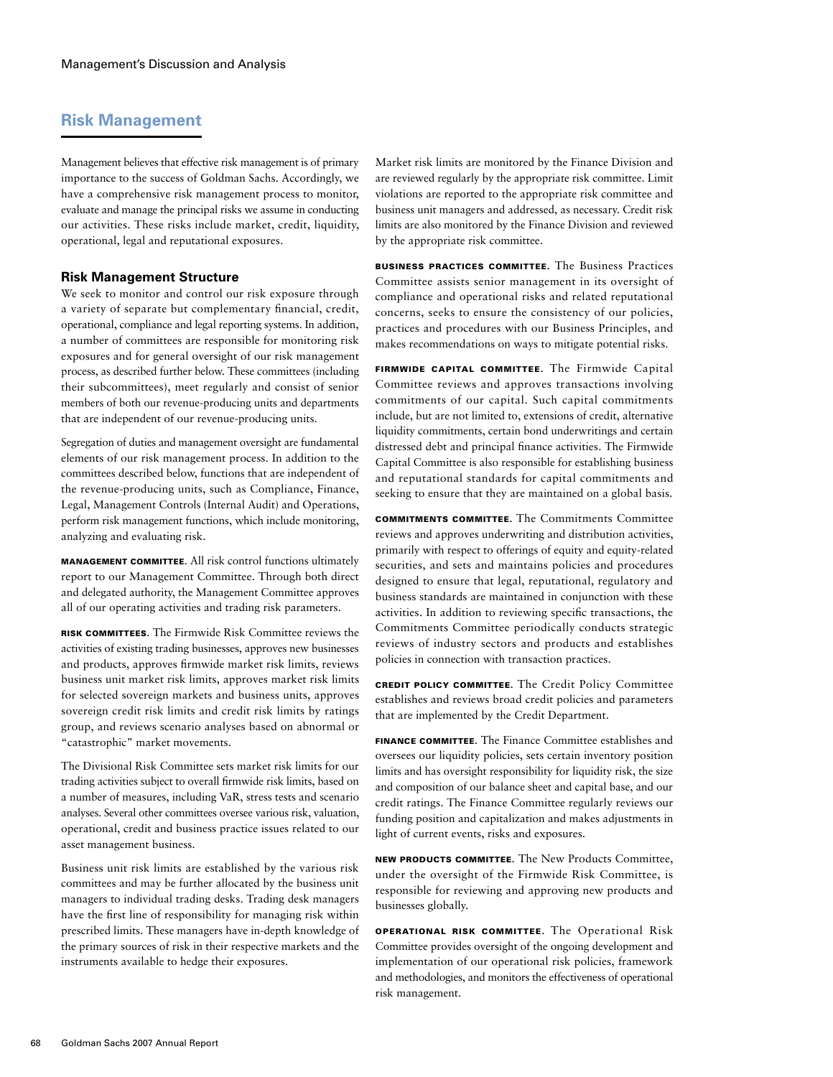# **Risk Management**

Management believes that effective risk management is of primary importance to the success of Goldman Sachs. Accordingly, we have a comprehensive risk management process to monitor, evaluate and manage the principal risks we assume in conducting our activities. These risks include market, credit, liquidity, operational, legal and reputational exposures.

# **Risk Management Structure**

We seek to monitor and control our risk exposure through a variety of separate but complementary financial, credit, operational, compliance and legal reporting systems. In addition, a number of committees are responsible for monitoring risk exposures and for general oversight of our risk management process, as described further below. These committees (including their subcommittees), meet regularly and consist of senior members of both our revenue-producing units and departments that are independent of our revenue-producing units.

Segregation of duties and management oversight are fundamental elements of our risk management process. In addition to the committees described below, functions that are independent of the revenue-producing units, such as Compliance, Finance, Legal, Management Controls (Internal Audit) and Operations, perform risk management functions, which include monitoring, analyzing and evaluating risk.

Management Committee. All risk control functions ultimately report to our Management Committee. Through both direct and delegated authority, the Management Committee approves all of our operating activities and trading risk parameters.

Risk Committees. The Firmwide Risk Committee reviews the activities of existing trading businesses, approves new businesses and products, approves firmwide market risk limits, reviews business unit market risk limits, approves market risk limits for selected sovereign markets and business units, approves sovereign credit risk limits and credit risk limits by ratings group, and reviews scenario analyses based on abnormal or "catastrophic" market movements.

The Divisional Risk Committee sets market risk limits for our trading activities subject to overall firmwide risk limits, based on a number of measures, including VaR, stress tests and scenario analyses. Several other committees oversee various risk, valuation, operational, credit and business practice issues related to our asset management business.

Business unit risk limits are established by the various risk committees and may be further allocated by the business unit managers to individual trading desks. Trading desk managers have the first line of responsibility for managing risk within prescribed limits. These managers have in-depth knowledge of the primary sources of risk in their respective markets and the instruments available to hedge their exposures.

Market risk limits are monitored by the Finance Division and are reviewed regularly by the appropriate risk committee. Limit violations are reported to the appropriate risk committee and business unit managers and addressed, as necessary. Credit risk limits are also monitored by the Finance Division and reviewed by the appropriate risk committee.

Business Practices Committee. The Business Practices Committee assists senior management in its oversight of compliance and operational risks and related reputational concerns, seeks to ensure the consistency of our policies, practices and procedures with our Business Principles, and makes recommendations on ways to mitigate potential risks.

Firmwide Capital Committee. The Firmwide Capital Committee reviews and approves transactions involving commitments of our capital. Such capital commitments include, but are not limited to, extensions of credit, alternative liquidity commitments, certain bond underwritings and certain distressed debt and principal finance activities. The Firmwide Capital Committee is also responsible for establishing business and reputational standards for capital commitments and seeking to ensure that they are maintained on a global basis.

Commitments Committee. The Commitments Committee reviews and approves underwriting and distribution activities, primarily with respect to offerings of equity and equity-related securities, and sets and maintains policies and procedures designed to ensure that legal, reputational, regulatory and business standards are maintained in conjunction with these activities. In addition to reviewing specific transactions, the Commitments Committee periodically conducts strategic reviews of industry sectors and products and establishes policies in connection with transaction practices.

Credit Policy Committee. The Credit Policy Committee establishes and reviews broad credit policies and parameters that are implemented by the Credit Department.

Finance Committee. The Finance Committee establishes and oversees our liquidity policies, sets certain inventory position limits and has oversight responsibility for liquidity risk, the size and composition of our balance sheet and capital base, and our credit ratings. The Finance Committee regularly reviews our funding position and capitalization and makes adjustments in light of current events, risks and exposures.

New Products Committee. The New Products Committee, under the oversight of the Firmwide Risk Committee, is responsible for reviewing and approving new products and businesses globally.

Operational Risk Committee. The Operational Risk Committee provides oversight of the ongoing development and implementation of our operational risk policies, framework and methodologies, and monitors the effectiveness of operational risk management.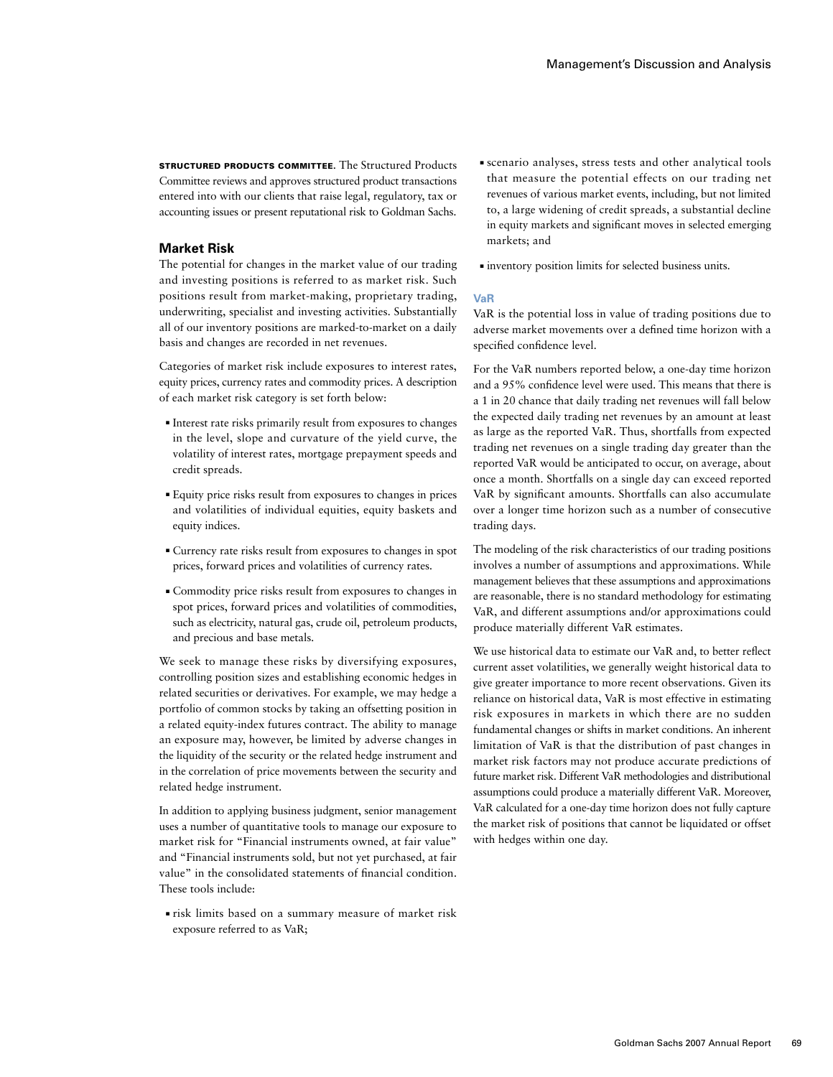STRUCTURED PRODUCTS COMMITTEE. The Structured Products Committee reviews and approves structured product transactions entered into with our clients that raise legal, regulatory, tax or accounting issues or present reputational risk to Goldman Sachs.

## **Market Risk**

The potential for changes in the market value of our trading and investing positions is referred to as market risk. Such positions result from market-making, proprietary trading, underwriting, specialist and investing activities. Substantially all of our inventory positions are marked-to-market on a daily basis and changes are recorded in net revenues.

Categories of market risk include exposures to interest rates, equity prices, currency rates and commodity prices. A description of each market risk category is set forth below:

- ■ Interest rate risks primarily result from exposures to changes in the level, slope and curvature of the yield curve, the volatility of interest rates, mortgage prepayment speeds and credit spreads.
- ■ Equity price risks result from exposures to changes in prices and volatilities of individual equities, equity baskets and equity indices.
- ■ Currency rate risks result from exposures to changes in spot prices, forward prices and volatilities of currency rates.
- ■ Commodity price risks result from exposures to changes in spot prices, forward prices and volatilities of commodities, such as electricity, natural gas, crude oil, petroleum products, and precious and base metals.

We seek to manage these risks by diversifying exposures, controlling position sizes and establishing economic hedges in related securities or derivatives. For example, we may hedge a portfolio of common stocks by taking an offsetting position in a related equity-index futures contract. The ability to manage an exposure may, however, be limited by adverse changes in the liquidity of the security or the related hedge instrument and in the correlation of price movements between the security and related hedge instrument.

In addition to applying business judgment, senior management uses a number of quantitative tools to manage our exposure to market risk for "Financial instruments owned, at fair value" and "Financial instruments sold, but not yet purchased, at fair value" in the consolidated statements of financial condition. These tools include:

■ risk limits based on a summary measure of market risk exposure referred to as VaR;

- ■ scenario analyses, stress tests and other analytical tools that measure the potential effects on our trading net revenues of various market events, including, but not limited to, a large widening of credit spreads, a substantial decline in equity markets and significant moves in selected emerging markets; and
- ■ inventory position limits for selected business units.

### **VaR**

VaR is the potential loss in value of trading positions due to adverse market movements over a defined time horizon with a specified confidence level.

For the VaR numbers reported below, a one-day time horizon and a 95% confidence level were used. This means that there is a 1 in 20 chance that daily trading net revenues will fall below the expected daily trading net revenues by an amount at least as large as the reported VaR. Thus, shortfalls from expected trading net revenues on a single trading day greater than the reported VaR would be anticipated to occur, on average, about once a month. Shortfalls on a single day can exceed reported VaR by significant amounts. Shortfalls can also accumulate over a longer time horizon such as a number of consecutive trading days.

The modeling of the risk characteristics of our trading positions involves a number of assumptions and approximations. While management believes that these assumptions and approximations are reasonable, there is no standard methodology for estimating VaR, and different assumptions and/or approximations could produce materially different VaR estimates.

We use historical data to estimate our VaR and, to better reflect current asset volatilities, we generally weight historical data to give greater importance to more recent observations. Given its reliance on historical data, VaR is most effective in estimating risk exposures in markets in which there are no sudden fundamental changes or shifts in market conditions. An inherent limitation of VaR is that the distribution of past changes in market risk factors may not produce accurate predictions of future market risk. Different VaR methodologies and distributional assumptions could produce a materially different VaR. Moreover, VaR calculated for a one-day time horizon does not fully capture the market risk of positions that cannot be liquidated or offset with hedges within one day.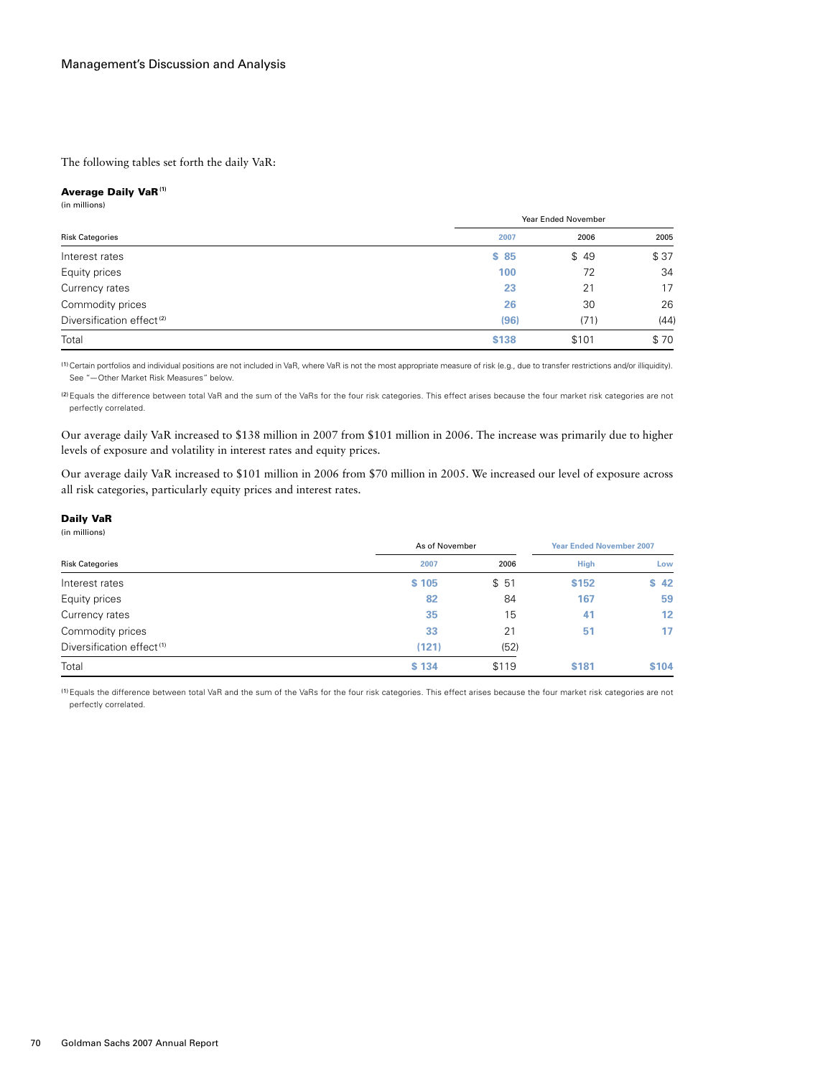The following tables set forth the daily VaR:

### Average Daily VaR **(1)**

(in millions)

| <b>Risk Categories</b>                |       | Year Ended November |      |  |
|---------------------------------------|-------|---------------------|------|--|
|                                       | 2007  | 2006                | 2005 |  |
| Interest rates                        | \$85  | \$49                | \$37 |  |
| Equity prices                         | 100   | 72                  | 34   |  |
| Currency rates                        | 23    | 21                  | 17   |  |
| Commodity prices                      | 26    | 30                  | 26   |  |
| Diversification effect <sup>(2)</sup> | (96)  | (71)                | (44) |  |
| Total                                 | \$138 | \$101               | \$70 |  |

(1)Certain portfolios and individual positions are not included in VaR, where VaR is not the most appropriate measure of risk (e.g., due to transfer restrictions and/or illiquidity). See "—Other Market Risk Measures" below.

(2)Equals the difference between total VaR and the sum of the VaRs for the four risk categories. This effect arises because the four market risk categories are not perfectly correlated.

Our average daily VaR increased to \$138 million in 2007 from \$101 million in 2006. The increase was primarily due to higher levels of exposure and volatility in interest rates and equity prices.

Our average daily VaR increased to \$101 million in 2006 from \$70 million in 2005. We increased our level of exposure across all risk categories, particularly equity prices and interest rates.

#### Daily VaR (in millions)

| .                                     | As of November |       | <b>Year Ended November 2007</b> |       |
|---------------------------------------|----------------|-------|---------------------------------|-------|
| <b>Risk Categories</b>                | 2007           | 2006  | <b>High</b>                     | Low   |
| Interest rates                        | \$105          | \$51  | \$152                           | \$42  |
| Equity prices                         | 82             | 84    | 167                             | 59    |
| Currency rates                        | 35             | 15    | 41                              | 12    |
| Commodity prices                      | 33             | 21    | 51                              | 17    |
| Diversification effect <sup>(1)</sup> | (121)          | (52)  |                                 |       |
| Total                                 | \$134          | \$119 | <b>\$181</b>                    | \$104 |

(1)Equals the difference between total VaR and the sum of the VaRs for the four risk categories. This effect arises because the four market risk categories are not perfectly correlated.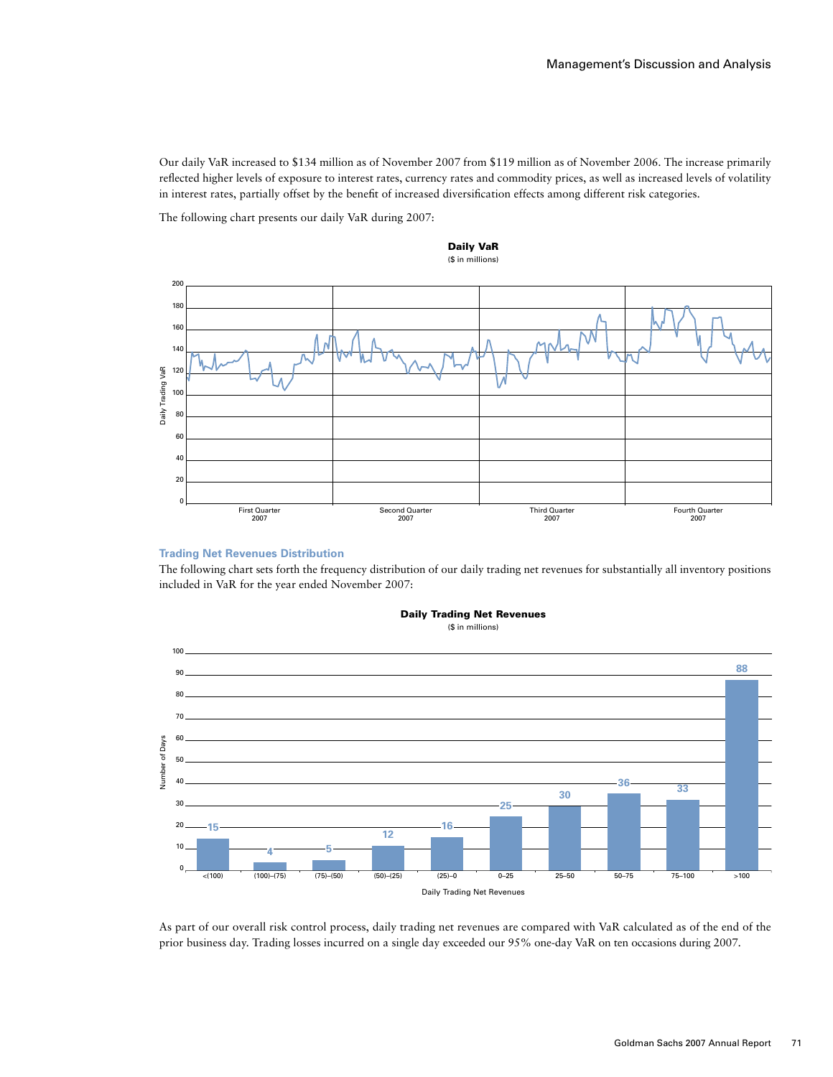Our daily VaR increased to \$134 million as of November 2007 from \$119 million as of November 2006. The increase primarily reflected higher levels of exposure to interest rates, currency rates and commodity prices, as well as increased levels of volatility in interest rates, partially offset by the benefit of increased diversification effects among different risk categories.

The following chart presents our daily VaR during 2007:





### **Trading Net Revenues Distribution**

The following chart sets forth the frequency distribution of our daily trading net revenues for substantially all inventory positions included in VaR for the year ended November 2007:



Daily Trading Net Revenues

(\$ in millions)

As part of our overall risk control process, daily trading net revenues are compared with VaR calculated as of the end of the prior business day. Trading losses incurred on a single day exceeded our 95% one-day VaR on ten occasions during 2007.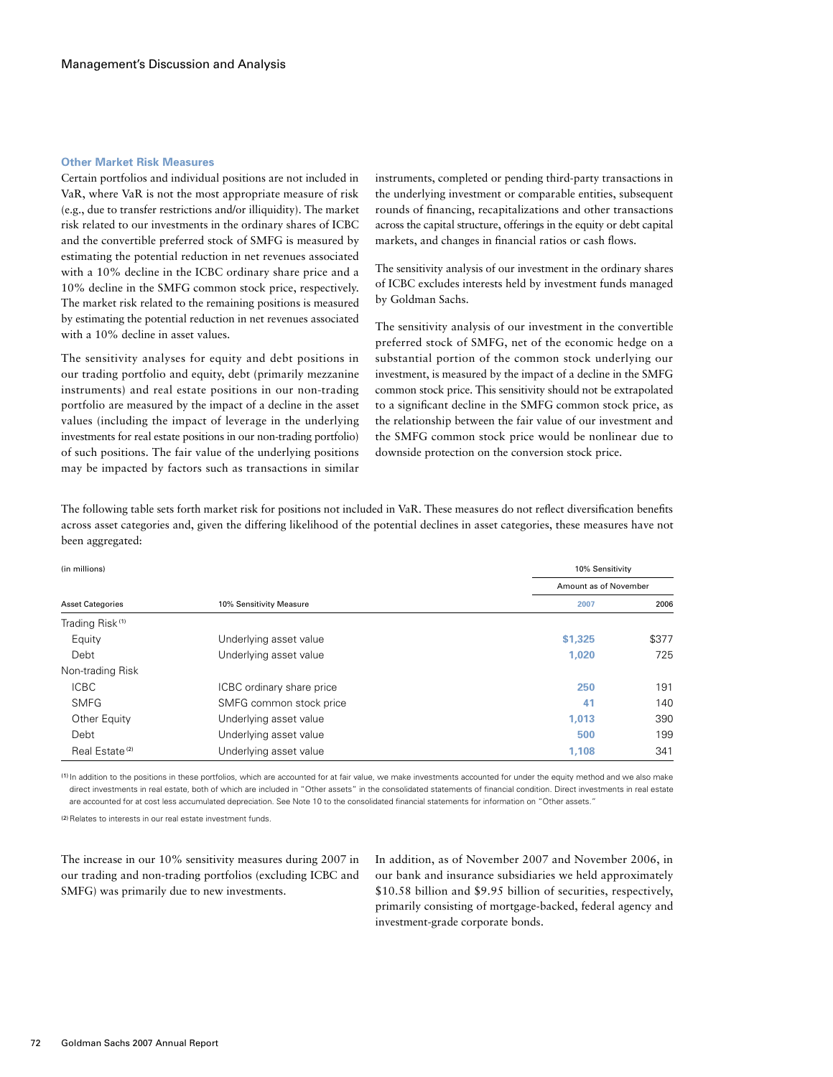#### **Other Market Risk Measures**

Certain portfolios and individual positions are not included in VaR, where VaR is not the most appropriate measure of risk (e.g., due to transfer restrictions and/or illiquidity). The market risk related to our investments in the ordinary shares of ICBC and the convertible preferred stock of SMFG is measured by estimating the potential reduction in net revenues associated with a 10% decline in the ICBC ordinary share price and a 10% decline in the SMFG common stock price, respectively. The market risk related to the remaining positions is measured by estimating the potential reduction in net revenues associated with a 10% decline in asset values.

The sensitivity analyses for equity and debt positions in our trading portfolio and equity, debt (primarily mezzanine instruments) and real estate positions in our non-trading portfolio are measured by the impact of a decline in the asset values (including the impact of leverage in the underlying investments for real estate positions in our non-trading portfolio) of such positions. The fair value of the underlying positions may be impacted by factors such as transactions in similar

instruments, completed or pending third-party transactions in the underlying investment or comparable entities, subsequent rounds of financing, recapitalizations and other transactions across the capital structure, offerings in the equity or debt capital markets, and changes in financial ratios or cash flows.

The sensitivity analysis of our investment in the ordinary shares of ICBC excludes interests held by investment funds managed by Goldman Sachs.

The sensitivity analysis of our investment in the convertible preferred stock of SMFG, net of the economic hedge on a substantial portion of the common stock underlying our investment, is measured by the impact of a decline in the SMFG common stock price. This sensitivity should not be extrapolated to a significant decline in the SMFG common stock price, as the relationship between the fair value of our investment and the SMFG common stock price would be nonlinear due to downside protection on the conversion stock price.

The following table sets forth market risk for positions not included in VaR. These measures do not reflect diversification benefits across asset categories and, given the differing likelihood of the potential declines in asset categories, these measures have not been aggregated:

| (in millions)               |                           | 10% Sensitivity |                       |  |
|-----------------------------|---------------------------|-----------------|-----------------------|--|
|                             |                           |                 | Amount as of November |  |
| <b>Asset Categories</b>     | 10% Sensitivity Measure   | 2007            | 2006                  |  |
| Trading Risk <sup>(1)</sup> |                           |                 |                       |  |
| Equity                      | Underlying asset value    | \$1,325         | \$377                 |  |
| Debt                        | Underlying asset value    | 1.020           | 725                   |  |
| Non-trading Risk            |                           |                 |                       |  |
| <b>ICBC</b>                 | ICBC ordinary share price | 250             | 191                   |  |
| <b>SMFG</b>                 | SMFG common stock price   | 41              | 140                   |  |
| Other Equity                | Underlying asset value    | 1,013           | 390                   |  |
| Debt                        | Underlying asset value    | 500             | 199                   |  |
| Real Estate <sup>(2)</sup>  | Underlying asset value    | 1,108           | 341                   |  |

(1) In addition to the positions in these portfolios, which are accounted for at fair value, we make investments accounted for under the equity method and we also make direct investments in real estate, both of which are included in "Other assets" in the consolidated statements of financial condition. Direct investments in real estate are accounted for at cost less accumulated depreciation. See Note 10 to the consolidated financial statements for information on "Other assets."

(2) Relates to interests in our real estate investment funds.

The increase in our 10% sensitivity measures during 2007 in our trading and non-trading portfolios (excluding ICBC and SMFG) was primarily due to new investments.

In addition, as of November 2007 and November 2006, in our bank and insurance subsidiaries we held approximately \$10.58 billion and \$9.95 billion of securities, respectively, primarily consisting of mortgage-backed, federal agency and investment-grade corporate bonds.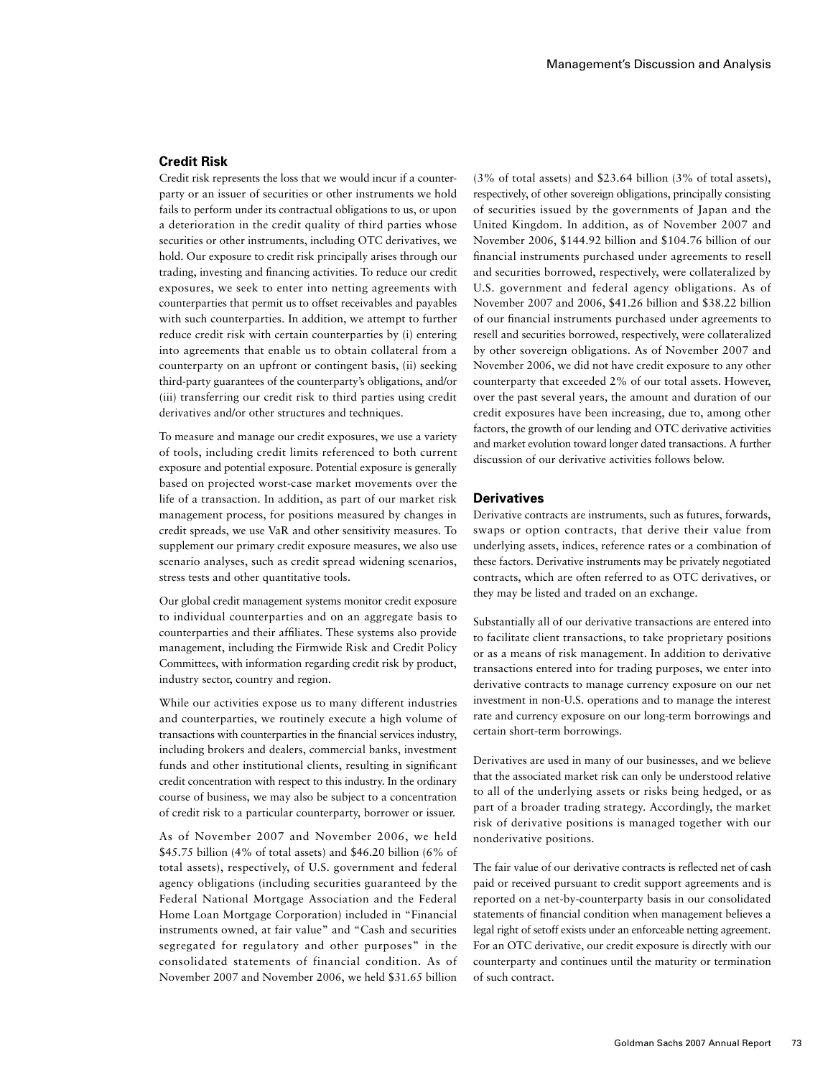# **Credit Risk**

Credit risk represents the loss that we would incur if a counterparty or an issuer of securities or other instruments we hold fails to perform under its contractual obligations to us, or upon a deterioration in the credit quality of third parties whose securities or other instruments, including OTC derivatives, we hold. Our exposure to credit risk principally arises through our trading, investing and financing activities. To reduce our credit exposures, we seek to enter into netting agreements with counterparties that permit us to offset receivables and payables with such counterparties. In addition, we attempt to further reduce credit risk with certain counterparties by (i) entering into agreements that enable us to obtain collateral from a counterparty on an upfront or contingent basis, (ii) seeking third-party guarantees of the counterparty's obligations, and/or (iii) transferring our credit risk to third parties using credit derivatives and/or other structures and techniques.

To measure and manage our credit exposures, we use a variety of tools, including credit limits referenced to both current exposure and potential exposure. Potential exposure is generally based on projected worst-case market movements over the life of a transaction. In addition, as part of our market risk management process, for positions measured by changes in credit spreads, we use VaR and other sensitivity measures. To supplement our primary credit exposure measures, we also use scenario analyses, such as credit spread widening scenarios, stress tests and other quantitative tools.

Our global credit management systems monitor credit exposure to individual counterparties and on an aggregate basis to counterparties and their affiliates. These systems also provide management, including the Firmwide Risk and Credit Policy Committees, with information regarding credit risk by product, industry sector, country and region.

While our activities expose us to many different industries and counterparties, we routinely execute a high volume of transactions with counterparties in the financial services industry, including brokers and dealers, commercial banks, investment funds and other institutional clients, resulting in significant credit concentration with respect to this industry. In the ordinary course of business, we may also be subject to a concentration of credit risk to a particular counterparty, borrower or issuer.

As of November 2007 and November 2006, we held \$45.75 billion (4% of total assets) and \$46.20 billion (6% of total assets), respectively, of U.S. government and federal agency obligations (including securities guaranteed by the Federal National Mortgage Association and the Federal Home Loan Mortgage Corporation) included in "Financial instruments owned, at fair value" and "Cash and securities segregated for regulatory and other purposes" in the consolidated statements of financial condition. As of November 2007 and November 2006, we held \$31.65 billion

(3% of total assets) and \$23.64 billion (3% of total assets), respectively, of other sovereign obligations, principally consisting of securities issued by the governments of Japan and the United Kingdom. In addition, as of November 2007 and November 2006, \$144.92 billion and \$104.76 billion of our financial instruments purchased under agreements to resell and securities borrowed, respectively, were collateralized by U.S. government and federal agency obligations. As of November 2007 and 2006, \$41.26 billion and \$38.22 billion of our financial instruments purchased under agreements to resell and securities borrowed, respectively, were collateralized by other sovereign obligations. As of November 2007 and November 2006, we did not have credit exposure to any other counterparty that exceeded 2% of our total assets. However, over the past several years, the amount and duration of our credit exposures have been increasing, due to, among other factors, the growth of our lending and OTC derivative activities and market evolution toward longer dated transactions. A further discussion of our derivative activities follows below.

#### **Derivatives**

Derivative contracts are instruments, such as futures, forwards, swaps or option contracts, that derive their value from underlying assets, indices, reference rates or a combination of these factors. Derivative instruments may be privately negotiated contracts, which are often referred to as OTC derivatives, or they may be listed and traded on an exchange.

Substantially all of our derivative transactions are entered into to facilitate client transactions, to take proprietary positions or as a means of risk management. In addition to derivative transactions entered into for trading purposes, we enter into derivative contracts to manage currency exposure on our net investment in non-U.S. operations and to manage the interest rate and currency exposure on our long-term borrowings and certain short-term borrowings.

Derivatives are used in many of our businesses, and we believe that the associated market risk can only be understood relative to all of the underlying assets or risks being hedged, or as part of a broader trading strategy. Accordingly, the market risk of derivative positions is managed together with our nonderivative positions.

The fair value of our derivative contracts is reflected net of cash paid or received pursuant to credit support agreements and is reported on a net-by-counterparty basis in our consolidated statements of financial condition when management believes a legal right of setoff exists under an enforceable netting agreement. For an OTC derivative, our credit exposure is directly with our counterparty and continues until the maturity or termination of such contract.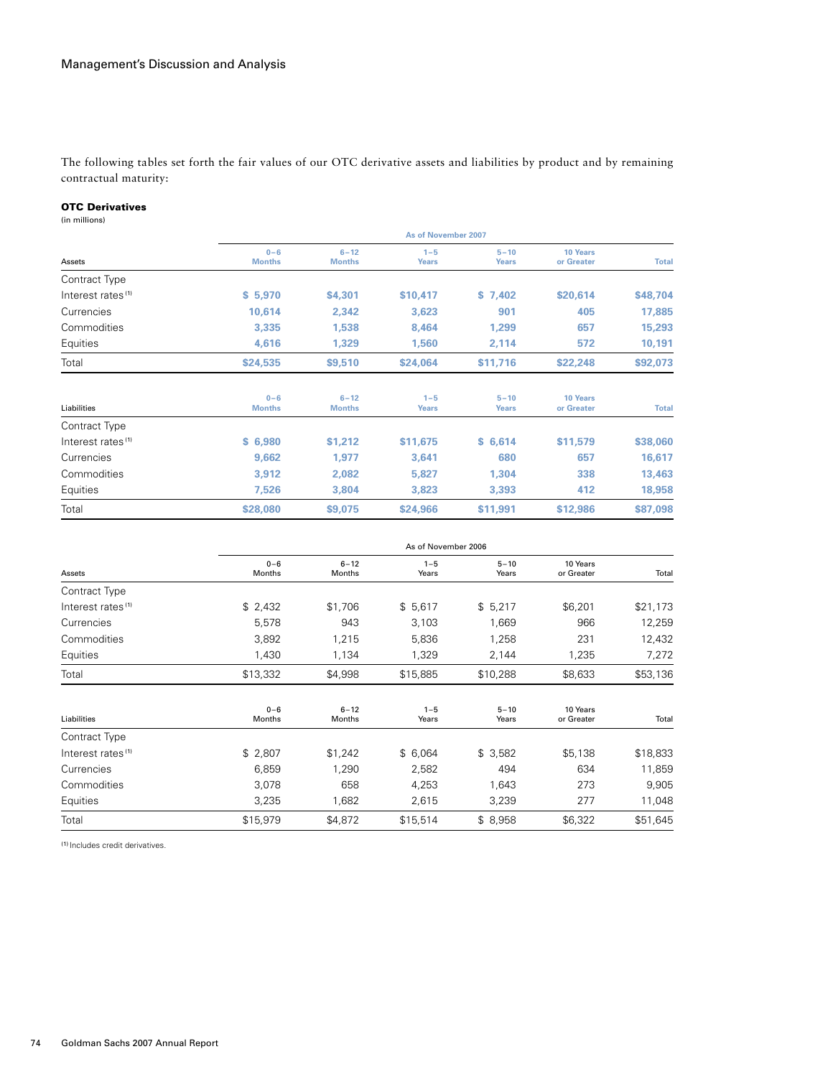The following tables set forth the fair values of our OTC derivative assets and liabilities by product and by remaining contractual maturity:

# OTC Derivatives

(in millions)

|                               | As of November 2007      |                           |                         |                          |                               |              |  |
|-------------------------------|--------------------------|---------------------------|-------------------------|--------------------------|-------------------------------|--------------|--|
| Assets                        | $0 - 6$<br><b>Months</b> | $6 - 12$<br><b>Months</b> | $1 - 5$<br><b>Years</b> | $5 - 10$<br><b>Years</b> | 10 Years<br>or Greater        | <b>Total</b> |  |
| Contract Type                 |                          |                           |                         |                          |                               |              |  |
| Interest rates <sup>(1)</sup> | \$5,970                  | \$4,301                   | \$10,417                | \$7.402                  | \$20,614                      | \$48,704     |  |
| Currencies                    | 10,614                   | 2,342                     | 3,623                   | 901                      | 405                           | 17,885       |  |
| Commodities                   | 3,335                    | 1,538                     | 8,464                   | 1,299                    | 657                           | 15,293       |  |
| Equities                      | 4,616                    | 1,329                     | 1,560                   | 2,114                    | 572                           | 10,191       |  |
| Total                         | \$24,535                 | \$9,510                   | \$24,064                | \$11,716                 | \$22,248                      | \$92,073     |  |
| Liabilities                   | $0 - 6$<br><b>Months</b> | $6 - 12$<br><b>Months</b> | $1 - 5$<br><b>Years</b> | $5 - 10$<br><b>Years</b> | <b>10 Years</b><br>or Greater | <b>Total</b> |  |
| Contract Type                 |                          |                           |                         |                          |                               |              |  |
| Interest rates <sup>(1)</sup> | \$6,980                  | \$1,212                   | \$11,675                | \$6,614                  | \$11,579                      | \$38,060     |  |
| Currencies                    | 9,662                    | 1,977                     | 3,641                   | 680                      | 657                           | 16,617       |  |
| Commodities                   | 3,912                    | 2,082                     | 5,827                   | 1,304                    | 338                           | 13,463       |  |
| Equities                      | 7,526                    | 3,804                     | 3,823                   | 3,393                    | 412                           | 18,958       |  |
| Total                         | \$28,080                 | \$9,075                   | \$24,966                | \$11,991                 | \$12,986                      | \$87,098     |  |

| Assets                        |                   | As of November 2006       |                  |                   |                        |          |  |
|-------------------------------|-------------------|---------------------------|------------------|-------------------|------------------------|----------|--|
|                               | $0 - 6$<br>Months | $6 - 12$<br><b>Months</b> | $1 - 5$<br>Years | $5 - 10$<br>Years | 10 Years<br>or Greater | Total    |  |
| Contract Type                 |                   |                           |                  |                   |                        |          |  |
| Interest rates <sup>(1)</sup> | \$2,432           | \$1,706                   | \$5,617          | \$5,217           | \$6,201                | \$21,173 |  |
| Currencies                    | 5,578             | 943                       | 3,103            | 1,669             | 966                    | 12,259   |  |
| Commodities                   | 3,892             | 1,215                     | 5,836            | 1,258             | 231                    | 12,432   |  |
| Equities                      | 1,430             | 1,134                     | 1,329            | 2,144             | 1,235                  | 7,272    |  |
| Total                         | \$13,332          | \$4,998                   | \$15,885         | \$10,288          | \$8,633                | \$53,136 |  |
| Liabilities                   | $0 - 6$<br>Months | $6 - 12$<br><b>Months</b> | $1 - 5$<br>Years | $5 - 10$<br>Years | 10 Years<br>or Greater | Total    |  |
| Contract Type                 |                   |                           |                  |                   |                        |          |  |
| Interest rates <sup>(1)</sup> | \$2,807           | \$1,242                   | \$6,064          | \$3,582           | \$5,138                | \$18,833 |  |
| Currencies                    | 6,859             | 1,290                     | 2,582            | 494               | 634                    | 11,859   |  |
| Commodities                   | 3,078             | 658                       | 4,253            | 1,643             | 273                    | 9,905    |  |
| Equities                      | 3,235             | 1,682                     | 2,615            | 3,239             | 277                    | 11,048   |  |
| Total                         | \$15,979          | \$4,872                   | \$15,514         | \$8,958           | \$6,322                | \$51,645 |  |

(1) Includes credit derivatives.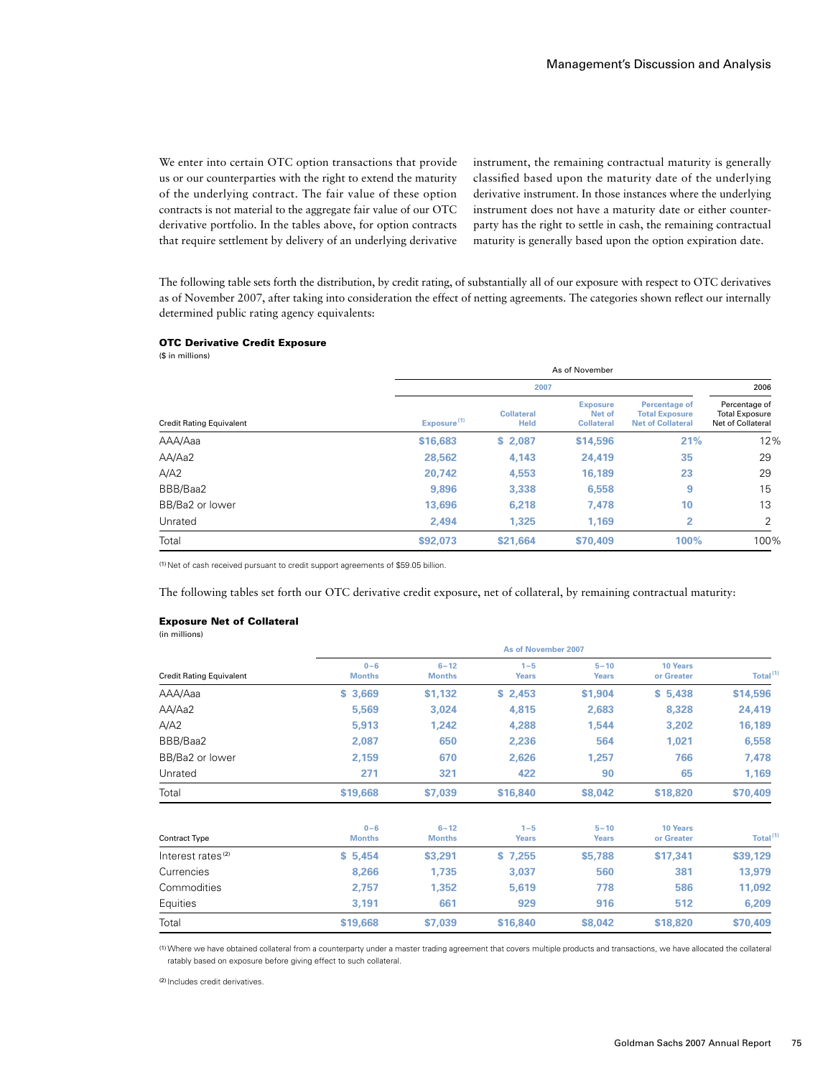We enter into certain OTC option transactions that provide us or our counterparties with the right to extend the maturity of the underlying contract. The fair value of these option contracts is not material to the aggregate fair value of our OTC derivative portfolio. In the tables above, for option contracts that require settlement by delivery of an underlying derivative

instrument, the remaining contractual maturity is generally classified based upon the maturity date of the underlying derivative instrument. In those instances where the underlying instrument does not have a maturity date or either counterparty has the right to settle in cash, the remaining contractual maturity is generally based upon the option expiration date.

The following table sets forth the distribution, by credit rating, of substantially all of our exposure with respect to OTC derivatives as of November 2007, after taking into consideration the effect of netting agreements. The categories shown reflect our internally determined public rating agency equivalents:

#### OTC Derivative Credit Exposure

(\$ in millions)

|                                 |                         | As of November                   |                                                |                                                                    |                                                             |  |  |
|---------------------------------|-------------------------|----------------------------------|------------------------------------------------|--------------------------------------------------------------------|-------------------------------------------------------------|--|--|
|                                 |                         | 2007                             |                                                |                                                                    |                                                             |  |  |
| <b>Credit Rating Equivalent</b> | Exposure <sup>(1)</sup> | <b>Collateral</b><br><b>Held</b> | <b>Exposure</b><br>Net of<br><b>Collateral</b> | Percentage of<br><b>Total Exposure</b><br><b>Net of Collateral</b> | Percentage of<br><b>Total Exposure</b><br>Net of Collateral |  |  |
| AAA/Aaa                         | \$16,683                | \$2,087                          | \$14,596                                       | 21%                                                                | 12%                                                         |  |  |
| AA/Aa2                          | 28,562                  | 4,143                            | 24,419                                         | 35                                                                 | 29                                                          |  |  |
| A/A2                            | 20.742                  | 4,553                            | 16,189                                         | 23                                                                 | 29                                                          |  |  |
| BBB/Baa2                        | 9.896                   | 3,338                            | 6,558                                          | 9                                                                  | 15                                                          |  |  |
| BB/Ba2 or lower                 | 13.696                  | 6,218                            | 7,478                                          | 10                                                                 | 13                                                          |  |  |
| Unrated                         | 2.494                   | 1.325                            | 1.169                                          | 2                                                                  | C                                                           |  |  |
| Total                           | \$92,073                | \$21.664                         | \$70,409                                       | 100%                                                               | 100%                                                        |  |  |

(1) Net of cash received pursuant to credit support agreements of \$59.05 billion.

The following tables set forth our OTC derivative credit exposure, net of collateral, by remaining contractual maturity:

#### Exposure Net of Collateral

(in millions)

|                                 | As of November 2007      |                           |                         |                          |                               |                      |  |
|---------------------------------|--------------------------|---------------------------|-------------------------|--------------------------|-------------------------------|----------------------|--|
| <b>Credit Rating Equivalent</b> | $0 - 6$<br><b>Months</b> | $6 - 12$<br><b>Months</b> | $1 - 5$<br><b>Years</b> | $5 - 10$<br><b>Years</b> | <b>10 Years</b><br>or Greater | Total <sup>(1)</sup> |  |
| AAA/Aaa                         | \$3,669                  | \$1,132                   | \$2,453                 | \$1,904                  | \$5,438                       | \$14,596             |  |
| AA/Aa2                          | 5,569                    | 3,024                     | 4,815                   | 2,683                    | 8,328                         | 24,419               |  |
| A/A2                            | 5,913                    | 1.242                     | 4,288                   | 1,544                    | 3,202                         | 16,189               |  |
| BBB/Baa2                        | 2,087                    | 650                       | 2,236                   | 564                      | 1,021                         | 6,558                |  |
| BB/Ba2 or lower                 | 2,159                    | 670                       | 2,626                   | 1,257                    | 766                           | 7,478                |  |
| Unrated                         | 271                      | 321                       | 422                     | 90                       | 65                            | 1,169                |  |
| Total                           | \$19,668                 | \$7,039                   | \$16,840                | \$8,042                  | \$18,820                      | \$70,409             |  |
| Contract Type                   | $0 - 6$<br><b>Months</b> | $6 - 12$<br><b>Months</b> | $1 - 5$<br><b>Years</b> | $5 - 10$<br><b>Years</b> | <b>10 Years</b><br>or Greater | Total <sup>(1)</sup> |  |
| Interest rates <sup>(2)</sup>   | \$5,454                  | \$3,291                   | \$7,255                 | \$5,788                  | \$17,341                      | \$39,129             |  |
| Currencies                      | 8,266                    | 1,735                     | 3,037                   | 560                      | 381                           | 13,979               |  |
| Commodities                     | 2,757                    | 1,352                     | 5,619                   | 778                      | 586                           | 11,092               |  |
| Equities                        | 3,191                    | 661                       | 929                     | 916                      | 512                           | 6,209                |  |
| Total                           | \$19,668                 | \$7,039                   | \$16,840                | \$8,042                  | \$18,820                      | \$70,409             |  |

(1)Where we have obtained collateral from a counterparty under a master trading agreement that covers multiple products and transactions, we have allocated the collateral ratably based on exposure before giving effect to such collateral.

(2) Includes credit derivatives.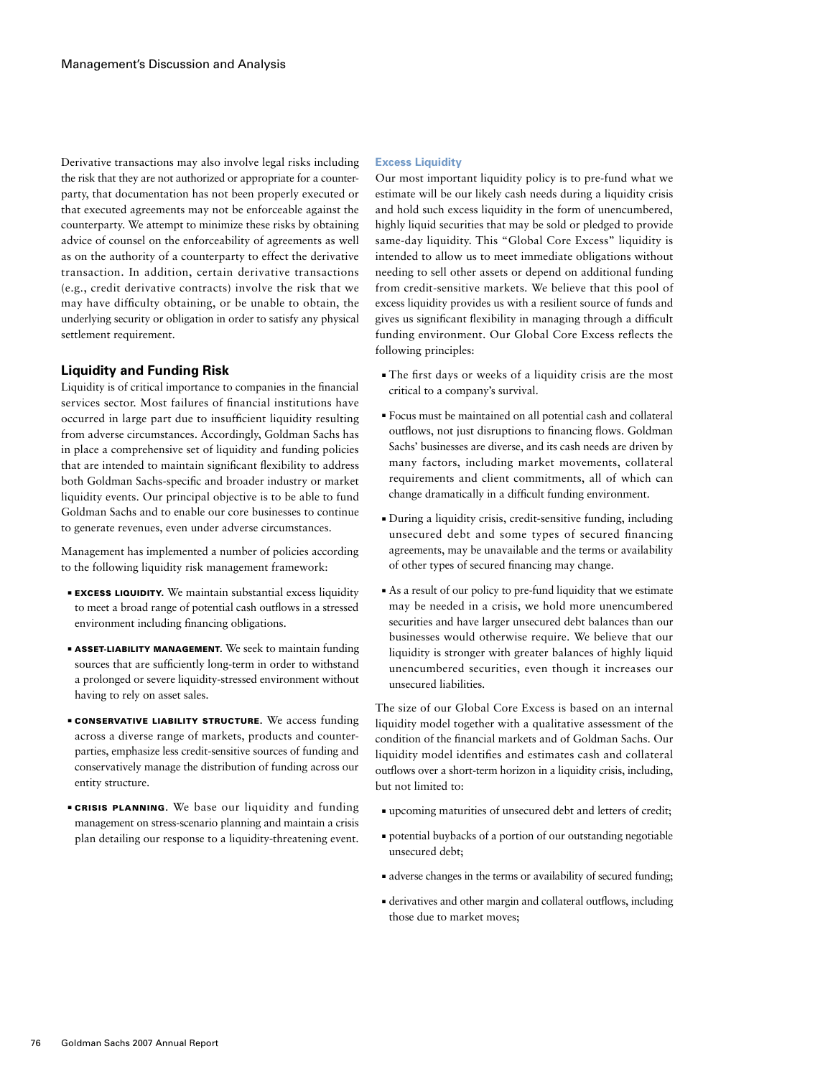Derivative transactions may also involve legal risks including the risk that they are not authorized or appropriate for a counterparty, that documentation has not been properly executed or that executed agreements may not be enforceable against the counterparty. We attempt to minimize these risks by obtaining advice of counsel on the enforceability of agreements as well as on the authority of a counterparty to effect the derivative transaction. In addition, certain derivative transactions (e.g., credit derivative contracts) involve the risk that we may have difficulty obtaining, or be unable to obtain, the underlying security or obligation in order to satisfy any physical settlement requirement.

## **Liquidity and Funding Risk**

Liquidity is of critical importance to companies in the financial services sector. Most failures of financial institutions have occurred in large part due to insufficient liquidity resulting from adverse circumstances. Accordingly, Goldman Sachs has in place a comprehensive set of liquidity and funding policies that are intended to maintain significant flexibility to address both Goldman Sachs-specific and broader industry or market liquidity events. Our principal objective is to be able to fund Goldman Sachs and to enable our core businesses to continue to generate revenues, even under adverse circumstances.

Management has implemented a number of policies according to the following liquidity risk management framework:

- **EXCESS LIQUIDITY.** We maintain substantial excess liquidity to meet a broad range of potential cash outflows in a stressed environment including financing obligations.
- **B ASSET-LIABILITY MANAGEMENT.** We seek to maintain funding sources that are sufficiently long-term in order to withstand a prolonged or severe liquidity-stressed environment without having to rely on asset sales.
- **E CONSERVATIVE LIABILITY STRUCTURE.** We access funding across a diverse range of markets, products and counterparties, emphasize less credit-sensitive sources of funding and conservatively manage the distribution of funding across our entity structure.
- **EXISIS PLANNING.** We base our liquidity and funding management on stress-scenario planning and maintain a crisis plan detailing our response to a liquidity-threatening event.

## **Excess Liquidity**

Our most important liquidity policy is to pre-fund what we estimate will be our likely cash needs during a liquidity crisis and hold such excess liquidity in the form of unencumbered, highly liquid securities that may be sold or pledged to provide same-day liquidity. This "Global Core Excess" liquidity is intended to allow us to meet immediate obligations without needing to sell other assets or depend on additional funding from credit-sensitive markets. We believe that this pool of excess liquidity provides us with a resilient source of funds and gives us significant flexibility in managing through a difficult funding environment. Our Global Core Excess reflects the following principles:

- The first days or weeks of a liquidity crisis are the most critical to a company's survival.
- ■ Focus must be maintained on all potential cash and collateral outflows, not just disruptions to financing flows. Goldman Sachs' businesses are diverse, and its cash needs are driven by many factors, including market movements, collateral requirements and client commitments, all of which can change dramatically in a difficult funding environment.
- ■ During a liquidity crisis, credit-sensitive funding, including unsecured debt and some types of secured financing agreements, may be unavailable and the terms or availability of other types of secured financing may change.
- ■ As a result of our policy to pre-fund liquidity that we estimate may be needed in a crisis, we hold more unencumbered securities and have larger unsecured debt balances than our businesses would otherwise require. We believe that our liquidity is stronger with greater balances of highly liquid unencumbered securities, even though it increases our unsecured liabilities.

The size of our Global Core Excess is based on an internal liquidity model together with a qualitative assessment of the condition of the financial markets and of Goldman Sachs. Our liquidity model identifies and estimates cash and collateral outflows over a short-term horizon in a liquidity crisis, including, but not limited to:

- ■ upcoming maturities of unsecured debt and letters of credit;
- ■ potential buybacks of a portion of our outstanding negotiable unsecured debt;
- ■ adverse changes in the terms or availability of secured funding;
- derivatives and other margin and collateral outflows, including those due to market moves;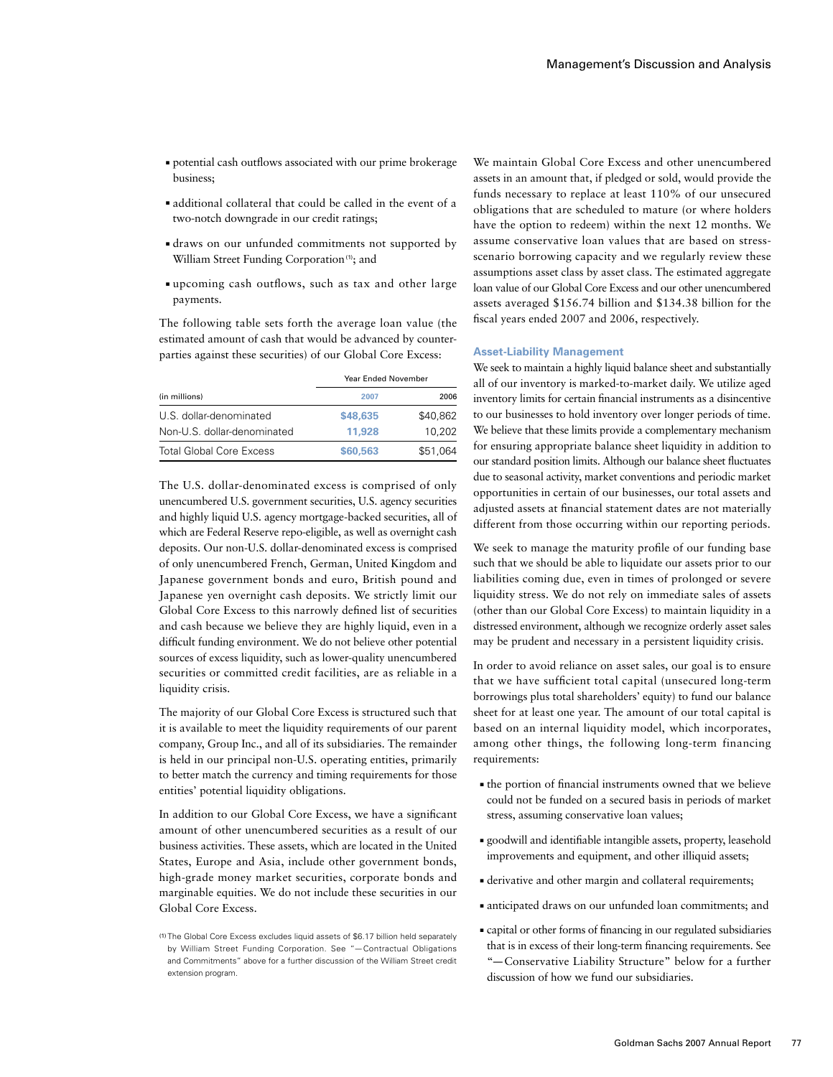- ■ potential cash outflows associated with our prime brokerage business;
- ■ additional collateral that could be called in the event of a two-notch downgrade in our credit ratings;
- ■ draws on our unfunded commitments not supported by William Street Funding Corporation<sup>(1)</sup>; and
- ■ upcoming cash outflows, such as tax and other large payments.

The following table sets forth the average loan value (the estimated amount of cash that would be advanced by counterparties against these securities) of our Global Core Excess:

|                                 | <b>Year Ended November</b> |          |
|---------------------------------|----------------------------|----------|
| (in millions)                   | 2007                       | 2006     |
| U.S. dollar-denominated         | \$48,635                   | \$40,862 |
| Non-U.S. dollar-denominated     | 11.928                     | 10.202   |
| <b>Total Global Core Excess</b> | \$60,563                   | \$51,064 |

The U.S. dollar-denominated excess is comprised of only unencumbered U.S. government securities, U.S. agency securities and highly liquid U.S. agency mortgage-backed securities, all of which are Federal Reserve repo-eligible, as well as overnight cash deposits. Our non-U.S. dollar-denominated excess is comprised of only unencumbered French, German, United Kingdom and Japanese government bonds and euro, British pound and Japanese yen overnight cash deposits. We strictly limit our Global Core Excess to this narrowly defined list of securities and cash because we believe they are highly liquid, even in a difficult funding environment. We do not believe other potential sources of excess liquidity, such as lower-quality unencumbered securities or committed credit facilities, are as reliable in a liquidity crisis.

The majority of our Global Core Excess is structured such that it is available to meet the liquidity requirements of our parent company, Group Inc., and all of its subsidiaries. The remainder is held in our principal non-U.S. operating entities, primarily to better match the currency and timing requirements for those entities' potential liquidity obligations.

In addition to our Global Core Excess, we have a significant amount of other unencumbered securities as a result of our business activities. These assets, which are located in the United States, Europe and Asia, include other government bonds, high-grade money market securities, corporate bonds and marginable equities. We do not include these securities in our Global Core Excess.

We maintain Global Core Excess and other unencumbered assets in an amount that, if pledged or sold, would provide the funds necessary to replace at least 110% of our unsecured obligations that are scheduled to mature (or where holders have the option to redeem) within the next 12 months. We assume conservative loan values that are based on stressscenario borrowing capacity and we regularly review these assumptions asset class by asset class. The estimated aggregate loan value of our Global Core Excess and our other unencumbered assets averaged \$156.74 billion and \$134.38 billion for the fiscal years ended 2007 and 2006, respectively.

#### **Asset-Liability Management**

We seek to maintain a highly liquid balance sheet and substantially all of our inventory is marked-to-market daily. We utilize aged inventory limits for certain financial instruments as a disincentive to our businesses to hold inventory over longer periods of time. We believe that these limits provide a complementary mechanism for ensuring appropriate balance sheet liquidity in addition to our standard position limits. Although our balance sheet fluctuates due to seasonal activity, market conventions and periodic market opportunities in certain of our businesses, our total assets and adjusted assets at financial statement dates are not materially different from those occurring within our reporting periods.

We seek to manage the maturity profile of our funding base such that we should be able to liquidate our assets prior to our liabilities coming due, even in times of prolonged or severe liquidity stress. We do not rely on immediate sales of assets (other than our Global Core Excess) to maintain liquidity in a distressed environment, although we recognize orderly asset sales may be prudent and necessary in a persistent liquidity crisis.

In order to avoid reliance on asset sales, our goal is to ensure that we have sufficient total capital (unsecured long-term borrowings plus total shareholders' equity) to fund our balance sheet for at least one year. The amount of our total capital is based on an internal liquidity model, which incorporates, among other things, the following long-term financing requirements:

- ■ the portion of financial instruments owned that we believe could not be funded on a secured basis in periods of market stress, assuming conservative loan values;
- ■ goodwill and identifiable intangible assets, property, leasehold improvements and equipment, and other illiquid assets;
- ■ derivative and other margin and collateral requirements;
- ■ anticipated draws on our unfunded loan commitments; and
- ■ capital or other forms of financing in our regulated subsidiaries that is in excess of their long-term financing requirements. See "—Conservative Liability Structure" below for a further discussion of how we fund our subsidiaries.

<sup>(1)</sup> The Global Core Excess excludes liquid assets of \$6.17 billion held separately by William Street Funding Corporation. See "— Contractual Obligations and Commitments" above for a further discussion of the William Street credit extension program.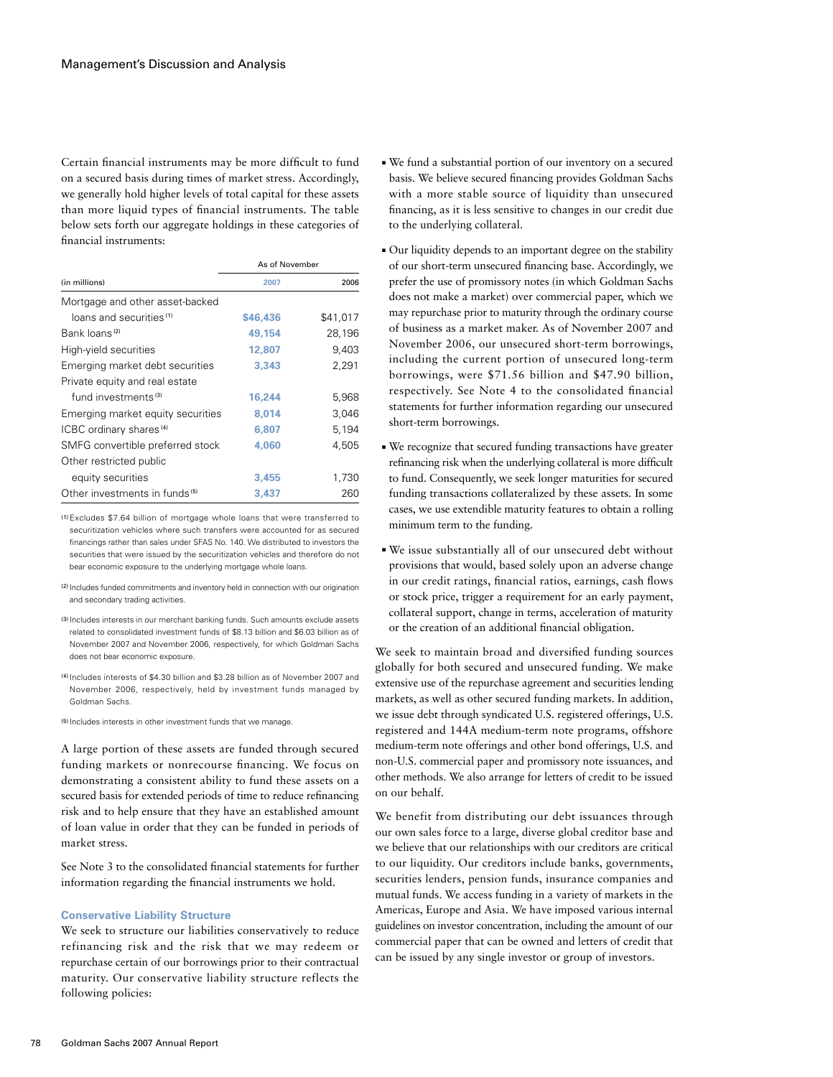Certain financial instruments may be more difficult to fund on a secured basis during times of market stress. Accordingly, we generally hold higher levels of total capital for these assets than more liquid types of financial instruments. The table below sets forth our aggregate holdings in these categories of financial instruments:

|                                           | As of November |          |
|-------------------------------------------|----------------|----------|
| (in millions)                             | 2007           | 2006     |
| Mortgage and other asset-backed           |                |          |
| loans and securities <sup>(1)</sup>       | \$46,436       | \$41,017 |
| Bank loans <sup>(2)</sup>                 | 49.154         | 28,196   |
| High-yield securities                     | 12,807         | 9,403    |
| Emerging market debt securities           | 3,343          | 2,291    |
| Private equity and real estate            |                |          |
| fund investments <sup>(3)</sup>           | 16,244         | 5,968    |
| Emerging market equity securities         | 8.014          | 3,046    |
| ICBC ordinary shares <sup>(4)</sup>       | 6.807          | 5.194    |
| SMFG convertible preferred stock          | 4,060          | 4,505    |
| Other restricted public                   |                |          |
| equity securities                         | 3,455          | 1,730    |
| Other investments in funds <sup>(5)</sup> | 3.437          | 260      |

(1)Excludes \$7.64 billion of mortgage whole loans that were transferred to securitization vehicles where such transfers were accounted for as secured financings rather than sales under SFAS No. 140. We distributed to investors the securities that were issued by the securitization vehicles and therefore do not bear economic exposure to the underlying mortgage whole loans.

- (2) Includes funded commitments and inventory held in connection with our origination and secondary trading activities.
- (3) Includes interests in our merchant banking funds. Such amounts exclude assets related to consolidated investment funds of \$8.13 billion and \$6.03 billion as of November 2007 and November 2006, respectively, for which Goldman Sachs does not bear economic exposure.
- (4) Includes interests of \$4.30 billion and \$3.28 billion as of November 2007 and November 2006, respectively, held by investment funds managed by Goldman Sachs.

(5) Includes interests in other investment funds that we manage.

A large portion of these assets are funded through secured funding markets or nonrecourse financing. We focus on demonstrating a consistent ability to fund these assets on a secured basis for extended periods of time to reduce refinancing risk and to help ensure that they have an established amount of loan value in order that they can be funded in periods of market stress.

See Note 3 to the consolidated financial statements for further information regarding the financial instruments we hold.

#### **Conservative Liability Structure**

We seek to structure our liabilities conservatively to reduce refinancing risk and the risk that we may redeem or repurchase certain of our borrowings prior to their contractual maturity. Our conservative liability structure reflects the following policies:

- ■ We fund a substantial portion of our inventory on a secured basis. We believe secured financing provides Goldman Sachs with a more stable source of liquidity than unsecured financing, as it is less sensitive to changes in our credit due to the underlying collateral.
- Our liquidity depends to an important degree on the stability of our short-term unsecured financing base. Accordingly, we prefer the use of promissory notes (in which Goldman Sachs does not make a market) over commercial paper, which we may repurchase prior to maturity through the ordinary course of business as a market maker. As of November 2007 and November 2006, our unsecured short-term borrowings, including the current portion of unsecured long-term borrowings, were \$71.56 billion and \$47.90 billion, respectively. See Note 4 to the consolidated financial statements for further information regarding our unsecured short-term borrowings.
- ■ We recognize that secured funding transactions have greater refinancing risk when the underlying collateral is more difficult to fund. Consequently, we seek longer maturities for secured funding transactions collateralized by these assets. In some cases, we use extendible maturity features to obtain a rolling minimum term to the funding.
- ■ We issue substantially all of our unsecured debt without provisions that would, based solely upon an adverse change in our credit ratings, financial ratios, earnings, cash flows or stock price, trigger a requirement for an early payment, collateral support, change in terms, acceleration of maturity or the creation of an additional financial obligation.

We seek to maintain broad and diversified funding sources globally for both secured and unsecured funding. We make extensive use of the repurchase agreement and securities lending markets, as well as other secured funding markets. In addition, we issue debt through syndicated U.S. registered offerings, U.S. registered and 144A medium-term note programs, offshore medium-term note offerings and other bond offerings, U.S. and non-U.S. commercial paper and promissory note issuances, and other methods. We also arrange for letters of credit to be issued on our behalf.

We benefit from distributing our debt issuances through our own sales force to a large, diverse global creditor base and we believe that our relationships with our creditors are critical to our liquidity. Our creditors include banks, governments, securities lenders, pension funds, insurance companies and mutual funds. We access funding in a variety of markets in the Americas, Europe and Asia. We have imposed various internal guidelines on investor concentration, including the amount of our commercial paper that can be owned and letters of credit that can be issued by any single investor or group of investors.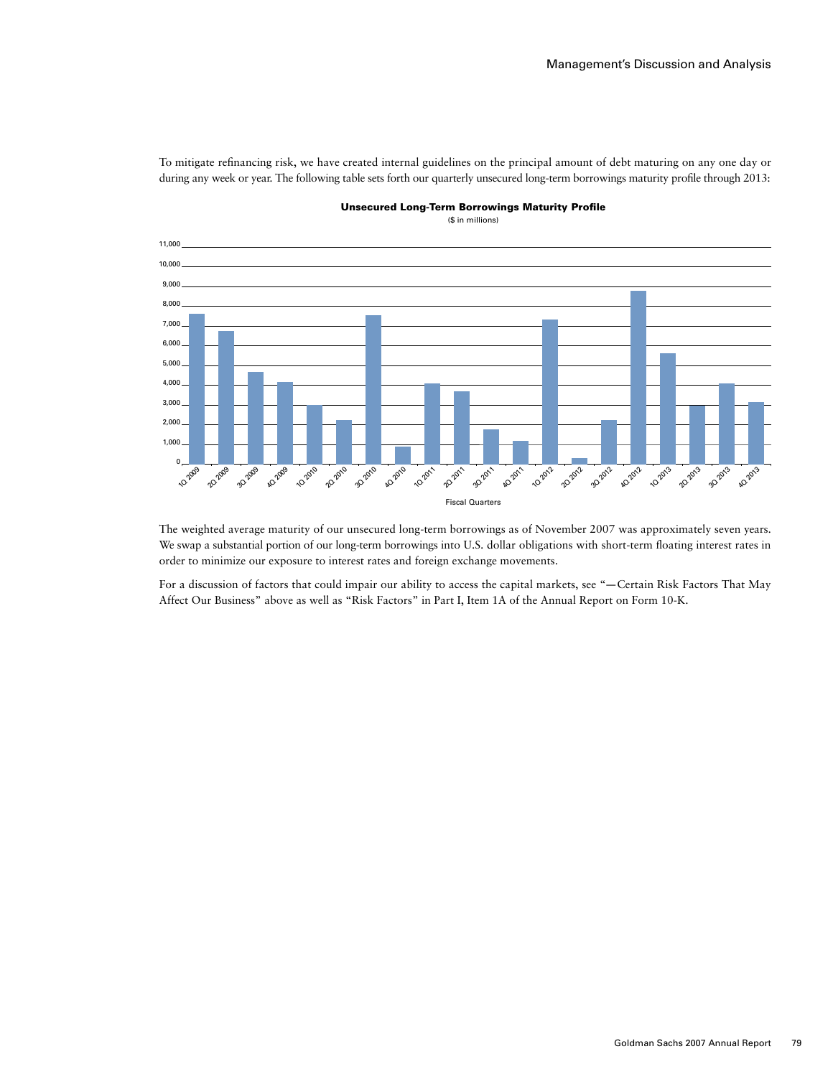To mitigate refinancing risk, we have created internal guidelines on the principal amount of debt maturing on any one day or during any week or year. The following table sets forth our quarterly unsecured long-term borrowings maturity profile through 2013:



Unsecured Long-Term Borrowings Maturity Profile

(\$ in millions)

The weighted average maturity of our unsecured long-term borrowings as of November 2007 was approximately seven years. We swap a substantial portion of our long-term borrowings into U.S. dollar obligations with short-term floating interest rates in order to minimize our exposure to interest rates and foreign exchange movements.

For a discussion of factors that could impair our ability to access the capital markets, see "—Certain Risk Factors That May Affect Our Business" above as well as "Risk Factors" in Part I, Item 1A of the Annual Report on Form 10-K.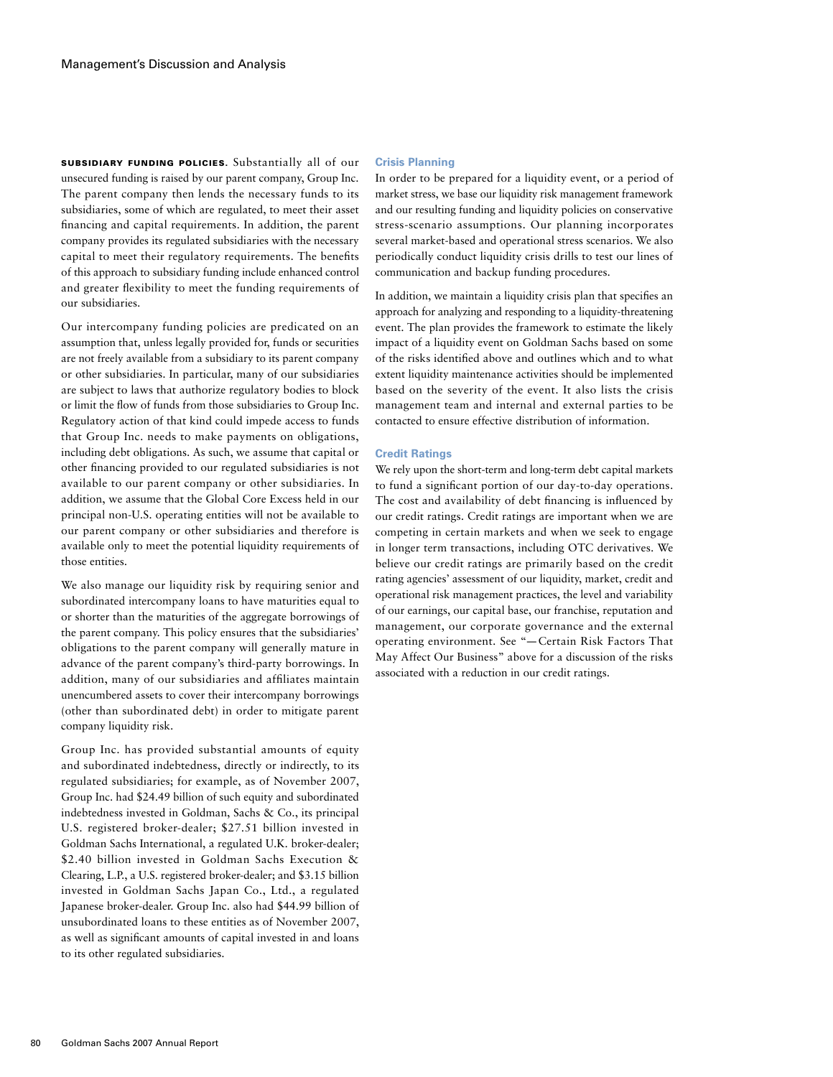Subsidiary Funding Policies. Substantially all of our unsecured funding is raised by our parent company, Group Inc. The parent company then lends the necessary funds to its subsidiaries, some of which are regulated, to meet their asset financing and capital requirements. In addition, the parent company provides its regulated subsidiaries with the necessary capital to meet their regulatory requirements. The benefits of this approach to subsidiary funding include enhanced control and greater flexibility to meet the funding requirements of our subsidiaries.

Our intercompany funding policies are predicated on an assumption that, unless legally provided for, funds or securities are not freely available from a subsidiary to its parent company or other subsidiaries. In particular, many of our subsidiaries are subject to laws that authorize regulatory bodies to block or limit the flow of funds from those subsidiaries to Group Inc. Regulatory action of that kind could impede access to funds that Group Inc. needs to make payments on obligations, including debt obligations. As such, we assume that capital or other financing provided to our regulated subsidiaries is not available to our parent company or other subsidiaries. In addition, we assume that the Global Core Excess held in our principal non-U.S. operating entities will not be available to our parent company or other subsidiaries and therefore is available only to meet the potential liquidity requirements of those entities.

We also manage our liquidity risk by requiring senior and subordinated intercompany loans to have maturities equal to or shorter than the maturities of the aggregate borrowings of the parent company. This policy ensures that the subsidiaries' obligations to the parent company will generally mature in advance of the parent company's third-party borrowings. In addition, many of our subsidiaries and affiliates maintain unencumbered assets to cover their intercompany borrowings (other than subordinated debt) in order to mitigate parent company liquidity risk.

Group Inc. has provided substantial amounts of equity and subordinated indebtedness, directly or indirectly, to its regulated subsidiaries; for example, as of November 2007, Group Inc. had \$24.49 billion of such equity and subordinated indebtedness invested in Goldman, Sachs & Co., its principal U.S. registered broker-dealer; \$27.51 billion invested in Goldman Sachs International, a regulated U.K. broker-dealer; \$2.40 billion invested in Goldman Sachs Execution & Clearing, L.P., a U.S. registered broker-dealer; and \$3.15 billion invested in Goldman Sachs Japan Co., Ltd., a regulated Japanese broker-dealer. Group Inc. also had \$44.99 billion of unsubordinated loans to these entities as of November 2007, as well as significant amounts of capital invested in and loans to its other regulated subsidiaries.

#### **Crisis Planning**

In order to be prepared for a liquidity event, or a period of market stress, we base our liquidity risk management framework and our resulting funding and liquidity policies on conservative stress-scenario assumptions. Our planning incorporates several market-based and operational stress scenarios. We also periodically conduct liquidity crisis drills to test our lines of communication and backup funding procedures.

In addition, we maintain a liquidity crisis plan that specifies an approach for analyzing and responding to a liquidity-threatening event. The plan provides the framework to estimate the likely impact of a liquidity event on Goldman Sachs based on some of the risks identified above and outlines which and to what extent liquidity maintenance activities should be implemented based on the severity of the event. It also lists the crisis management team and internal and external parties to be contacted to ensure effective distribution of information.

### **Credit Ratings**

We rely upon the short-term and long-term debt capital markets to fund a significant portion of our day-to-day operations. The cost and availability of debt financing is influenced by our credit ratings. Credit ratings are important when we are competing in certain markets and when we seek to engage in longer term transactions, including OTC derivatives. We believe our credit ratings are primarily based on the credit rating agencies' assessment of our liquidity, market, credit and operational risk management practices, the level and variability of our earnings, our capital base, our franchise, reputation and management, our corporate governance and the external operating environment. See "— Certain Risk Factors That May Affect Our Business" above for a discussion of the risks associated with a reduction in our credit ratings.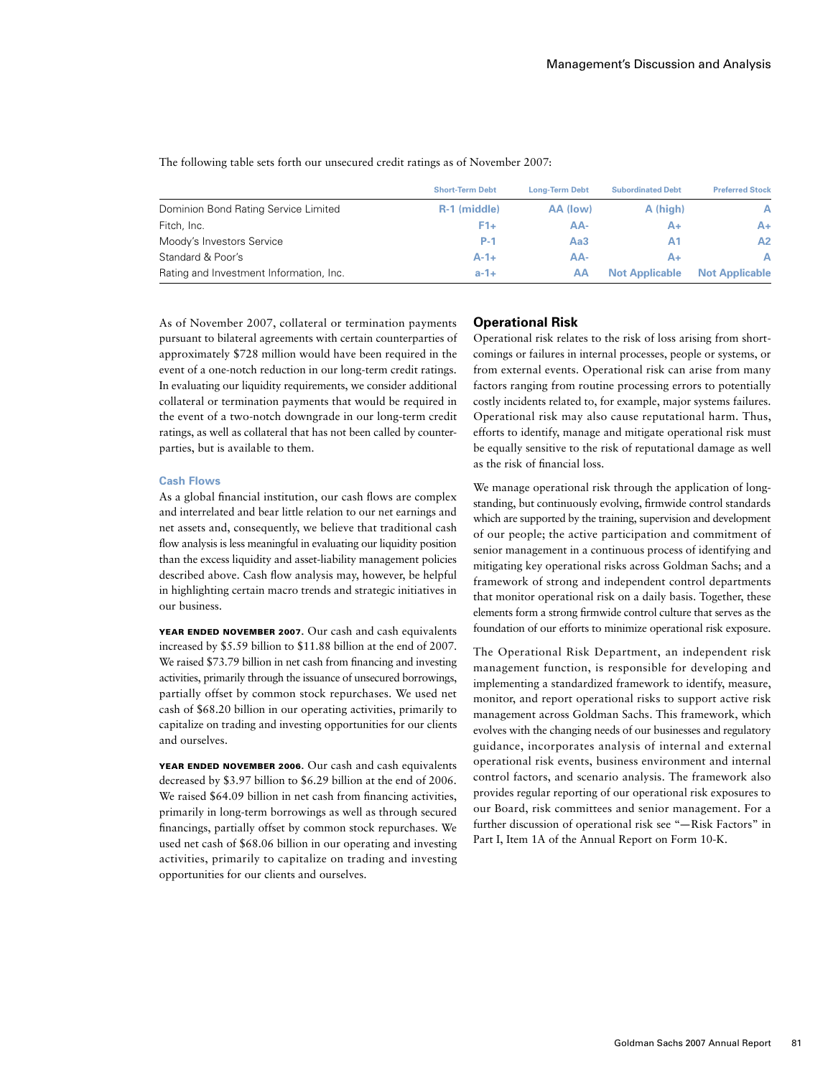The following table sets forth our unsecured credit ratings as of November 2007:

|                                         | <b>Short-Term Debt</b> | <b>Long-Term Debt</b> | <b>Subordinated Debt</b> | <b>Preferred Stock</b> |
|-----------------------------------------|------------------------|-----------------------|--------------------------|------------------------|
| Dominion Bond Rating Service Limited    | R-1 (middle)           | AA (low)              | A (high)                 | A                      |
| Fitch, Inc.                             | $F1+$                  | AA-                   |                          | A+                     |
| Moody's Investors Service               | <b>P-1</b>             | Aa3                   |                          | Α2                     |
| Standard & Poor's                       | $A - 1 +$              | AA-                   | A+                       | Α                      |
| Rating and Investment Information, Inc. | $a - 1 +$              | AA                    | <b>Not Applicable</b>    | <b>Not Applicable</b>  |

As of November 2007, collateral or termination payments pursuant to bilateral agreements with certain counterparties of approximately \$728 million would have been required in the event of a one-notch reduction in our long-term credit ratings. In evaluating our liquidity requirements, we consider additional collateral or termination payments that would be required in the event of a two-notch downgrade in our long-term credit ratings, as well as collateral that has not been called by counterparties, but is available to them.

#### **Cash Flows**

As a global financial institution, our cash flows are complex and interrelated and bear little relation to our net earnings and net assets and, consequently, we believe that traditional cash flow analysis is less meaningful in evaluating our liquidity position than the excess liquidity and asset-liability management policies described above. Cash flow analysis may, however, be helpful in highlighting certain macro trends and strategic initiatives in our business.

YEAR ENDED NOVEMBER 2007. Our cash and cash equivalents increased by \$5.59 billion to \$11.88 billion at the end of 2007. We raised \$73.79 billion in net cash from financing and investing activities, primarily through the issuance of unsecured borrowings, partially offset by common stock repurchases. We used net cash of \$68.20 billion in our operating activities, primarily to capitalize on trading and investing opportunities for our clients and ourselves.

YEAR ENDED NOVEMBER 2006. Our cash and cash equivalents decreased by \$3.97 billion to \$6.29 billion at the end of 2006. We raised \$64.09 billion in net cash from financing activities, primarily in long-term borrowings as well as through secured financings, partially offset by common stock repurchases. We used net cash of \$68.06 billion in our operating and investing activities, primarily to capitalize on trading and investing opportunities for our clients and ourselves.

### **Operational Risk**

Operational risk relates to the risk of loss arising from shortcomings or failures in internal processes, people or systems, or from external events. Operational risk can arise from many factors ranging from routine processing errors to potentially costly incidents related to, for example, major systems failures. Operational risk may also cause reputational harm. Thus, efforts to identify, manage and mitigate operational risk must be equally sensitive to the risk of reputational damage as well as the risk of financial loss.

We manage operational risk through the application of longstanding, but continuously evolving, firmwide control standards which are supported by the training, supervision and development of our people; the active participation and commitment of senior management in a continuous process of identifying and mitigating key operational risks across Goldman Sachs; and a framework of strong and independent control departments that monitor operational risk on a daily basis. Together, these elements form a strong firmwide control culture that serves as the foundation of our efforts to minimize operational risk exposure.

The Operational Risk Department, an independent risk management function, is responsible for developing and implementing a standardized framework to identify, measure, monitor, and report operational risks to support active risk management across Goldman Sachs. This framework, which evolves with the changing needs of our businesses and regulatory guidance, incorporates analysis of internal and external operational risk events, business environment and internal control factors, and scenario analysis. The framework also provides regular reporting of our operational risk exposures to our Board, risk committees and senior management. For a further discussion of operational risk see "—Risk Factors" in Part I, Item 1A of the Annual Report on Form 10-K.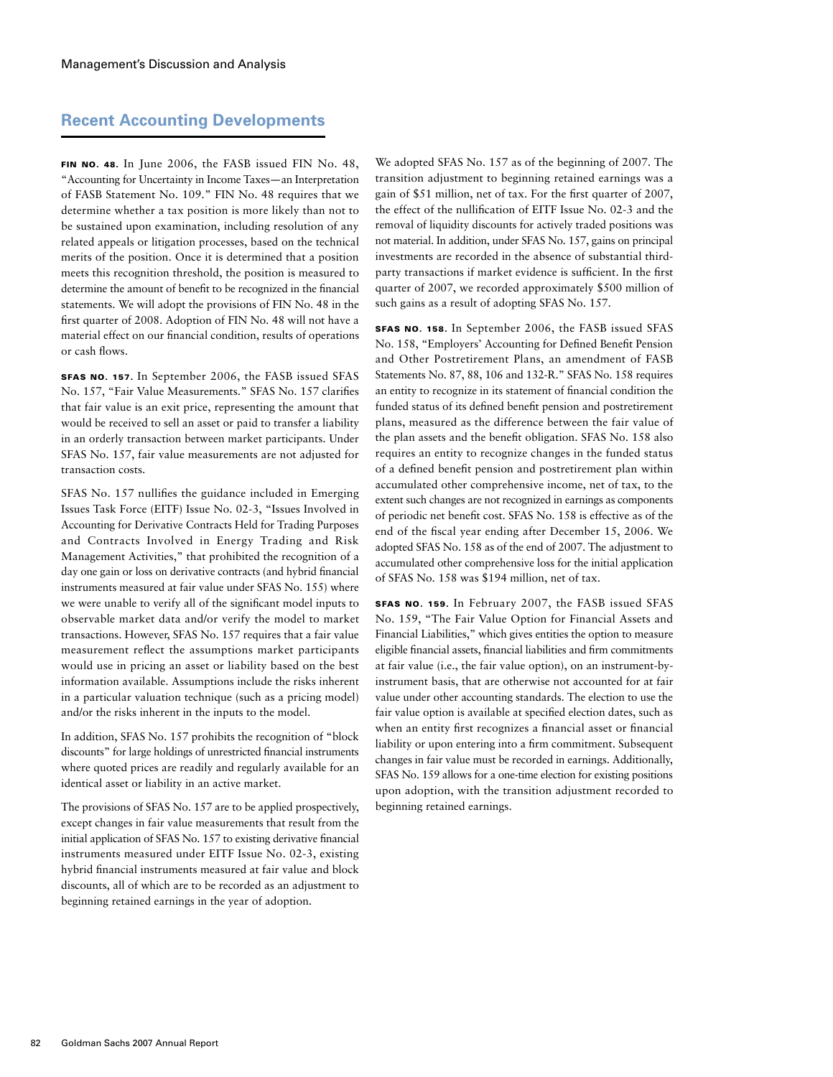# **Recent Accounting Developments**

FIN NO. 48. In June 2006, the FASB issued FIN No. 48, "Accounting for Uncertainty in Income Taxes—an Interpretation of FASB Statement No. 109." FIN No. 48 requires that we determine whether a tax position is more likely than not to be sustained upon examination, including resolution of any related appeals or litigation processes, based on the technical merits of the position. Once it is determined that a position meets this recognition threshold, the position is measured to determine the amount of benefit to be recognized in the financial statements. We will adopt the provisions of FIN No. 48 in the first quarter of 2008. Adoption of FIN No. 48 will not have a material effect on our financial condition, results of operations or cash flows.

SFAS No. 157. In September 2006, the FASB issued SFAS No. 157, "Fair Value Measurements." SFAS No. 157 clarifies that fair value is an exit price, representing the amount that would be received to sell an asset or paid to transfer a liability in an orderly transaction between market participants. Under SFAS No. 157, fair value measurements are not adjusted for transaction costs.

SFAS No. 157 nullifies the guidance included in Emerging Issues Task Force (EITF) Issue No. 02-3, "Issues Involved in Accounting for Derivative Contracts Held for Trading Purposes and Contracts Involved in Energy Trading and Risk Management Activities," that prohibited the recognition of a day one gain or loss on derivative contracts (and hybrid financial instruments measured at fair value under SFAS No. 155) where we were unable to verify all of the significant model inputs to observable market data and/or verify the model to market transactions. However, SFAS No. 157 requires that a fair value measurement reflect the assumptions market participants would use in pricing an asset or liability based on the best information available. Assumptions include the risks inherent in a particular valuation technique (such as a pricing model) and/or the risks inherent in the inputs to the model.

In addition, SFAS No. 157 prohibits the recognition of "block discounts" for large holdings of unrestricted financial instruments where quoted prices are readily and regularly available for an identical asset or liability in an active market.

The provisions of SFAS No. 157 are to be applied prospectively, except changes in fair value measurements that result from the initial application of SFAS No. 157 to existing derivative financial instruments measured under EITF Issue No. 02-3, existing hybrid financial instruments measured at fair value and block discounts, all of which are to be recorded as an adjustment to beginning retained earnings in the year of adoption.

We adopted SFAS No. 157 as of the beginning of 2007. The transition adjustment to beginning retained earnings was a gain of \$51 million, net of tax. For the first quarter of 2007, the effect of the nullification of EITF Issue No. 02-3 and the removal of liquidity discounts for actively traded positions was not material. In addition, under SFAS No. 157, gains on principal investments are recorded in the absence of substantial thirdparty transactions if market evidence is sufficient. In the first quarter of 2007, we recorded approximately \$500 million of such gains as a result of adopting SFAS No. 157.

SFAS No. 158. In September 2006, the FASB issued SFAS No. 158, "Employers' Accounting for Defined Benefit Pension and Other Postretirement Plans, an amendment of FASB Statements No. 87, 88, 106 and 132-R." SFAS No. 158 requires an entity to recognize in its statement of financial condition the funded status of its defined benefit pension and postretirement plans, measured as the difference between the fair value of the plan assets and the benefit obligation. SFAS No. 158 also requires an entity to recognize changes in the funded status of a defined benefit pension and postretirement plan within accumulated other comprehensive income, net of tax, to the extent such changes are not recognized in earnings as components of periodic net benefit cost. SFAS No. 158 is effective as of the end of the fiscal year ending after December 15, 2006. We adopted SFAS No. 158 as of the end of 2007. The adjustment to accumulated other comprehensive loss for the initial application of SFAS No. 158 was \$194 million, net of tax.

SFAS No. 159. In February 2007, the FASB issued SFAS No. 159, "The Fair Value Option for Financial Assets and Financial Liabilities," which gives entities the option to measure eligible financial assets, financial liabilities and firm commitments at fair value (i.e., the fair value option), on an instrument-byinstrument basis, that are otherwise not accounted for at fair value under other accounting standards. The election to use the fair value option is available at specified election dates, such as when an entity first recognizes a financial asset or financial liability or upon entering into a firm commitment. Subsequent changes in fair value must be recorded in earnings. Additionally, SFAS No. 159 allows for a one-time election for existing positions upon adoption, with the transition adjustment recorded to beginning retained earnings.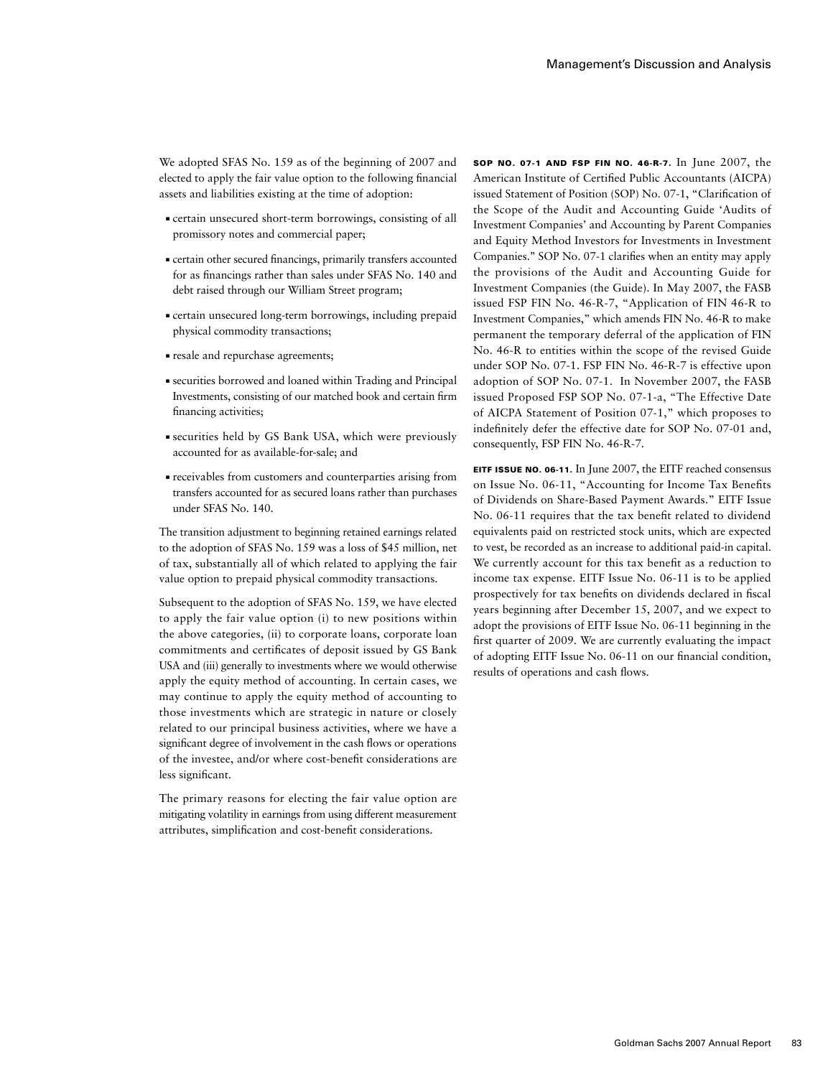We adopted SFAS No. 159 as of the beginning of 2007 and elected to apply the fair value option to the following financial assets and liabilities existing at the time of adoption:

- ■ certain unsecured short-term borrowings, consisting of all promissory notes and commercial paper;
- ■ certain other secured financings, primarily transfers accounted for as financings rather than sales under SFAS No. 140 and debt raised through our William Street program;
- ■ certain unsecured long-term borrowings, including prepaid physical commodity transactions;
- ■ resale and repurchase agreements;
- ■ securities borrowed and loaned within Trading and Principal Investments, consisting of our matched book and certain firm financing activities;
- ■ securities held by GS Bank USA, which were previously accounted for as available-for-sale; and
- ■ receivables from customers and counterparties arising from transfers accounted for as secured loans rather than purchases under SFAS No. 140.

The transition adjustment to beginning retained earnings related to the adoption of SFAS No. 159 was a loss of \$45 million, net of tax, substantially all of which related to applying the fair value option to prepaid physical commodity transactions.

Subsequent to the adoption of SFAS No. 159, we have elected to apply the fair value option (i) to new positions within the above categories, (ii) to corporate loans, corporate loan commitments and certificates of deposit issued by GS Bank USA and (iii) generally to investments where we would otherwise apply the equity method of accounting. In certain cases, we may continue to apply the equity method of accounting to those investments which are strategic in nature or closely related to our principal business activities, where we have a significant degree of involvement in the cash flows or operations of the investee, and/or where cost-benefit considerations are less significant.

The primary reasons for electing the fair value option are mitigating volatility in earnings from using different measurement attributes, simplification and cost-benefit considerations.

SOP No. 07-1 and FSP FIN No. 46-R-7. In June 2007, the American Institute of Certified Public Accountants (AICPA) issued Statement of Position (SOP) No. 07-1, "Clarification of the Scope of the Audit and Accounting Guide 'Audits of Investment Companies' and Accounting by Parent Companies and Equity Method Investors for Investments in Investment Companies.'' SOP No. 07-1 clarifies when an entity may apply the provisions of the Audit and Accounting Guide for Investment Companies (the Guide). In May 2007, the FASB issued FSP FIN No. 46-R-7, "Application of FIN 46-R to Investment Companies," which amends FIN No. 46-R to make permanent the temporary deferral of the application of FIN No. 46-R to entities within the scope of the revised Guide under SOP No. 07-1. FSP FIN No. 46-R-7 is effective upon adoption of SOP No. 07-1. In November 2007, the FASB issued Proposed FSP SOP No. 07-1-a, "The Effective Date of AICPA Statement of Position 07-1," which proposes to indefinitely defer the effective date for SOP No. 07-01 and, consequently, FSP FIN No. 46-R-7.

EITF Issue No. 06-11. In June 2007, the EITF reached consensus on Issue No. 06-11, "Accounting for Income Tax Benefits of Dividends on Share-Based Payment Awards." EITF Issue No. 06-11 requires that the tax benefit related to dividend equivalents paid on restricted stock units, which are expected to vest, be recorded as an increase to additional paid-in capital. We currently account for this tax benefit as a reduction to income tax expense. EITF Issue No. 06-11 is to be applied prospectively for tax benefits on dividends declared in fiscal years beginning after December 15, 2007, and we expect to adopt the provisions of EITF Issue No. 06-11 beginning in the first quarter of 2009. We are currently evaluating the impact of adopting EITF Issue No. 06-11 on our financial condition, results of operations and cash flows.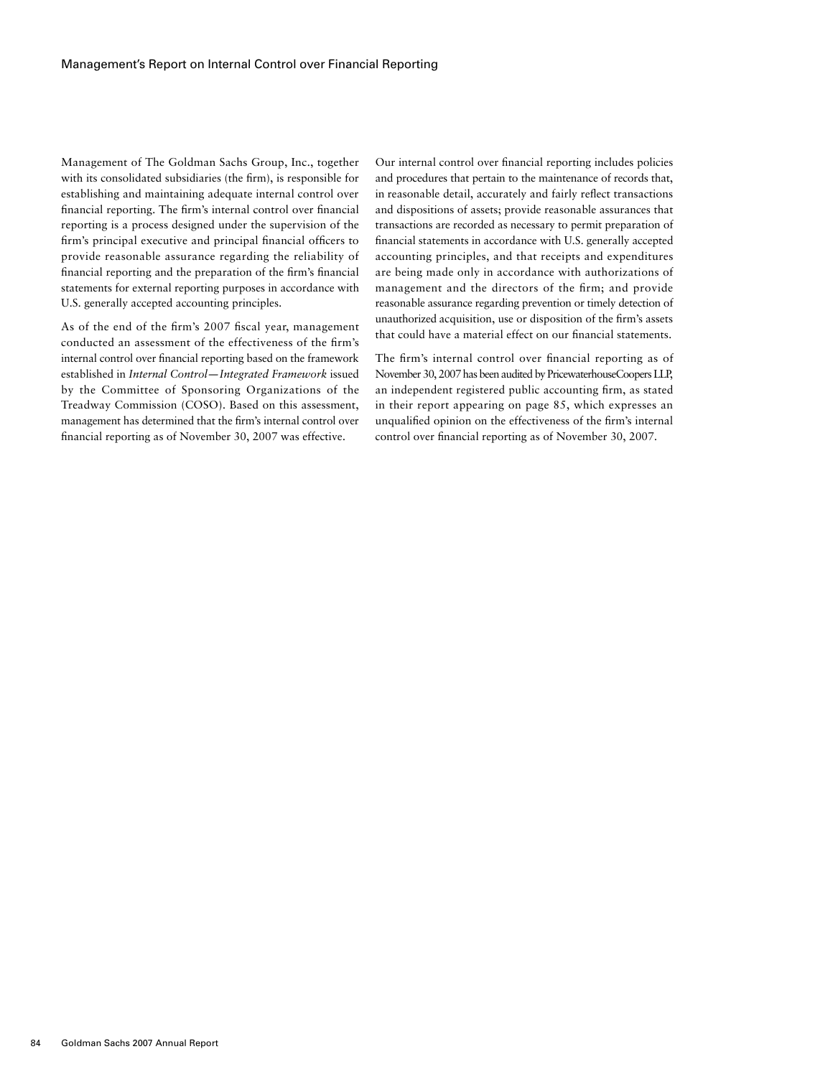Management of The Goldman Sachs Group, Inc., together with its consolidated subsidiaries (the firm), is responsible for establishing and maintaining adequate internal control over financial reporting. The firm's internal control over financial reporting is a process designed under the supervision of the firm's principal executive and principal financial officers to provide reasonable assurance regarding the reliability of financial reporting and the preparation of the firm's financial statements for external reporting purposes in accordance with U.S. generally accepted accounting principles.

As of the end of the firm's 2007 fiscal year, management conducted an assessment of the effectiveness of the firm's internal control over financial reporting based on the framework established in *Internal Control—Integrated Framework* issued by the Committee of Sponsoring Organizations of the Treadway Commission (COSO). Based on this assessment, management has determined that the firm's internal control over financial reporting as of November 30, 2007 was effective.

Our internal control over financial reporting includes policies and procedures that pertain to the maintenance of records that, in reasonable detail, accurately and fairly reflect transactions and dispositions of assets; provide reasonable assurances that transactions are recorded as necessary to permit preparation of financial statements in accordance with U.S. generally accepted accounting principles, and that receipts and expenditures are being made only in accordance with authorizations of management and the directors of the firm; and provide reasonable assurance regarding prevention or timely detection of unauthorized acquisition, use or disposition of the firm's assets that could have a material effect on our financial statements.

The firm's internal control over financial reporting as of November 30, 2007 has been audited by PricewaterhouseCoopers LLP, an independent registered public accounting firm, as stated in their report appearing on page 85, which expresses an unqualified opinion on the effectiveness of the firm's internal control over financial reporting as of November 30, 2007.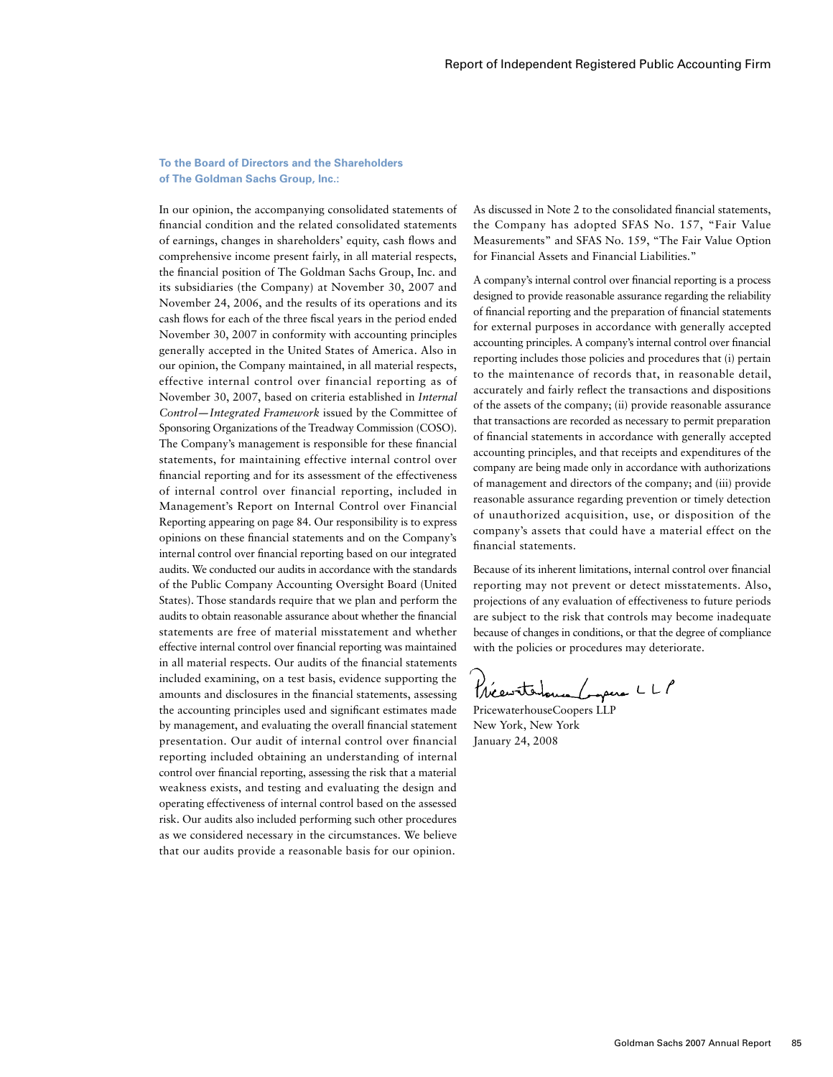# **To the Board of Directors and the Shareholders of The Goldman Sachs Group, Inc.:**

In our opinion, the accompanying consolidated statements of financial condition and the related consolidated statements of earnings, changes in shareholders' equity, cash flows and comprehensive income present fairly, in all material respects, the financial position of The Goldman Sachs Group, Inc. and its subsidiaries (the Company) at November 30, 2007 and November 24, 2006, and the results of its operations and its cash flows for each of the three fiscal years in the period ended November 30, 2007 in conformity with accounting principles generally accepted in the United States of America. Also in our opinion, the Company maintained, in all material respects, effective internal control over financial reporting as of November 30, 2007, based on criteria established in *Internal Control—Integrated Framework* issued by the Committee of Sponsoring Organizations of the Treadway Commission (COSO). The Company's management is responsible for these financial statements, for maintaining effective internal control over financial reporting and for its assessment of the effectiveness of internal control over financial reporting, included in Management's Report on Internal Control over Financial Reporting appearing on page 84. Our responsibility is to express opinions on these financial statements and on the Company's internal control over financial reporting based on our integrated audits. We conducted our audits in accordance with the standards of the Public Company Accounting Oversight Board (United States). Those standards require that we plan and perform the audits to obtain reasonable assurance about whether the financial statements are free of material misstatement and whether effective internal control over financial reporting was maintained in all material respects. Our audits of the financial statements included examining, on a test basis, evidence supporting the amounts and disclosures in the financial statements, assessing the accounting principles used and significant estimates made by management, and evaluating the overall financial statement presentation. Our audit of internal control over financial reporting included obtaining an understanding of internal control over financial reporting, assessing the risk that a material weakness exists, and testing and evaluating the design and operating effectiveness of internal control based on the assessed risk. Our audits also included performing such other procedures as we considered necessary in the circumstances. We believe that our audits provide a reasonable basis for our opinion.

As discussed in Note 2 to the consolidated financial statements, the Company has adopted SFAS No. 157, "Fair Value Measurements" and SFAS No. 159, "The Fair Value Option for Financial Assets and Financial Liabilities."

A company's internal control over financial reporting is a process designed to provide reasonable assurance regarding the reliability of financial reporting and the preparation of financial statements for external purposes in accordance with generally accepted accounting principles. A company's internal control over financial reporting includes those policies and procedures that (i) pertain to the maintenance of records that, in reasonable detail, accurately and fairly reflect the transactions and dispositions of the assets of the company; (ii) provide reasonable assurance that transactions are recorded as necessary to permit preparation of financial statements in accordance with generally accepted accounting principles, and that receipts and expenditures of the company are being made only in accordance with authorizations of management and directors of the company; and (iii) provide reasonable assurance regarding prevention or timely detection of unauthorized acquisition, use, or disposition of the company's assets that could have a material effect on the financial statements.

Because of its inherent limitations, internal control over financial reporting may not prevent or detect misstatements. Also, projections of any evaluation of effectiveness to future periods are subject to the risk that controls may become inadequate because of changes in conditions, or that the degree of compliance with the policies or procedures may deteriorate.

Précentatouse Corpera LLP

PricewaterhouseCoopers LLP New York, New York January 24, 2008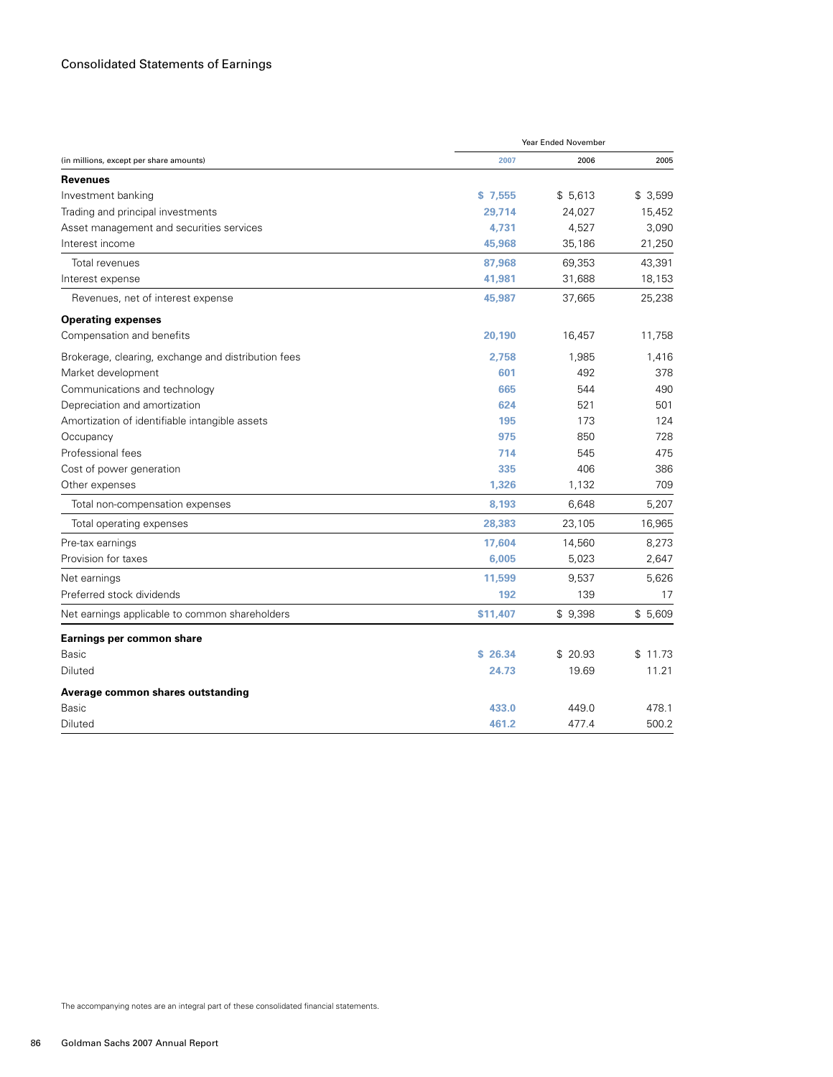|                                                     | Year Ended November |         |         |  |
|-----------------------------------------------------|---------------------|---------|---------|--|
| (in millions, except per share amounts)             | 2007                | 2006    | 2005    |  |
| <b>Revenues</b>                                     |                     |         |         |  |
| Investment banking                                  | \$7,555             | \$5,613 | \$3,599 |  |
| Trading and principal investments                   | 29.714              | 24,027  | 15,452  |  |
| Asset management and securities services            | 4,731               | 4,527   | 3,090   |  |
| Interest income                                     | 45,968              | 35,186  | 21,250  |  |
| Total revenues                                      | 87,968              | 69,353  | 43,391  |  |
| Interest expense                                    | 41,981              | 31,688  | 18,153  |  |
| Revenues, net of interest expense                   | 45,987              | 37,665  | 25,238  |  |
| <b>Operating expenses</b>                           |                     |         |         |  |
| Compensation and benefits                           | 20,190              | 16,457  | 11,758  |  |
| Brokerage, clearing, exchange and distribution fees | 2.758               | 1,985   | 1,416   |  |
| Market development                                  | 601                 | 492     | 378     |  |
| Communications and technology                       | 665                 | 544     | 490     |  |
| Depreciation and amortization                       | 624                 | 521     | 501     |  |
| Amortization of identifiable intangible assets      | 195                 | 173     | 124     |  |
| Occupancy                                           | 975                 | 850     | 728     |  |
| Professional fees                                   | 714                 | 545     | 475     |  |
| Cost of power generation                            | 335                 | 406     | 386     |  |
| Other expenses                                      | 1.326               | 1,132   | 709     |  |
| Total non-compensation expenses                     | 8,193               | 6,648   | 5,207   |  |
| Total operating expenses                            | 28,383              | 23,105  | 16,965  |  |
| Pre-tax earnings                                    | 17,604              | 14,560  | 8,273   |  |
| Provision for taxes                                 | 6,005               | 5,023   | 2,647   |  |
| Net earnings                                        | 11,599              | 9,537   | 5,626   |  |
| Preferred stock dividends                           | 192                 | 139     | 17      |  |
| Net earnings applicable to common shareholders      | \$11,407            | \$9,398 | \$5,609 |  |
| Earnings per common share                           |                     |         |         |  |
| <b>Basic</b>                                        | \$26.34             | \$20.93 | \$11.73 |  |
| Diluted                                             | 24.73               | 19.69   | 11.21   |  |
| Average common shares outstanding                   |                     |         |         |  |
| Basic                                               | 433.0               | 449.0   | 478.1   |  |
| Diluted                                             | 461.2               | 477.4   | 500.2   |  |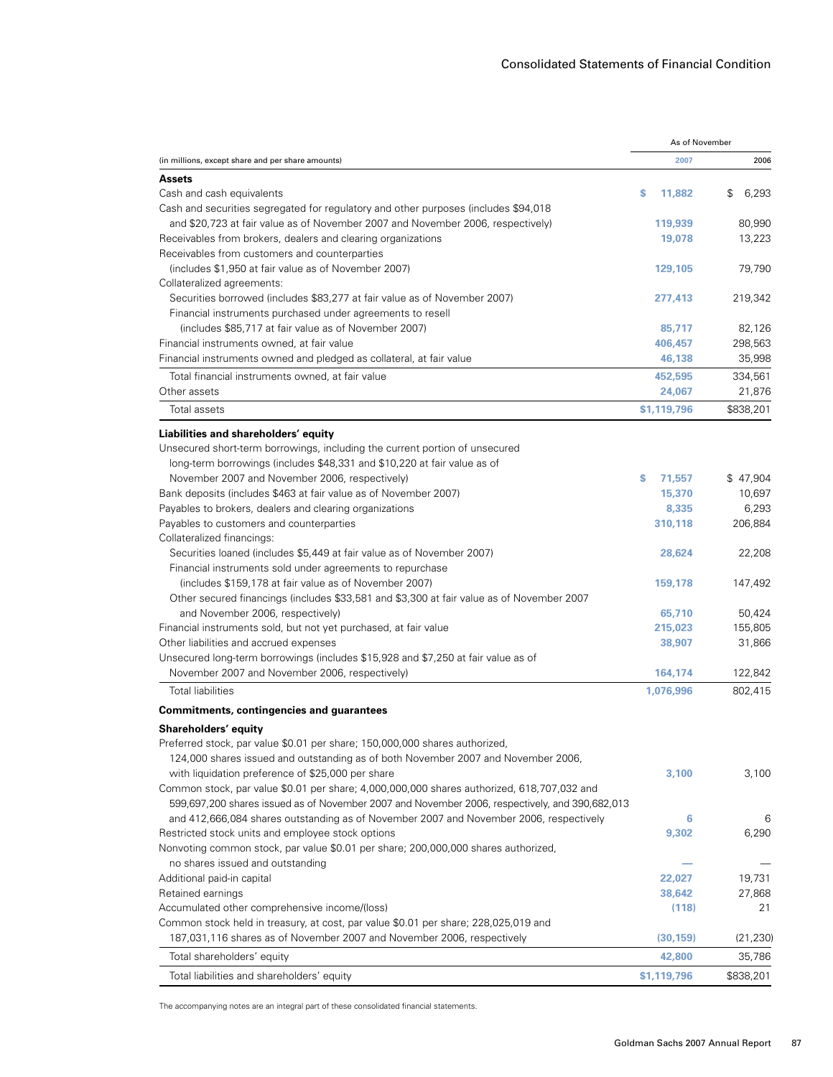|                                                                                                                     | As of November |             |
|---------------------------------------------------------------------------------------------------------------------|----------------|-------------|
| (in millions, except share and per share amounts)                                                                   | 2007           | 2006        |
| <b>Assets</b>                                                                                                       |                |             |
| Cash and cash equivalents                                                                                           | s<br>11,882    | \$<br>6,293 |
| Cash and securities segregated for regulatory and other purposes (includes \$94,018                                 |                |             |
| and \$20,723 at fair value as of November 2007 and November 2006, respectively)                                     | 119,939        | 80,990      |
| Receivables from brokers, dealers and clearing organizations                                                        | 19,078         | 13,223      |
| Receivables from customers and counterparties                                                                       |                |             |
| (includes \$1,950 at fair value as of November 2007)                                                                | 129,105        | 79,790      |
| Collateralized agreements:                                                                                          |                |             |
| Securities borrowed (includes \$83,277 at fair value as of November 2007)                                           | 277,413        | 219,342     |
| Financial instruments purchased under agreements to resell                                                          |                |             |
| (includes \$85,717 at fair value as of November 2007)                                                               | 85,717         | 82,126      |
| Financial instruments owned, at fair value                                                                          | 406,457        | 298,563     |
| Financial instruments owned and pledged as collateral, at fair value                                                | 46,138         | 35,998      |
| Total financial instruments owned, at fair value                                                                    | 452,595        | 334,561     |
| Other assets                                                                                                        | 24,067         | 21,876      |
| Total assets                                                                                                        | \$1,119,796    | \$838,201   |
|                                                                                                                     |                |             |
| Liabilities and shareholders' equity<br>Unsecured short-term borrowings, including the current portion of unsecured |                |             |
| long-term borrowings (includes \$48,331 and \$10,220 at fair value as of                                            |                |             |
| November 2007 and November 2006, respectively)                                                                      | 71,557<br>s    | \$47,904    |
| Bank deposits (includes \$463 at fair value as of November 2007)                                                    | 15,370         | 10,697      |
| Payables to brokers, dealers and clearing organizations                                                             | 8,335          | 6,293       |
| Payables to customers and counterparties                                                                            | 310,118        | 206,884     |
| Collateralized financings:                                                                                          |                |             |
| Securities loaned (includes \$5,449 at fair value as of November 2007)                                              | 28,624         | 22,208      |
| Financial instruments sold under agreements to repurchase                                                           |                |             |
| (includes \$159,178 at fair value as of November 2007)                                                              | 159,178        | 147,492     |
| Other secured financings (includes \$33,581 and \$3,300 at fair value as of November 2007                           |                |             |
| and November 2006, respectively)                                                                                    | 65,710         | 50,424      |
| Financial instruments sold, but not yet purchased, at fair value                                                    | 215,023        | 155,805     |
| Other liabilities and accrued expenses                                                                              | 38,907         | 31,866      |
| Unsecured long-term borrowings (includes \$15,928 and \$7,250 at fair value as of                                   |                |             |
| November 2007 and November 2006, respectively)                                                                      | 164,174        | 122,842     |
| <b>Total liabilities</b>                                                                                            | 1,076,996      | 802,415     |
| <b>Commitments, contingencies and guarantees</b>                                                                    |                |             |
| Shareholders' equity                                                                                                |                |             |
| Preferred stock, par value \$0.01 per share; 150,000,000 shares authorized,                                         |                |             |
| 124,000 shares issued and outstanding as of both November 2007 and November 2006,                                   |                |             |
| with liquidation preference of \$25,000 per share                                                                   | 3,100          | 3,100       |
| Common stock, par value \$0.01 per share; 4,000,000,000 shares authorized, 618,707,032 and                          |                |             |
| 599,697,200 shares issued as of November 2007 and November 2006, respectively, and 390,682,013                      |                |             |
| and 412,666,084 shares outstanding as of November 2007 and November 2006, respectively                              | 6              | 6           |
| Restricted stock units and employee stock options                                                                   | 9,302          | 6,290       |
| Nonvoting common stock, par value \$0.01 per share; 200,000,000 shares authorized,                                  |                |             |
| no shares issued and outstanding                                                                                    |                |             |
| Additional paid-in capital                                                                                          | 22,027         | 19,731      |
| Retained earnings                                                                                                   | 38,642         | 27,868      |
| Accumulated other comprehensive income/(loss)                                                                       | (118)          | 21          |
| Common stock held in treasury, at cost, par value \$0.01 per share; 228,025,019 and                                 |                |             |
| 187,031,116 shares as of November 2007 and November 2006, respectively                                              | (30, 159)      | (21, 230)   |
| Total shareholders' equity                                                                                          | 42,800         | 35,786      |
| Total liabilities and shareholders' equity                                                                          | \$1,119,796    | \$838,201   |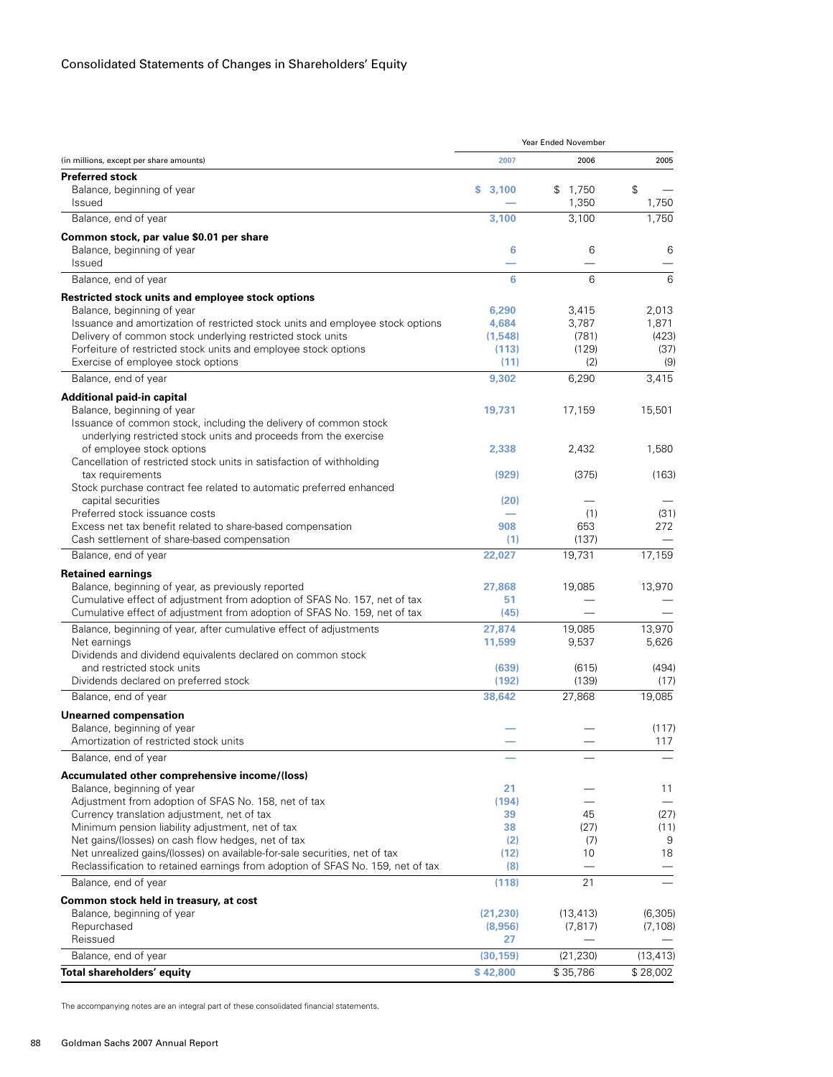|                                                                                 |                          | Year Ended November |           |
|---------------------------------------------------------------------------------|--------------------------|---------------------|-----------|
| (in millions, except per share amounts)                                         | 2007                     | 2006                | 2005      |
| <b>Preferred stock</b>                                                          |                          |                     |           |
| Balance, beginning of year                                                      | s.<br>3,100              | \$1,750             | \$        |
| <b>Issued</b>                                                                   |                          | 1,350               | 1,750     |
| Balance, end of year                                                            | 3,100                    | 3,100               | 1,750     |
| Common stock, par value \$0.01 per share                                        |                          |                     |           |
| Balance, beginning of year                                                      | 6                        | 6                   | 6         |
| Issued                                                                          |                          |                     |           |
| Balance, end of year                                                            | 6                        | 6                   | 6         |
| Restricted stock units and employee stock options                               |                          |                     |           |
| Balance, beginning of year                                                      | 6,290                    | 3,415               | 2,013     |
| Issuance and amortization of restricted stock units and employee stock options  | 4,684                    | 3,787               | 1,871     |
| Delivery of common stock underlying restricted stock units                      | (1, 548)                 | (781)               | (423)     |
| Forfeiture of restricted stock units and employee stock options                 | (113)                    | (129)               | (37)      |
| Exercise of employee stock options                                              | (11)                     | (2)                 | (9)       |
| Balance, end of year                                                            | 9,302                    | 6,290               | 3,415     |
| Additional paid-in capital                                                      |                          |                     |           |
| Balance, beginning of year                                                      | 19,731                   | 17,159              | 15,501    |
| Issuance of common stock, including the delivery of common stock                |                          |                     |           |
| underlying restricted stock units and proceeds from the exercise                |                          |                     |           |
| of employee stock options                                                       | 2,338                    | 2,432               | 1,580     |
| Cancellation of restricted stock units in satisfaction of withholding           |                          |                     |           |
| tax requirements                                                                | (929)                    | (375)               | (163)     |
| Stock purchase contract fee related to automatic preferred enhanced             |                          |                     |           |
| capital securities                                                              | (20)                     |                     |           |
| Preferred stock issuance costs                                                  | $\overline{\phantom{0}}$ | (1)                 | (31)      |
| Excess net tax benefit related to share-based compensation                      | 908                      | 653                 | 272       |
| Cash settlement of share-based compensation                                     | (1)                      | (137)               |           |
| Balance, end of year                                                            | 22,027                   | 19,731              | 17,159    |
| <b>Retained earnings</b>                                                        |                          |                     |           |
| Balance, beginning of year, as previously reported                              | 27,868                   | 19,085              | 13,970    |
| Cumulative effect of adjustment from adoption of SFAS No. 157, net of tax       | 51                       |                     |           |
| Cumulative effect of adjustment from adoption of SFAS No. 159, net of tax       | (45)                     |                     |           |
| Balance, beginning of year, after cumulative effect of adjustments              | 27,874                   | 19,085              | 13,970    |
| Net earnings                                                                    | 11,599                   | 9,537               | 5,626     |
| Dividends and dividend equivalents declared on common stock                     |                          |                     |           |
| and restricted stock units                                                      | (639)                    | (615)               | (494)     |
| Dividends declared on preferred stock                                           | (192)                    | (139)               | (17)      |
| Balance, end of year                                                            | 38,642                   | 27,868              | 19,085    |
| <b>Unearned compensation</b>                                                    |                          |                     |           |
| Balance, beginning of year                                                      |                          |                     | (117)     |
| Amortization of restricted stock units                                          |                          |                     | 117       |
| Balance, end of year                                                            |                          |                     |           |
| Accumulated other comprehensive income/(loss)                                   |                          |                     |           |
| Balance, beginning of year                                                      | 21                       |                     | 11        |
| Adjustment from adoption of SFAS No. 158, net of tax                            | (194)                    |                     |           |
| Currency translation adjustment, net of tax                                     | 39                       | 45                  | (27)      |
| Minimum pension liability adjustment, net of tax                                | 38                       | (27)                | (11)      |
| Net gains/(losses) on cash flow hedges, net of tax                              | (2)                      | (7)                 | 9         |
| Net unrealized gains/(losses) on available-for-sale securities, net of tax      | (12)                     | 10                  | 18        |
| Reclassification to retained earnings from adoption of SFAS No. 159, net of tax | (8)                      |                     |           |
| Balance, end of year                                                            | (118)                    | 21                  |           |
| Common stock held in treasury, at cost                                          |                          |                     |           |
| Balance, beginning of year                                                      | (21, 230)                | (13, 413)           | (6, 305)  |
| Repurchased                                                                     | (8,956)                  | (7, 817)            | (7, 108)  |
| Reissued                                                                        | 27                       |                     |           |
| Balance, end of year                                                            | (30, 159)                | (21, 230)           | (13, 413) |
| Total shareholders' equity                                                      | \$42,800                 | \$35,786            | \$28,002  |
|                                                                                 |                          |                     |           |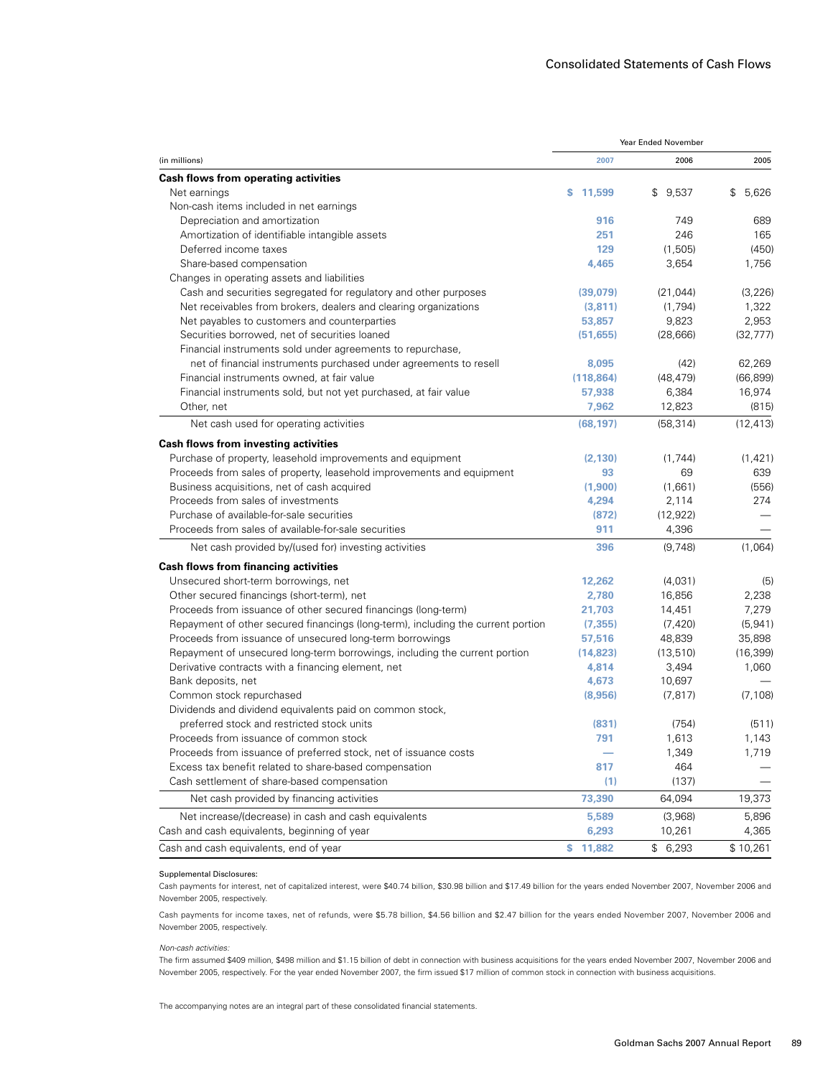|                                                                                  | Year Ended November |             |             |  |
|----------------------------------------------------------------------------------|---------------------|-------------|-------------|--|
| (in millions)                                                                    | 2007                | 2006        | 2005        |  |
| Cash flows from operating activities                                             |                     |             |             |  |
| Net earnings                                                                     | s<br>11,599         | \$<br>9,537 | \$<br>5,626 |  |
| Non-cash items included in net earnings                                          |                     |             |             |  |
| Depreciation and amortization                                                    | 916                 | 749         | 689         |  |
| Amortization of identifiable intangible assets                                   | 251                 | 246         | 165         |  |
| Deferred income taxes                                                            | 129                 | (1,505)     | (450)       |  |
| Share-based compensation                                                         | 4,465               | 3,654       | 1,756       |  |
| Changes in operating assets and liabilities                                      |                     |             |             |  |
| Cash and securities segregated for regulatory and other purposes                 | (39,079)            | (21, 044)   | (3, 226)    |  |
| Net receivables from brokers, dealers and clearing organizations                 | (3,811)             | (1,794)     | 1,322       |  |
| Net payables to customers and counterparties                                     | 53,857              | 9,823       | 2,953       |  |
| Securities borrowed, net of securities loaned                                    | (51, 655)           | (28, 666)   | (32, 777)   |  |
| Financial instruments sold under agreements to repurchase,                       |                     |             |             |  |
| net of financial instruments purchased under agreements to resell                | 8,095               | (42)        | 62,269      |  |
| Financial instruments owned, at fair value                                       | (118, 864)          | (48, 479)   | (66, 899)   |  |
| Financial instruments sold, but not yet purchased, at fair value                 | 57,938              | 6,384       | 16,974      |  |
| Other, net                                                                       | 7,962               | 12,823      | (815)       |  |
| Net cash used for operating activities                                           | (68, 197)           | (58, 314)   | (12, 413)   |  |
| Cash flows from investing activities                                             |                     |             |             |  |
| Purchase of property, leasehold improvements and equipment                       | (2, 130)            | (1,744)     | (1, 421)    |  |
| Proceeds from sales of property, leasehold improvements and equipment            | 93                  | 69          | 639         |  |
| Business acquisitions, net of cash acquired                                      | (1,900)             | (1,661)     | (556)       |  |
| Proceeds from sales of investments                                               | 4,294               | 2,114       | 274         |  |
| Purchase of available-for-sale securities                                        | (872)               | (12, 922)   |             |  |
| Proceeds from sales of available-for-sale securities                             | 911                 | 4,396       |             |  |
| Net cash provided by/(used for) investing activities                             | 396                 | (9,748)     | (1,064)     |  |
| <b>Cash flows from financing activities</b>                                      |                     |             |             |  |
| Unsecured short-term borrowings, net                                             | 12,262              | (4,031)     | (5)         |  |
| Other secured financings (short-term), net                                       | 2,780               | 16,856      | 2,238       |  |
| Proceeds from issuance of other secured financings (long-term)                   | 21,703              | 14,451      | 7,279       |  |
| Repayment of other secured financings (long-term), including the current portion | (7, 355)            | (7, 420)    | (5, 941)    |  |
| Proceeds from issuance of unsecured long-term borrowings                         | 57,516              | 48,839      | 35,898      |  |
| Repayment of unsecured long-term borrowings, including the current portion       | (14, 823)           | (13, 510)   | (16, 399)   |  |
| Derivative contracts with a financing element, net                               | 4,814               | 3,494       | 1,060       |  |
| Bank deposits, net                                                               | 4,673               | 10,697      |             |  |
| Common stock repurchased                                                         | (8,956)             | (7, 817)    | (7, 108)    |  |
| Dividends and dividend equivalents paid on common stock,                         |                     |             |             |  |
| preferred stock and restricted stock units                                       | (831)               | (754)       | (511)       |  |
| Proceeds from issuance of common stock                                           | 791                 | 1,613       | 1,143       |  |
| Proceeds from issuance of preferred stock, net of issuance costs                 |                     | 1,349       | 1,719       |  |
| Excess tax benefit related to share-based compensation                           | 817                 | 464         |             |  |
| Cash settlement of share-based compensation                                      | (1)                 | (137)       |             |  |
| Net cash provided by financing activities                                        | 73,390              | 64,094      | 19,373      |  |
| Net increase/(decrease) in cash and cash equivalents                             | 5,589               | (3,968)     | 5,896       |  |
| Cash and cash equivalents, beginning of year                                     | 6,293               | 10,261      | 4,365       |  |
| Cash and cash equivalents, end of year                                           | \$11,882            | \$6,293     | \$10,261    |  |

#### Supplemental Disclosures:

Cash payments for interest, net of capitalized interest, were \$40.74 billion, \$30.98 billion and \$17.49 billion for the years ended November 2007, November 2006 and November 2005, respectively.

Cash payments for income taxes, net of refunds, were \$5.78 billion, \$4.56 billion and \$2.47 billion for the years ended November 2007, November 2006 and November 2005, respectively.

#### *Non-cash activities:*

The firm assumed \$409 million, \$498 million and \$1.15 billion of debt in connection with business acquisitions for the years ended November 2007, November 2006 and November 2005, respectively. For the year ended November 2007, the firm issued \$17 million of common stock in connection with business acquisitions.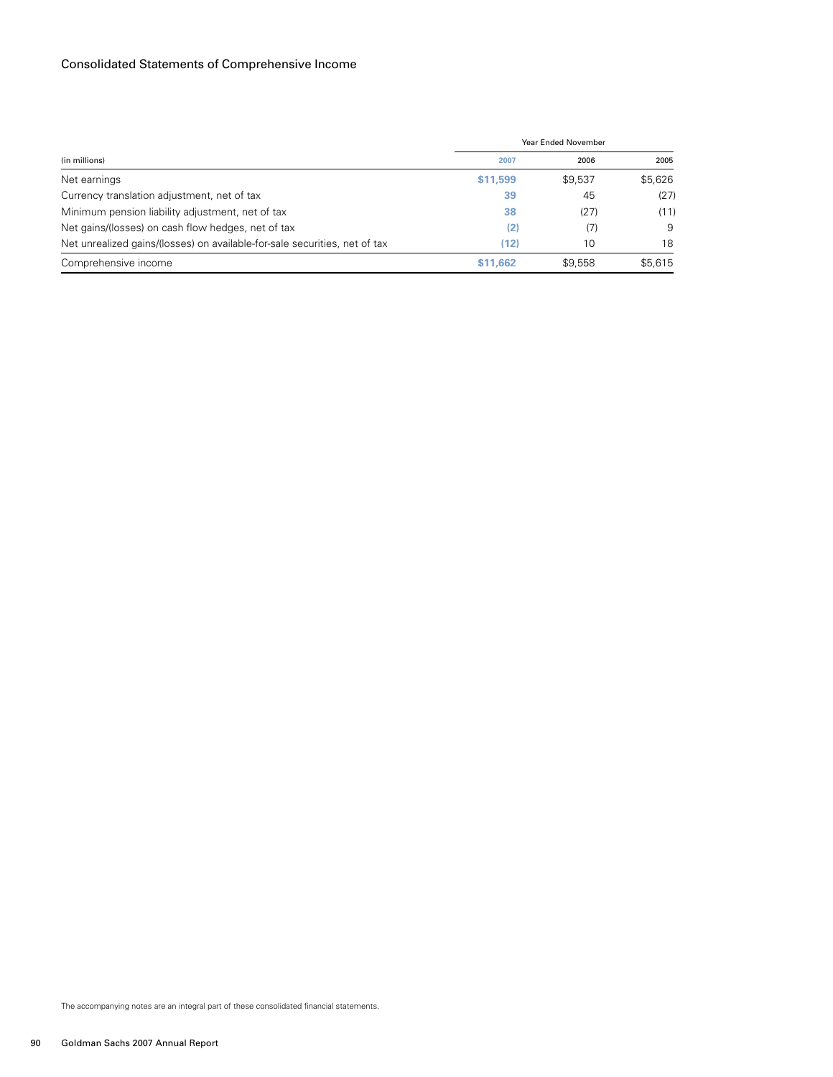# Consolidated Statements of Comprehensive Income

|                                                                            |          | Year Ended November |         |  |  |
|----------------------------------------------------------------------------|----------|---------------------|---------|--|--|
| (in millions)                                                              | 2007     | 2006                | 2005    |  |  |
| Net earnings                                                               | \$11,599 | \$9,537             | \$5,626 |  |  |
| Currency translation adjustment, net of tax                                | 39       | 45                  | (27)    |  |  |
| Minimum pension liability adjustment, net of tax                           | 38       | (27)                | (11)    |  |  |
| Net gains/(losses) on cash flow hedges, net of tax                         | (2)      | (7)                 | 9       |  |  |
| Net unrealized gains/(losses) on available-for-sale securities, net of tax | (12)     | 10                  | 18      |  |  |
| Comprehensive income                                                       | \$11.662 | \$9.558             | \$5,615 |  |  |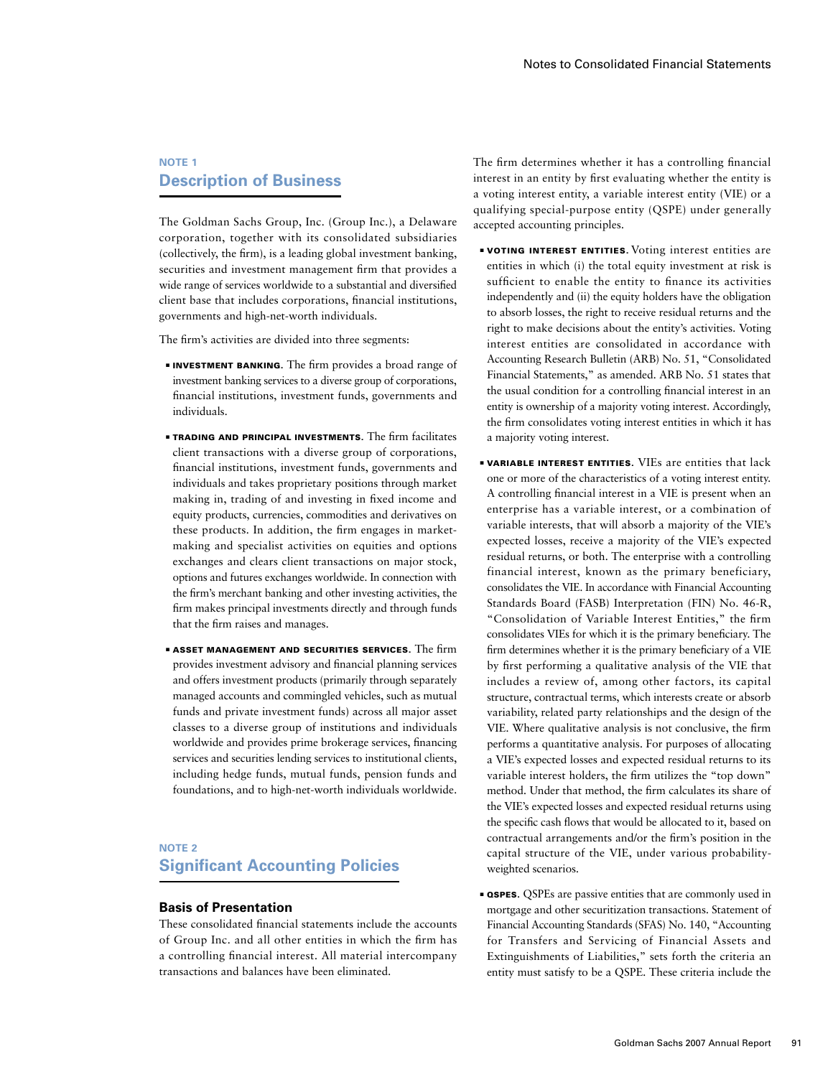# **NOTE 1 Description of Business**

The Goldman Sachs Group, Inc. (Group Inc.), a Delaware corporation, together with its consolidated subsidiaries (collectively, the firm), is a leading global investment banking, securities and investment management firm that provides a wide range of services worldwide to a substantial and diversified client base that includes corporations, financial institutions, governments and high-net-worth individuals.

The firm's activities are divided into three segments:

- **INVESTMENT BANKING.** The firm provides a broad range of investment banking services to a diverse group of corporations, financial institutions, investment funds, governments and individuals.
- **TRADING AND PRINCIPAL INVESTMENTS.** The firm facilitates client transactions with a diverse group of corporations, financial institutions, investment funds, governments and individuals and takes proprietary positions through market making in, trading of and investing in fixed income and equity products, currencies, commodities and derivatives on these products. In addition, the firm engages in marketmaking and specialist activities on equities and options exchanges and clears client transactions on major stock, options and futures exchanges worldwide. In connection with the firm's merchant banking and other investing activities, the firm makes principal investments directly and through funds that the firm raises and manages.
- $\blacksquare$  ASSET MANAGEMENT AND SECURITIES SERVICES. The firm provides investment advisory and financial planning services and offers investment products (primarily through separately managed accounts and commingled vehicles, such as mutual funds and private investment funds) across all major asset classes to a diverse group of institutions and individuals worldwide and provides prime brokerage services, financing services and securities lending services to institutional clients, including hedge funds, mutual funds, pension funds and foundations, and to high-net-worth individuals worldwide.

#### **NOTE 2**

# **Significant Accounting Policies**

#### **Basis of Presentation**

These consolidated financial statements include the accounts of Group Inc. and all other entities in which the firm has a controlling financial interest. All material intercompany transactions and balances have been eliminated.

The firm determines whether it has a controlling financial interest in an entity by first evaluating whether the entity is a voting interest entity, a variable interest entity (VIE) or a qualifying special-purpose entity (QSPE) under generally accepted accounting principles.

- ■ Voting Interest Entities. Voting interest entities are entities in which (i) the total equity investment at risk is sufficient to enable the entity to finance its activities independently and (ii) the equity holders have the obligation to absorb losses, the right to receive residual returns and the right to make decisions about the entity's activities. Voting interest entities are consolidated in accordance with Accounting Research Bulletin (ARB) No. 51, "Consolidated Financial Statements," as amended. ARB No. 51 states that the usual condition for a controlling financial interest in an entity is ownership of a majority voting interest. Accordingly, the firm consolidates voting interest entities in which it has a majority voting interest.
- **VARIABLE INTEREST ENTITIES.** VIEs are entities that lack one or more of the characteristics of a voting interest entity. A controlling financial interest in a VIE is present when an enterprise has a variable interest, or a combination of variable interests, that will absorb a majority of the VIE's expected losses, receive a majority of the VIE's expected residual returns, or both. The enterprise with a controlling financial interest, known as the primary beneficiary, consolidates the VIE. In accordance with Financial Accounting Standards Board (FASB) Interpretation (FIN) No. 46-R, "Consolidation of Variable Interest Entities," the firm consolidates VIEs for which it is the primary beneficiary. The firm determines whether it is the primary beneficiary of a VIE by first performing a qualitative analysis of the VIE that includes a review of, among other factors, its capital structure, contractual terms, which interests create or absorb variability, related party relationships and the design of the VIE. Where qualitative analysis is not conclusive, the firm performs a quantitative analysis. For purposes of allocating a VIE's expected losses and expected residual returns to its variable interest holders, the firm utilizes the "top down" method. Under that method, the firm calculates its share of the VIE's expected losses and expected residual returns using the specific cash flows that would be allocated to it, based on contractual arrangements and/or the firm's position in the capital structure of the VIE, under various probabilityweighted scenarios.
- **EXPES.** QSPEs are passive entities that are commonly used in mortgage and other securitization transactions. Statement of Financial Accounting Standards (SFAS) No. 140, "Accounting for Transfers and Servicing of Financial Assets and Extinguishments of Liabilities," sets forth the criteria an entity must satisfy to be a QSPE. These criteria include the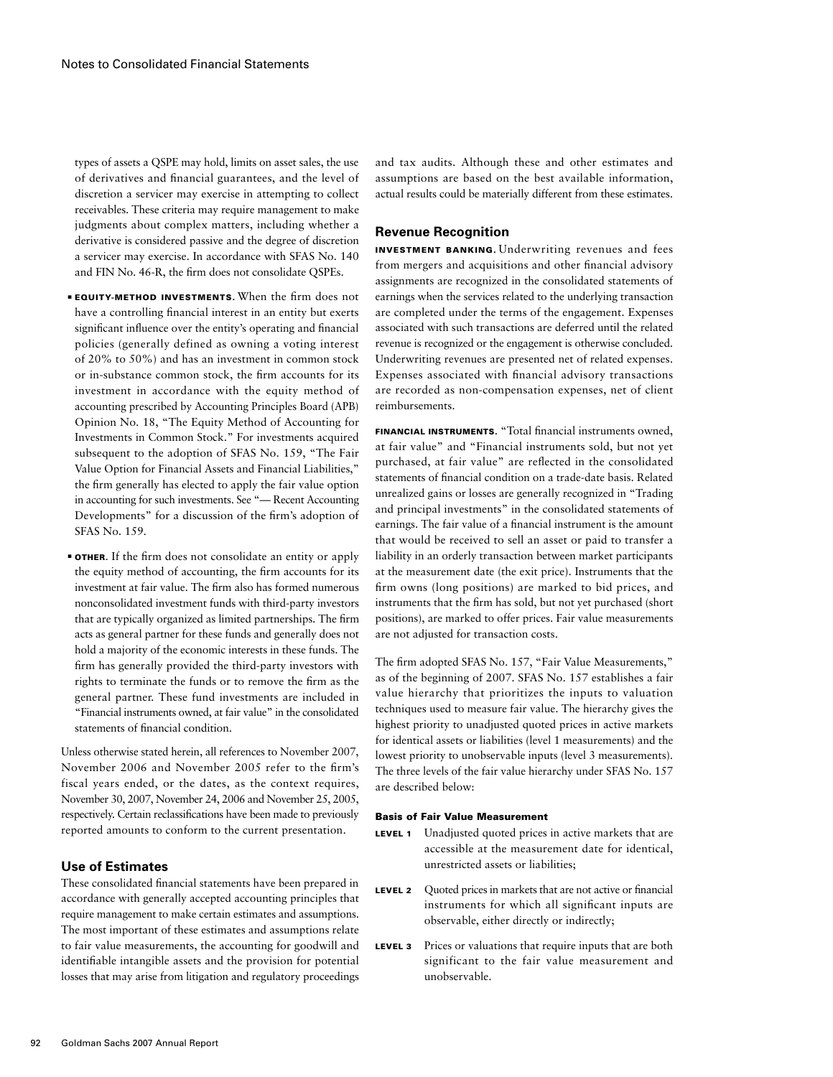types of assets a QSPE may hold, limits on asset sales, the use of derivatives and financial guarantees, and the level of discretion a servicer may exercise in attempting to collect receivables. These criteria may require management to make judgments about complex matters, including whether a derivative is considered passive and the degree of discretion a servicer may exercise. In accordance with SFAS No. 140 and FIN No. 46-R, the firm does not consolidate QSPEs.

- **EQUITY-METHOD INVESTMENTS.** When the firm does not have a controlling financial interest in an entity but exerts significant influence over the entity's operating and financial policies (generally defined as owning a voting interest of 20% to 50%) and has an investment in common stock or in-substance common stock, the firm accounts for its investment in accordance with the equity method of accounting prescribed by Accounting Principles Board (APB) Opinion No. 18, "The Equity Method of Accounting for Investments in Common Stock." For investments acquired subsequent to the adoption of SFAS No. 159, "The Fair Value Option for Financial Assets and Financial Liabilities," the firm generally has elected to apply the fair value option in accounting for such investments. See "— Recent Accounting Developments" for a discussion of the firm's adoption of SFAS No. 159.
- **OTHER.** If the firm does not consolidate an entity or apply the equity method of accounting, the firm accounts for its investment at fair value. The firm also has formed numerous nonconsolidated investment funds with third-party investors that are typically organized as limited partnerships. The firm acts as general partner for these funds and generally does not hold a majority of the economic interests in these funds. The firm has generally provided the third-party investors with rights to terminate the funds or to remove the firm as the general partner. These fund investments are included in "Financial instruments owned, at fair value" in the consolidated statements of financial condition.

Unless otherwise stated herein, all references to November 2007, November 2006 and November 2005 refer to the firm's fiscal years ended, or the dates, as the context requires, November 30, 2007, November 24, 2006 and November 25, 2005, respectively. Certain reclassifications have been made to previously reported amounts to conform to the current presentation.

# **Use of Estimates**

These consolidated financial statements have been prepared in accordance with generally accepted accounting principles that require management to make certain estimates and assumptions. The most important of these estimates and assumptions relate to fair value measurements, the accounting for goodwill and identifiable intangible assets and the provision for potential losses that may arise from litigation and regulatory proceedings and tax audits. Although these and other estimates and assumptions are based on the best available information, actual results could be materially different from these estimates.

## **Revenue Recognition**

Investment Banking. Underwriting revenues and fees from mergers and acquisitions and other financial advisory assignments are recognized in the consolidated statements of earnings when the services related to the underlying transaction are completed under the terms of the engagement. Expenses associated with such transactions are deferred until the related revenue is recognized or the engagement is otherwise concluded. Underwriting revenues are presented net of related expenses. Expenses associated with financial advisory transactions are recorded as non-compensation expenses, net of client reimbursements.

Financial Instruments. "Total financial instruments owned, at fair value" and "Financial instruments sold, but not yet purchased, at fair value" are reflected in the consolidated statements of financial condition on a trade-date basis. Related unrealized gains or losses are generally recognized in "Trading and principal investments" in the consolidated statements of earnings. The fair value of a financial instrument is the amount that would be received to sell an asset or paid to transfer a liability in an orderly transaction between market participants at the measurement date (the exit price). Instruments that the firm owns (long positions) are marked to bid prices, and instruments that the firm has sold, but not yet purchased (short positions), are marked to offer prices. Fair value measurements are not adjusted for transaction costs.

The firm adopted SFAS No. 157, "Fair Value Measurements," as of the beginning of 2007. SFAS No. 157 establishes a fair value hierarchy that prioritizes the inputs to valuation techniques used to measure fair value. The hierarchy gives the highest priority to unadjusted quoted prices in active markets for identical assets or liabilities (level 1 measurements) and the lowest priority to unobservable inputs (level 3 measurements). The three levels of the fair value hierarchy under SFAS No. 157 are described below:

### Basis of Fair Value Measurement

- LEVEL 1 Unadjusted quoted prices in active markets that are accessible at the measurement date for identical, unrestricted assets or liabilities;
- LEVEL 2 Quoted prices in markets that are not active or financial instruments for which all significant inputs are observable, either directly or indirectly;
- LEVEL 3 Prices or valuations that require inputs that are both significant to the fair value measurement and unobservable.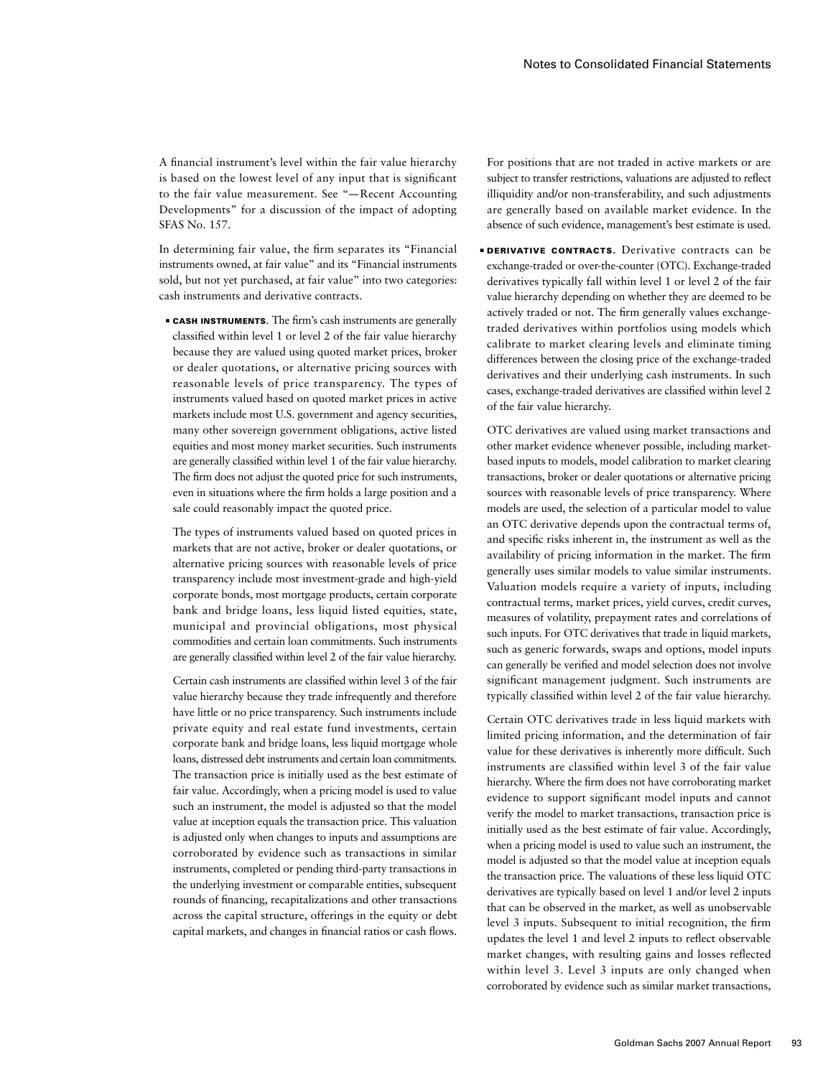A financial instrument's level within the fair value hierarchy is based on the lowest level of any input that is significant to the fair value measurement. See "— Recent Accounting Developments" for a discussion of the impact of adopting SFAS No. 157.

In determining fair value, the firm separates its "Financial instruments owned, at fair value" and its "Financial instruments sold, but not yet purchased, at fair value" into two categories: cash instruments and derivative contracts.

**EXECTE INSTRUMENTS.** The firm's cash instruments are generally classified within level 1 or level 2 of the fair value hierarchy because they are valued using quoted market prices, broker or dealer quotations, or alternative pricing sources with reasonable levels of price transparency. The types of instruments valued based on quoted market prices in active markets include most U.S. government and agency securities, many other sovereign government obligations, active listed equities and most money market securities. Such instruments are generally classified within level 1 of the fair value hierarchy. The firm does not adjust the quoted price for such instruments, even in situations where the firm holds a large position and a sale could reasonably impact the quoted price.

The types of instruments valued based on quoted prices in markets that are not active, broker or dealer quotations, or alternative pricing sources with reasonable levels of price transparency include most investment-grade and high-yield corporate bonds, most mortgage products, certain corporate bank and bridge loans, less liquid listed equities, state, municipal and provincial obligations, most physical commodities and certain loan commitments. Such instruments are generally classified within level 2 of the fair value hierarchy.

Certain cash instruments are classified within level 3 of the fair value hierarchy because they trade infrequently and therefore have little or no price transparency. Such instruments include private equity and real estate fund investments, certain corporate bank and bridge loans, less liquid mortgage whole loans, distressed debt instruments and certain loan commitments. The transaction price is initially used as the best estimate of fair value. Accordingly, when a pricing model is used to value such an instrument, the model is adjusted so that the model value at inception equals the transaction price. This valuation is adjusted only when changes to inputs and assumptions are corroborated by evidence such as transactions in similar instruments, completed or pending third-party transactions in the underlying investment or comparable entities, subsequent rounds of financing, recapitalizations and other transactions across the capital structure, offerings in the equity or debt capital markets, and changes in financial ratios or cash flows.

For positions that are not traded in active markets or are subject to transfer restrictions, valuations are adjusted to reflect illiquidity and/or non-transferability, and such adjustments are generally based on available market evidence. In the absence of such evidence, management's best estimate is used.

**■ DERIVATIVE CONTRACTS.** Derivative contracts can be exchange-traded or over-the-counter (OTC). Exchange-traded derivatives typically fall within level 1 or level 2 of the fair value hierarchy depending on whether they are deemed to be actively traded or not. The firm generally values exchangetraded derivatives within portfolios using models which calibrate to market clearing levels and eliminate timing differences between the closing price of the exchange-traded derivatives and their underlying cash instruments. In such cases, exchange-traded derivatives are classified within level 2 of the fair value hierarchy.

OTC derivatives are valued using market transactions and other market evidence whenever possible, including marketbased inputs to models, model calibration to market clearing transactions, broker or dealer quotations or alternative pricing sources with reasonable levels of price transparency. Where models are used, the selection of a particular model to value an OTC derivative depends upon the contractual terms of, and specific risks inherent in, the instrument as well as the availability of pricing information in the market. The firm generally uses similar models to value similar instruments. Valuation models require a variety of inputs, including contractual terms, market prices, yield curves, credit curves, measures of volatility, prepayment rates and correlations of such inputs. For OTC derivatives that trade in liquid markets, such as generic forwards, swaps and options, model inputs can generally be verified and model selection does not involve significant management judgment. Such instruments are typically classified within level 2 of the fair value hierarchy.

Certain OTC derivatives trade in less liquid markets with limited pricing information, and the determination of fair value for these derivatives is inherently more difficult. Such instruments are classified within level 3 of the fair value hierarchy. Where the firm does not have corroborating market evidence to support significant model inputs and cannot verify the model to market transactions, transaction price is initially used as the best estimate of fair value. Accordingly, when a pricing model is used to value such an instrument, the model is adjusted so that the model value at inception equals the transaction price. The valuations of these less liquid OTC derivatives are typically based on level 1 and/or level 2 inputs that can be observed in the market, as well as unobservable level 3 inputs. Subsequent to initial recognition, the firm updates the level 1 and level 2 inputs to reflect observable market changes, with resulting gains and losses reflected within level 3. Level 3 inputs are only changed when corroborated by evidence such as similar market transactions,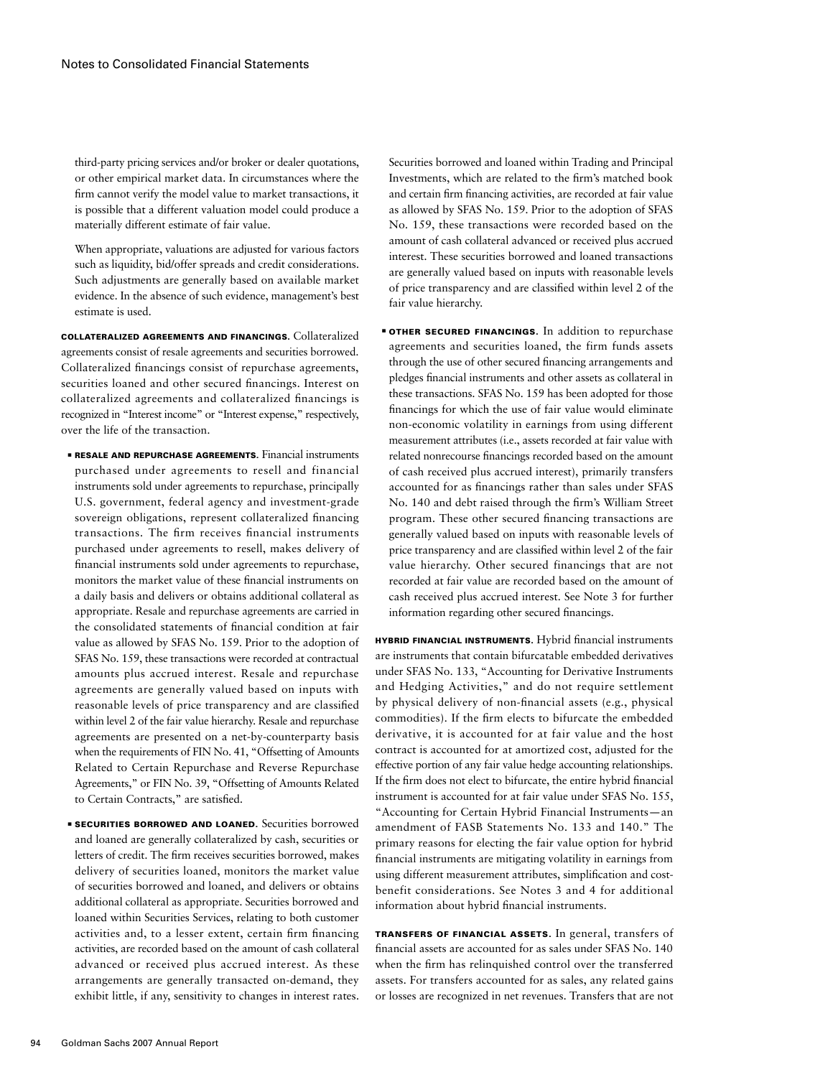third-party pricing services and/or broker or dealer quotations, or other empirical market data. In circumstances where the firm cannot verify the model value to market transactions, it is possible that a different valuation model could produce a materially different estimate of fair value.

When appropriate, valuations are adjusted for various factors such as liquidity, bid/offer spreads and credit considerations. Such adjustments are generally based on available market evidence. In the absence of such evidence, management's best estimate is used.

Collateralized Agreements and Financings. Collateralized agreements consist of resale agreements and securities borrowed. Collateralized financings consist of repurchase agreements, securities loaned and other secured financings. Interest on collateralized agreements and collateralized financings is recognized in "Interest income" or "Interest expense," respectively, over the life of the transaction.

- **E RESALE AND REPURCHASE AGREEMENTS.** Financial instruments purchased under agreements to resell and financial instruments sold under agreements to repurchase, principally U.S. government, federal agency and investment-grade sovereign obligations, represent collateralized financing transactions. The firm receives financial instruments purchased under agreements to resell, makes delivery of financial instruments sold under agreements to repurchase, monitors the market value of these financial instruments on a daily basis and delivers or obtains additional collateral as appropriate. Resale and repurchase agreements are carried in the consolidated statements of financial condition at fair value as allowed by SFAS No. 159. Prior to the adoption of SFAS No. 159, these transactions were recorded at contractual amounts plus accrued interest. Resale and repurchase agreements are generally valued based on inputs with reasonable levels of price transparency and are classified within level 2 of the fair value hierarchy. Resale and repurchase agreements are presented on a net-by-counterparty basis when the requirements of FIN No. 41, "Offsetting of Amounts Related to Certain Repurchase and Reverse Repurchase Agreements," or FIN No. 39, "Offsetting of Amounts Related to Certain Contracts," are satisfied.
- **EXECURITIES BORROWED AND LOANED.** Securities borrowed and loaned are generally collateralized by cash, securities or letters of credit. The firm receives securities borrowed, makes delivery of securities loaned, monitors the market value of securities borrowed and loaned, and delivers or obtains additional collateral as appropriate. Securities borrowed and loaned within Securities Services, relating to both customer activities and, to a lesser extent, certain firm financing activities, are recorded based on the amount of cash collateral advanced or received plus accrued interest. As these arrangements are generally transacted on-demand, they exhibit little, if any, sensitivity to changes in interest rates.

Securities borrowed and loaned within Trading and Principal Investments, which are related to the firm's matched book and certain firm financing activities, are recorded at fair value as allowed by SFAS No. 159. Prior to the adoption of SFAS No. 159, these transactions were recorded based on the amount of cash collateral advanced or received plus accrued interest. These securities borrowed and loaned transactions are generally valued based on inputs with reasonable levels of price transparency and are classified within level 2 of the fair value hierarchy.

**• OTHER SECURED FINANCINGS.** In addition to repurchase agreements and securities loaned, the firm funds assets through the use of other secured financing arrangements and pledges financial instruments and other assets as collateral in these transactions. SFAS No. 159 has been adopted for those financings for which the use of fair value would eliminate non-economic volatility in earnings from using different measurement attributes (i.e., assets recorded at fair value with related nonrecourse financings recorded based on the amount of cash received plus accrued interest), primarily transfers accounted for as financings rather than sales under SFAS No. 140 and debt raised through the firm's William Street program. These other secured financing transactions are generally valued based on inputs with reasonable levels of price transparency and are classified within level 2 of the fair value hierarchy. Other secured financings that are not recorded at fair value are recorded based on the amount of cash received plus accrued interest. See Note 3 for further information regarding other secured financings.

Hybrid Financial Instruments. Hybrid financial instruments are instruments that contain bifurcatable embedded derivatives under SFAS No. 133, "Accounting for Derivative Instruments and Hedging Activities," and do not require settlement by physical delivery of non-financial assets (e.g., physical commodities). If the firm elects to bifurcate the embedded derivative, it is accounted for at fair value and the host contract is accounted for at amortized cost, adjusted for the effective portion of any fair value hedge accounting relationships. If the firm does not elect to bifurcate, the entire hybrid financial instrument is accounted for at fair value under SFAS No. 155, "Accounting for Certain Hybrid Financial Instruments—an amendment of FASB Statements No. 133 and 140." The primary reasons for electing the fair value option for hybrid financial instruments are mitigating volatility in earnings from using different measurement attributes, simplification and costbenefit considerations. See Notes 3 and 4 for additional information about hybrid financial instruments.

Transfers of Financial Assets. In general, transfers of financial assets are accounted for as sales under SFAS No. 140 when the firm has relinquished control over the transferred assets. For transfers accounted for as sales, any related gains or losses are recognized in net revenues. Transfers that are not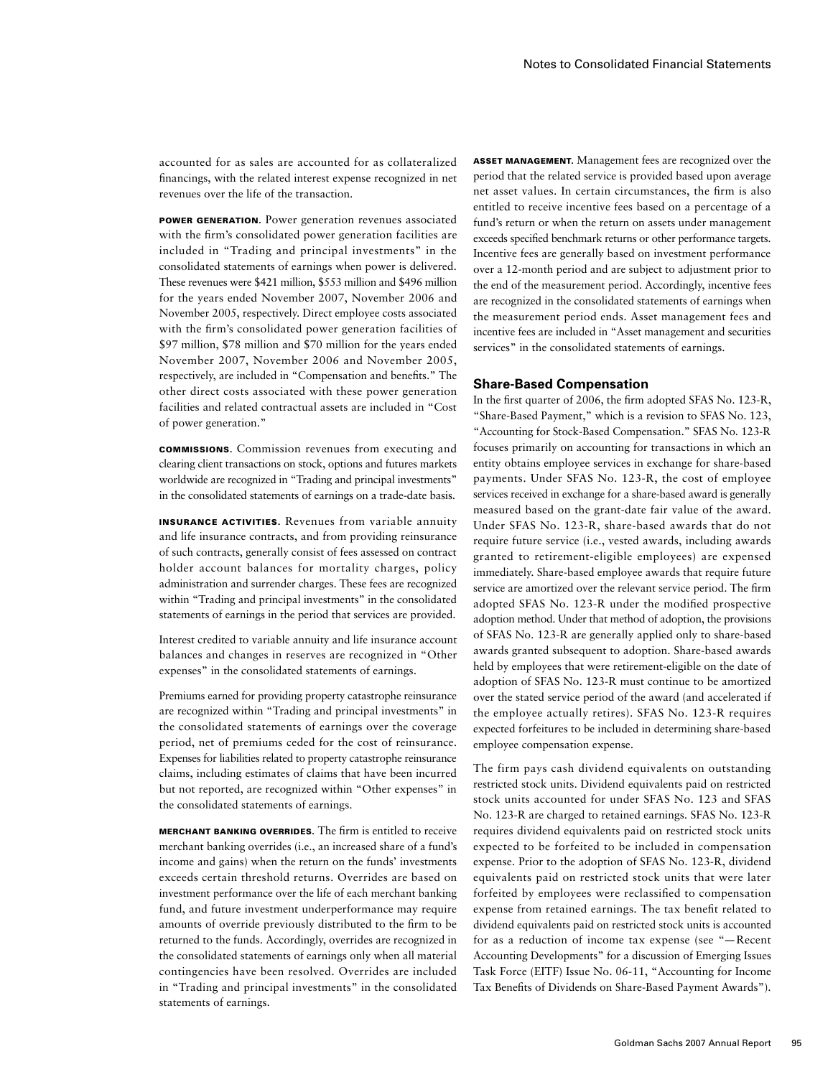accounted for as sales are accounted for as collateralized financings, with the related interest expense recognized in net revenues over the life of the transaction.

Power Generation. Power generation revenues associated with the firm's consolidated power generation facilities are included in "Trading and principal investments" in the consolidated statements of earnings when power is delivered. These revenues were \$421 million, \$553 million and \$496 million for the years ended November 2007, November 2006 and November 2005, respectively. Direct employee costs associated with the firm's consolidated power generation facilities of \$97 million, \$78 million and \$70 million for the years ended November 2007, November 2006 and November 2005, respectively, are included in "Compensation and benefits." The other direct costs associated with these power generation facilities and related contractual assets are included in "Cost of power generation."

Commissions. Commission revenues from executing and clearing client transactions on stock, options and futures markets worldwide are recognized in "Trading and principal investments" in the consolidated statements of earnings on a trade-date basis.

Insurance Activities. Revenues from variable annuity and life insurance contracts, and from providing reinsurance of such contracts, generally consist of fees assessed on contract holder account balances for mortality charges, policy administration and surrender charges. These fees are recognized within "Trading and principal investments" in the consolidated statements of earnings in the period that services are provided.

Interest credited to variable annuity and life insurance account balances and changes in reserves are recognized in "Other expenses" in the consolidated statements of earnings.

Premiums earned for providing property catastrophe reinsurance are recognized within "Trading and principal investments" in the consolidated statements of earnings over the coverage period, net of premiums ceded for the cost of reinsurance. Expenses for liabilities related to property catastrophe reinsurance claims, including estimates of claims that have been incurred but not reported, are recognized within "Other expenses" in the consolidated statements of earnings.

Merchant Banking Overrides. The firm is entitled to receive merchant banking overrides (i.e., an increased share of a fund's income and gains) when the return on the funds' investments exceeds certain threshold returns. Overrides are based on investment performance over the life of each merchant banking fund, and future investment underperformance may require amounts of override previously distributed to the firm to be returned to the funds. Accordingly, overrides are recognized in the consolidated statements of earnings only when all material contingencies have been resolved. Overrides are included in "Trading and principal investments" in the consolidated statements of earnings.

Asset Management. Management fees are recognized over the period that the related service is provided based upon average net asset values. In certain circumstances, the firm is also entitled to receive incentive fees based on a percentage of a fund's return or when the return on assets under management exceeds specified benchmark returns or other performance targets. Incentive fees are generally based on investment performance over a 12-month period and are subject to adjustment prior to the end of the measurement period. Accordingly, incentive fees are recognized in the consolidated statements of earnings when the measurement period ends. Asset management fees and incentive fees are included in "Asset management and securities services" in the consolidated statements of earnings.

## **Share-Based Compensation**

In the first quarter of 2006, the firm adopted SFAS No. 123-R, "Share-Based Payment," which is a revision to SFAS No. 123, "Accounting for Stock-Based Compensation." SFAS No. 123-R focuses primarily on accounting for transactions in which an entity obtains employee services in exchange for share-based payments. Under SFAS No. 123-R, the cost of employee services received in exchange for a share-based award is generally measured based on the grant-date fair value of the award. Under SFAS No. 123-R, share-based awards that do not require future service (i.e., vested awards, including awards granted to retirement-eligible employees) are expensed immediately. Share-based employee awards that require future service are amortized over the relevant service period. The firm adopted SFAS No. 123-R under the modified prospective adoption method. Under that method of adoption, the provisions of SFAS No. 123-R are generally applied only to share-based awards granted subsequent to adoption. Share-based awards held by employees that were retirement-eligible on the date of adoption of SFAS No. 123-R must continue to be amortized over the stated service period of the award (and accelerated if the employee actually retires). SFAS No. 123-R requires expected forfeitures to be included in determining share-based employee compensation expense.

The firm pays cash dividend equivalents on outstanding restricted stock units. Dividend equivalents paid on restricted stock units accounted for under SFAS No. 123 and SFAS No. 123-R are charged to retained earnings. SFAS No. 123-R requires dividend equivalents paid on restricted stock units expected to be forfeited to be included in compensation expense. Prior to the adoption of SFAS No. 123-R, dividend equivalents paid on restricted stock units that were later forfeited by employees were reclassified to compensation expense from retained earnings. The tax benefit related to dividend equivalents paid on restricted stock units is accounted for as a reduction of income tax expense (see "— Recent Accounting Developments" for a discussion of Emerging Issues Task Force (EITF) Issue No. 06-11, "Accounting for Income Tax Benefits of Dividends on Share-Based Payment Awards").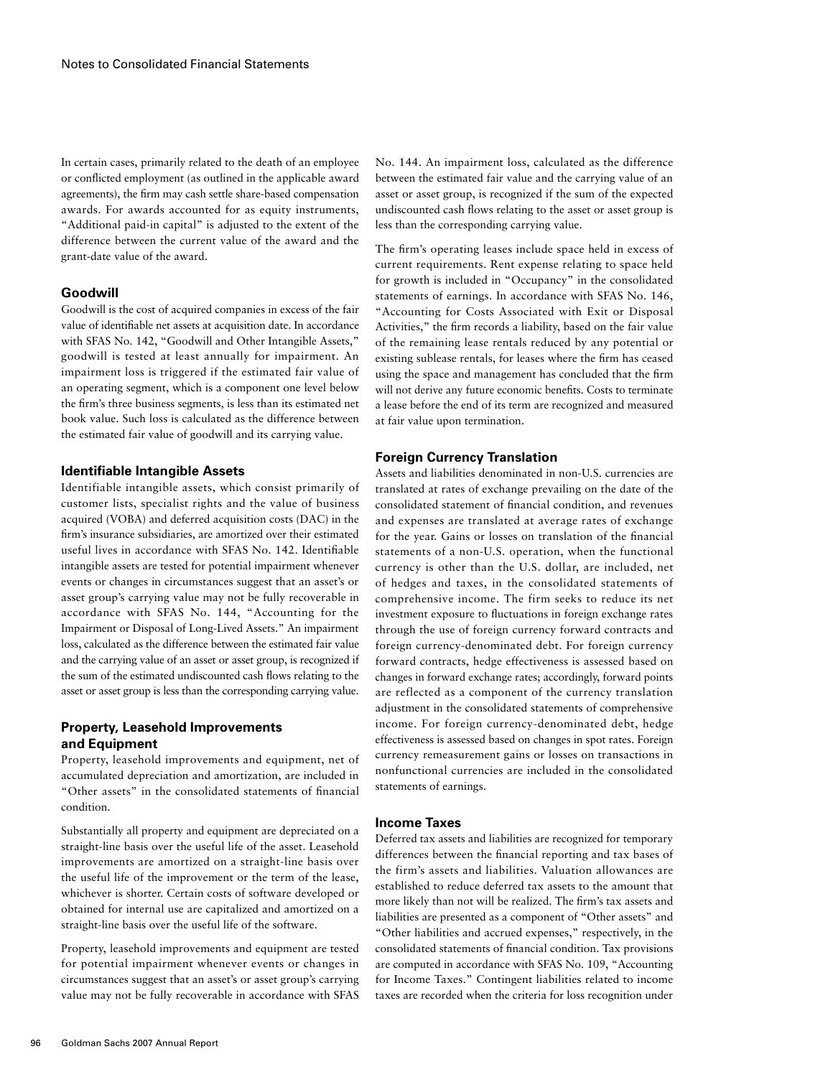In certain cases, primarily related to the death of an employee or conflicted employment (as outlined in the applicable award agreements), the firm may cash settle share-based compensation awards. For awards accounted for as equity instruments, "Additional paid-in capital" is adjusted to the extent of the difference between the current value of the award and the grant-date value of the award.

## **Goodwill**

Goodwill is the cost of acquired companies in excess of the fair value of identifiable net assets at acquisition date. In accordance with SFAS No. 142, "Goodwill and Other Intangible Assets," goodwill is tested at least annually for impairment. An impairment loss is triggered if the estimated fair value of an operating segment, which is a component one level below the firm's three business segments, is less than its estimated net book value. Such loss is calculated as the difference between the estimated fair value of goodwill and its carrying value.

#### **Identifiable Intangible Assets**

Identifiable intangible assets, which consist primarily of customer lists, specialist rights and the value of business acquired (VOBA) and deferred acquisition costs (DAC) in the firm's insurance subsidiaries, are amortized over their estimated useful lives in accordance with SFAS No. 142. Identifiable intangible assets are tested for potential impairment whenever events or changes in circumstances suggest that an asset's or asset group's carrying value may not be fully recoverable in accordance with SFAS No. 144, "Accounting for the Impairment or Disposal of Long-Lived Assets." An impairment loss, calculated as the difference between the estimated fair value and the carrying value of an asset or asset group, is recognized if the sum of the estimated undiscounted cash flows relating to the asset or asset group is less than the corresponding carrying value.

# **Property, Leasehold Improvements and Equipment**

Property, leasehold improvements and equipment, net of accumulated depreciation and amortization, are included in "Other assets" in the consolidated statements of financial condition.

Substantially all property and equipment are depreciated on a straight-line basis over the useful life of the asset. Leasehold improvements are amortized on a straight-line basis over the useful life of the improvement or the term of the lease, whichever is shorter. Certain costs of software developed or obtained for internal use are capitalized and amortized on a straight-line basis over the useful life of the software.

Property, leasehold improvements and equipment are tested for potential impairment whenever events or changes in circumstances suggest that an asset's or asset group's carrying value may not be fully recoverable in accordance with SFAS No. 144. An impairment loss, calculated as the difference between the estimated fair value and the carrying value of an asset or asset group, is recognized if the sum of the expected undiscounted cash flows relating to the asset or asset group is less than the corresponding carrying value.

The firm's operating leases include space held in excess of current requirements. Rent expense relating to space held for growth is included in "Occupancy" in the consolidated statements of earnings. In accordance with SFAS No. 146, "Accounting for Costs Associated with Exit or Disposal Activities," the firm records a liability, based on the fair value of the remaining lease rentals reduced by any potential or existing sublease rentals, for leases where the firm has ceased using the space and management has concluded that the firm will not derive any future economic benefits. Costs to terminate a lease before the end of its term are recognized and measured at fair value upon termination.

## **Foreign Currency Translation**

Assets and liabilities denominated in non-U.S. currencies are translated at rates of exchange prevailing on the date of the consolidated statement of financial condition, and revenues and expenses are translated at average rates of exchange for the year. Gains or losses on translation of the financial statements of a non-U.S. operation, when the functional currency is other than the U.S. dollar, are included, net of hedges and taxes, in the consolidated statements of comprehensive income. The firm seeks to reduce its net investment exposure to fluctuations in foreign exchange rates through the use of foreign currency forward contracts and foreign currency-denominated debt. For foreign currency forward contracts, hedge effectiveness is assessed based on changes in forward exchange rates; accordingly, forward points are reflected as a component of the currency translation adjustment in the consolidated statements of comprehensive income. For foreign currency-denominated debt, hedge effectiveness is assessed based on changes in spot rates. Foreign currency remeasurement gains or losses on transactions in nonfunctional currencies are included in the consolidated statements of earnings.

# **Income Taxes**

Deferred tax assets and liabilities are recognized for temporary differences between the financial reporting and tax bases of the firm's assets and liabilities. Valuation allowances are established to reduce deferred tax assets to the amount that more likely than not will be realized. The firm's tax assets and liabilities are presented as a component of "Other assets" and "Other liabilities and accrued expenses," respectively, in the consolidated statements of financial condition. Tax provisions are computed in accordance with SFAS No. 109, "Accounting for Income Taxes." Contingent liabilities related to income taxes are recorded when the criteria for loss recognition under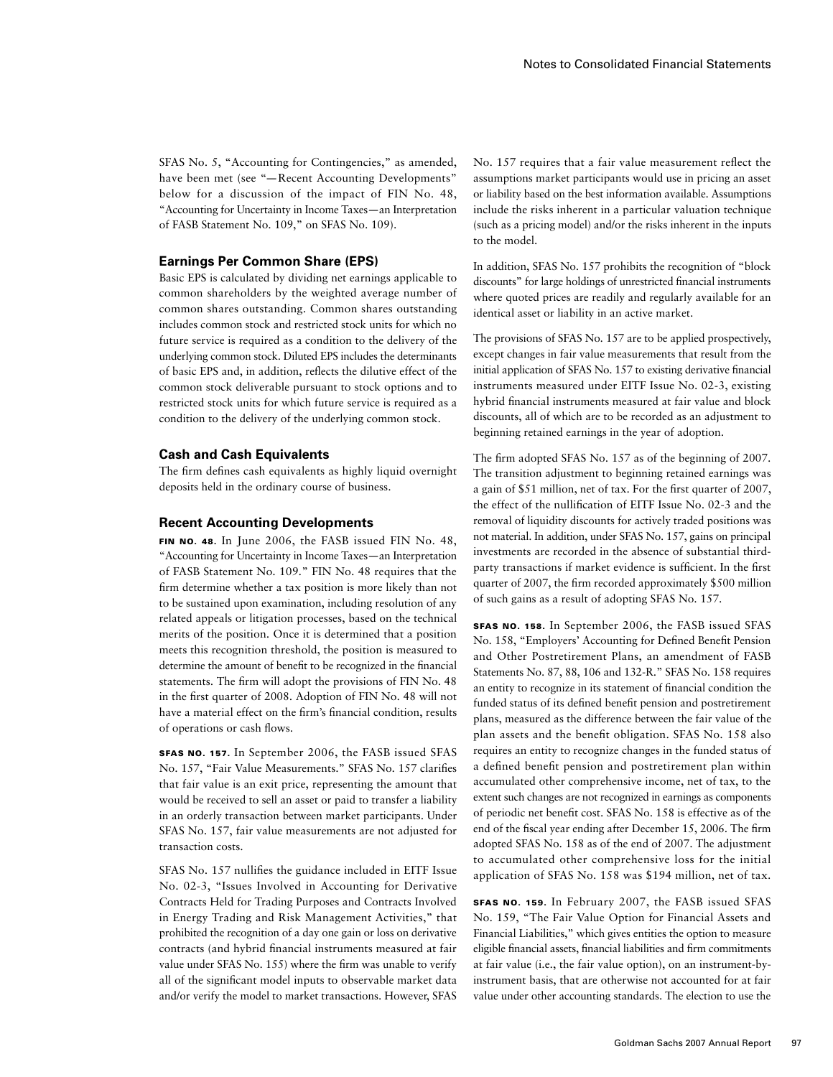SFAS No. 5, "Accounting for Contingencies," as amended, have been met (see "— Recent Accounting Developments" below for a discussion of the impact of FIN No. 48, "Accounting for Uncertainty in Income Taxes—an Interpretation of FASB Statement No. 109," on SFAS No. 109).

### **Earnings Per Common Share (EPS)**

Basic EPS is calculated by dividing net earnings applicable to common shareholders by the weighted average number of common shares outstanding. Common shares outstanding includes common stock and restricted stock units for which no future service is required as a condition to the delivery of the underlying common stock. Diluted EPS includes the determinants of basic EPS and, in addition, reflects the dilutive effect of the common stock deliverable pursuant to stock options and to restricted stock units for which future service is required as a condition to the delivery of the underlying common stock.

#### **Cash and Cash Equivalents**

The firm defines cash equivalents as highly liquid overnight deposits held in the ordinary course of business.

#### **Recent Accounting Developments**

FIN NO. 48. In June 2006, the FASB issued FIN No. 48, "Accounting for Uncertainty in Income Taxes—an Interpretation of FASB Statement No. 109." FIN No. 48 requires that the firm determine whether a tax position is more likely than not to be sustained upon examination, including resolution of any related appeals or litigation processes, based on the technical merits of the position. Once it is determined that a position meets this recognition threshold, the position is measured to determine the amount of benefit to be recognized in the financial statements. The firm will adopt the provisions of FIN No. 48 in the first quarter of 2008. Adoption of FIN No. 48 will not have a material effect on the firm's financial condition, results of operations or cash flows.

SFAS No. 157. In September 2006, the FASB issued SFAS No. 157, "Fair Value Measurements." SFAS No. 157 clarifies that fair value is an exit price, representing the amount that would be received to sell an asset or paid to transfer a liability in an orderly transaction between market participants. Under SFAS No. 157, fair value measurements are not adjusted for transaction costs.

SFAS No. 157 nullifies the guidance included in EITF Issue No. 02-3, "Issues Involved in Accounting for Derivative Contracts Held for Trading Purposes and Contracts Involved in Energy Trading and Risk Management Activities," that prohibited the recognition of a day one gain or loss on derivative contracts (and hybrid financial instruments measured at fair value under SFAS No. 155) where the firm was unable to verify all of the significant model inputs to observable market data and/or verify the model to market transactions. However, SFAS No. 157 requires that a fair value measurement reflect the assumptions market participants would use in pricing an asset or liability based on the best information available. Assumptions include the risks inherent in a particular valuation technique (such as a pricing model) and/or the risks inherent in the inputs to the model.

In addition, SFAS No. 157 prohibits the recognition of "block discounts" for large holdings of unrestricted financial instruments where quoted prices are readily and regularly available for an identical asset or liability in an active market.

The provisions of SFAS No. 157 are to be applied prospectively, except changes in fair value measurements that result from the initial application of SFAS No. 157 to existing derivative financial instruments measured under EITF Issue No. 02-3, existing hybrid financial instruments measured at fair value and block discounts, all of which are to be recorded as an adjustment to beginning retained earnings in the year of adoption.

The firm adopted SFAS No. 157 as of the beginning of 2007. The transition adjustment to beginning retained earnings was a gain of \$51 million, net of tax. For the first quarter of 2007, the effect of the nullification of EITF Issue No. 02-3 and the removal of liquidity discounts for actively traded positions was not material. In addition, under SFAS No. 157, gains on principal investments are recorded in the absence of substantial thirdparty transactions if market evidence is sufficient. In the first quarter of 2007, the firm recorded approximately \$500 million of such gains as a result of adopting SFAS No. 157.

SFAS No. 158. In September 2006, the FASB issued SFAS No. 158, "Employers' Accounting for Defined Benefit Pension and Other Postretirement Plans, an amendment of FASB Statements No. 87, 88, 106 and 132-R." SFAS No. 158 requires an entity to recognize in its statement of financial condition the funded status of its defined benefit pension and postretirement plans, measured as the difference between the fair value of the plan assets and the benefit obligation. SFAS No. 158 also requires an entity to recognize changes in the funded status of a defined benefit pension and postretirement plan within accumulated other comprehensive income, net of tax, to the extent such changes are not recognized in earnings as components of periodic net benefit cost. SFAS No. 158 is effective as of the end of the fiscal year ending after December 15, 2006. The firm adopted SFAS No. 158 as of the end of 2007. The adjustment to accumulated other comprehensive loss for the initial application of SFAS No. 158 was \$194 million, net of tax.

SFAS No. 159. In February 2007, the FASB issued SFAS No. 159, "The Fair Value Option for Financial Assets and Financial Liabilities," which gives entities the option to measure eligible financial assets, financial liabilities and firm commitments at fair value (i.e., the fair value option), on an instrument-byinstrument basis, that are otherwise not accounted for at fair value under other accounting standards. The election to use the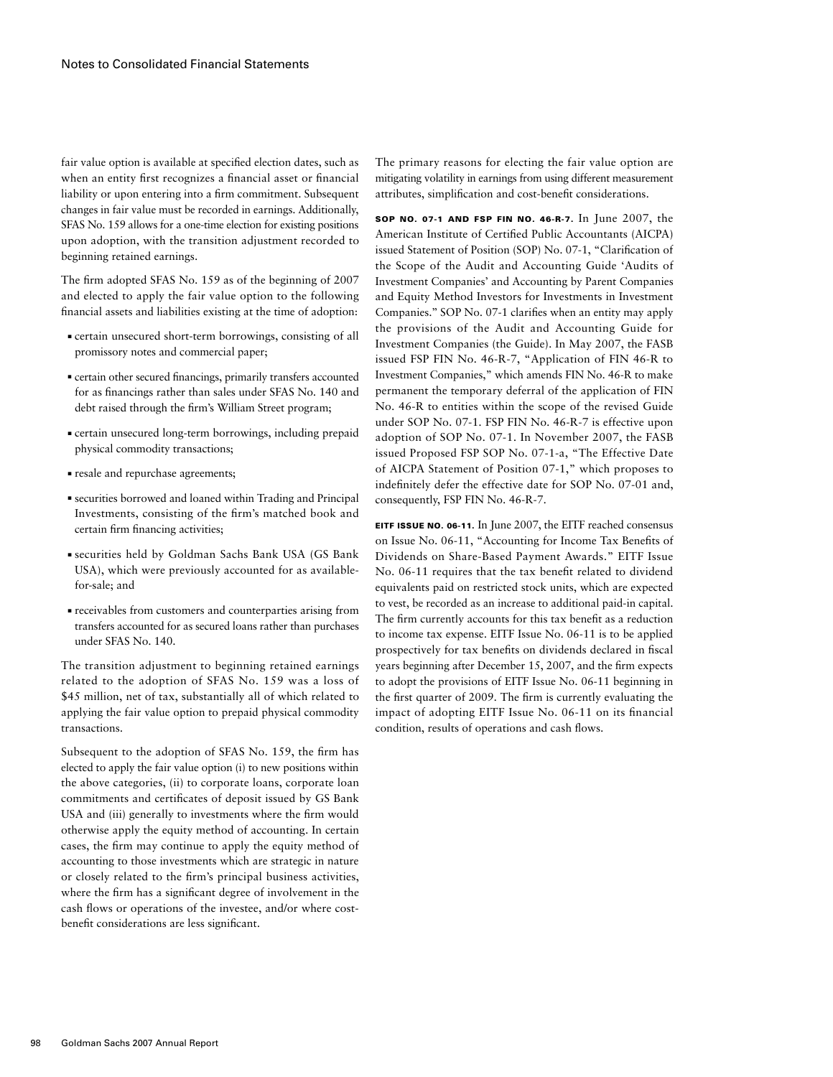fair value option is available at specified election dates, such as when an entity first recognizes a financial asset or financial liability or upon entering into a firm commitment. Subsequent changes in fair value must be recorded in earnings. Additionally, SFAS No. 159 allows for a one-time election for existing positions upon adoption, with the transition adjustment recorded to beginning retained earnings.

The firm adopted SFAS No. 159 as of the beginning of 2007 and elected to apply the fair value option to the following financial assets and liabilities existing at the time of adoption:

- ■ certain unsecured short-term borrowings, consisting of all promissory notes and commercial paper;
- ■ certain other secured financings, primarily transfers accounted for as financings rather than sales under SFAS No. 140 and debt raised through the firm's William Street program;
- certain unsecured long-term borrowings, including prepaid physical commodity transactions;
- ■ resale and repurchase agreements;
- ■ securities borrowed and loaned within Trading and Principal Investments, consisting of the firm's matched book and certain firm financing activities;
- ■ securities held by Goldman Sachs Bank USA (GS Bank USA), which were previously accounted for as availablefor-sale; and
- ■ receivables from customers and counterparties arising from transfers accounted for as secured loans rather than purchases under SFAS No. 140.

The transition adjustment to beginning retained earnings related to the adoption of SFAS No. 159 was a loss of \$45 million, net of tax, substantially all of which related to applying the fair value option to prepaid physical commodity transactions.

Subsequent to the adoption of SFAS No. 159, the firm has elected to apply the fair value option (i) to new positions within the above categories, (ii) to corporate loans, corporate loan commitments and certificates of deposit issued by GS Bank USA and (iii) generally to investments where the firm would otherwise apply the equity method of accounting. In certain cases, the firm may continue to apply the equity method of accounting to those investments which are strategic in nature or closely related to the firm's principal business activities, where the firm has a significant degree of involvement in the cash flows or operations of the investee, and/or where costbenefit considerations are less significant.

The primary reasons for electing the fair value option are mitigating volatility in earnings from using different measurement attributes, simplification and cost-benefit considerations.

SOP No. 07-1 and FSP FIN No. 46-R-7. In June 2007, the American Institute of Certified Public Accountants (AICPA) issued Statement of Position (SOP) No. 07-1, "Clarification of the Scope of the Audit and Accounting Guide 'Audits of Investment Companies' and Accounting by Parent Companies and Equity Method Investors for Investments in Investment Companies.'' SOP No. 07-1 clarifies when an entity may apply the provisions of the Audit and Accounting Guide for Investment Companies (the Guide). In May 2007, the FASB issued FSP FIN No. 46-R-7, "Application of FIN 46-R to Investment Companies," which amends FIN No. 46-R to make permanent the temporary deferral of the application of FIN No. 46-R to entities within the scope of the revised Guide under SOP No. 07-1. FSP FIN No. 46-R-7 is effective upon adoption of SOP No. 07-1. In November 2007, the FASB issued Proposed FSP SOP No. 07-1-a, "The Effective Date of AICPA Statement of Position 07-1," which proposes to indefinitely defer the effective date for SOP No. 07-01 and, consequently, FSP FIN No. 46-R-7.

EITF Issue No. 06-11. In June 2007, the EITF reached consensus on Issue No. 06-11, "Accounting for Income Tax Benefits of Dividends on Share-Based Payment Awards." EITF Issue No. 06-11 requires that the tax benefit related to dividend equivalents paid on restricted stock units, which are expected to vest, be recorded as an increase to additional paid-in capital. The firm currently accounts for this tax benefit as a reduction to income tax expense. EITF Issue No. 06-11 is to be applied prospectively for tax benefits on dividends declared in fiscal years beginning after December 15, 2007, and the firm expects to adopt the provisions of EITF Issue No. 06-11 beginning in the first quarter of 2009. The firm is currently evaluating the impact of adopting EITF Issue No. 06-11 on its financial condition, results of operations and cash flows.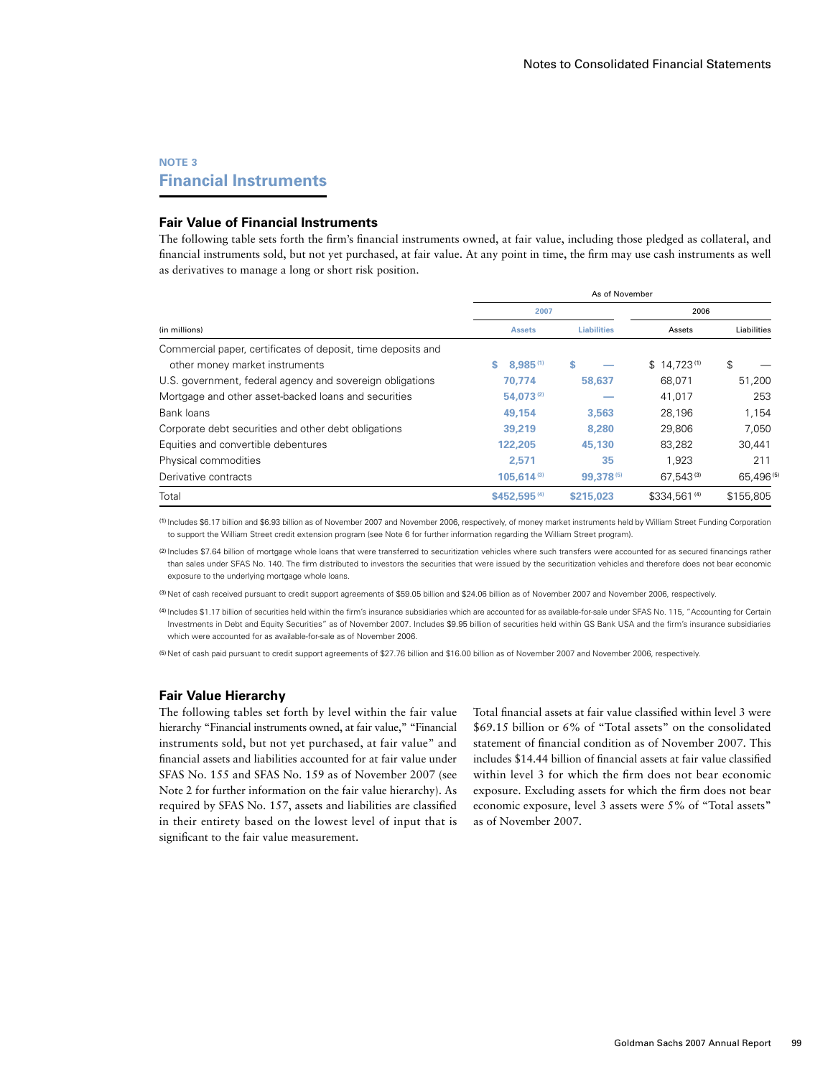# **Note 3 Financial Instruments**

## **Fair Value of Financial Instruments**

The following table sets forth the firm's financial instruments owned, at fair value, including those pledged as collateral, and financial instruments sold, but not yet purchased, at fair value. At any point in time, the firm may use cash instruments as well as derivatives to manage a long or short risk position.

|                                                              | As of November           |                    |                 |             |  |  |
|--------------------------------------------------------------|--------------------------|--------------------|-----------------|-------------|--|--|
|                                                              | 2007                     |                    | 2006            |             |  |  |
| (in millions)                                                | <b>Assets</b>            | <b>Liabilities</b> | Assets          | Liabilities |  |  |
| Commercial paper, certificates of deposit, time deposits and |                          |                    |                 |             |  |  |
| other money market instruments                               | $8.985^{(1)}$<br>s.      | s                  | $$14,723^{(1)}$ | \$          |  |  |
| U.S. government, federal agency and sovereign obligations    | 70.774                   | 58,637             | 68,071          | 51,200      |  |  |
| Mortgage and other asset-backed loans and securities         | 54,073(2)                |                    | 41.017          | 253         |  |  |
| Bank loans                                                   | 49.154                   | 3.563              | 28.196          | 1.154       |  |  |
| Corporate debt securities and other debt obligations         | 39,219                   | 8.280              | 29,806          | 7.050       |  |  |
| Equities and convertible debentures                          | 122,205                  | 45,130             | 83,282          | 30,441      |  |  |
| Physical commodities                                         | 2.571                    | 35                 | 1.923           | 211         |  |  |
| Derivative contracts                                         | $105.614^{(3)}$          | 99,378(5)          | 67.543(3)       | 65,496(5)   |  |  |
| Total                                                        | \$452,595 <sup>(4)</sup> | \$215,023          | \$334,561 (4)   | \$155,805   |  |  |

(1) Includes \$6.17 billion and \$6.93 billion as of November 2007 and November 2006, respectively, of money market instruments held by William Street Funding Corporation to support the William Street credit extension program (see Note 6 for further information regarding the William Street program).

(2) Includes \$7.64 billion of mortgage whole loans that were transferred to securitization vehicles where such transfers were accounted for as secured financings rather than sales under SFAS No. 140. The firm distributed to investors the securities that were issued by the securitization vehicles and therefore does not bear economic exposure to the underlying mortgage whole loans.

(3) Net of cash received pursuant to credit support agreements of \$59.05 billion and \$24.06 billion as of November 2007 and November 2006, respectively.

(4) Includes \$1.17 billion of securities held within the firm's insurance subsidiaries which are accounted for as available-for-sale under SFAS No. 115, "Accounting for Certain Investments in Debt and Equity Securities" as of November 2007. Includes \$9.95 billion of securities held within GS Bank USA and the firm's insurance subsidiaries which were accounted for as available-for-sale as of November 2006.

(5) Net of cash paid pursuant to credit support agreements of \$27.76 billion and \$16.00 billion as of November 2007 and November 2006, respectively.

### **Fair Value Hierarchy**

The following tables set forth by level within the fair value hierarchy "Financial instruments owned, at fair value," "Financial instruments sold, but not yet purchased, at fair value" and financial assets and liabilities accounted for at fair value under SFAS No. 155 and SFAS No. 159 as of November 2007 (see Note 2 for further information on the fair value hierarchy). As required by SFAS No. 157, assets and liabilities are classified in their entirety based on the lowest level of input that is significant to the fair value measurement.

Total financial assets at fair value classified within level 3 were \$69.15 billion or 6% of "Total assets" on the consolidated statement of financial condition as of November 2007. This includes \$14.44 billion of financial assets at fair value classified within level 3 for which the firm does not bear economic exposure. Excluding assets for which the firm does not bear economic exposure, level 3 assets were 5% of "Total assets" as of November 2007.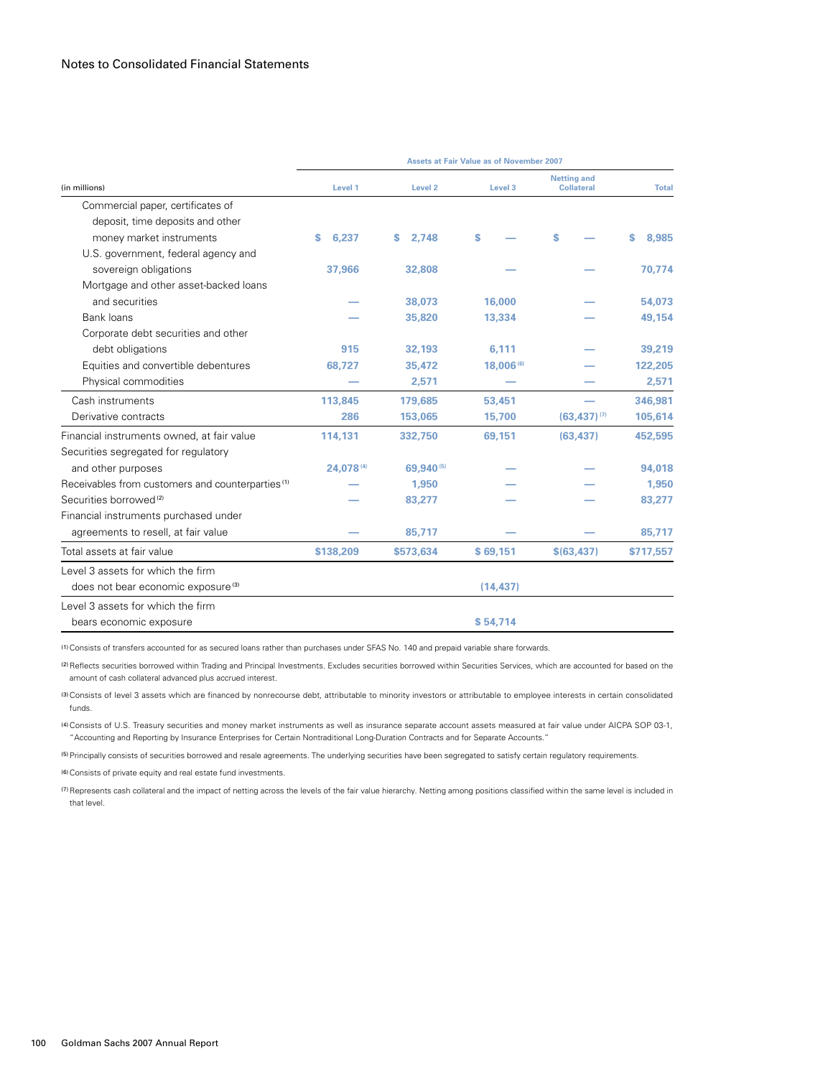| (in millions)<br>Level 1                                         | Level 2<br>Level 3  | <b>Netting and</b><br><b>Collateral</b> |              |
|------------------------------------------------------------------|---------------------|-----------------------------------------|--------------|
|                                                                  |                     |                                         | <b>Total</b> |
| Commercial paper, certificates of                                |                     |                                         |              |
| deposit, time deposits and other                                 |                     |                                         |              |
| 6.237<br>money market instruments<br>s<br>S.                     | 2.748<br>S          | S                                       | s<br>8,985   |
| U.S. government, federal agency and                              |                     |                                         |              |
| sovereign obligations<br>37,966                                  | 32,808              |                                         | 70,774       |
| Mortgage and other asset-backed loans                            |                     |                                         |              |
| and securities                                                   | 38,073<br>16,000    |                                         | 54,073       |
| Bank loans                                                       | 35,820<br>13,334    |                                         | 49,154       |
| Corporate debt securities and other                              |                     |                                         |              |
| debt obligations<br>915                                          | 32.193<br>6.111     |                                         | 39,219       |
| Equities and convertible debentures<br>68,727                    | 35,472<br>18,006(6) |                                         | 122,205      |
| Physical commodities                                             | 2,571               |                                         | 2,571        |
| Cash instruments<br>113.845<br>179.685                           | 53,451              |                                         | 346.981      |
| Derivative contracts<br>286<br>153,065                           | 15,700              | $(63, 437)^{(7)}$                       | 105,614      |
| Financial instruments owned, at fair value<br>114,131<br>332,750 | 69,151              | (63, 437)                               | 452,595      |
| Securities segregated for regulatory                             |                     |                                         |              |
| 24,078(4)<br>and other purposes                                  | 69,940(5)           |                                         | 94,018       |
| Receivables from customers and counterparties <sup>(1)</sup>     | 1,950               |                                         | 1,950        |
| Securities borrowed <sup>(2)</sup>                               | 83,277              |                                         | 83,277       |
| Financial instruments purchased under                            |                     |                                         |              |
| agreements to resell, at fair value                              | 85,717              |                                         | 85,717       |
| Total assets at fair value<br>\$138,209<br>\$573,634             | \$69,151            | \$ (63, 437)                            | \$717,557    |
| Level 3 assets for which the firm                                |                     |                                         |              |
| does not bear economic exposure <sup>(3)</sup>                   | (14, 437)           |                                         |              |
| Level 3 assets for which the firm                                |                     |                                         |              |
| bears economic exposure                                          | \$54,714            |                                         |              |

(1)Consists of transfers accounted for as secured loans rather than purchases under SFAS No. 140 and prepaid variable share forwards.

(2)Reflects securities borrowed within Trading and Principal Investments. Excludes securities borrowed within Securities Services, which are accounted for based on the amount of cash collateral advanced plus accrued interest.

(3)Consists of level 3 assets which are financed by nonrecourse debt, attributable to minority investors or attributable to employee interests in certain consolidated funds.

(4)Consists of U.S. Treasury securities and money market instruments as well as insurance separate account assets measured at fair value under AICPA SOP 03-1, "Accounting and Reporting by Insurance Enterprises for Certain Nontraditional Long-Duration Contracts and for Separate Accounts."

(5)Principally consists of securities borrowed and resale agreements. The underlying securities have been segregated to satisfy certain regulatory requirements.

(6)Consists of private equity and real estate fund investments.

(7) Represents cash collateral and the impact of netting across the levels of the fair value hierarchy. Netting among positions classified within the same level is included in that level.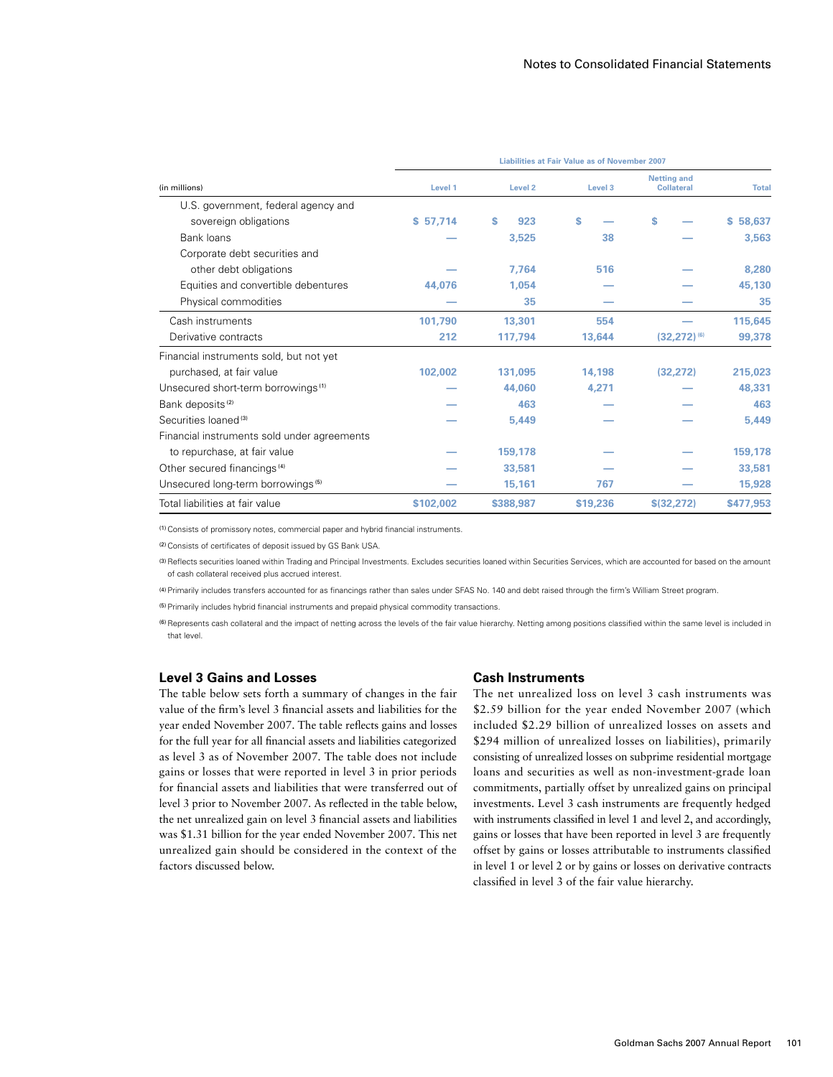|                                                | Liabilities at Fair Value as of November 2007 |                    |          |                                         |              |  |  |
|------------------------------------------------|-----------------------------------------------|--------------------|----------|-----------------------------------------|--------------|--|--|
| (in millions)                                  | Level 1                                       | Level <sub>2</sub> | Level 3  | <b>Netting and</b><br><b>Collateral</b> | <b>Total</b> |  |  |
| U.S. government, federal agency and            |                                               |                    |          |                                         |              |  |  |
| sovereign obligations                          | \$57,714                                      | 923<br>s           | S        | s                                       | \$58,637     |  |  |
| Bank loans                                     |                                               | 3,525              | 38       |                                         | 3,563        |  |  |
| Corporate debt securities and                  |                                               |                    |          |                                         |              |  |  |
| other debt obligations                         |                                               | 7.764              | 516      |                                         | 8,280        |  |  |
| Equities and convertible debentures            | 44,076                                        | 1.054              |          |                                         | 45,130       |  |  |
| Physical commodities                           |                                               | 35                 |          |                                         | 35           |  |  |
| Cash instruments                               | 101.790                                       | 13,301             | 554      |                                         | 115,645      |  |  |
| Derivative contracts                           | 212                                           | 117,794            | 13,644   | $(32,272)^{(6)}$                        | 99,378       |  |  |
| Financial instruments sold, but not yet        |                                               |                    |          |                                         |              |  |  |
| purchased, at fair value                       | 102,002                                       | 131.095            | 14.198   | (32.272)                                | 215,023      |  |  |
| Unsecured short-term borrowings <sup>(1)</sup> |                                               | 44.060             | 4,271    |                                         | 48.331       |  |  |
| Bank deposits <sup>(2)</sup>                   |                                               | 463                |          |                                         | 463          |  |  |
| Securities loaned <sup>(3)</sup>               |                                               | 5,449              |          |                                         | 5.449        |  |  |
| Financial instruments sold under agreements    |                                               |                    |          |                                         |              |  |  |
| to repurchase, at fair value                   |                                               | 159,178            |          |                                         | 159,178      |  |  |
| Other secured financings <sup>(4)</sup>        |                                               | 33,581             |          |                                         | 33,581       |  |  |
| Unsecured long-term borrowings <sup>(5)</sup>  |                                               | 15,161             | 767      |                                         | 15,928       |  |  |
| Total liabilities at fair value                | \$102,002                                     | \$388,987          | \$19,236 | \$ (32.272)                             | \$477,953    |  |  |

(1)Consists of promissory notes, commercial paper and hybrid financial instruments.

(2)Consists of certificates of deposit issued by GS Bank USA.

(3) Reflects securities loaned within Trading and Principal Investments. Excludes securities loaned within Securities Services, which are accounted for based on the amount of cash collateral received plus accrued interest.

(4)Primarily includes transfers accounted for as financings rather than sales under SFAS No. 140 and debt raised through the firm's William Street program.

(5)Primarily includes hybrid financial instruments and prepaid physical commodity transactions.

(6)Represents cash collateral and the impact of netting across the levels of the fair value hierarchy. Netting among positions classified within the same level is included in that level.

#### **Level 3 Gains and Losses**

The table below sets forth a summary of changes in the fair value of the firm's level 3 financial assets and liabilities for the year ended November 2007. The table reflects gains and losses for the full year for all financial assets and liabilities categorized as level 3 as of November 2007. The table does not include gains or losses that were reported in level 3 in prior periods for financial assets and liabilities that were transferred out of level 3 prior to November 2007. As reflected in the table below, the net unrealized gain on level 3 financial assets and liabilities was \$1.31 billion for the year ended November 2007. This net unrealized gain should be considered in the context of the factors discussed below.

#### **Cash Instruments**

The net unrealized loss on level 3 cash instruments was \$2.59 billion for the year ended November 2007 (which included \$2.29 billion of unrealized losses on assets and \$294 million of unrealized losses on liabilities), primarily consisting of unrealized losses on subprime residential mortgage loans and securities as well as non-investment-grade loan commitments, partially offset by unrealized gains on principal investments. Level 3 cash instruments are frequently hedged with instruments classified in level 1 and level 2, and accordingly, gains or losses that have been reported in level 3 are frequently offset by gains or losses attributable to instruments classified in level 1 or level 2 or by gains or losses on derivative contracts classified in level 3 of the fair value hierarchy.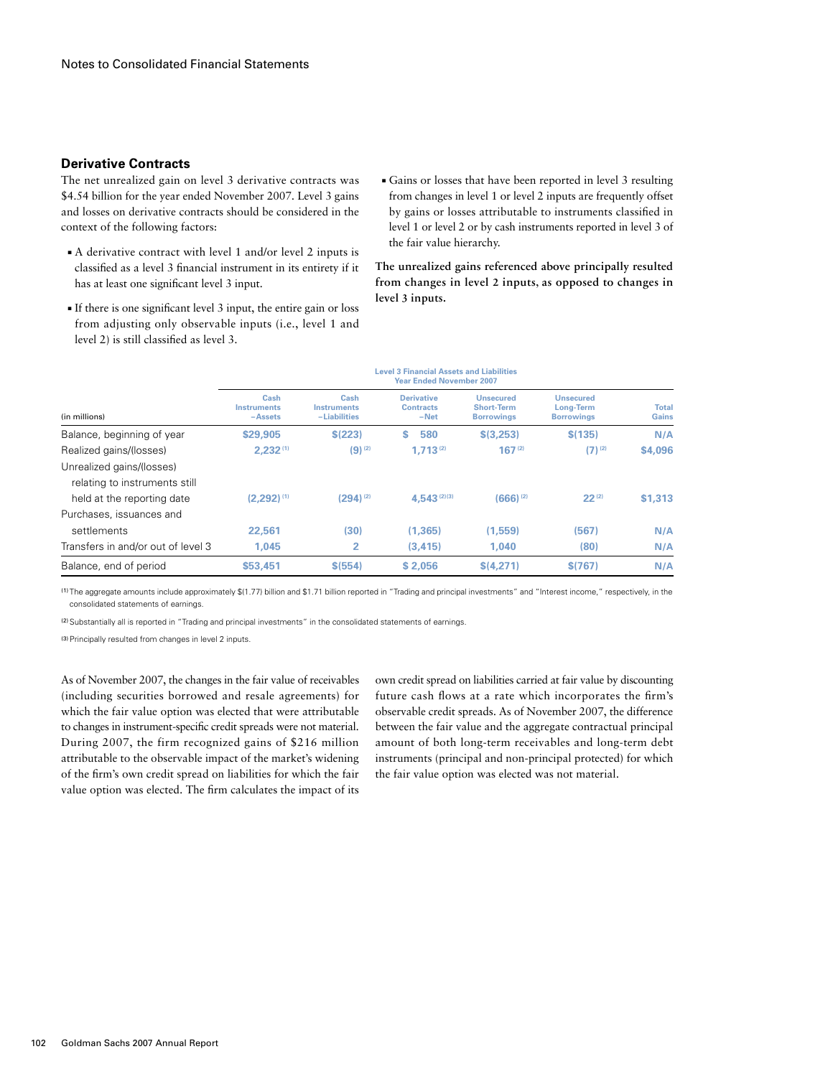# **Derivative Contracts**

The net unrealized gain on level 3 derivative contracts was \$4.54 billion for the year ended November 2007. Level 3 gains and losses on derivative contracts should be considered in the context of the following factors:

- A derivative contract with level 1 and/or level 2 inputs is classified as a level 3 financial instrument in its entirety if it has at least one significant level 3 input.
- $\blacksquare$  If there is one significant level 3 input, the entire gain or loss from adjusting only observable inputs (i.e., level 1 and level 2) is still classified as level 3.
- ■ Gains or losses that have been reported in level 3 resulting from changes in level 1 or level 2 inputs are frequently offset by gains or losses attributable to instruments classified in level 1 or level 2 or by cash instruments reported in level 3 of the fair value hierarchy.

The unrealized gains referenced above principally resulted from changes in level 2 inputs, as opposed to changes in level 3 inputs.

| (in millions)                                              | <b>Level 3 Financial Assets and Liabilities</b><br><b>Year Ended November 2007</b> |                                     |                                                 |                                                            |                                                    |                       |  |
|------------------------------------------------------------|------------------------------------------------------------------------------------|-------------------------------------|-------------------------------------------------|------------------------------------------------------------|----------------------------------------------------|-----------------------|--|
|                                                            | Cash<br><b>Instruments</b><br>-Assets                                              | Cash<br>Instruments<br>-Liabilities | <b>Derivative</b><br><b>Contracts</b><br>$-Net$ | <b>Unsecured</b><br><b>Short-Term</b><br><b>Borrowings</b> | <b>Unsecured</b><br>Long-Term<br><b>Borrowings</b> | <b>Total</b><br>Gains |  |
| Balance, beginning of year                                 | \$29,905                                                                           | \$(223)                             | s<br>580                                        | \$(3,253)                                                  | \$(135)                                            | N/A                   |  |
| Realized gains/(losses)                                    | $2.232^{(1)}$                                                                      | $(9)$ <sup>(2)</sup>                | 1.713(2)                                        | $167^{(2)}$                                                | $(7)^{(2)}$                                        | \$4,096               |  |
| Unrealized gains/(losses)<br>relating to instruments still |                                                                                    |                                     |                                                 |                                                            |                                                    |                       |  |
| held at the reporting date                                 | $(2.292)^{(1)}$                                                                    | $(294)$ <sup>(2)</sup>              | 4,543 (2)(3)                                    | $(666)$ <sup>(2)</sup>                                     | $22^{(2)}$                                         | \$1,313               |  |
| Purchases, issuances and                                   |                                                                                    |                                     |                                                 |                                                            |                                                    |                       |  |
| settlements                                                | 22,561                                                                             | (30)                                | (1.365)                                         | (1.559)                                                    | (567)                                              | N/A                   |  |
| Transfers in and/or out of level 3                         | 1.045                                                                              | 2                                   | (3.415)                                         | 1.040                                                      | (80)                                               | N/A                   |  |
| Balance, end of period                                     | \$53,451                                                                           | \$ (554)                            | \$2,056                                         | \$(4,271)                                                  | \$(767)                                            | N/A                   |  |

(1) The aggregate amounts include approximately \$(1.77) billion and \$1.71 billion reported in "Trading and principal investments" and "Interest income," respectively, in the consolidated statements of earnings.

(2)Substantially all is reported in "Trading and principal investments" in the consolidated statements of earnings.

(3)Principally resulted from changes in level 2 inputs.

As of November 2007, the changes in the fair value of receivables (including securities borrowed and resale agreements) for which the fair value option was elected that were attributable to changes in instrument-specific credit spreads were not material. During 2007, the firm recognized gains of \$216 million attributable to the observable impact of the market's widening of the firm's own credit spread on liabilities for which the fair value option was elected. The firm calculates the impact of its

own credit spread on liabilities carried at fair value by discounting future cash flows at a rate which incorporates the firm's observable credit spreads. As of November 2007, the difference between the fair value and the aggregate contractual principal amount of both long-term receivables and long-term debt instruments (principal and non-principal protected) for which the fair value option was elected was not material.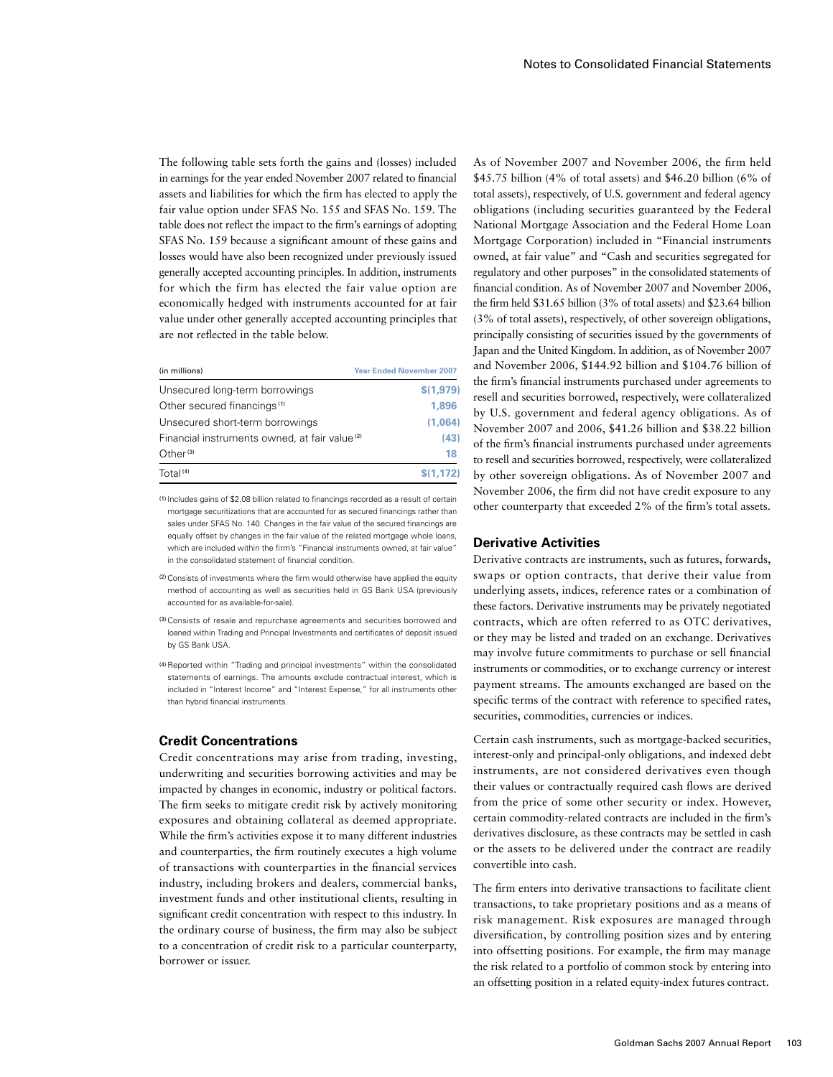The following table sets forth the gains and (losses) included in earnings for the year ended November 2007 related to financial assets and liabilities for which the firm has elected to apply the fair value option under SFAS No. 155 and SFAS No. 159. The table does not reflect the impact to the firm's earnings of adopting SFAS No. 159 because a significant amount of these gains and losses would have also been recognized under previously issued generally accepted accounting principles. In addition, instruments for which the firm has elected the fair value option are economically hedged with instruments accounted for at fair value under other generally accepted accounting principles that are not reflected in the table below.

| (in millions)                                             | <b>Year Ended November 2007</b> |
|-----------------------------------------------------------|---------------------------------|
| Unsecured long-term borrowings                            | \$(1,979)                       |
| Other secured financings <sup>(1)</sup>                   | 1.896                           |
| Unsecured short-term borrowings                           | (1,064)                         |
| Financial instruments owned, at fair value <sup>(2)</sup> | (43)                            |
| Other <sup>(3)</sup>                                      | 18                              |
| Total <sup>(4)</sup>                                      | \$(1, 172)                      |

(1) Includes gains of \$2.08 billion related to financings recorded as a result of certain mortgage securitizations that are accounted for as secured financings rather than sales under SFAS No. 140. Changes in the fair value of the secured financings are equally offset by changes in the fair value of the related mortgage whole loans, which are included within the firm's "Financial instruments owned, at fair value" in the consolidated statement of financial condition.

(2)Consists of investments where the firm would otherwise have applied the equity method of accounting as well as securities held in GS Bank USA (previously accounted for as available-for-sale).

(3)Consists of resale and repurchase agreements and securities borrowed and loaned within Trading and Principal Investments and certificates of deposit issued by GS Bank USA.

(4)Reported within "Trading and principal investments" within the consolidated statements of earnings. The amounts exclude contractual interest, which is included in "Interest Income" and "Interest Expense," for all instruments other than hybrid financial instruments.

## **Credit Concentrations**

Credit concentrations may arise from trading, investing, underwriting and securities borrowing activities and may be impacted by changes in economic, industry or political factors. The firm seeks to mitigate credit risk by actively monitoring exposures and obtaining collateral as deemed appropriate. While the firm's activities expose it to many different industries and counterparties, the firm routinely executes a high volume of transactions with counterparties in the financial services industry, including brokers and dealers, commercial banks, investment funds and other institutional clients, resulting in significant credit concentration with respect to this industry. In the ordinary course of business, the firm may also be subject to a concentration of credit risk to a particular counterparty, borrower or issuer.

As of November 2007 and November 2006, the firm held \$45.75 billion (4% of total assets) and \$46.20 billion (6% of total assets), respectively, of U.S. government and federal agency obligations (including securities guaranteed by the Federal National Mortgage Association and the Federal Home Loan Mortgage Corporation) included in "Financial instruments owned, at fair value" and "Cash and securities segregated for regulatory and other purposes" in the consolidated statements of financial condition. As of November 2007 and November 2006, the firm held \$31.65 billion (3% of total assets) and \$23.64 billion (3% of total assets), respectively, of other sovereign obligations, principally consisting of securities issued by the governments of Japan and the United Kingdom. In addition, as of November 2007 and November 2006, \$144.92 billion and \$104.76 billion of the firm's financial instruments purchased under agreements to resell and securities borrowed, respectively, were collateralized by U.S. government and federal agency obligations. As of November 2007 and 2006, \$41.26 billion and \$38.22 billion of the firm's financial instruments purchased under agreements to resell and securities borrowed, respectively, were collateralized by other sovereign obligations. As of November 2007 and November 2006, the firm did not have credit exposure to any other counterparty that exceeded 2% of the firm's total assets.

# **Derivative Activities**

Derivative contracts are instruments, such as futures, forwards, swaps or option contracts, that derive their value from underlying assets, indices, reference rates or a combination of these factors. Derivative instruments may be privately negotiated contracts, which are often referred to as OTC derivatives, or they may be listed and traded on an exchange. Derivatives may involve future commitments to purchase or sell financial instruments or commodities, or to exchange currency or interest payment streams. The amounts exchanged are based on the specific terms of the contract with reference to specified rates, securities, commodities, currencies or indices.

Certain cash instruments, such as mortgage-backed securities, interest-only and principal-only obligations, and indexed debt instruments, are not considered derivatives even though their values or contractually required cash flows are derived from the price of some other security or index. However, certain commodity-related contracts are included in the firm's derivatives disclosure, as these contracts may be settled in cash or the assets to be delivered under the contract are readily convertible into cash.

The firm enters into derivative transactions to facilitate client transactions, to take proprietary positions and as a means of risk management. Risk exposures are managed through diversification, by controlling position sizes and by entering into offsetting positions. For example, the firm may manage the risk related to a portfolio of common stock by entering into an offsetting position in a related equity-index futures contract.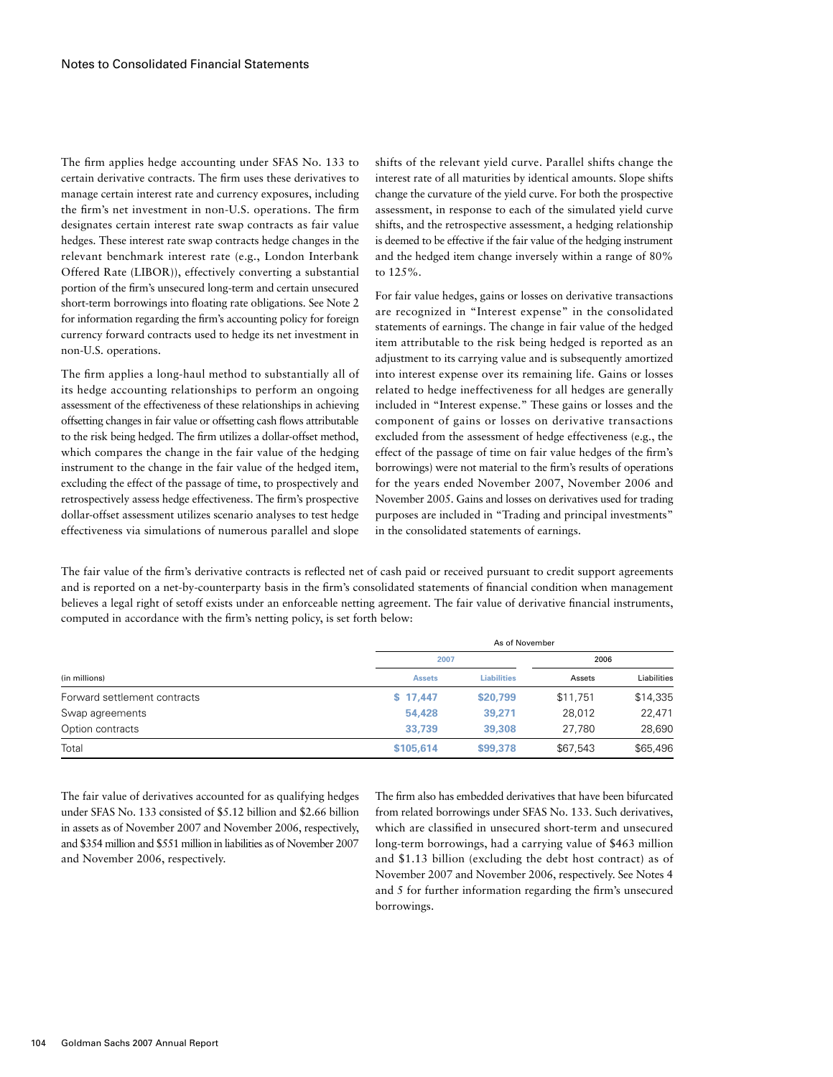The firm applies hedge accounting under SFAS No. 133 to certain derivative contracts. The firm uses these derivatives to manage certain interest rate and currency exposures, including the firm's net investment in non-U.S. operations. The firm designates certain interest rate swap contracts as fair value hedges. These interest rate swap contracts hedge changes in the relevant benchmark interest rate (e.g., London Interbank Offered Rate (LIBOR)), effectively converting a substantial portion of the firm's unsecured long-term and certain unsecured short-term borrowings into floating rate obligations. See Note 2 for information regarding the firm's accounting policy for foreign currency forward contracts used to hedge its net investment in non-U.S. operations.

The firm applies a long-haul method to substantially all of its hedge accounting relationships to perform an ongoing assessment of the effectiveness of these relationships in achieving offsetting changes in fair value or offsetting cash flows attributable to the risk being hedged. The firm utilizes a dollar-offset method, which compares the change in the fair value of the hedging instrument to the change in the fair value of the hedged item, excluding the effect of the passage of time, to prospectively and retrospectively assess hedge effectiveness. The firm's prospective dollar-offset assessment utilizes scenario analyses to test hedge effectiveness via simulations of numerous parallel and slope

shifts of the relevant yield curve. Parallel shifts change the interest rate of all maturities by identical amounts. Slope shifts change the curvature of the yield curve. For both the prospective assessment, in response to each of the simulated yield curve shifts, and the retrospective assessment, a hedging relationship is deemed to be effective if the fair value of the hedging instrument and the hedged item change inversely within a range of 80% to 125%.

For fair value hedges, gains or losses on derivative transactions are recognized in "Interest expense" in the consolidated statements of earnings. The change in fair value of the hedged item attributable to the risk being hedged is reported as an adjustment to its carrying value and is subsequently amortized into interest expense over its remaining life. Gains or losses related to hedge ineffectiveness for all hedges are generally included in "Interest expense." These gains or losses and the component of gains or losses on derivative transactions excluded from the assessment of hedge effectiveness (e.g., the effect of the passage of time on fair value hedges of the firm's borrowings) were not material to the firm's results of operations for the years ended November 2007, November 2006 and November 2005. Gains and losses on derivatives used for trading purposes are included in "Trading and principal investments" in the consolidated statements of earnings.

The fair value of the firm's derivative contracts is reflected net of cash paid or received pursuant to credit support agreements and is reported on a net-by-counterparty basis in the firm's consolidated statements of financial condition when management believes a legal right of setoff exists under an enforceable netting agreement. The fair value of derivative financial instruments, computed in accordance with the firm's netting policy, is set forth below:

|                              | As of November |                    |          |             |  |  |
|------------------------------|----------------|--------------------|----------|-------------|--|--|
|                              | 2007           |                    | 2006     |             |  |  |
| (in millions)                | <b>Assets</b>  | <b>Liabilities</b> | Assets   | Liabilities |  |  |
| Forward settlement contracts | \$17,447       | \$20,799           | \$11,751 | \$14,335    |  |  |
| Swap agreements              | 54,428         | 39,271             | 28,012   | 22,471      |  |  |
| Option contracts             | 33,739         | 39,308             | 27.780   | 28,690      |  |  |
| Total                        | \$105,614      | \$99,378           | \$67,543 | \$65,496    |  |  |

The fair value of derivatives accounted for as qualifying hedges under SFAS No. 133 consisted of \$5.12 billion and \$2.66 billion in assets as of November 2007 and November 2006, respectively, and \$354 million and \$551 million in liabilities as of November 2007 and November 2006, respectively.

The firm also has embedded derivatives that have been bifurcated from related borrowings under SFAS No. 133. Such derivatives, which are classified in unsecured short-term and unsecured long-term borrowings, had a carrying value of \$463 million and \$1.13 billion (excluding the debt host contract) as of November 2007 and November 2006, respectively. See Notes 4 and 5 for further information regarding the firm's unsecured borrowings.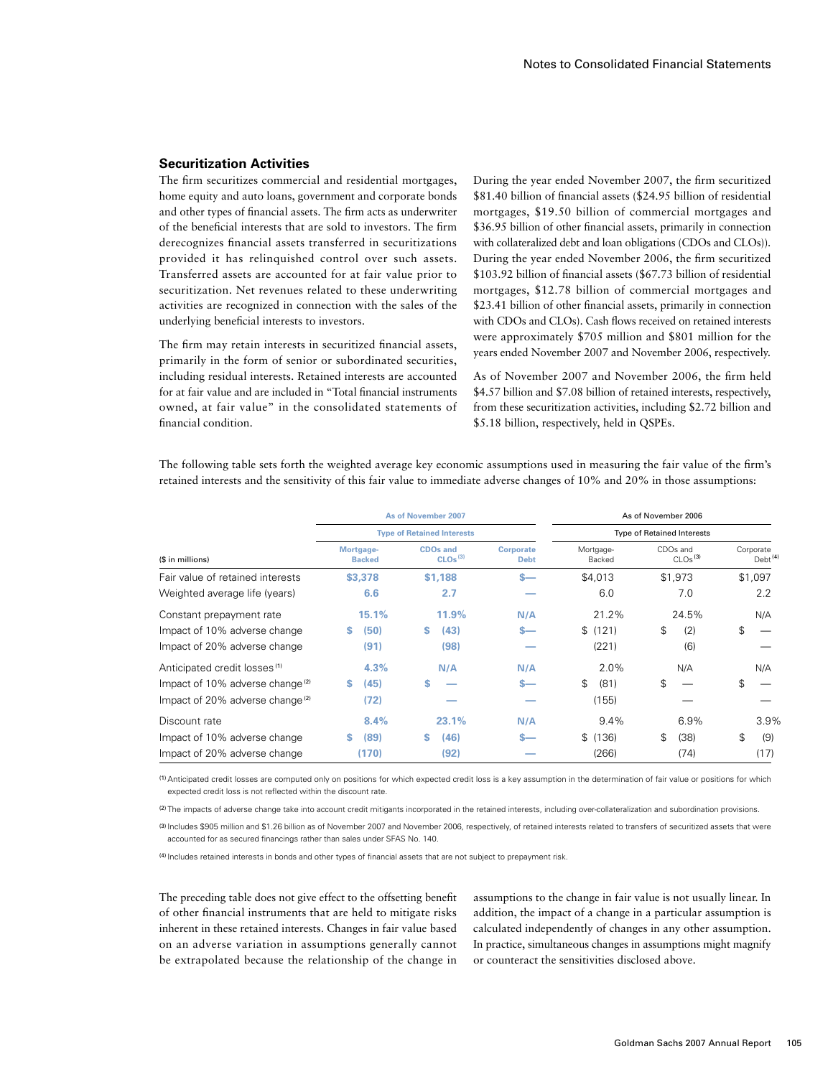## **Securitization Activities**

The firm securitizes commercial and residential mortgages, home equity and auto loans, government and corporate bonds and other types of financial assets. The firm acts as underwriter of the beneficial interests that are sold to investors. The firm derecognizes financial assets transferred in securitizations provided it has relinquished control over such assets. Transferred assets are accounted for at fair value prior to securitization. Net revenues related to these underwriting activities are recognized in connection with the sales of the underlying beneficial interests to investors.

The firm may retain interests in securitized financial assets, primarily in the form of senior or subordinated securities, including residual interests. Retained interests are accounted for at fair value and are included in "Total financial instruments owned, at fair value" in the consolidated statements of financial condition.

During the year ended November 2007, the firm securitized \$81.40 billion of financial assets (\$24.95 billion of residential mortgages, \$19.50 billion of commercial mortgages and \$36.95 billion of other financial assets, primarily in connection with collateralized debt and loan obligations (CDOs and CLOs)). During the year ended November 2006, the firm securitized \$103.92 billion of financial assets (\$67.73 billion of residential mortgages, \$12.78 billion of commercial mortgages and \$23.41 billion of other financial assets, primarily in connection with CDOs and CLOs). Cash flows received on retained interests were approximately \$705 million and \$801 million for the years ended November 2007 and November 2006, respectively.

As of November 2007 and November 2006, the firm held \$4.57 billion and \$7.08 billion of retained interests, respectively, from these securitization activities, including \$2.72 billion and \$5.18 billion, respectively, held in QSPEs.

The following table sets forth the weighted average key economic assumptions used in measuring the fair value of the firm's retained interests and the sensitivity of this fair value to immediate adverse changes of 10% and 20% in those assumptions:

|                                             | As of November 2007               |                                        | As of November 2006             |                                   |                                             |                                  |
|---------------------------------------------|-----------------------------------|----------------------------------------|---------------------------------|-----------------------------------|---------------------------------------------|----------------------------------|
|                                             | <b>Type of Retained Interests</b> |                                        |                                 | <b>Type of Retained Interests</b> |                                             |                                  |
| (\$ in millions)                            | Mortgage-<br><b>Backed</b>        | <b>CDOs and</b><br>CLOs <sup>(3)</sup> | <b>Corporate</b><br><b>Debt</b> | Mortgage-<br>Backed               | CDO <sub>s</sub> and<br>CLOs <sup>(3)</sup> | Corporate<br>Debt <sup>(4)</sup> |
| Fair value of retained interests            | \$3,378                           | \$1,188                                | $s-$                            | \$4,013                           | \$1,973                                     | \$1,097                          |
| Weighted average life (years)               | 6.6                               | 2.7                                    |                                 | 6.0                               | 7.0                                         | 2.2                              |
| Constant prepayment rate                    | 15.1%                             | 11.9%                                  | N/A                             | 21.2%                             | 24.5%                                       | N/A                              |
| Impact of 10% adverse change                | (50)                              | (43)<br>s                              | $s-$                            | (121)<br>\$                       | \$<br>(2)                                   | \$                               |
| Impact of 20% adverse change                | (91)                              | (98)                                   |                                 | (221)                             | (6)                                         |                                  |
| Anticipated credit losses <sup>(1)</sup>    | 4.3%                              | N/A                                    | N/A                             | 2.0%                              | N/A                                         | N/A                              |
| Impact of 10% adverse change <sup>(2)</sup> | (45)<br>s                         | S                                      | $s-$                            | \$<br>(81)                        | \$                                          | \$                               |
| Impact of 20% adverse change <sup>(2)</sup> | (72)                              |                                        |                                 | (155)                             |                                             |                                  |
| Discount rate                               | 8.4%                              | 23.1%                                  | N/A                             | 9.4%                              | 6.9%                                        | 3.9%                             |
| Impact of 10% adverse change                | (89)<br>s.                        | (46)<br>s                              | $s-$                            | (136)<br>\$                       | (38)<br>\$                                  | \$<br>(9)                        |
| Impact of 20% adverse change                | (170)                             | (92)                                   |                                 | (266)                             | (74)                                        | (17)                             |

(1)Anticipated credit losses are computed only on positions for which expected credit loss is a key assumption in the determination of fair value or positions for which expected credit loss is not reflected within the discount rate.

(2) The impacts of adverse change take into account credit mitigants incorporated in the retained interests, including over-collateralization and subordination provisions.

(3) Includes \$905 million and \$1.26 billion as of November 2007 and November 2006, respectively, of retained interests related to transfers of securitized assets that were accounted for as secured financings rather than sales under SFAS No. 140.

(4) Includes retained interests in bonds and other types of financial assets that are not subject to prepayment risk.

The preceding table does not give effect to the offsetting benefit of other financial instruments that are held to mitigate risks inherent in these retained interests. Changes in fair value based on an adverse variation in assumptions generally cannot be extrapolated because the relationship of the change in assumptions to the change in fair value is not usually linear. In addition, the impact of a change in a particular assumption is calculated independently of changes in any other assumption. In practice, simultaneous changes in assumptions might magnify or counteract the sensitivities disclosed above.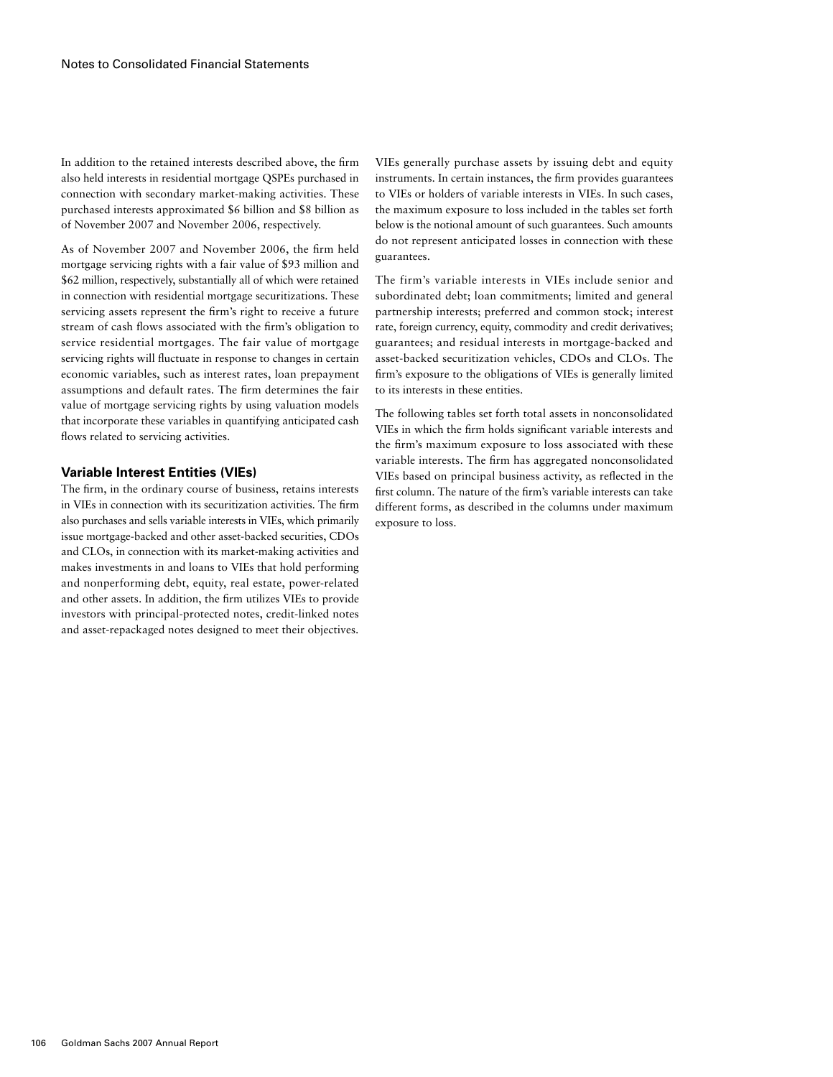In addition to the retained interests described above, the firm also held interests in residential mortgage QSPEs purchased in connection with secondary market-making activities. These purchased interests approximated \$6 billion and \$8 billion as of November 2007 and November 2006, respectively.

As of November 2007 and November 2006, the firm held mortgage servicing rights with a fair value of \$93 million and \$62 million, respectively, substantially all of which were retained in connection with residential mortgage securitizations. These servicing assets represent the firm's right to receive a future stream of cash flows associated with the firm's obligation to service residential mortgages. The fair value of mortgage servicing rights will fluctuate in response to changes in certain economic variables, such as interest rates, loan prepayment assumptions and default rates. The firm determines the fair value of mortgage servicing rights by using valuation models that incorporate these variables in quantifying anticipated cash flows related to servicing activities.

### **Variable Interest Entities (VIEs)**

The firm, in the ordinary course of business, retains interests in VIEs in connection with its securitization activities. The firm also purchases and sells variable interests in VIEs, which primarily issue mortgage-backed and other asset-backed securities, CDOs and CLOs, in connection with its market-making activities and makes investments in and loans to VIEs that hold performing and nonperforming debt, equity, real estate, power-related and other assets. In addition, the firm utilizes VIEs to provide investors with principal-protected notes, credit-linked notes and asset-repackaged notes designed to meet their objectives.

VIEs generally purchase assets by issuing debt and equity instruments. In certain instances, the firm provides guarantees to VIEs or holders of variable interests in VIEs. In such cases, the maximum exposure to loss included in the tables set forth below is the notional amount of such guarantees. Such amounts do not represent anticipated losses in connection with these guarantees.

The firm's variable interests in VIEs include senior and subordinated debt; loan commitments; limited and general partnership interests; preferred and common stock; interest rate, foreign currency, equity, commodity and credit derivatives; guarantees; and residual interests in mortgage-backed and asset-backed securitization vehicles, CDOs and CLOs. The firm's exposure to the obligations of VIEs is generally limited to its interests in these entities.

The following tables set forth total assets in nonconsolidated VIEs in which the firm holds significant variable interests and the firm's maximum exposure to loss associated with these variable interests. The firm has aggregated nonconsolidated VIEs based on principal business activity, as reflected in the first column. The nature of the firm's variable interests can take different forms, as described in the columns under maximum exposure to loss.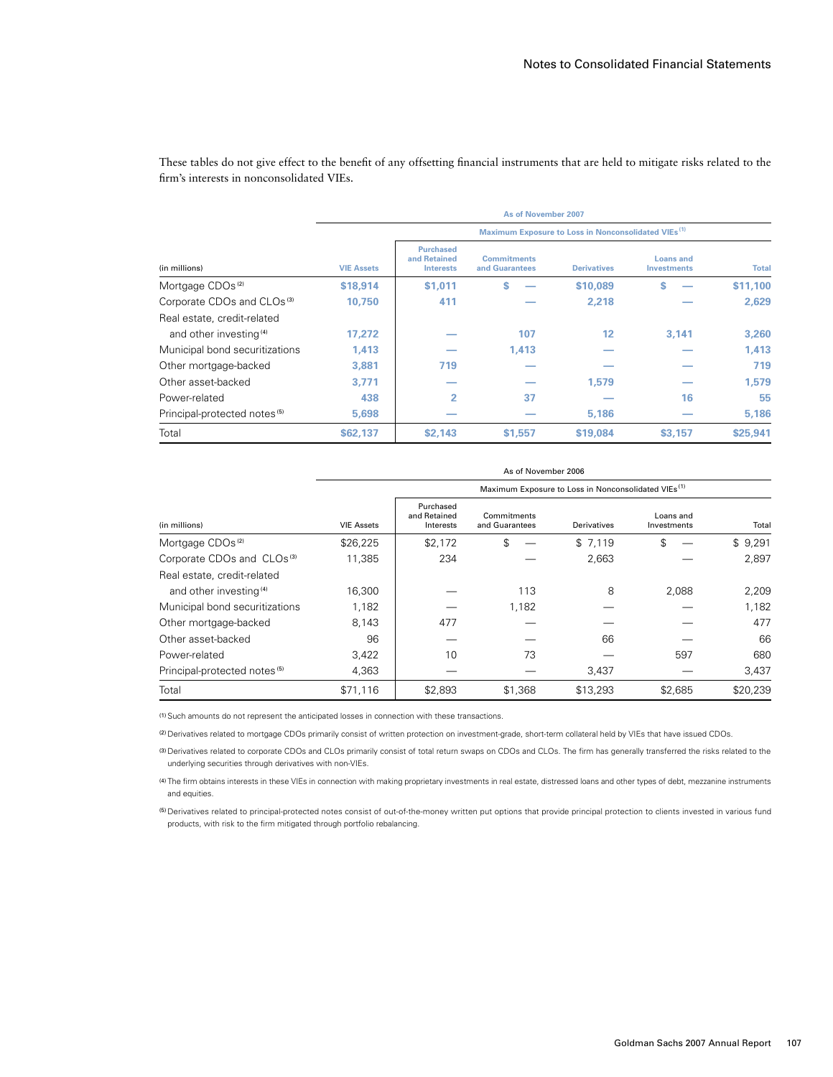|                                          | As of November 2007                                             |                                                      |                                      |                    |                                        |              |  |  |
|------------------------------------------|-----------------------------------------------------------------|------------------------------------------------------|--------------------------------------|--------------------|----------------------------------------|--------------|--|--|
|                                          | Maximum Exposure to Loss in Nonconsolidated VIEs <sup>(1)</sup> |                                                      |                                      |                    |                                        |              |  |  |
| (in millions)                            | <b>VIE Assets</b>                                               | <b>Purchased</b><br>and Retained<br><b>Interests</b> | <b>Commitments</b><br>and Guarantees | <b>Derivatives</b> | <b>Loans and</b><br><b>Investments</b> | <b>Total</b> |  |  |
| Mortgage CDOs <sup>(2)</sup>             | \$18,914                                                        | \$1,011                                              | S                                    | \$10,089           | S                                      | \$11,100     |  |  |
| Corporate CDOs and CLOs <sup>(3)</sup>   | 10.750                                                          | 411                                                  |                                      | 2,218              |                                        | 2.629        |  |  |
| Real estate, credit-related              |                                                                 |                                                      |                                      |                    |                                        |              |  |  |
| and other investing <sup>(4)</sup>       | 17,272                                                          |                                                      | 107                                  | 12                 | 3.141                                  | 3,260        |  |  |
| Municipal bond securitizations           | 1,413                                                           |                                                      | 1,413                                |                    |                                        | 1,413        |  |  |
| Other mortgage-backed                    | 3,881                                                           | 719                                                  |                                      |                    |                                        | 719          |  |  |
| Other asset-backed                       | 3,771                                                           |                                                      |                                      | 1,579              |                                        | 1,579        |  |  |
| Power-related                            | 438                                                             | 2                                                    | 37                                   |                    | 16                                     | 55           |  |  |
| Principal-protected notes <sup>(5)</sup> | 5,698                                                           |                                                      |                                      | 5,186              |                                        | 5,186        |  |  |
| Total                                    | \$62,137                                                        | \$2,143                                              | \$1,557                              | \$19,084           | \$3,157                                | \$25,941     |  |  |

These tables do not give effect to the benefit of any offsetting financial instruments that are held to mitigate risks related to the firm's interests in nonconsolidated VIEs.

|                                          | As of November 2006                                             |                                        |                               |             |                          |          |  |  |
|------------------------------------------|-----------------------------------------------------------------|----------------------------------------|-------------------------------|-------------|--------------------------|----------|--|--|
|                                          | Maximum Exposure to Loss in Nonconsolidated VIEs <sup>(1)</sup> |                                        |                               |             |                          |          |  |  |
| (in millions)                            | <b>VIE Assets</b>                                               | Purchased<br>and Retained<br>Interests | Commitments<br>and Guarantees | Derivatives | Loans and<br>Investments | Total    |  |  |
| Mortgage CDOs <sup>(2)</sup>             | \$26,225                                                        | \$2,172                                | \$                            | \$7,119     | \$                       | \$9,291  |  |  |
| Corporate CDOs and CLOs <sup>(3)</sup>   | 11,385                                                          | 234                                    |                               | 2,663       |                          | 2.897    |  |  |
| Real estate, credit-related              |                                                                 |                                        |                               |             |                          |          |  |  |
| and other investing <sup>(4)</sup>       | 16,300                                                          |                                        | 113                           | 8           | 2,088                    | 2,209    |  |  |
| Municipal bond securitizations           | 1,182                                                           |                                        | 1,182                         |             |                          | 1,182    |  |  |
| Other mortgage-backed                    | 8,143                                                           | 477                                    |                               |             |                          | 477      |  |  |
| Other asset-backed                       | 96                                                              |                                        |                               | 66          |                          | 66       |  |  |
| Power-related                            | 3,422                                                           | 10                                     | 73                            |             | 597                      | 680      |  |  |
| Principal-protected notes <sup>(5)</sup> | 4,363                                                           |                                        |                               | 3,437       |                          | 3,437    |  |  |
| Total                                    | \$71,116                                                        | \$2,893                                | \$1,368                       | \$13,293    | \$2,685                  | \$20,239 |  |  |

(1)Such amounts do not represent the anticipated losses in connection with these transactions.

(2) Derivatives related to mortgage CDOs primarily consist of written protection on investment-grade, short-term collateral held by VIEs that have issued CDOs.

(3) Derivatives related to corporate CDOs and CLOs primarily consist of total return swaps on CDOs and CLOs. The firm has generally transferred the risks related to the underlying securities through derivatives with non-VIEs.

(4) The firm obtains interests in these VIEs in connection with making proprietary investments in real estate, distressed loans and other types of debt, mezzanine instruments and equities.

(5) Derivatives related to principal-protected notes consist of out-of-the-money written put options that provide principal protection to clients invested in various fund products, with risk to the firm mitigated through portfolio rebalancing.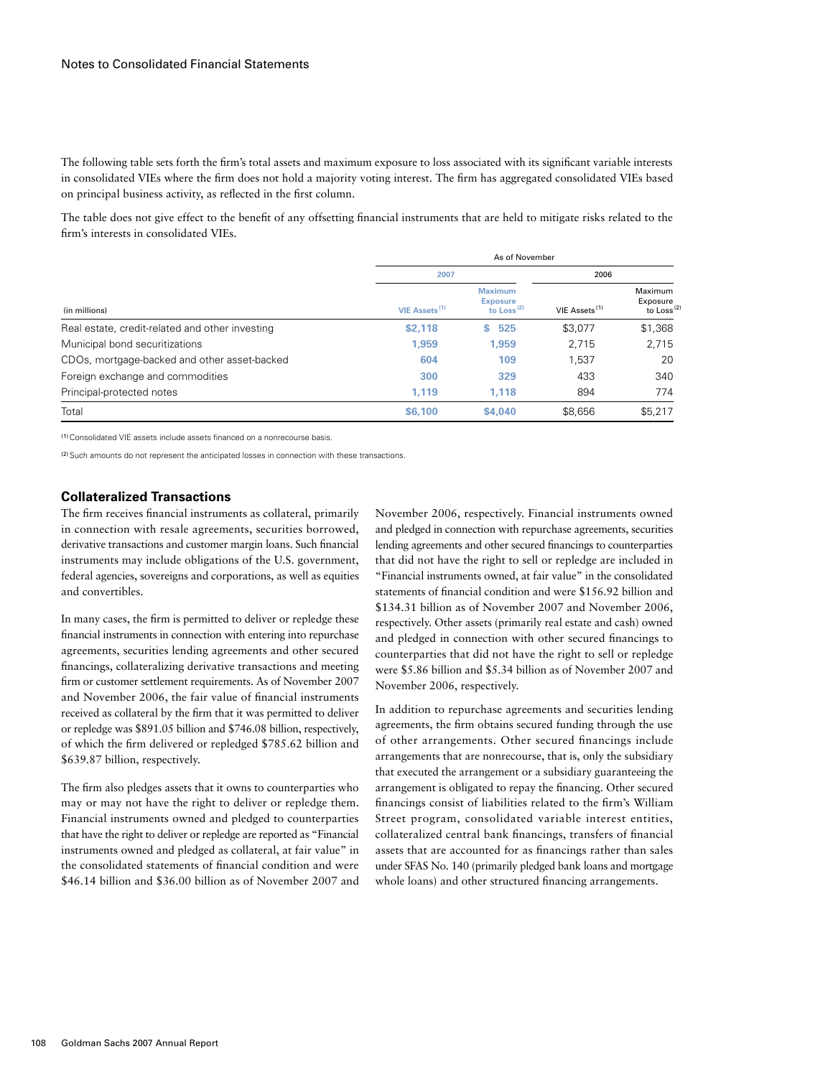The following table sets forth the firm's total assets and maximum exposure to loss associated with its significant variable interests in consolidated VIEs where the firm does not hold a majority voting interest. The firm has aggregated consolidated VIEs based on principal business activity, as reflected in the first column.

The table does not give effect to the benefit of any offsetting financial instruments that are held to mitigate risks related to the firm's interests in consolidated VIEs.

|                                                 | 2007                      | 2006                                                        |                           |                                               |
|-------------------------------------------------|---------------------------|-------------------------------------------------------------|---------------------------|-----------------------------------------------|
| (in millions)                                   | VIE Assets <sup>(1)</sup> | <b>Maximum</b><br><b>Exposure</b><br>to Loss <sup>(2)</sup> | VIE Assets <sup>(1)</sup> | Maximum<br>Exposure<br>to Loss <sup>(2)</sup> |
| Real estate, credit-related and other investing | \$2,118                   | 525<br>s                                                    | \$3,077                   | \$1,368                                       |
| Municipal bond securitizations                  | 1.959                     | 1.959                                                       | 2,715                     | 2,715                                         |
| CDOs, mortgage-backed and other asset-backed    | 604                       | 109                                                         | 1.537                     | 20                                            |
| Foreign exchange and commodities                | 300                       | 329                                                         | 433                       | 340                                           |
| Principal-protected notes                       | 1.119                     | 1.118                                                       | 894                       | 774                                           |
| Total                                           | \$6,100                   | \$4,040                                                     | \$8,656                   | \$5,217                                       |

(1)Consolidated VIE assets include assets financed on a nonrecourse basis.

<sup>(2)</sup> Such amounts do not represent the anticipated losses in connection with these transactions.

## **Collateralized Transactions**

The firm receives financial instruments as collateral, primarily in connection with resale agreements, securities borrowed, derivative transactions and customer margin loans. Such financial instruments may include obligations of the U.S. government, federal agencies, sovereigns and corporations, as well as equities and convertibles.

In many cases, the firm is permitted to deliver or repledge these financial instruments in connection with entering into repurchase agreements, securities lending agreements and other secured financings, collateralizing derivative transactions and meeting firm or customer settlement requirements. As of November 2007 and November 2006, the fair value of financial instruments received as collateral by the firm that it was permitted to deliver or repledge was \$891.05 billion and \$746.08 billion, respectively, of which the firm delivered or repledged \$785.62 billion and \$639.87 billion, respectively.

The firm also pledges assets that it owns to counterparties who may or may not have the right to deliver or repledge them. Financial instruments owned and pledged to counterparties that have the right to deliver or repledge are reported as "Financial instruments owned and pledged as collateral, at fair value" in the consolidated statements of financial condition and were \$46.14 billion and \$36.00 billion as of November 2007 and November 2006, respectively. Financial instruments owned and pledged in connection with repurchase agreements, securities lending agreements and other secured financings to counterparties that did not have the right to sell or repledge are included in "Financial instruments owned, at fair value" in the consolidated statements of financial condition and were \$156.92 billion and \$134.31 billion as of November 2007 and November 2006, respectively. Other assets (primarily real estate and cash) owned and pledged in connection with other secured financings to counterparties that did not have the right to sell or repledge were \$5.86 billion and \$5.34 billion as of November 2007 and November 2006, respectively.

In addition to repurchase agreements and securities lending agreements, the firm obtains secured funding through the use of other arrangements. Other secured financings include arrangements that are nonrecourse, that is, only the subsidiary that executed the arrangement or a subsidiary guaranteeing the arrangement is obligated to repay the financing. Other secured financings consist of liabilities related to the firm's William Street program, consolidated variable interest entities, collateralized central bank financings, transfers of financial assets that are accounted for as financings rather than sales under SFAS No. 140 (primarily pledged bank loans and mortgage whole loans) and other structured financing arrangements.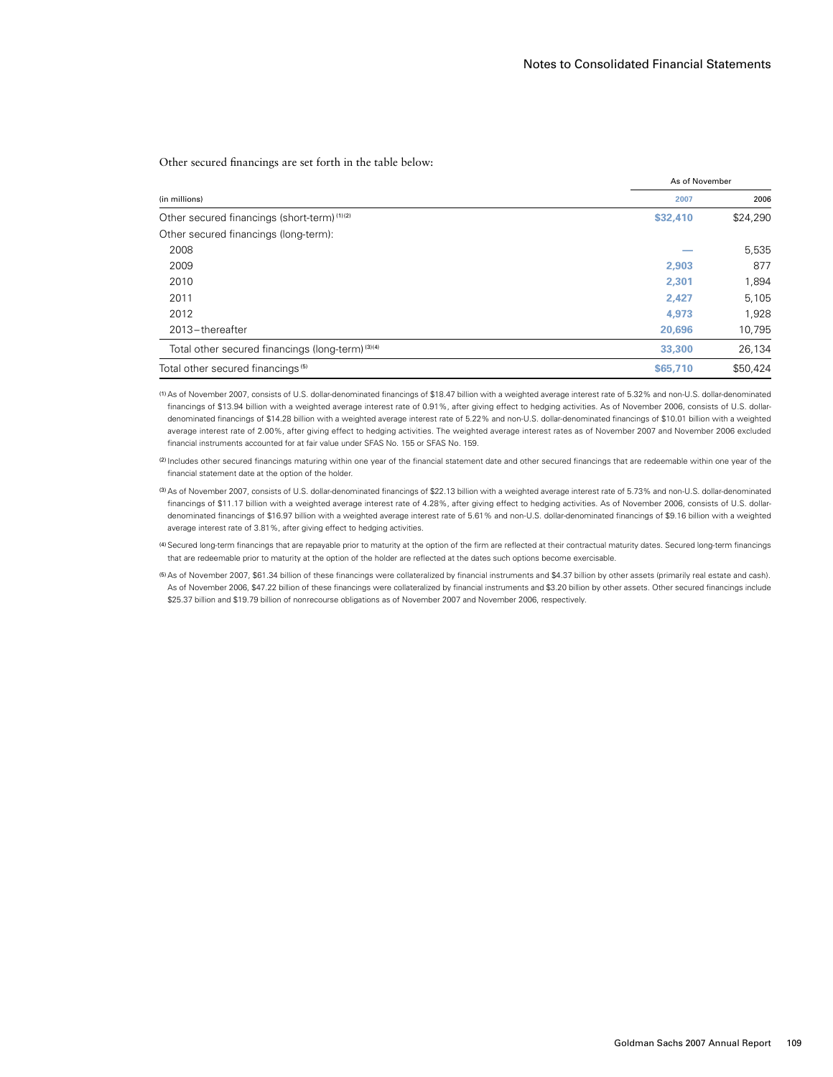As of November

Other secured financings are set forth in the table below:

| 2007     | 2006              |
|----------|-------------------|
| \$32,410 | \$24,290          |
|          |                   |
|          | 5,535             |
| 2.903    | 877               |
| 2,301    | 1,894             |
| 2.427    | 5,105             |
| 4,973    | 1,928             |
| 20,696   | 10,795            |
| 33,300   | 26,134            |
| \$65,710 | \$50,424          |
|          | AS OT INOVERTIDED |

(1)As of November 2007, consists of U.S. dollar-denominated financings of \$18.47 billion with a weighted average interest rate of 5.32% and non-U.S. dollar-denominated financings of \$13.94 billion with a weighted average interest rate of 0.91%, after giving effect to hedging activities. As of November 2006, consists of U.S. dollardenominated financings of \$14.28 billion with a weighted average interest rate of 5.22% and non-U.S. dollar-denominated financings of \$10.01 billion with a weighted average interest rate of 2.00%, after giving effect to hedging activities. The weighted average interest rates as of November 2007 and November 2006 excluded financial instruments accounted for at fair value under SFAS No. 155 or SFAS No. 159.

(2) Includes other secured financings maturing within one year of the financial statement date and other secured financings that are redeemable within one year of the financial statement date at the option of the holder.

(3)As of November 2007, consists of U.S. dollar-denominated financings of \$22.13 billion with a weighted average interest rate of 5.73% and non-U.S. dollar-denominated financings of \$11.17 billion with a weighted average interest rate of 4.28%, after giving effect to hedging activities. As of November 2006, consists of U.S. dollardenominated financings of \$16.97 billion with a weighted average interest rate of 5.61% and non-U.S. dollar-denominated financings of \$9.16 billion with a weighted average interest rate of 3.81%, after giving effect to hedging activities.

(4)Secured long-term financings that are repayable prior to maturity at the option of the firm are reflected at their contractual maturity dates. Secured long-term financings that are redeemable prior to maturity at the option of the holder are reflected at the dates such options become exercisable.

(5)As of November 2007, \$61.34 billion of these financings were collateralized by financial instruments and \$4.37 billion by other assets (primarily real estate and cash). As of November 2006, \$47.22 billion of these financings were collateralized by financial instruments and \$3.20 billion by other assets. Other secured financings include \$25.37 billion and \$19.79 billion of nonrecourse obligations as of November 2007 and November 2006, respectively.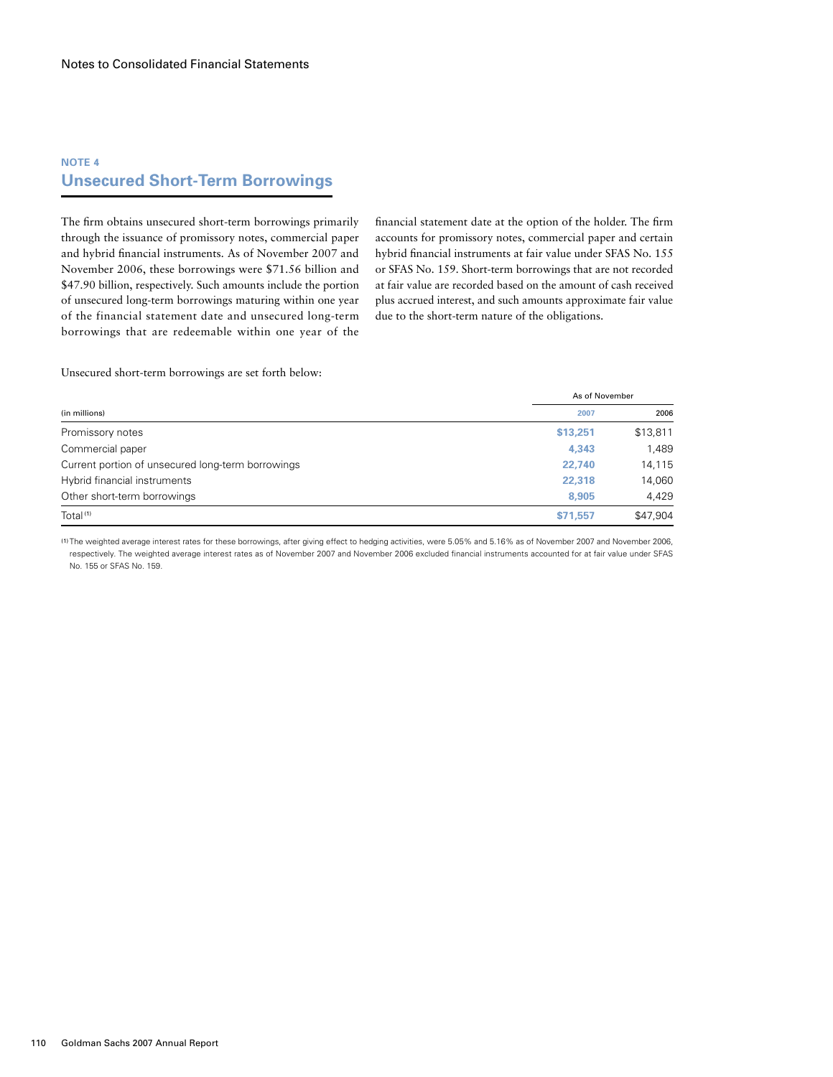# **NOTE 4 Unsecured Short-Term Borrowings**

The firm obtains unsecured short-term borrowings primarily through the issuance of promissory notes, commercial paper and hybrid financial instruments. As of November 2007 and November 2006, these borrowings were \$71.56 billion and \$47.90 billion, respectively. Such amounts include the portion of unsecured long-term borrowings maturing within one year of the financial statement date and unsecured long-term borrowings that are redeemable within one year of the financial statement date at the option of the holder. The firm accounts for promissory notes, commercial paper and certain hybrid financial instruments at fair value under SFAS No. 155 or SFAS No. 159. Short-term borrowings that are not recorded at fair value are recorded based on the amount of cash received plus accrued interest, and such amounts approximate fair value due to the short-term nature of the obligations.

Unsecured short-term borrowings are set forth below:

| (in millions)                                     | As of November |          |  |
|---------------------------------------------------|----------------|----------|--|
|                                                   | 2007           | 2006     |  |
| Promissory notes                                  | \$13,251       | \$13,811 |  |
| Commercial paper                                  | 4,343          | 1,489    |  |
| Current portion of unsecured long-term borrowings | 22,740         | 14,115   |  |
| Hybrid financial instruments                      | 22,318         | 14,060   |  |
| Other short-term borrowings                       | 8.905          | 4,429    |  |
| Total <sup>(1)</sup>                              | \$71.557       | \$47,904 |  |

(1) The weighted average interest rates for these borrowings, after giving effect to hedging activities, were 5.05% and 5.16% as of November 2007 and November 2006, respectively. The weighted average interest rates as of November 2007 and November 2006 excluded financial instruments accounted for at fair value under SFAS No. 155 or SFAS No. 159.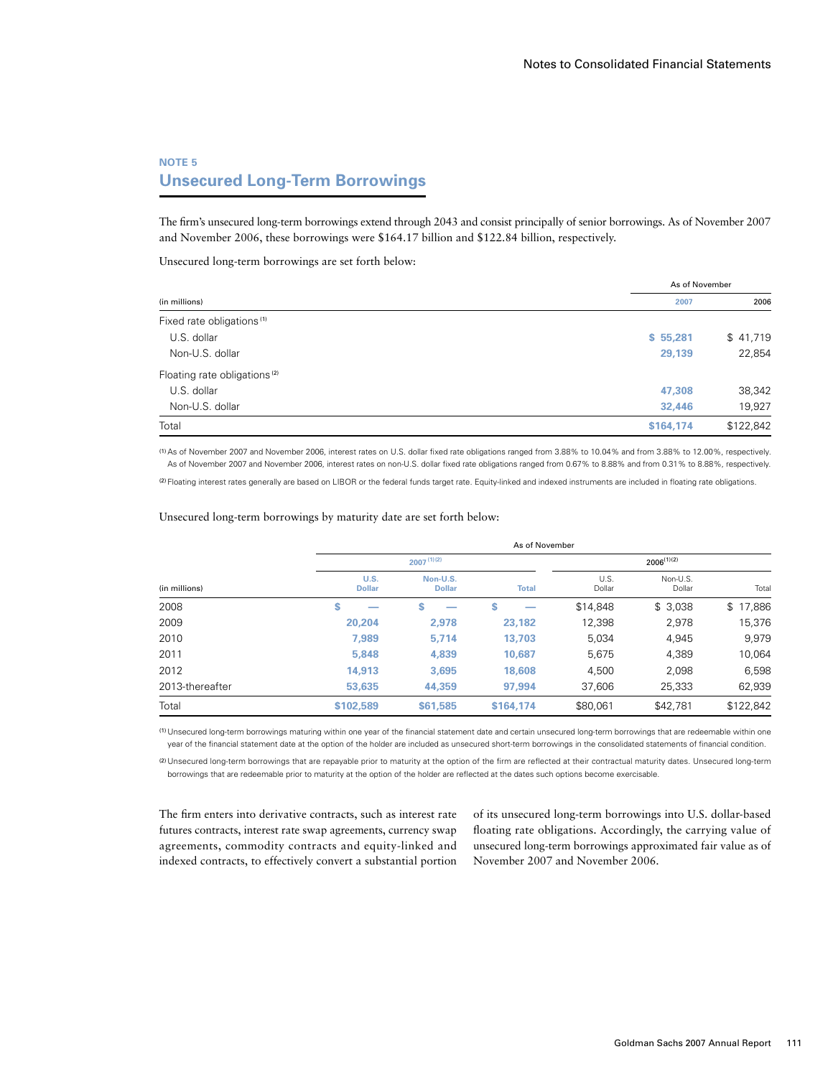### **NOTE 5 Unsecured Long-Term Borrowings**

The firm's unsecured long-term borrowings extend through 2043 and consist principally of senior borrowings. As of November 2007 and November 2006, these borrowings were \$164.17 billion and \$122.84 billion, respectively.

Unsecured long-term borrowings are set forth below:

| (in millions)                            | As of November |           |
|------------------------------------------|----------------|-----------|
|                                          | 2007           | 2006      |
| Fixed rate obligations <sup>(1)</sup>    |                |           |
| U.S. dollar                              | \$55,281       | \$41,719  |
| Non-U.S. dollar                          | 29,139         | 22,854    |
| Floating rate obligations <sup>(2)</sup> |                |           |
| U.S. dollar                              | 47,308         | 38,342    |
| Non-U.S. dollar                          | 32,446         | 19,927    |
| Total                                    | \$164,174      | \$122,842 |

(1)As of November 2007 and November 2006, interest rates on U.S. dollar fixed rate obligations ranged from 3.88% to 10.04% and from 3.88% to 12.00%, respectively. As of November 2007 and November 2006, interest rates on non-U.S. dollar fixed rate obligations ranged from 0.67% to 8.88% and from 0.31% to 8.88%, respectively.

(2) Floating interest rates generally are based on LIBOR or the federal funds target rate. Equity-linked and indexed instruments are included in floating rate obligations.

|                 |                       |                                | As of November |                |                    |           |
|-----------------|-----------------------|--------------------------------|----------------|----------------|--------------------|-----------|
|                 |                       | $2007^{(1)(2)}$                |                |                | $2006^{(1)(2)}$    |           |
| (in millions)   | U.S.<br><b>Dollar</b> | Non-U.S.<br><b>Dollar</b>      | <b>Total</b>   | U.S.<br>Dollar | Non-U.S.<br>Dollar | Total     |
| 2008            | \$                    | \$<br>$\overline{\phantom{a}}$ | S              | \$14,848       | \$3,038            | \$17,886  |
| 2009            | 20,204                | 2.978                          | 23,182         | 12,398         | 2,978              | 15,376    |
| 2010            | 7,989                 | 5.714                          | 13,703         | 5,034          | 4,945              | 9,979     |
| 2011            | 5,848                 | 4,839                          | 10.687         | 5.675          | 4,389              | 10,064    |
| 2012            | 14,913                | 3.695                          | 18,608         | 4,500          | 2,098              | 6,598     |
| 2013-thereafter | 53,635                | 44.359                         | 97.994         | 37,606         | 25,333             | 62,939    |
| Total           | \$102,589             | \$61,585                       | \$164,174      | \$80,061       | \$42,781           | \$122,842 |

#### Unsecured long-term borrowings by maturity date are set forth below:

(1) Unsecured long-term borrowings maturing within one year of the financial statement date and certain unsecured long-term borrowings that are redeemable within one year of the financial statement date at the option of the holder are included as unsecured short-term borrowings in the consolidated statements of financial condition.

(2) Unsecured long-term borrowings that are repayable prior to maturity at the option of the firm are reflected at their contractual maturity dates. Unsecured long-term borrowings that are redeemable prior to maturity at the option of the holder are reflected at the dates such options become exercisable.

The firm enters into derivative contracts, such as interest rate futures contracts, interest rate swap agreements, currency swap agreements, commodity contracts and equity-linked and indexed contracts, to effectively convert a substantial portion of its unsecured long-term borrowings into U.S. dollar-based floating rate obligations. Accordingly, the carrying value of unsecured long-term borrowings approximated fair value as of November 2007 and November 2006.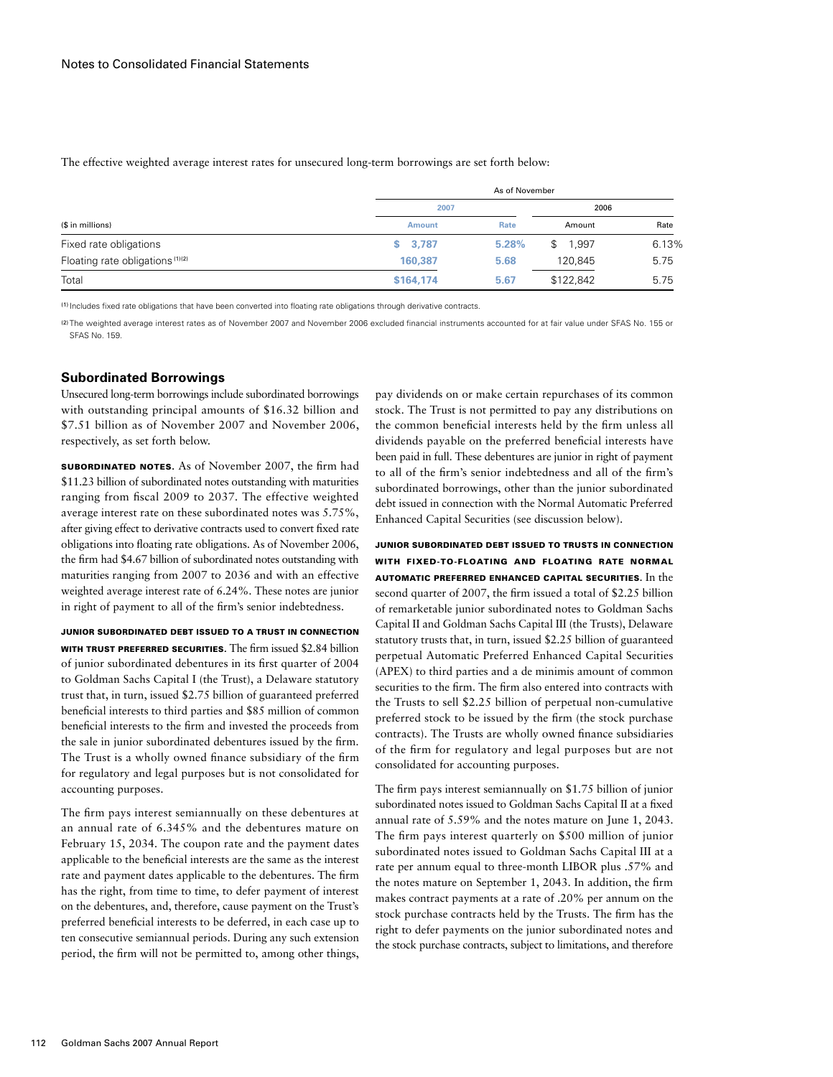The effective weighted average interest rates for unsecured long-term borrowings are set forth below:

|                                             | As of November |       |             |       |
|---------------------------------------------|----------------|-------|-------------|-------|
|                                             | 2007           |       | 2006        |       |
| (\$ in millions)                            | <b>Amount</b>  | Rate  | Amount      | Rate  |
| Fixed rate obligations                      | \$3,787        | 5.28% | 1.997<br>\$ | 6.13% |
| Floating rate obligations <sup>(1)(2)</sup> | 160.387        | 5.68  | 120.845     | 5.75  |
| Total                                       | \$164,174      | 5.67  | \$122,842   | 5.75  |

(1) Includes fixed rate obligations that have been converted into floating rate obligations through derivative contracts.

(2) The weighted average interest rates as of November 2007 and November 2006 excluded financial instruments accounted for at fair value under SFAS No. 155 or SFAS No. 159.

#### **Subordinated Borrowings**

Unsecured long-term borrowings include subordinated borrowings with outstanding principal amounts of \$16.32 billion and \$7.51 billion as of November 2007 and November 2006, respectively, as set forth below.

SUBORDINATED NOTES. As of November 2007, the firm had \$11.23 billion of subordinated notes outstanding with maturities ranging from fiscal 2009 to 2037. The effective weighted average interest rate on these subordinated notes was 5.75%, after giving effect to derivative contracts used to convert fixed rate obligations into floating rate obligations. As of November 2006, the firm had \$4.67 billion of subordinated notes outstanding with maturities ranging from 2007 to 2036 and with an effective weighted average interest rate of 6.24%. These notes are junior in right of payment to all of the firm's senior indebtedness.

Junior Subordinated Debt Issued to a Trust in Connection WITH TRUST PREFERRED SECURITIES. The firm issued \$2.84 billion of junior subordinated debentures in its first quarter of 2004 to Goldman Sachs Capital I (the Trust), a Delaware statutory trust that, in turn, issued \$2.75 billion of guaranteed preferred beneficial interests to third parties and \$85 million of common beneficial interests to the firm and invested the proceeds from the sale in junior subordinated debentures issued by the firm. The Trust is a wholly owned finance subsidiary of the firm for regulatory and legal purposes but is not consolidated for accounting purposes.

The firm pays interest semiannually on these debentures at an annual rate of 6.345% and the debentures mature on February 15, 2034. The coupon rate and the payment dates applicable to the beneficial interests are the same as the interest rate and payment dates applicable to the debentures. The firm has the right, from time to time, to defer payment of interest on the debentures, and, therefore, cause payment on the Trust's preferred beneficial interests to be deferred, in each case up to ten consecutive semiannual periods. During any such extension period, the firm will not be permitted to, among other things,

pay dividends on or make certain repurchases of its common stock. The Trust is not permitted to pay any distributions on the common beneficial interests held by the firm unless all dividends payable on the preferred beneficial interests have been paid in full. These debentures are junior in right of payment to all of the firm's senior indebtedness and all of the firm's subordinated borrowings, other than the junior subordinated debt issued in connection with the Normal Automatic Preferred Enhanced Capital Securities (see discussion below).

Junior Subordinated Debt Issued to Trusts in Connection with Fixed-to-Floating and Floating Rate Normal Automatic Preferred Enhanced Capital Securities. In the second quarter of 2007, the firm issued a total of \$2.25 billion of remarketable junior subordinated notes to Goldman Sachs Capital II and Goldman Sachs Capital III (the Trusts), Delaware statutory trusts that, in turn, issued \$2.25 billion of guaranteed perpetual Automatic Preferred Enhanced Capital Securities (APEX) to third parties and a de minimis amount of common securities to the firm. The firm also entered into contracts with the Trusts to sell \$2.25 billion of perpetual non-cumulative preferred stock to be issued by the firm (the stock purchase contracts). The Trusts are wholly owned finance subsidiaries of the firm for regulatory and legal purposes but are not consolidated for accounting purposes.

The firm pays interest semiannually on \$1.75 billion of junior subordinated notes issued to Goldman Sachs Capital II at a fixed annual rate of 5.59% and the notes mature on June 1, 2043. The firm pays interest quarterly on \$500 million of junior subordinated notes issued to Goldman Sachs Capital III at a rate per annum equal to three-month LIBOR plus .57% and the notes mature on September 1, 2043. In addition, the firm makes contract payments at a rate of .20% per annum on the stock purchase contracts held by the Trusts. The firm has the right to defer payments on the junior subordinated notes and the stock purchase contracts, subject to limitations, and therefore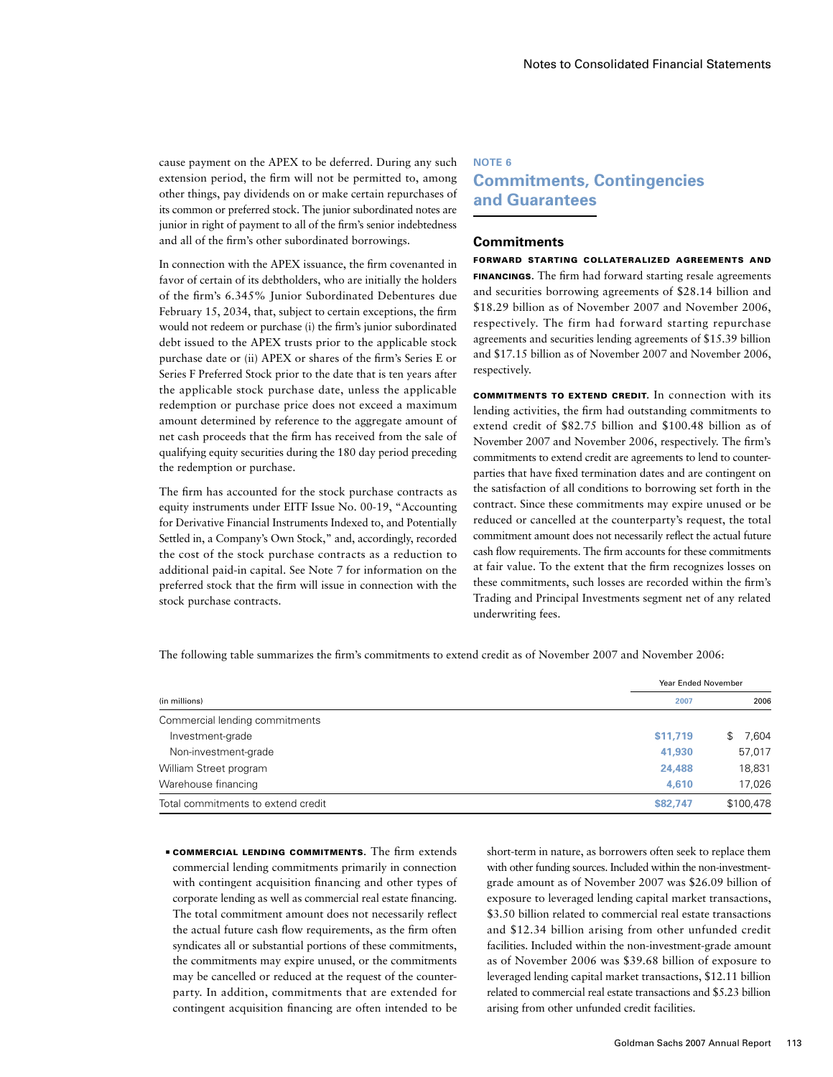cause payment on the APEX to be deferred. During any such extension period, the firm will not be permitted to, among other things, pay dividends on or make certain repurchases of its common or preferred stock. The junior subordinated notes are junior in right of payment to all of the firm's senior indebtedness and all of the firm's other subordinated borrowings.

In connection with the APEX issuance, the firm covenanted in favor of certain of its debtholders, who are initially the holders of the firm's 6.345% Junior Subordinated Debentures due February 15, 2034, that, subject to certain exceptions, the firm would not redeem or purchase (i) the firm's junior subordinated debt issued to the APEX trusts prior to the applicable stock purchase date or (ii) APEX or shares of the firm's Series E or Series F Preferred Stock prior to the date that is ten years after the applicable stock purchase date, unless the applicable redemption or purchase price does not exceed a maximum amount determined by reference to the aggregate amount of net cash proceeds that the firm has received from the sale of qualifying equity securities during the 180 day period preceding the redemption or purchase.

The firm has accounted for the stock purchase contracts as equity instruments under EITF Issue No. 00-19, "Accounting for Derivative Financial Instruments Indexed to, and Potentially Settled in, a Company's Own Stock," and, accordingly, recorded the cost of the stock purchase contracts as a reduction to additional paid-in capital. See Note 7 for information on the preferred stock that the firm will issue in connection with the stock purchase contracts.

# **NOTE 6 Commitments, Contingencies and Guarantees**

#### **Commitments**

Forward Starting Collateralized Agreements and Financings. The firm had forward starting resale agreements and securities borrowing agreements of \$28.14 billion and \$18.29 billion as of November 2007 and November 2006, respectively. The firm had forward starting repurchase agreements and securities lending agreements of \$15.39 billion and \$17.15 billion as of November 2007 and November 2006, respectively.

Commitments to Extend Credit. In connection with its lending activities, the firm had outstanding commitments to extend credit of \$82.75 billion and \$100.48 billion as of November 2007 and November 2006, respectively. The firm's commitments to extend credit are agreements to lend to counterparties that have fixed termination dates and are contingent on the satisfaction of all conditions to borrowing set forth in the contract. Since these commitments may expire unused or be reduced or cancelled at the counterparty's request, the total commitment amount does not necessarily reflect the actual future cash flow requirements. The firm accounts for these commitments at fair value. To the extent that the firm recognizes losses on these commitments, such losses are recorded within the firm's Trading and Principal Investments segment net of any related underwriting fees.

Year Ended November (in millions) **2007** 2006 Commercial lending commitments Investment-grade **\$11,719** \$ 7,604 Non-investment-grade **41,930** 57,017 William Street program **24,488** 18,831 Warehouse financing **4,610** 17,026 Total commitments to extend credit **\$82,747** \$100,478

The following table summarizes the firm's commitments to extend credit as of November 2007 and November 2006:

**ECOMMERCIAL LENDING COMMITMENTS.** The firm extends commercial lending commitments primarily in connection with contingent acquisition financing and other types of corporate lending as well as commercial real estate financing. The total commitment amount does not necessarily reflect the actual future cash flow requirements, as the firm often syndicates all or substantial portions of these commitments, the commitments may expire unused, or the commitments may be cancelled or reduced at the request of the counterparty. In addition, commitments that are extended for contingent acquisition financing are often intended to be

short-term in nature, as borrowers often seek to replace them with other funding sources. Included within the non-investmentgrade amount as of November 2007 was \$26.09 billion of exposure to leveraged lending capital market transactions, \$3.50 billion related to commercial real estate transactions and \$12.34 billion arising from other unfunded credit facilities. Included within the non-investment-grade amount as of November 2006 was \$39.68 billion of exposure to leveraged lending capital market transactions, \$12.11 billion related to commercial real estate transactions and \$5.23 billion arising from other unfunded credit facilities.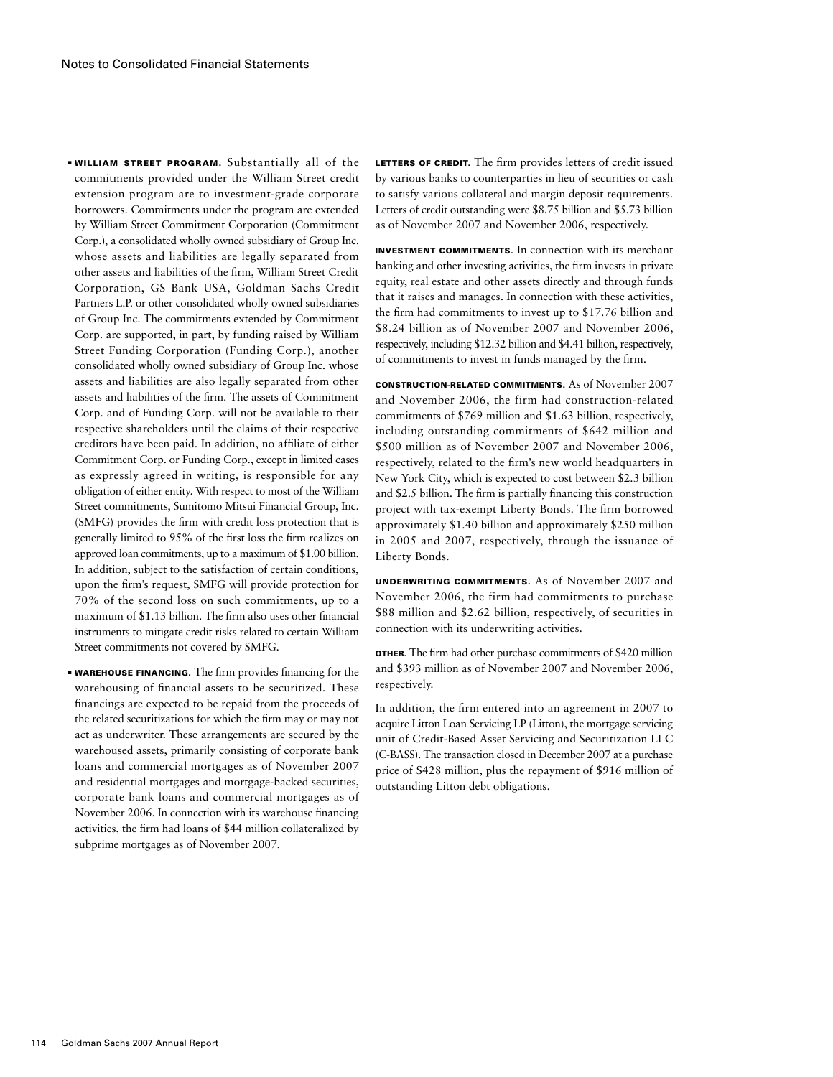**■ WILLIAM STREET PROGRAM.** Substantially all of the commitments provided under the William Street credit extension program are to investment-grade corporate borrowers. Commitments under the program are extended by William Street Commitment Corporation (Commitment Corp.), a consolidated wholly owned subsidiary of Group Inc. whose assets and liabilities are legally separated from other assets and liabilities of the firm, William Street Credit Corporation, GS Bank USA, Goldman Sachs Credit Partners L.P. or other consolidated wholly owned subsidiaries of Group Inc. The commitments extended by Commitment Corp. are supported, in part, by funding raised by William Street Funding Corporation (Funding Corp.), another consolidated wholly owned subsidiary of Group Inc. whose assets and liabilities are also legally separated from other assets and liabilities of the firm. The assets of Commitment Corp. and of Funding Corp. will not be available to their respective shareholders until the claims of their respective creditors have been paid. In addition, no affiliate of either Commitment Corp. or Funding Corp., except in limited cases as expressly agreed in writing, is responsible for any obligation of either entity. With respect to most of the William Street commitments, Sumitomo Mitsui Financial Group, Inc. (SMFG) provides the firm with credit loss protection that is generally limited to 95% of the first loss the firm realizes on approved loan commitments, up to a maximum of \$1.00 billion. In addition, subject to the satisfaction of certain conditions, upon the firm's request, SMFG will provide protection for 70% of the second loss on such commitments, up to a maximum of \$1.13 billion. The firm also uses other financial instruments to mitigate credit risks related to certain William Street commitments not covered by SMFG.

■ Warehouse financing. The firm provides financing for the warehousing of financial assets to be securitized. These financings are expected to be repaid from the proceeds of the related securitizations for which the firm may or may not act as underwriter. These arrangements are secured by the warehoused assets, primarily consisting of corporate bank loans and commercial mortgages as of November 2007 and residential mortgages and mortgage-backed securities, corporate bank loans and commercial mortgages as of November 2006. In connection with its warehouse financing activities, the firm had loans of \$44 million collateralized by subprime mortgages as of November 2007.

LETTERS OF CREDIT. The firm provides letters of credit issued by various banks to counterparties in lieu of securities or cash to satisfy various collateral and margin deposit requirements. Letters of credit outstanding were \$8.75 billion and \$5.73 billion as of November 2007 and November 2006, respectively.

Investment Commitments. In connection with its merchant banking and other investing activities, the firm invests in private equity, real estate and other assets directly and through funds that it raises and manages. In connection with these activities, the firm had commitments to invest up to \$17.76 billion and \$8.24 billion as of November 2007 and November 2006, respectively, including \$12.32 billion and \$4.41 billion, respectively, of commitments to invest in funds managed by the firm.

Construction-Related Commitments. As of November 2007 and November 2006, the firm had construction-related commitments of \$769 million and \$1.63 billion, respectively, including outstanding commitments of \$642 million and \$500 million as of November 2007 and November 2006, respectively, related to the firm's new world headquarters in New York City, which is expected to cost between \$2.3 billion and \$2.5 billion. The firm is partially financing this construction project with tax-exempt Liberty Bonds. The firm borrowed approximately \$1.40 billion and approximately \$250 million in 2005 and 2007, respectively, through the issuance of Liberty Bonds.

Underwriting Commitments. As of November 2007 and November 2006, the firm had commitments to purchase \$88 million and \$2.62 billion, respectively, of securities in connection with its underwriting activities.

Other. The firm had other purchase commitments of \$420 million and \$393 million as of November 2007 and November 2006, respectively.

In addition, the firm entered into an agreement in 2007 to acquire Litton Loan Servicing LP (Litton), the mortgage servicing unit of Credit-Based Asset Servicing and Securitization LLC (C-BASS). The transaction closed in December 2007 at a purchase price of \$428 million, plus the repayment of \$916 million of outstanding Litton debt obligations.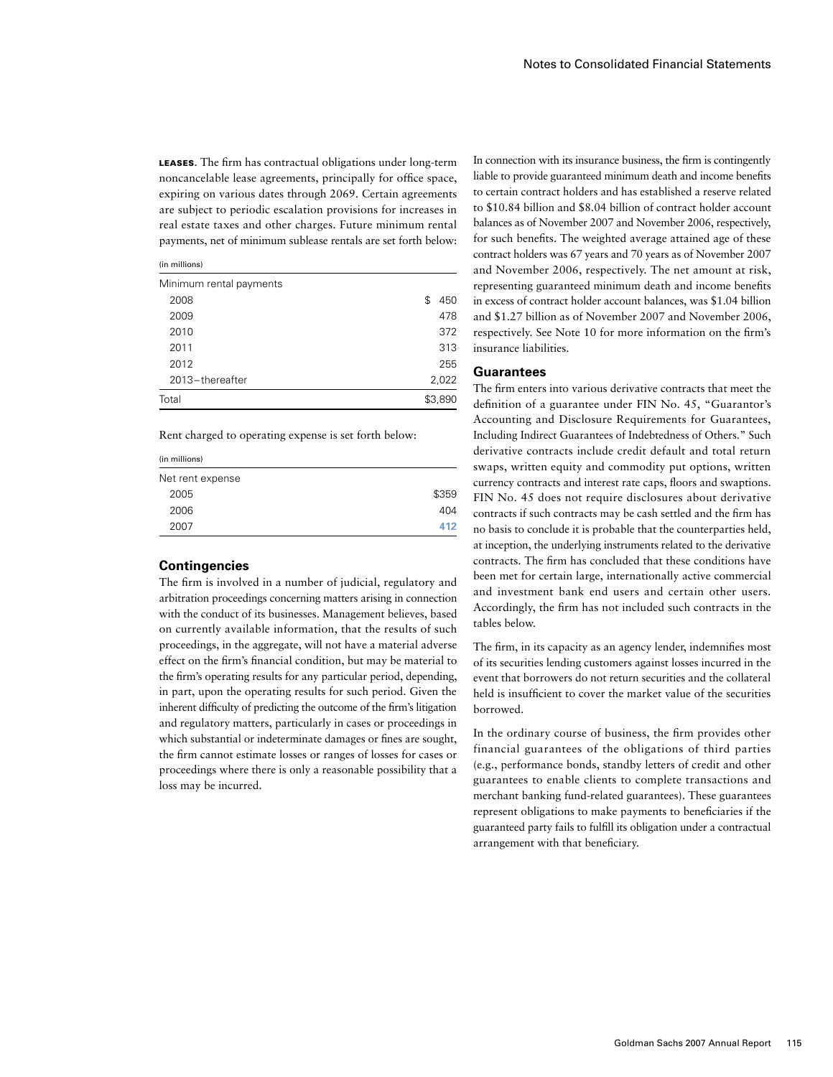Leases. The firm has contractual obligations under long-term noncancelable lease agreements, principally for office space, expiring on various dates through 2069. Certain agreements are subject to periodic escalation provisions for increases in real estate taxes and other charges. Future minimum rental payments, net of minimum sublease rentals are set forth below:

(in millions)

| Minimum rental payments |            |
|-------------------------|------------|
| 2008                    | 450<br>\$. |
| 2009                    | 478        |
| 2010                    | 372        |
| 2011                    | 313        |
| 2012                    | 255        |
| 2013-thereafter         | 2,022      |
| Total                   | \$3,890    |
|                         |            |

Rent charged to operating expense is set forth below:

| \$359 |
|-------|
| 404   |
| 412   |
|       |

#### **Contingencies**

The firm is involved in a number of judicial, regulatory and arbitration proceedings concerning matters arising in connection with the conduct of its businesses. Management believes, based on currently available information, that the results of such proceedings, in the aggregate, will not have a material adverse effect on the firm's financial condition, but may be material to the firm's operating results for any particular period, depending, in part, upon the operating results for such period. Given the inherent difficulty of predicting the outcome of the firm's litigation and regulatory matters, particularly in cases or proceedings in which substantial or indeterminate damages or fines are sought, the firm cannot estimate losses or ranges of losses for cases or proceedings where there is only a reasonable possibility that a loss may be incurred.

In connection with its insurance business, the firm is contingently liable to provide guaranteed minimum death and income benefits to certain contract holders and has established a reserve related to \$10.84 billion and \$8.04 billion of contract holder account balances as of November 2007 and November 2006, respectively, for such benefits. The weighted average attained age of these contract holders was 67 years and 70 years as of November 2007 and November 2006, respectively. The net amount at risk, representing guaranteed minimum death and income benefits in excess of contract holder account balances, was \$1.04 billion and \$1.27 billion as of November 2007 and November 2006, respectively. See Note 10 for more information on the firm's insurance liabilities.

#### **Guarantees**

The firm enters into various derivative contracts that meet the definition of a guarantee under FIN No. 45, "Guarantor's Accounting and Disclosure Requirements for Guarantees, Including Indirect Guarantees of Indebtedness of Others." Such derivative contracts include credit default and total return swaps, written equity and commodity put options, written currency contracts and interest rate caps, floors and swaptions. FIN No. 45 does not require disclosures about derivative contracts if such contracts may be cash settled and the firm has no basis to conclude it is probable that the counterparties held, at inception, the underlying instruments related to the derivative contracts. The firm has concluded that these conditions have been met for certain large, internationally active commercial and investment bank end users and certain other users. Accordingly, the firm has not included such contracts in the tables below.

The firm, in its capacity as an agency lender, indemnifies most of its securities lending customers against losses incurred in the event that borrowers do not return securities and the collateral held is insufficient to cover the market value of the securities borrowed.

In the ordinary course of business, the firm provides other financial guarantees of the obligations of third parties (e.g., performance bonds, standby letters of credit and other guarantees to enable clients to complete transactions and merchant banking fund-related guarantees). These guarantees represent obligations to make payments to beneficiaries if the guaranteed party fails to fulfill its obligation under a contractual arrangement with that beneficiary.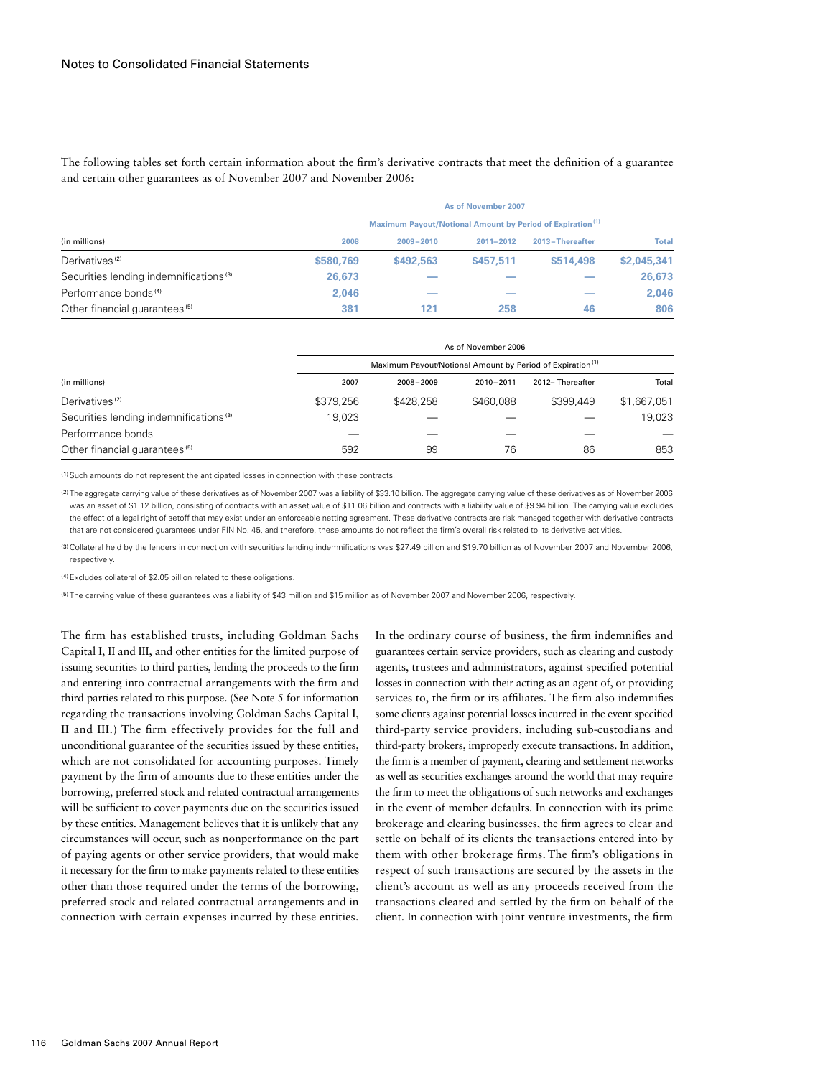The following tables set forth certain information about the firm's derivative contracts that meet the definition of a guarantee and certain other guarantees as of November 2007 and November 2006:

|                                                    |                                                                       |               | As of November 2007 |                 |              |
|----------------------------------------------------|-----------------------------------------------------------------------|---------------|---------------------|-----------------|--------------|
|                                                    | Maximum Payout/Notional Amount by Period of Expiration <sup>(1)</sup> |               |                     |                 |              |
| (in millions)                                      | 2008                                                                  | $2009 - 2010$ | 2011-2012           | 2013-Thereafter | <b>Total</b> |
| Derivatives <sup>(2)</sup>                         | \$580.769                                                             | \$492,563     | \$457.511           | \$514,498       | \$2,045,341  |
| Securities lending indemnifications <sup>(3)</sup> | 26,673                                                                |               |                     |                 | 26,673       |
| Performance bonds <sup>(4)</sup>                   | 2.046                                                                 |               |                     |                 | 2,046        |
| Other financial quarantees <sup>(5)</sup>          | 381                                                                   | 121           | 258                 | 46              | 806          |

|                                                    |                                                                       |           | As of November 2006 |                 |             |
|----------------------------------------------------|-----------------------------------------------------------------------|-----------|---------------------|-----------------|-------------|
|                                                    | Maximum Payout/Notional Amount by Period of Expiration <sup>(1)</sup> |           |                     |                 |             |
| (in millions)                                      | 2007                                                                  | 2008-2009 | 2010-2011           | 2012-Thereafter | Total       |
| Derivatives <sup>(2)</sup>                         | \$379,256                                                             | \$428,258 | \$460,088           | \$399,449       | \$1,667,051 |
| Securities lending indemnifications <sup>(3)</sup> | 19.023                                                                |           |                     |                 | 19.023      |
| Performance bonds                                  |                                                                       |           |                     |                 |             |
| Other financial quarantees <sup>(5)</sup>          | 592                                                                   | 99        | 76                  | 86              | 853         |

(1)Such amounts do not represent the anticipated losses in connection with these contracts.

(2) The aggregate carrying value of these derivatives as of November 2007 was a liability of \$33.10 billion. The aggregate carrying value of these derivatives as of November 2006 was an asset of \$1.12 billion, consisting of contracts with an asset value of \$11.06 billion and contracts with a liability value of \$9.94 billion. The carrying value excludes the effect of a legal right of setoff that may exist under an enforceable netting agreement. These derivative contracts are risk managed together with derivative contracts that are not considered guarantees under FIN No. 45, and therefore, these amounts do not reflect the firm's overall risk related to its derivative activities.

(3)Collateral held by the lenders in connection with securities lending indemnifications was \$27.49 billion and \$19.70 billion as of November 2007 and November 2006, respectively.

(4)Excludes collateral of \$2.05 billion related to these obligations.

(5) The carrying value of these guarantees was a liability of \$43 million and \$15 million as of November 2007 and November 2006, respectively.

The firm has established trusts, including Goldman Sachs Capital I, II and III, and other entities for the limited purpose of issuing securities to third parties, lending the proceeds to the firm and entering into contractual arrangements with the firm and third parties related to this purpose. (See Note 5 for information regarding the transactions involving Goldman Sachs Capital I, II and III.) The firm effectively provides for the full and unconditional guarantee of the securities issued by these entities, which are not consolidated for accounting purposes. Timely payment by the firm of amounts due to these entities under the borrowing, preferred stock and related contractual arrangements will be sufficient to cover payments due on the securities issued by these entities. Management believes that it is unlikely that any circumstances will occur, such as nonperformance on the part of paying agents or other service providers, that would make it necessary for the firm to make payments related to these entities other than those required under the terms of the borrowing, preferred stock and related contractual arrangements and in connection with certain expenses incurred by these entities.

In the ordinary course of business, the firm indemnifies and guarantees certain service providers, such as clearing and custody agents, trustees and administrators, against specified potential losses in connection with their acting as an agent of, or providing services to, the firm or its affiliates. The firm also indemnifies some clients against potential losses incurred in the event specified third-party service providers, including sub-custodians and third-party brokers, improperly execute transactions. In addition, the firm is a member of payment, clearing and settlement networks as well as securities exchanges around the world that may require the firm to meet the obligations of such networks and exchanges in the event of member defaults. In connection with its prime brokerage and clearing businesses, the firm agrees to clear and settle on behalf of its clients the transactions entered into by them with other brokerage firms.The firm's obligations in respect of such transactions are secured by the assets in the client's account as well as any proceeds received from the transactions cleared and settled by the firm on behalf of the client. In connection with joint venture investments, the firm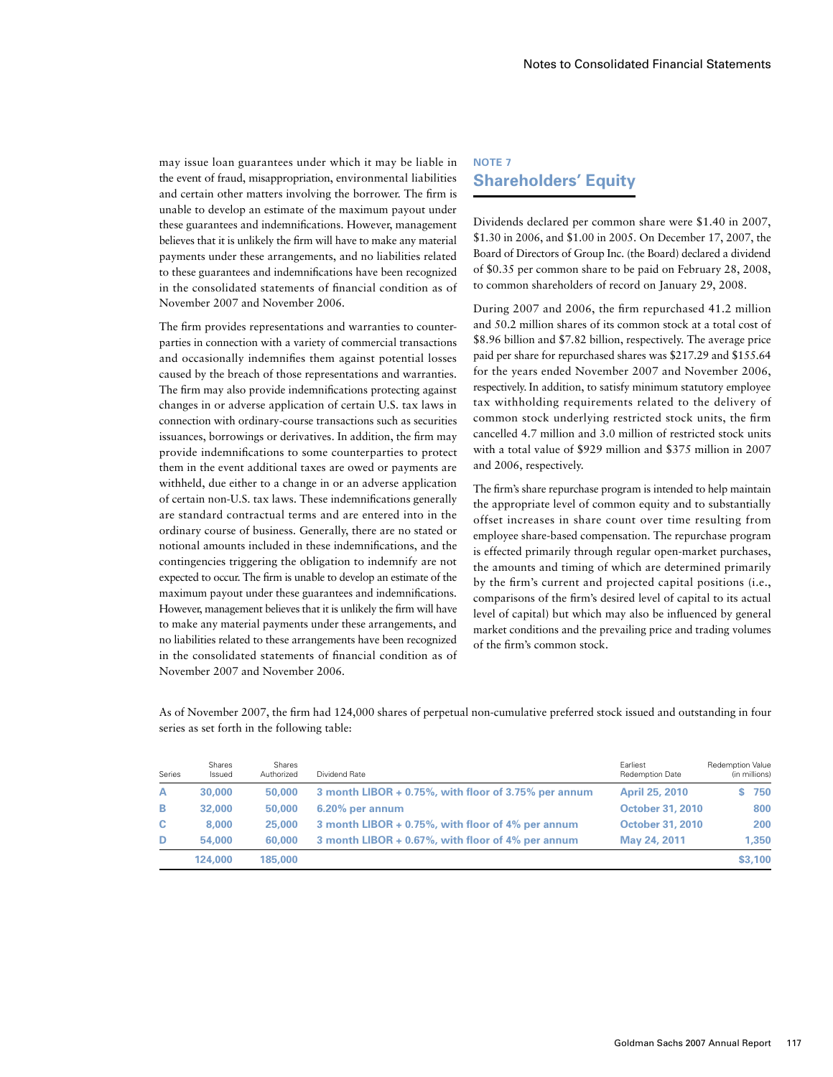may issue loan guarantees under which it may be liable in the event of fraud, misappropriation, environmental liabilities and certain other matters involving the borrower. The firm is unable to develop an estimate of the maximum payout under these guarantees and indemnifications. However, management believes that it is unlikely the firm will have to make any material payments under these arrangements, and no liabilities related to these guarantees and indemnifications have been recognized in the consolidated statements of financial condition as of November 2007 and November 2006.

The firm provides representations and warranties to counterparties in connection with a variety of commercial transactions and occasionally indemnifies them against potential losses caused by the breach of those representations and warranties. The firm may also provide indemnifications protecting against changes in or adverse application of certain U.S. tax laws in connection with ordinary-course transactions such as securities issuances, borrowings or derivatives. In addition, the firm may provide indemnifications to some counterparties to protect them in the event additional taxes are owed or payments are withheld, due either to a change in or an adverse application of certain non-U.S. tax laws. These indemnifications generally are standard contractual terms and are entered into in the ordinary course of business. Generally, there are no stated or notional amounts included in these indemnifications, and the contingencies triggering the obligation to indemnify are not expected to occur. The firm is unable to develop an estimate of the maximum payout under these guarantees and indemnifications. However, management believes that it is unlikely the firm will have to make any material payments under these arrangements, and no liabilities related to these arrangements have been recognized in the consolidated statements of financial condition as of November 2007 and November 2006.

### **Note 7 Shareholders' Equity**

Dividends declared per common share were \$1.40 in 2007, \$1.30 in 2006, and \$1.00 in 2005. On December 17, 2007, the Board of Directors of Group Inc. (the Board) declared a dividend of \$0.35 per common share to be paid on February 28, 2008, to common shareholders of record on January 29, 2008.

During 2007 and 2006, the firm repurchased 41.2 million and 50.2 million shares of its common stock at a total cost of \$8.96 billion and \$7.82 billion, respectively. The average price paid per share for repurchased shares was \$217.29 and \$155.64 for the years ended November 2007 and November 2006, respectively. In addition, to satisfy minimum statutory employee tax withholding requirements related to the delivery of common stock underlying restricted stock units, the firm cancelled 4.7 million and 3.0 million of restricted stock units with a total value of \$929 million and \$375 million in 2007 and 2006, respectively.

The firm's share repurchase program is intended to help maintain the appropriate level of common equity and to substantially offset increases in share count over time resulting from employee share-based compensation. The repurchase program is effected primarily through regular open-market purchases, the amounts and timing of which are determined primarily by the firm's current and projected capital positions (i.e., comparisons of the firm's desired level of capital to its actual level of capital) but which may also be influenced by general market conditions and the prevailing price and trading volumes of the firm's common stock.

As of November 2007, the firm had 124,000 shares of perpetual non-cumulative preferred stock issued and outstanding in four series as set forth in the following table:

| Series | Shares<br>Issued | Shares<br>Authorized | Dividend Rate                                        | Earliest<br><b>Redemption Date</b> | <b>Redemption Value</b><br>(in millions) |
|--------|------------------|----------------------|------------------------------------------------------|------------------------------------|------------------------------------------|
| A      | 30,000           | 50,000               | 3 month LIBOR + 0.75%, with floor of 3.75% per annum | <b>April 25, 2010</b>              | 750                                      |
| в      | 32,000           | 50,000               | $6.20\%$ per annum                                   | <b>October 31, 2010</b>            | 800                                      |
| c      | 8,000            | 25,000               | 3 month LIBOR + 0.75%, with floor of 4% per annum    | <b>October 31, 2010</b>            | 200                                      |
| D      | 54.000           | 60,000               | 3 month LIBOR + 0.67%, with floor of 4% per annum    | May 24, 2011                       | 1.350                                    |
|        | 124,000          | 185,000              |                                                      |                                    | \$3,100                                  |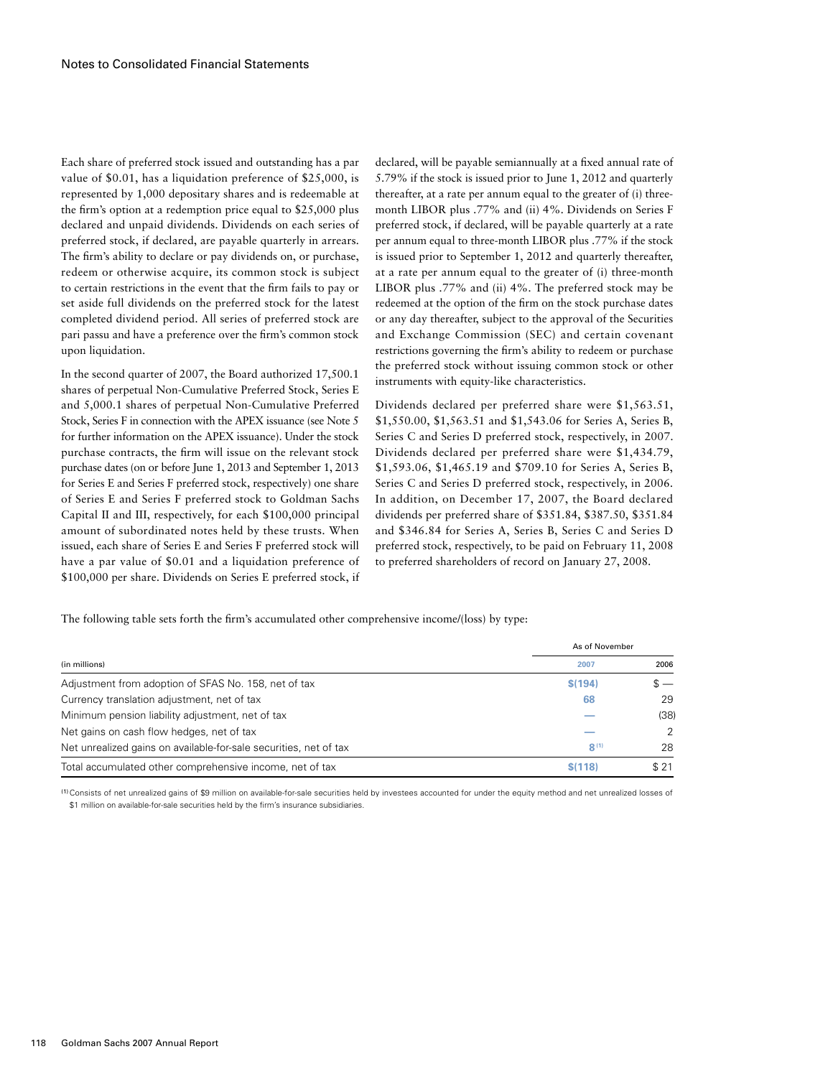Each share of preferred stock issued and outstanding has a par value of \$0.01, has a liquidation preference of \$25,000, is represented by 1,000 depositary shares and is redeemable at the firm's option at a redemption price equal to \$25,000 plus declared and unpaid dividends. Dividends on each series of preferred stock, if declared, are payable quarterly in arrears. The firm's ability to declare or pay dividends on, or purchase, redeem or otherwise acquire, its common stock is subject to certain restrictions in the event that the firm fails to pay or set aside full dividends on the preferred stock for the latest completed dividend period. All series of preferred stock are pari passu and have a preference over the firm's common stock upon liquidation.

In the second quarter of 2007, the Board authorized 17,500.1 shares of perpetual Non-Cumulative Preferred Stock, Series E and 5,000.1 shares of perpetual Non-Cumulative Preferred Stock, Series F in connection with the APEX issuance (see Note 5 for further information on the APEX issuance). Under the stock purchase contracts, the firm will issue on the relevant stock purchase dates (on or before June 1, 2013 and September 1, 2013 for Series E and Series F preferred stock, respectively) one share of Series E and Series F preferred stock to Goldman Sachs Capital II and III, respectively, for each \$100,000 principal amount of subordinated notes held by these trusts. When issued, each share of Series E and Series F preferred stock will have a par value of \$0.01 and a liquidation preference of \$100,000 per share. Dividends on Series E preferred stock, if declared, will be payable semiannually at a fixed annual rate of 5.79% if the stock is issued prior to June 1, 2012 and quarterly thereafter, at a rate per annum equal to the greater of (i) threemonth LIBOR plus .77% and (ii) 4%. Dividends on Series F preferred stock, if declared, will be payable quarterly at a rate per annum equal to three-month LIBOR plus .77% if the stock is issued prior to September 1, 2012 and quarterly thereafter, at a rate per annum equal to the greater of (i) three-month LIBOR plus .77% and (ii) 4%. The preferred stock may be redeemed at the option of the firm on the stock purchase dates or any day thereafter, subject to the approval of the Securities and Exchange Commission (SEC) and certain covenant restrictions governing the firm's ability to redeem or purchase the preferred stock without issuing common stock or other instruments with equity-like characteristics.

Dividends declared per preferred share were \$1,563.51, \$1,550.00, \$1,563.51 and \$1,543.06 for Series A, Series B, Series C and Series D preferred stock, respectively, in 2007. Dividends declared per preferred share were \$1,434.79, \$1,593.06, \$1,465.19 and \$709.10 for Series A, Series B, Series C and Series D preferred stock, respectively, in 2006. In addition, on December 17, 2007, the Board declared dividends per preferred share of \$351.84, \$387.50, \$351.84 and \$346.84 for Series A, Series B, Series C and Series D preferred stock, respectively, to be paid on February 11, 2008 to preferred shareholders of record on January 27, 2008.

The following table sets forth the firm's accumulated other comprehensive income/(loss) by type:

|                                                                   | As of November |               |
|-------------------------------------------------------------------|----------------|---------------|
| (in millions)                                                     | 2007           | 2006          |
| Adjustment from adoption of SFAS No. 158, net of tax              | \$(194)        | $s -$         |
| Currency translation adjustment, net of tax                       | 68             | 29            |
| Minimum pension liability adjustment, net of tax                  |                | (38)          |
| Net gains on cash flow hedges, net of tax                         |                | $\mathcal{L}$ |
| Net unrealized gains on available-for-sale securities, net of tax | R(1)           | 28            |
| Total accumulated other comprehensive income, net of tax          | \$(118)        | \$21          |

(1)Consists of net unrealized gains of \$9 million on available-for-sale securities held by investees accounted for under the equity method and net unrealized losses of \$1 million on available-for-sale securities held by the firm's insurance subsidiaries.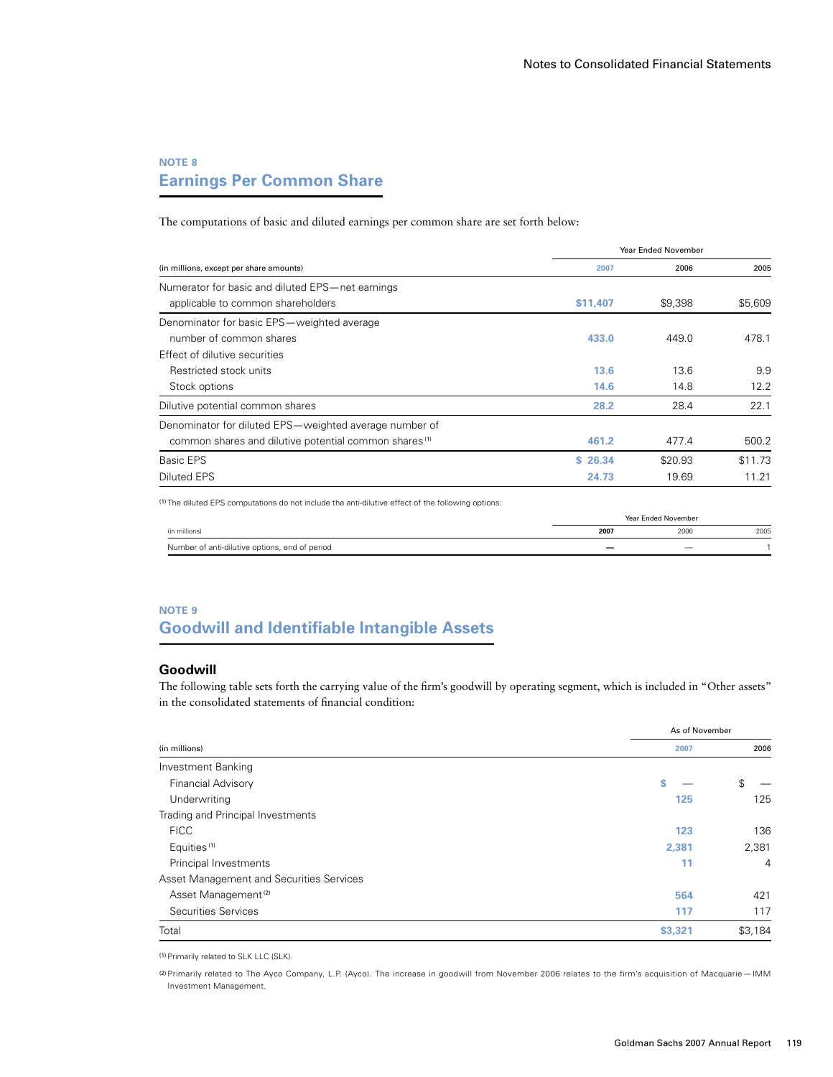# **Note 8 Earnings Per Common Share**

The computations of basic and diluted earnings per common share are set forth below:

|                                                                   |          | <b>Year Ended November</b> |         |  |
|-------------------------------------------------------------------|----------|----------------------------|---------|--|
| (in millions, except per share amounts)                           | 2007     | 2006                       | 2005    |  |
| Numerator for basic and diluted EPS-net earnings                  |          |                            |         |  |
| applicable to common shareholders                                 | \$11,407 | \$9,398                    | \$5,609 |  |
| Denominator for basic EPS-weighted average                        |          |                            |         |  |
| number of common shares                                           | 433.0    | 449.0                      | 478.1   |  |
| Effect of dilutive securities                                     |          |                            |         |  |
| Restricted stock units                                            | 13.6     | 13.6                       | 9.9     |  |
| Stock options                                                     | 14.6     | 14.8                       | 12.2    |  |
| Dilutive potential common shares                                  | 28.2     | 28.4                       | 22.1    |  |
| Denominator for diluted EPS-weighted average number of            |          |                            |         |  |
| common shares and dilutive potential common shares <sup>(1)</sup> | 461.2    | 477.4                      | 500.2   |  |
| Basic EPS                                                         | \$26.34  | \$20.93                    | \$11.73 |  |
| Diluted EPS                                                       | 24.73    | 19.69                      | 11.21   |  |

(1) The diluted EPS computations do not include the anti-dilutive effect of the following options:

|                                                | Year Ended November |      |      |
|------------------------------------------------|---------------------|------|------|
| (in millions)                                  | 2007                | 2006 | 2005 |
| Number of anti-dilutive options, end of period |                     |      |      |

### **NOTE 9 Goodwill and Identifiable Intangible Assets**

#### **Goodwill**

The following table sets forth the carrying value of the firm's goodwill by operating segment, which is included in "Other assets" in the consolidated statements of financial condition:

|                                          | As of November |                |
|------------------------------------------|----------------|----------------|
| (in millions)                            | 2007           | 2006           |
| Investment Banking                       |                |                |
| <b>Financial Advisory</b>                | S              | \$             |
| Underwriting                             | 125            | 125            |
| Trading and Principal Investments        |                |                |
| <b>FICC</b>                              | 123            | 136            |
| Equities <sup>(1)</sup>                  | 2,381          | 2,381          |
| Principal Investments                    | 11             | $\overline{4}$ |
| Asset Management and Securities Services |                |                |
| Asset Management <sup>(2)</sup>          | 564            | 421            |
| Securities Services                      | 117            | 117            |
| Total                                    | \$3,321        | \$3,184        |

(1)Primarily related to SLK LLC (SLK).

(2)Primarily related to The Ayco Company, L.P. (Ayco). The increase in goodwill from November 2006 relates to the firm's acquisition of Macquarie — IMM Investment Management.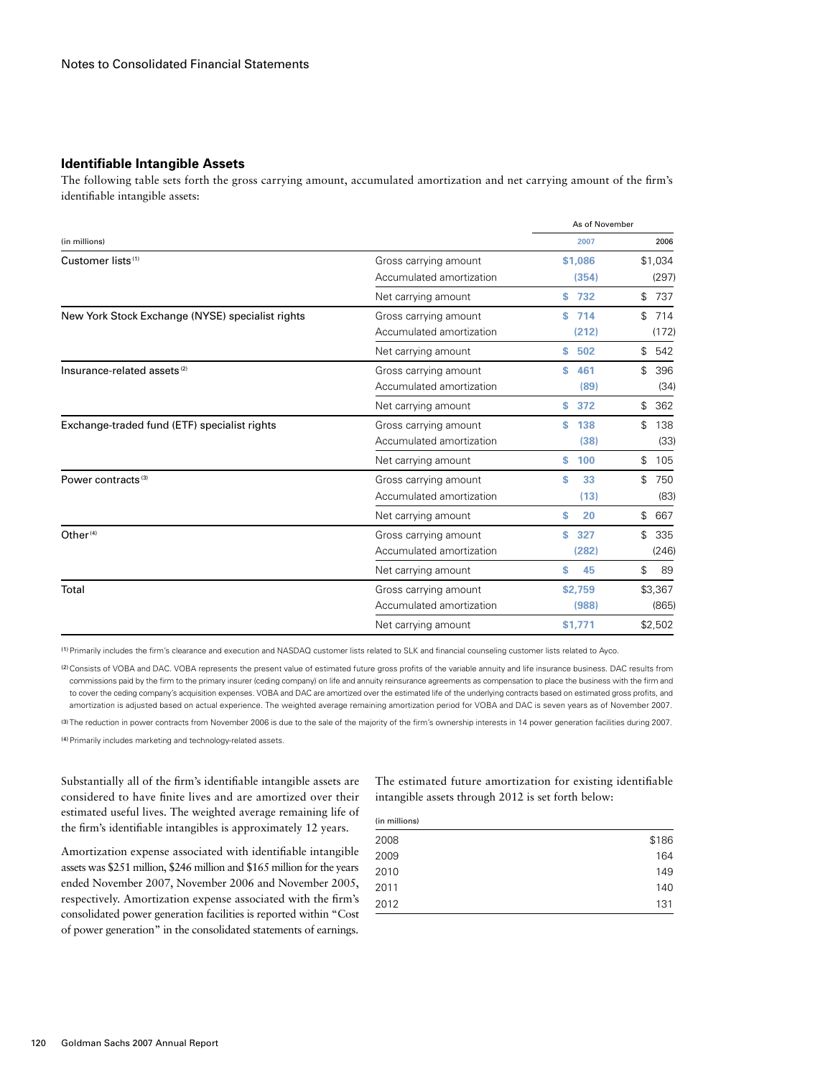#### **Identifiable Intangible Assets**

The following table sets forth the gross carrying amount, accumulated amortization and net carrying amount of the firm's identifiable intangible assets:

|                                                  |                          | As of November |           |
|--------------------------------------------------|--------------------------|----------------|-----------|
| (in millions)                                    |                          | 2007           | 2006      |
| Customer lists <sup>(1)</sup>                    | Gross carrying amount    | \$1,086        | \$1,034   |
|                                                  | Accumulated amortization | (354)          | (297)     |
|                                                  | Net carrying amount      | \$732          | \$<br>737 |
| New York Stock Exchange (NYSE) specialist rights | Gross carrying amount    | 714<br>s       | \$<br>714 |
|                                                  | Accumulated amortization | (212)          | (172)     |
|                                                  | Net carrying amount      | s<br>502       | \$<br>542 |
| Insurance-related assets <sup>(2)</sup>          | Gross carrying amount    | S<br>461       | 396<br>\$ |
|                                                  | Accumulated amortization | (89)           | (34)      |
|                                                  | Net carrying amount      | s<br>372       | \$<br>362 |
| Exchange-traded fund (ETF) specialist rights     | Gross carrying amount    | S<br>138       | \$<br>138 |
|                                                  | Accumulated amortization | (38)           | (33)      |
|                                                  | Net carrying amount      | s<br>100       | \$<br>105 |
| Power contracts <sup>(3)</sup>                   | Gross carrying amount    | S<br>33        | \$<br>750 |
|                                                  | Accumulated amortization | (13)           | (83)      |
|                                                  | Net carrying amount      | 20<br>s        | \$<br>667 |
| Other <sup>(4)</sup>                             | Gross carrying amount    | S<br>327       | \$<br>335 |
|                                                  | Accumulated amortization | (282)          | (246)     |
|                                                  | Net carrying amount      | S<br>45        | \$<br>89  |
| Total                                            | Gross carrying amount    | \$2,759        | \$3,367   |
|                                                  | Accumulated amortization | (988)          | (865)     |
|                                                  | Net carrying amount      | \$1,771        | \$2,502   |

(1)Primarily includes the firm's clearance and execution and NASDAQ customer lists related to SLK and financial counseling customer lists related to Ayco.

(2)Consists of VOBA and DAC. VOBA represents the present value of estimated future gross profits of the variable annuity and life insurance business. DAC results from commissions paid by the firm to the primary insurer (ceding company) on life and annuity reinsurance agreements as compensation to place the business with the firm and to cover the ceding company's acquisition expenses. VOBA and DAC are amortized over the estimated life of the underlying contracts based on estimated gross profits, and amortization is adjusted based on actual experience. The weighted average remaining amortization period for VOBA and DAC is seven years as of November 2007.

(3) The reduction in power contracts from November 2006 is due to the sale of the majority of the firm's ownership interests in 14 power generation facilities during 2007.

(4) Primarily includes marketing and technology-related assets.

Substantially all of the firm's identifiable intangible assets are considered to have finite lives and are amortized over their estimated useful lives. The weighted average remaining life of the firm's identifiable intangibles is approximately 12 years.

Amortization expense associated with identifiable intangible assets was \$251 million, \$246 million and \$165 million for the years ended November 2007, November 2006 and November 2005, respectively. Amortization expense associated with the firm's consolidated power generation facilities is reported within "Cost of power generation" in the consolidated statements of earnings.

The estimated future amortization for existing identifiable intangible assets through 2012 is set forth below:

| (in millions) |       |
|---------------|-------|
| 2008          | \$186 |
| 2009          | 164   |
| 2010          | 149   |
| 2011          | 140   |
| 2012          | 131   |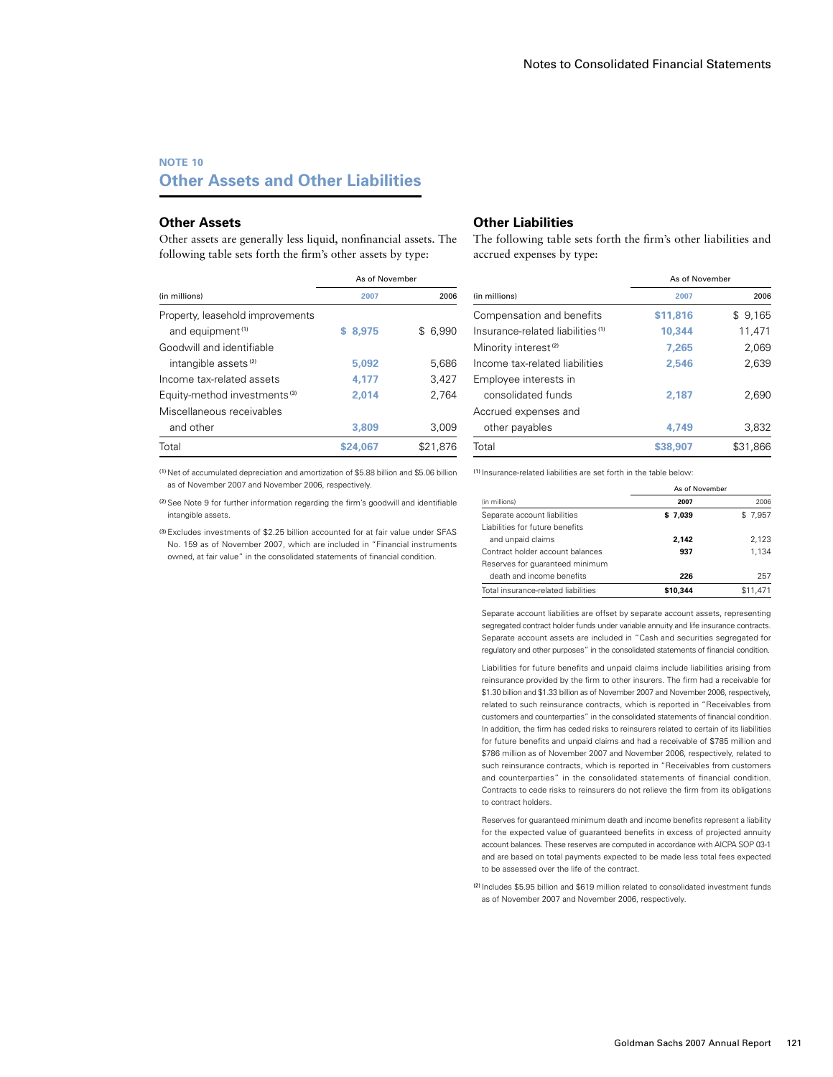### **NOTE 10 Other Assets and Other Liabilities**

#### **Other Assets**

Other assets are generally less liquid, nonfinancial assets. The following table sets forth the firm's other assets by type:

### **Other Liabilities**

The following table sets forth the firm's other liabilities and accrued expenses by type:

|                                          | As of November |              |
|------------------------------------------|----------------|--------------|
| (in millions)                            | 2007           | 2006         |
| Property, leasehold improvements         |                |              |
| and equipment <sup>(1)</sup>             | \$ 8.975       | 6.990<br>\$. |
| Goodwill and identifiable                |                |              |
| intangible assets <sup>(2)</sup>         | 5.092          | 5,686        |
| Income tax-related assets                | 4,177          | 3,427        |
| Equity-method investments <sup>(3)</sup> | 2.014          | 2.764        |
| Miscellaneous receivables                |                |              |
| and other                                | 3,809          | 3.009        |
| Total                                    | \$24,067       | \$21,876     |

(1) Net of accumulated depreciation and amortization of \$5.88 billion and \$5.06 billion as of November 2007 and November 2006, respectively.

(2)See Note 9 for further information regarding the firm's goodwill and identifiable intangible assets.

(3)Excludes investments of \$2.25 billion accounted for at fair value under SFAS No. 159 as of November 2007, which are included in "Financial instruments owned, at fair value" in the consolidated statements of financial condition.

|                                              | As of November |          |
|----------------------------------------------|----------------|----------|
| (in millions)                                | 2007           | 2006     |
| Compensation and benefits                    | \$11,816       | \$9,165  |
| Insurance-related liabilities <sup>(1)</sup> | 10.344         | 11.471   |
| Minority interest <sup>(2)</sup>             | 7.265          | 2,069    |
| Income tax-related liabilities               | 2,546          | 2,639    |
| Employee interests in                        |                |          |
| consolidated funds                           | 2.187          | 2,690    |
| Accrued expenses and                         |                |          |
| other payables                               | 4.749          | 3,832    |
| Total                                        | \$38,907       | \$31,866 |

(1) Insurance-related liabilities are set forth in the table below:

|                                     | As of November |          |
|-------------------------------------|----------------|----------|
| (in millions)                       | 2007           | 2006     |
| Separate account liabilities        | \$7.039        | \$7.957  |
| Liabilities for future benefits     |                |          |
| and unpaid claims                   | 2.142          | 2.123    |
| Contract holder account balances    | 937            | 1.134    |
| Reserves for quaranteed minimum     |                |          |
| death and income benefits           | 226            | 257      |
| Total insurance-related liabilities | \$10.344       | \$11.471 |

Separate account liabilities are offset by separate account assets, representing segregated contract holder funds under variable annuity and life insurance contracts. Separate account assets are included in "Cash and securities segregated for regulatory and other purposes" in the consolidated statements of financial condition.

Liabilities for future benefits and unpaid claims include liabilities arising from reinsurance provided by the firm to other insurers. The firm had a receivable for \$1.30 billion and \$1.33 billion as of November 2007 and November 2006, respectively, related to such reinsurance contracts, which is reported in "Receivables from customers and counterparties" in the consolidated statements of financial condition. In addition, the firm has ceded risks to reinsurers related to certain of its liabilities for future benefits and unpaid claims and had a receivable of \$785 million and \$786 million as of November 2007 and November 2006, respectively, related to such reinsurance contracts, which is reported in "Receivables from customers and counterparties" in the consolidated statements of financial condition. Contracts to cede risks to reinsurers do not relieve the firm from its obligations to contract holders.

Reserves for guaranteed minimum death and income benefits represent a liability for the expected value of guaranteed benefits in excess of projected annuity account balances. These reserves are computed in accordance with AICPA SOP 03-1 and are based on total payments expected to be made less total fees expected to be assessed over the life of the contract.

(2) Includes \$5.95 billion and \$619 million related to consolidated investment funds as of November 2007 and November 2006, respectively.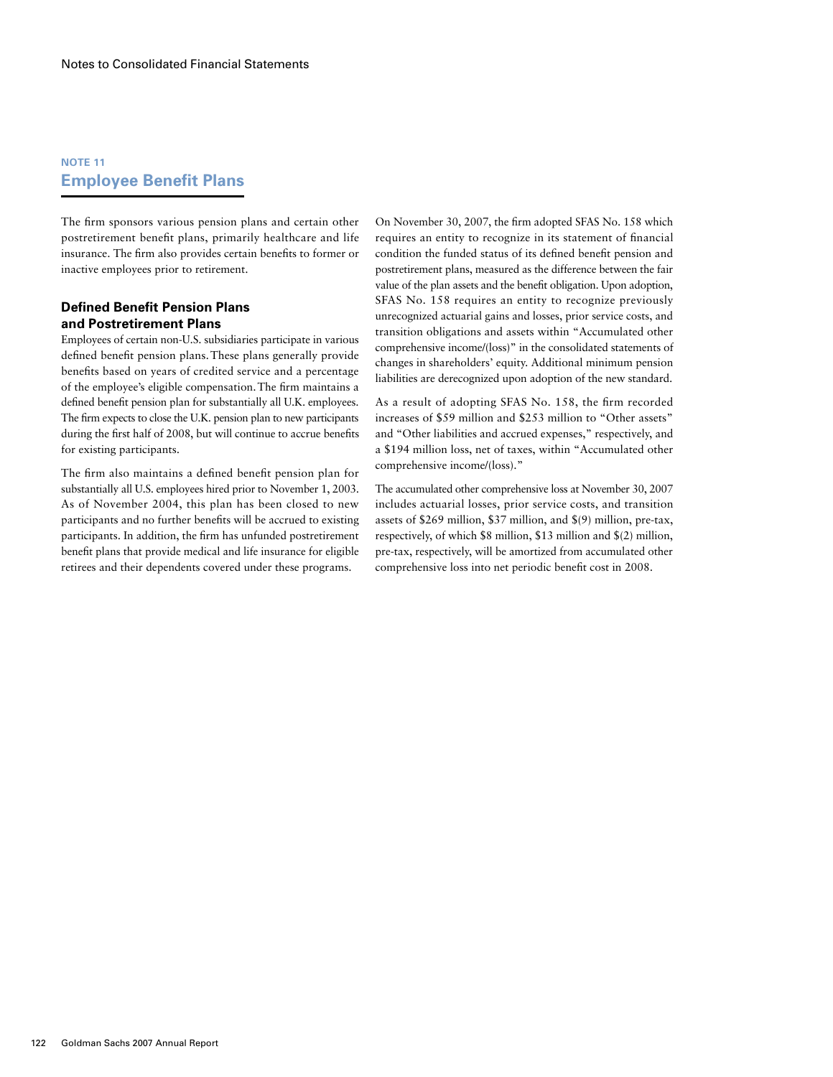## **NOTE 11 Employee Benefit Plans**

The firm sponsors various pension plans and certain other postretirement benefit plans, primarily healthcare and life insurance. The firm also provides certain benefits to former or inactive employees prior to retirement.

#### **Defined Benefit Pension Plans and Postretirement Plans**

Employees of certain non-U.S. subsidiaries participate in various defined benefit pension plans.These plans generally provide benefits based on years of credited service and a percentage of the employee's eligible compensation.The firm maintains a defined benefit pension plan for substantially all U.K. employees. The firm expects to close the U.K. pension plan to new participants during the first half of 2008, but will continue to accrue benefits for existing participants.

The firm also maintains a defined benefit pension plan for substantially all U.S. employees hired prior to November 1, 2003. As of November 2004, this plan has been closed to new participants and no further benefits will be accrued to existing participants. In addition, the firm has unfunded postretirement benefit plans that provide medical and life insurance for eligible retirees and their dependents covered under these programs.

On November 30, 2007, the firm adopted SFAS No. 158 which requires an entity to recognize in its statement of financial condition the funded status of its defined benefit pension and postretirement plans, measured as the difference between the fair value of the plan assets and the benefit obligation. Upon adoption, SFAS No. 158 requires an entity to recognize previously unrecognized actuarial gains and losses, prior service costs, and transition obligations and assets within "Accumulated other comprehensive income/(loss)" in the consolidated statements of changes in shareholders' equity. Additional minimum pension liabilities are derecognized upon adoption of the new standard.

As a result of adopting SFAS No. 158, the firm recorded increases of \$59 million and \$253 million to "Other assets" and "Other liabilities and accrued expenses," respectively, and a \$194 million loss, net of taxes, within "Accumulated other comprehensive income/(loss)."

The accumulated other comprehensive loss at November 30, 2007 includes actuarial losses, prior service costs, and transition assets of \$269 million, \$37 million, and \$(9) million, pre-tax, respectively, of which \$8 million, \$13 million and \$(2) million, pre-tax, respectively, will be amortized from accumulated other comprehensive loss into net periodic benefit cost in 2008.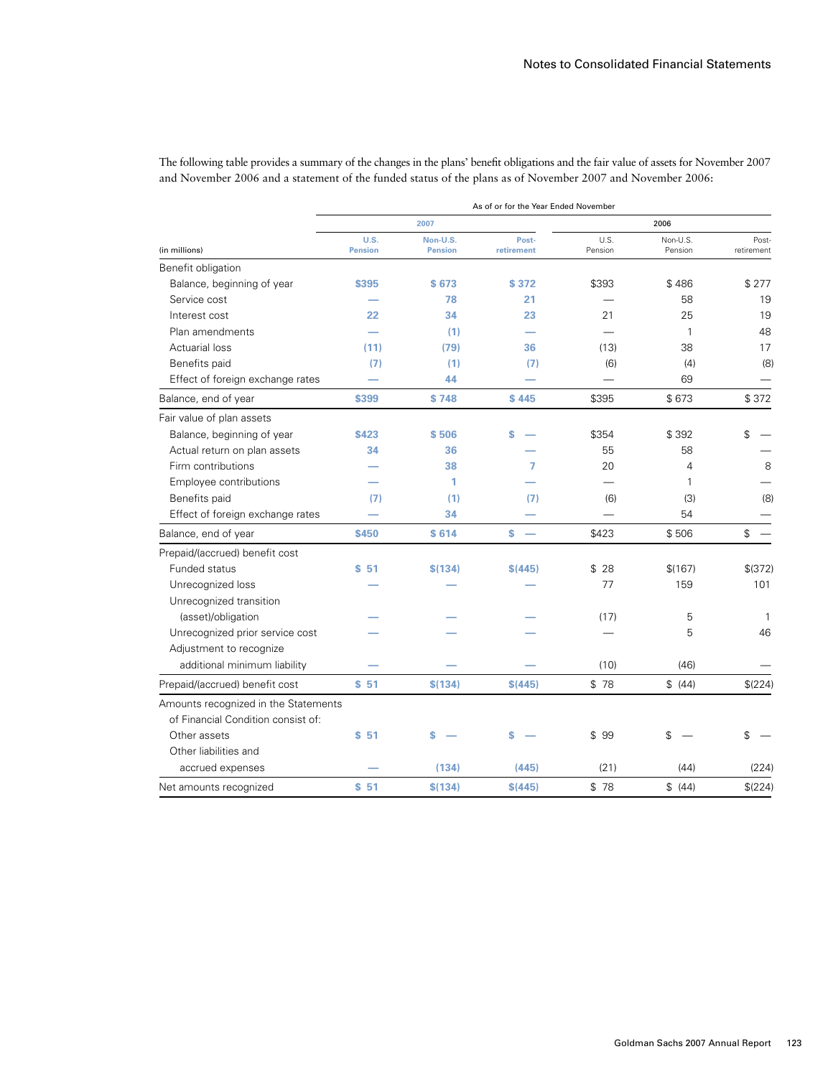|                                                                                                            | The following table provides a summary of the changes in the plans benefit obligations and the fair value of assets for November 2007 |
|------------------------------------------------------------------------------------------------------------|---------------------------------------------------------------------------------------------------------------------------------------|
| and November 2006 and a statement of the funded status of the plans as of November 2007 and November 2006: |                                                                                                                                       |
|                                                                                                            | As of or for the Year Ended November                                                                                                  |
| 2007                                                                                                       | 2006                                                                                                                                  |

The following table provides a summary of the changes in the plans' benefit obligations and the fair value of assets for November 2007

|                                      |                        | 2007                       |                     |                 | 2006                |                     |  |
|--------------------------------------|------------------------|----------------------------|---------------------|-----------------|---------------------|---------------------|--|
| (in millions)                        | U.S.<br><b>Pension</b> | Non-U.S.<br><b>Pension</b> | Post-<br>retirement | U.S.<br>Pension | Non-U.S.<br>Pension | Post-<br>retirement |  |
| Benefit obligation                   |                        |                            |                     |                 |                     |                     |  |
| Balance, beginning of year           | \$395                  | \$673                      | \$372               | \$393           | \$486               | \$277               |  |
| Service cost                         |                        | 78                         | 21                  |                 | 58                  | 19                  |  |
| Interest cost                        | 22                     | 34                         | 23                  | 21              | 25                  | 19                  |  |
| Plan amendments                      |                        | (1)                        |                     |                 | 1                   | 48                  |  |
| <b>Actuarial loss</b>                | (11)                   | (79)                       | 36                  | (13)            | 38                  | 17                  |  |
| Benefits paid                        | (7)                    | (1)                        | (7)                 | (6)             | (4)                 | (8)                 |  |
| Effect of foreign exchange rates     |                        | 44                         |                     |                 | 69                  |                     |  |
| Balance, end of year                 | \$399                  | \$748                      | \$445               | \$395           | \$673               | \$372               |  |
| Fair value of plan assets            |                        |                            |                     |                 |                     |                     |  |
| Balance, beginning of year           | \$423                  | \$506                      | Ś                   | \$354           | \$392               | \$                  |  |
| Actual return on plan assets         | 34                     | 36                         |                     | 55              | 58                  |                     |  |
| Firm contributions                   |                        | 38                         | 7                   | 20              | 4                   | 8                   |  |
| Employee contributions               |                        | 1                          |                     |                 | 1                   |                     |  |
| Benefits paid                        | (7)                    | (1)                        | (7)                 | (6)             | (3)                 | (8)                 |  |
| Effect of foreign exchange rates     |                        | 34                         |                     |                 | 54                  |                     |  |
| Balance, end of year                 | \$450                  | \$614                      | \$.                 | \$423           | \$506               | \$                  |  |
| Prepaid/(accrued) benefit cost       |                        |                            |                     |                 |                     |                     |  |
| Funded status                        | \$51                   | \$(134)                    | \$(445)             | \$28            | \$(167)             | \$ (372)            |  |
| Unrecognized loss                    |                        |                            |                     | 77              | 159                 | 101                 |  |
| Unrecognized transition              |                        |                            |                     |                 |                     |                     |  |
| (asset)/obligation                   |                        |                            |                     | (17)            | 5                   | -1                  |  |
| Unrecognized prior service cost      |                        |                            |                     |                 | 5                   | 46                  |  |
| Adjustment to recognize              |                        |                            |                     |                 |                     |                     |  |
| additional minimum liability         |                        |                            |                     | (10)            | (46)                |                     |  |
| Prepaid/(accrued) benefit cost       | \$51                   | \$(134)                    | \$(445)             | \$78            | \$ (44)             | \$(224)             |  |
| Amounts recognized in the Statements |                        |                            |                     |                 |                     |                     |  |
| of Financial Condition consist of:   |                        |                            |                     |                 |                     |                     |  |
| Other assets                         | \$51                   | Ś                          | s                   | \$99            | \$                  | \$                  |  |
| Other liabilities and                |                        |                            |                     |                 |                     |                     |  |
| accrued expenses                     |                        | (134)                      | (445)               | (21)            | (44)                | (224)               |  |
| Net amounts recognized               | \$51                   | \$(134)                    | \$(445)             | \$78            | \$ (44)             | \$(224)             |  |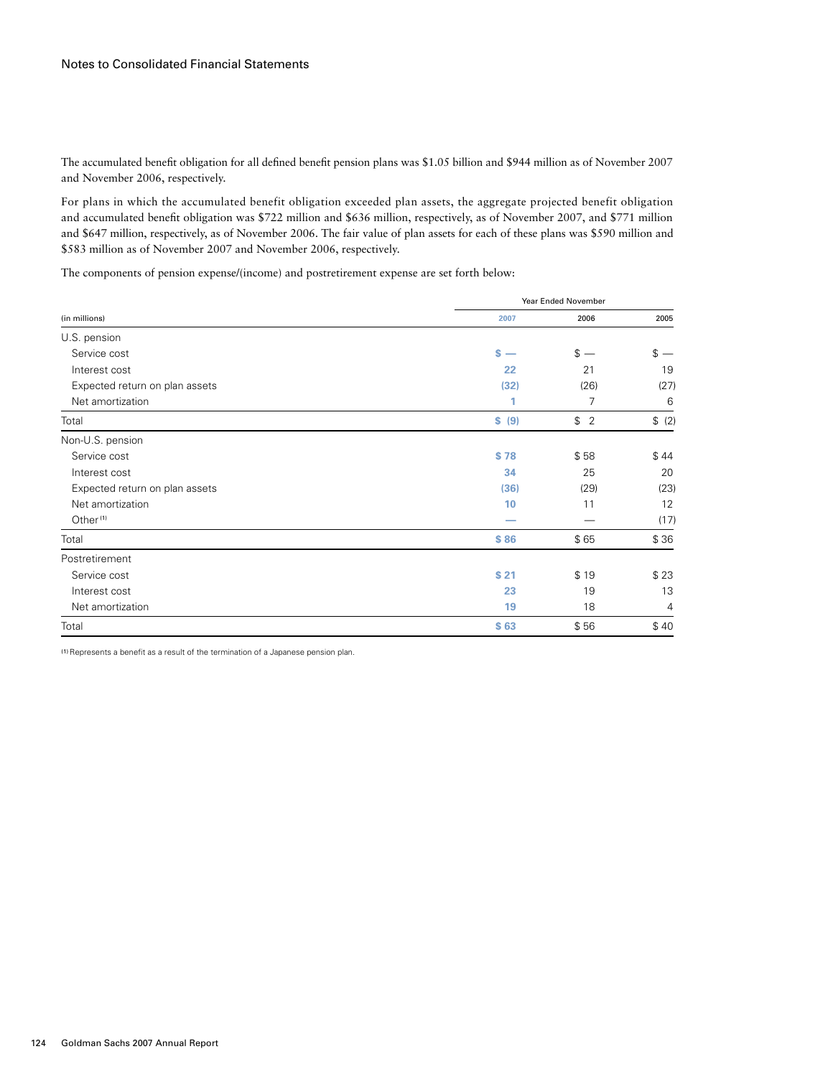The accumulated benefit obligation for all defined benefit pension plans was \$1.05 billion and \$944 million as of November 2007 and November 2006, respectively.

For plans in which the accumulated benefit obligation exceeded plan assets, the aggregate projected benefit obligation and accumulated benefit obligation was \$722 million and \$636 million, respectively, as of November 2007, and \$771 million and \$647 million, respectively, as of November 2006. The fair value of plan assets for each of these plans was \$590 million and \$583 million as of November 2007 and November 2006, respectively.

The components of pension expense/(income) and postretirement expense are set forth below:

| (in millions)                  |                                | Year Ended November |        |  |  |
|--------------------------------|--------------------------------|---------------------|--------|--|--|
|                                | 2007                           | 2006                | 2005   |  |  |
| U.S. pension                   |                                |                     |        |  |  |
| Service cost                   | s.<br>$\overline{\phantom{a}}$ | $s -$               | $s -$  |  |  |
| Interest cost                  | 22                             | 21                  | 19     |  |  |
| Expected return on plan assets | (32)                           | (26)                | (27)   |  |  |
| Net amortization               | 1                              | 7                   | 6      |  |  |
| Total                          | \$ (9)                         | 2<br>\$             | \$ (2) |  |  |
| Non-U.S. pension               |                                |                     |        |  |  |
| Service cost                   | \$78                           | \$58                | \$44   |  |  |
| Interest cost                  | 34                             | 25                  | 20     |  |  |
| Expected return on plan assets | (36)                           | (29)                | (23)   |  |  |
| Net amortization               | 10                             | 11                  | 12     |  |  |
| Other <sup>(1)</sup>           |                                |                     | (17)   |  |  |
| Total                          | \$86                           | \$65                | \$36   |  |  |
| Postretirement                 |                                |                     |        |  |  |
| Service cost                   | \$21                           | \$19                | \$23   |  |  |
| Interest cost                  | 23                             | 19                  | 13     |  |  |
| Net amortization               | 19                             | 18                  | 4      |  |  |
| Total                          | \$63                           | \$56                | \$40   |  |  |

(1) Represents a benefit as a result of the termination of a Japanese pension plan.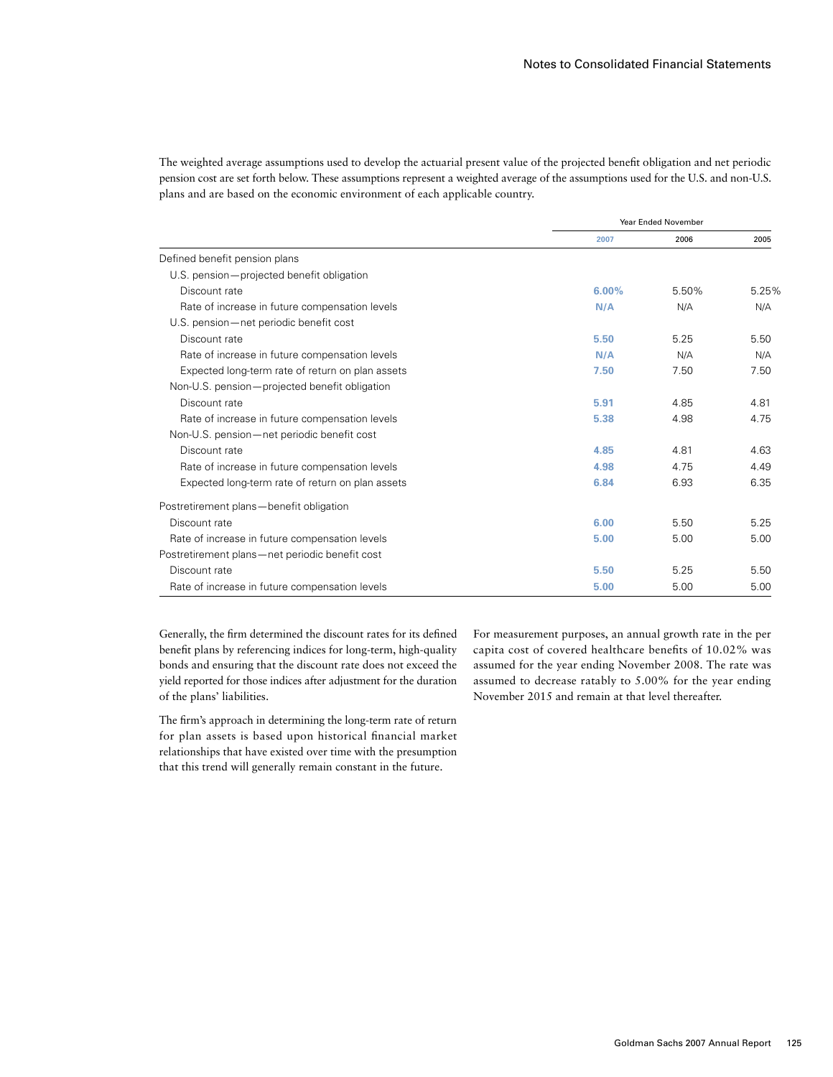The weighted average assumptions used to develop the actuarial present value of the projected benefit obligation and net periodic pension cost are set forth below. These assumptions represent a weighted average of the assumptions used for the U.S. and non-U.S. plans and are based on the economic environment of each applicable country.

|                                                  | <b>Year Ended November</b> |       |       |
|--------------------------------------------------|----------------------------|-------|-------|
|                                                  | 2007                       | 2006  | 2005  |
| Defined benefit pension plans                    |                            |       |       |
| U.S. pension-projected benefit obligation        |                            |       |       |
| Discount rate                                    | 6.00%                      | 5.50% | 5.25% |
| Rate of increase in future compensation levels   | N/A                        | N/A   | N/A   |
| U.S. pension-net periodic benefit cost           |                            |       |       |
| Discount rate                                    | 5.50                       | 5.25  | 5.50  |
| Rate of increase in future compensation levels   | N/A                        | N/A   | N/A   |
| Expected long-term rate of return on plan assets | 7.50                       | 7.50  | 7.50  |
| Non-U.S. pension-projected benefit obligation    |                            |       |       |
| Discount rate                                    | 5.91                       | 4.85  | 4.81  |
| Rate of increase in future compensation levels   | 5.38                       | 4.98  | 4.75  |
| Non-U.S. pension—net periodic benefit cost       |                            |       |       |
| Discount rate                                    | 4.85                       | 4.81  | 4.63  |
| Rate of increase in future compensation levels   | 4.98                       | 4.75  | 4.49  |
| Expected long-term rate of return on plan assets | 6.84                       | 6.93  | 6.35  |
| Postretirement plans-benefit obligation          |                            |       |       |
| Discount rate                                    | 6.00                       | 5.50  | 5.25  |
| Rate of increase in future compensation levels   | 5.00                       | 5.00  | 5.00  |
| Postretirement plans—net periodic benefit cost   |                            |       |       |
| Discount rate                                    | 5.50                       | 5.25  | 5.50  |
| Rate of increase in future compensation levels   | 5.00                       | 5.00  | 5.00  |

Generally, the firm determined the discount rates for its defined benefit plans by referencing indices for long-term, high-quality bonds and ensuring that the discount rate does not exceed the yield reported for those indices after adjustment for the duration of the plans' liabilities.

The firm's approach in determining the long-term rate of return for plan assets is based upon historical financial market relationships that have existed over time with the presumption that this trend will generally remain constant in the future.

For measurement purposes, an annual growth rate in the per capita cost of covered healthcare benefits of 10.02% was assumed for the year ending November 2008. The rate was assumed to decrease ratably to 5.00% for the year ending November 2015 and remain at that level thereafter.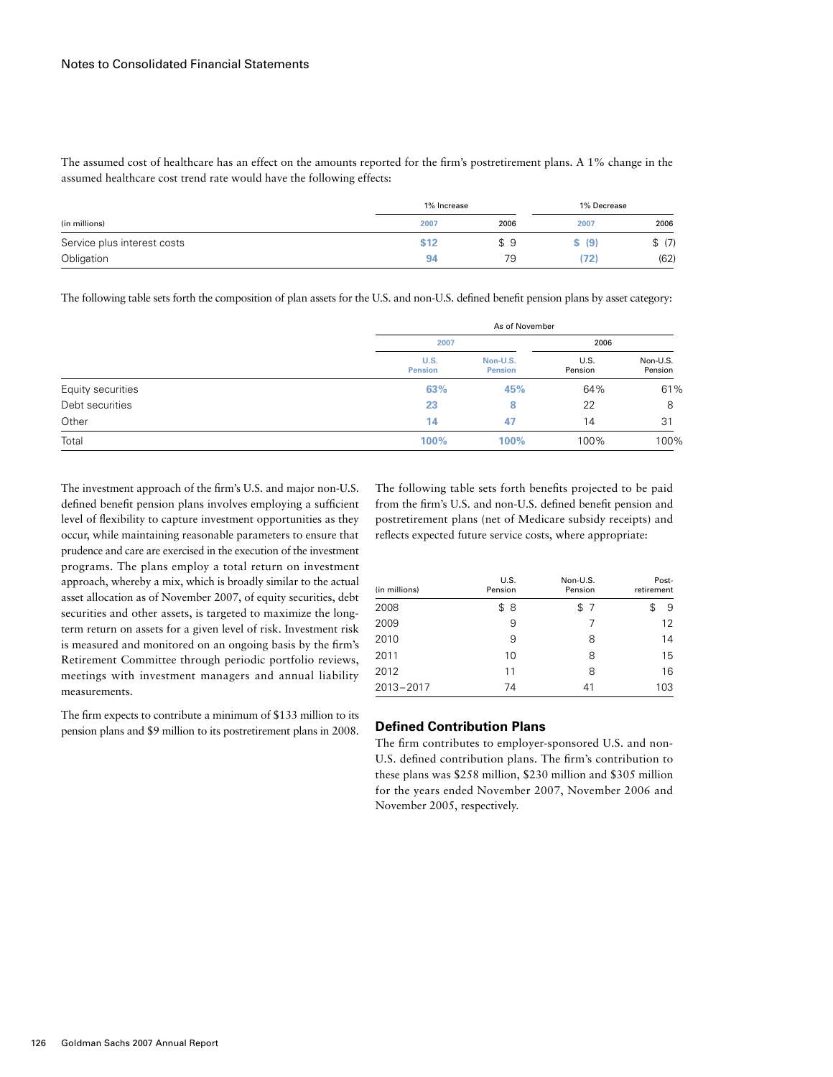The assumed cost of healthcare has an effect on the amounts reported for the firm's postretirement plans. A 1% change in the assumed healthcare cost trend rate would have the following effects:

| (in millions)               | 1% Increase |      | 1% Decrease |        |
|-----------------------------|-------------|------|-------------|--------|
|                             | 2007        | 2006 | 2007        | 2006   |
| Service plus interest costs | \$12        | \$9  | \$ (9)      | \$ (7) |
| Obligation                  | Q           | 79   | '72)        | (62)   |

The following table sets forth the composition of plan assets for the U.S. and non-U.S. defined benefit pension plans by asset category:

|                   |                        | As of November             |                 |                     |  |  |
|-------------------|------------------------|----------------------------|-----------------|---------------------|--|--|
|                   | 2007                   |                            |                 |                     |  |  |
|                   | U.S.<br><b>Pension</b> | Non-U.S.<br><b>Pension</b> | U.S.<br>Pension | Non-U.S.<br>Pension |  |  |
| Equity securities | 63%                    | 45%                        | 64%             | 61%                 |  |  |
| Debt securities   | 23                     | 8                          | 22              | 8                   |  |  |
| Other             | 14                     | 47                         | 14              | 31                  |  |  |
| Total             | 100%                   | 100%                       | 100%            | 100%                |  |  |

The investment approach of the firm's U.S. and major non-U.S. defined benefit pension plans involves employing a sufficient level of flexibility to capture investment opportunities as they occur, while maintaining reasonable parameters to ensure that prudence and care are exercised in the execution of the investment programs. The plans employ a total return on investment approach, whereby a mix, which is broadly similar to the actual asset allocation as of November 2007, of equity securities, debt securities and other assets, is targeted to maximize the longterm return on assets for a given level of risk. Investment risk is measured and monitored on an ongoing basis by the firm's Retirement Committee through periodic portfolio reviews, meetings with investment managers and annual liability measurements.

The firm expects to contribute a minimum of \$133 million to its pension plans and \$9 million to its postretirement plans in 2008.

The following table sets forth benefits projected to be paid from the firm's U.S. and non-U.S. defined benefit pension and postretirement plans (net of Medicare subsidy receipts) and reflects expected future service costs, where appropriate:

| (in millions) | U.S.<br>Pension | Non-U.S.<br>Pension | Post-<br>retirement |
|---------------|-----------------|---------------------|---------------------|
| 2008          | \$<br>8         | \$7                 | \$<br>9             |
| 2009          | 9               | 7                   | 12                  |
| 2010          | 9               | 8                   | 14                  |
| 2011          | 10              | 8                   | 15                  |
| 2012          | 11              | 8                   | 16                  |
| 2013-2017     | 74              | 41                  | 103                 |

### **Defined Contribution Plans**

The firm contributes to employer-sponsored U.S. and non-U.S. defined contribution plans. The firm's contribution to these plans was \$258 million, \$230 million and \$305 million for the years ended November 2007, November 2006 and November 2005, respectively.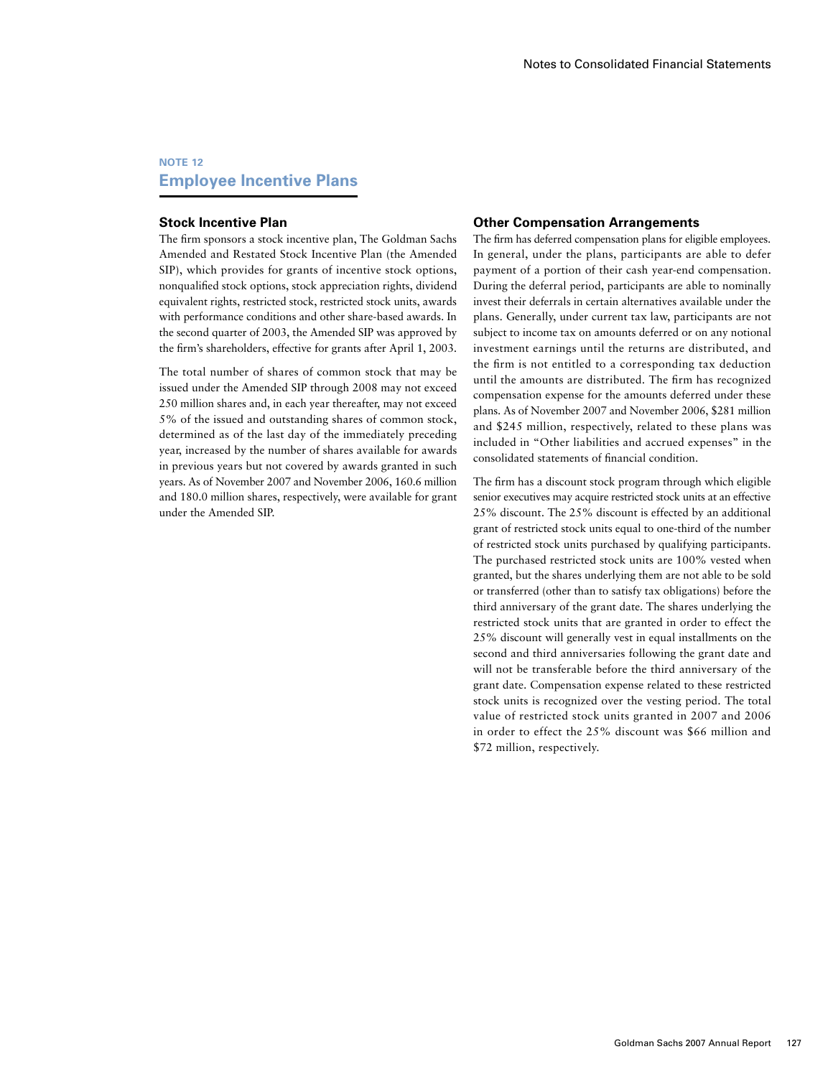# **NOTE 12 Employee Incentive Plans**

#### **Stock Incentive Plan**

The firm sponsors a stock incentive plan, The Goldman Sachs Amended and Restated Stock Incentive Plan (the Amended SIP), which provides for grants of incentive stock options, nonqualified stock options, stock appreciation rights, dividend equivalent rights, restricted stock, restricted stock units, awards with performance conditions and other share-based awards. In the second quarter of 2003, the Amended SIP was approved by the firm's shareholders, effective for grants after April 1, 2003.

The total number of shares of common stock that may be issued under the Amended SIP through 2008 may not exceed 250 million shares and, in each year thereafter, may not exceed 5% of the issued and outstanding shares of common stock, determined as of the last day of the immediately preceding year, increased by the number of shares available for awards in previous years but not covered by awards granted in such years. As of November 2007 and November 2006, 160.6 million and 180.0 million shares, respectively, were available for grant under the Amended SIP.

#### **Other Compensation Arrangements**

The firm has deferred compensation plans for eligible employees. In general, under the plans, participants are able to defer payment of a portion of their cash year-end compensation. During the deferral period, participants are able to nominally invest their deferrals in certain alternatives available under the plans. Generally, under current tax law, participants are not subject to income tax on amounts deferred or on any notional investment earnings until the returns are distributed, and the firm is not entitled to a corresponding tax deduction until the amounts are distributed. The firm has recognized compensation expense for the amounts deferred under these plans. As of November 2007 and November 2006, \$281 million and \$245 million, respectively, related to these plans was included in "Other liabilities and accrued expenses" in the consolidated statements of financial condition.

The firm has a discount stock program through which eligible senior executives may acquire restricted stock units at an effective 25% discount. The 25% discount is effected by an additional grant of restricted stock units equal to one-third of the number of restricted stock units purchased by qualifying participants. The purchased restricted stock units are 100% vested when granted, but the shares underlying them are not able to be sold or transferred (other than to satisfy tax obligations) before the third anniversary of the grant date. The shares underlying the restricted stock units that are granted in order to effect the 25% discount will generally vest in equal installments on the second and third anniversaries following the grant date and will not be transferable before the third anniversary of the grant date. Compensation expense related to these restricted stock units is recognized over the vesting period. The total value of restricted stock units granted in 2007 and 2006 in order to effect the 25% discount was \$66 million and \$72 million, respectively.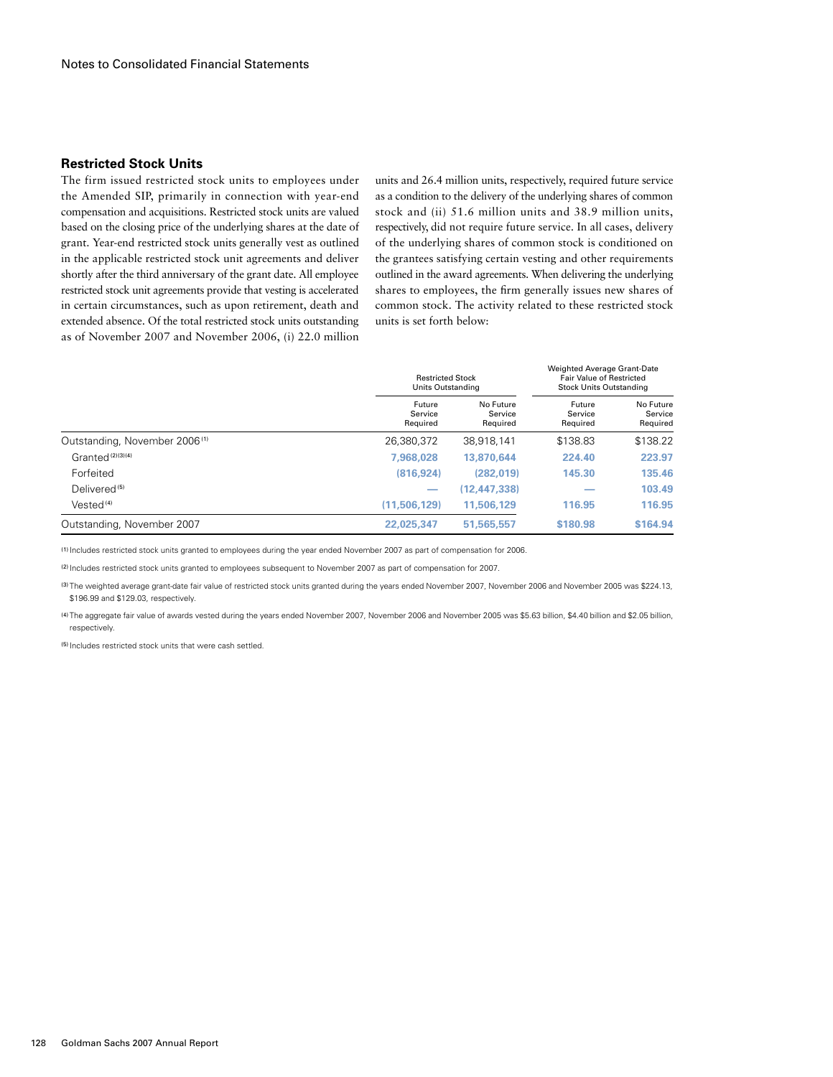#### **Restricted Stock Units**

The firm issued restricted stock units to employees under the Amended SIP, primarily in connection with year-end compensation and acquisitions. Restricted stock units are valued based on the closing price of the underlying shares at the date of grant. Year-end restricted stock units generally vest as outlined in the applicable restricted stock unit agreements and deliver shortly after the third anniversary of the grant date. All employee restricted stock unit agreements provide that vesting is accelerated in certain circumstances, such as upon retirement, death and extended absence. Of the total restricted stock units outstanding as of November 2007 and November 2006, (i) 22.0 million

units and 26.4 million units, respectively, required future service as a condition to the delivery of the underlying shares of common stock and (ii) 51.6 million units and 38.9 million units, respectively, did not require future service. In all cases, delivery of the underlying shares of common stock is conditioned on the grantees satisfying certain vesting and other requirements outlined in the award agreements. When delivering the underlying shares to employees, the firm generally issues new shares of common stock. The activity related to these restricted stock units is set forth below:

|                                           |                               | <b>Restricted Stock</b><br>Units Outstanding |                               | Weighted Average Grant-Date<br><b>Fair Value of Restricted</b><br><b>Stock Units Outstanding</b> |  |  |
|-------------------------------------------|-------------------------------|----------------------------------------------|-------------------------------|--------------------------------------------------------------------------------------------------|--|--|
|                                           | Future<br>Service<br>Required | No Future<br>Service<br>Required             | Future<br>Service<br>Required | No Future<br>Service<br>Required                                                                 |  |  |
| Outstanding, November 2006 <sup>(1)</sup> | 26,380,372                    | 38,918,141                                   | \$138.83                      | \$138.22                                                                                         |  |  |
| Granted <sup>(2)(3)(4)</sup>              | 7.968.028                     | 13,870,644                                   | 224.40                        | 223.97                                                                                           |  |  |
| Forfeited                                 | (816, 924)                    | (282.019)                                    | 145.30                        | 135.46                                                                                           |  |  |
| Delivered <sup>(5)</sup>                  |                               | (12.447.338)                                 |                               | 103.49                                                                                           |  |  |
| Vested <sup>(4)</sup>                     | (11.506.129)                  | 11.506.129                                   | 116.95                        | 116.95                                                                                           |  |  |
| Outstanding, November 2007                | 22,025,347                    | 51,565,557                                   | \$180.98                      | \$164.94                                                                                         |  |  |

(1) Includes restricted stock units granted to employees during the year ended November 2007 as part of compensation for 2006.

(2) Includes restricted stock units granted to employees subsequent to November 2007 as part of compensation for 2007.

(3) The weighted average grant-date fair value of restricted stock units granted during the years ended November 2007, November 2006 and November 2005 was \$224.13, \$196.99 and \$129.03, respectively.

(4) The aggregate fair value of awards vested during the years ended November 2007, November 2006 and November 2005 was \$5.63 billion, \$4.40 billion and \$2.05 billion, respectively.

(5) Includes restricted stock units that were cash settled.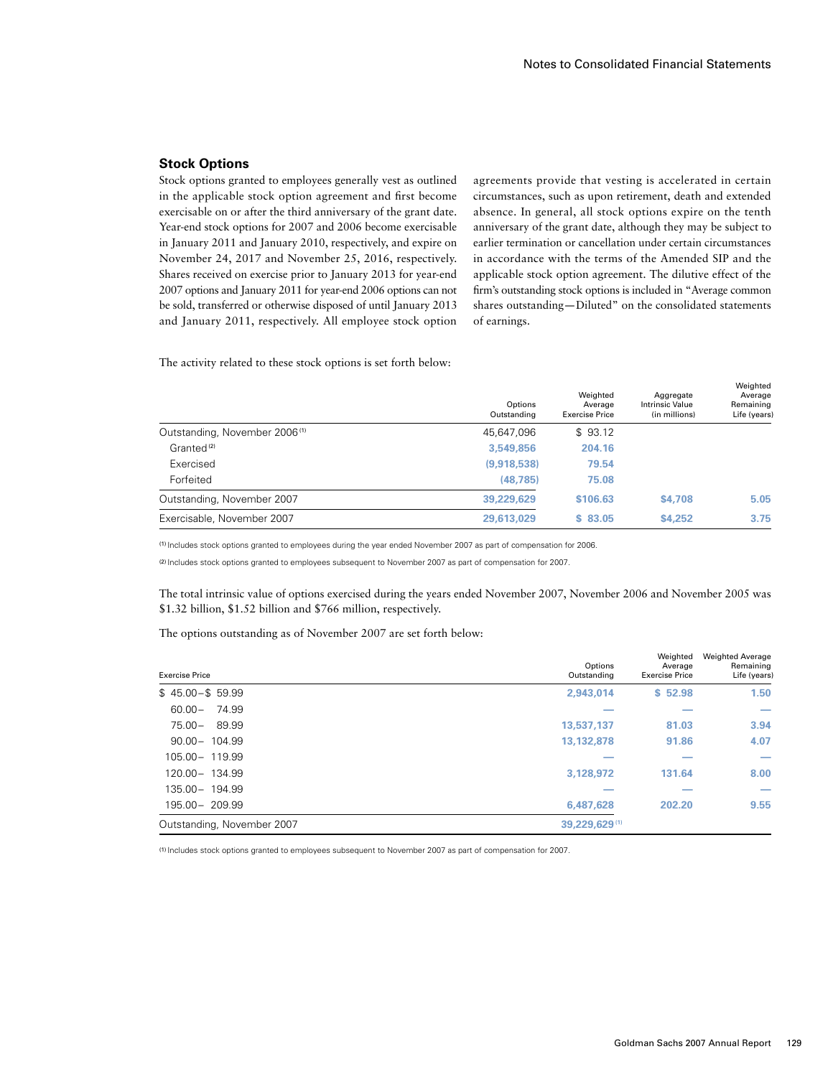### **Stock Options**

Stock options granted to employees generally vest as outlined in the applicable stock option agreement and first become exercisable on or after the third anniversary of the grant date. Year-end stock options for 2007 and 2006 become exercisable in January 2011 and January 2010, respectively, and expire on November 24, 2017 and November 25, 2016, respectively. Shares received on exercise prior to January 2013 for year-end 2007 options and January 2011 for year-end 2006 options can not be sold, transferred or otherwise disposed of until January 2013 and January 2011, respectively. All employee stock option

agreements provide that vesting is accelerated in certain circumstances, such as upon retirement, death and extended absence. In general, all stock options expire on the tenth anniversary of the grant date, although they may be subject to earlier termination or cancellation under certain circumstances in accordance with the terms of the Amended SIP and the applicable stock option agreement. The dilutive effect of the firm's outstanding stock options is included in "Average common shares outstanding—Diluted" on the consolidated statements of earnings.

The activity related to these stock options is set forth below:

|                                           | Options<br>Outstanding | Weighted<br>Average<br><b>Exercise Price</b> | Aggregate<br><b>Intrinsic Value</b><br>(in millions) | Weighted<br>Average<br>Remaining<br>Life (years) |
|-------------------------------------------|------------------------|----------------------------------------------|------------------------------------------------------|--------------------------------------------------|
| Outstanding, November 2006 <sup>(1)</sup> | 45.647.096             | \$93.12                                      |                                                      |                                                  |
| Granted <sup>(2)</sup>                    | 3,549,856              | 204.16                                       |                                                      |                                                  |
| Exercised                                 | (9,918,538)            | 79.54                                        |                                                      |                                                  |
| Forfeited                                 | (48.785)               | 75.08                                        |                                                      |                                                  |
| Outstanding, November 2007                | 39,229,629             | \$106.63                                     | \$4,708                                              | 5.05                                             |
| Exercisable, November 2007                | 29,613,029             | \$83.05                                      | \$4,252                                              | 3.75                                             |

(1) Includes stock options granted to employees during the year ended November 2007 as part of compensation for 2006.

(2) Includes stock options granted to employees subsequent to November 2007 as part of compensation for 2007.

The total intrinsic value of options exercised during the years ended November 2007, November 2006 and November 2005 was \$1.32 billion, \$1.52 billion and \$766 million, respectively.

The options outstanding as of November 2007 are set forth below:

| <b>Exercise Price</b>      | Options<br>Outstanding | Weighted<br>Average<br><b>Exercise Price</b> | <b>Weighted Average</b><br>Remaining<br>Life (years) |
|----------------------------|------------------------|----------------------------------------------|------------------------------------------------------|
| $$45.00 - $59.99$          | 2,943,014              | \$52.98                                      | 1.50                                                 |
| 74.99<br>$60.00 -$         |                        |                                              | _                                                    |
| 89.99<br>$75.00 -$         | 13,537,137             | 81.03                                        | 3.94                                                 |
| $90.00 - 104.99$           | 13,132,878             | 91.86                                        | 4.07                                                 |
| 105.00 - 119.99            |                        |                                              |                                                      |
| 120.00 - 134.99            | 3,128,972              | 131.64                                       | 8.00                                                 |
| 135.00 - 194.99            |                        |                                              | $\overline{\phantom{a}}$                             |
| 195.00 - 209.99            | 6,487,628              | 202.20                                       | 9.55                                                 |
| Outstanding, November 2007 | 39,229,629(1)          |                                              |                                                      |

(1) Includes stock options granted to employees subsequent to November 2007 as part of compensation for 2007.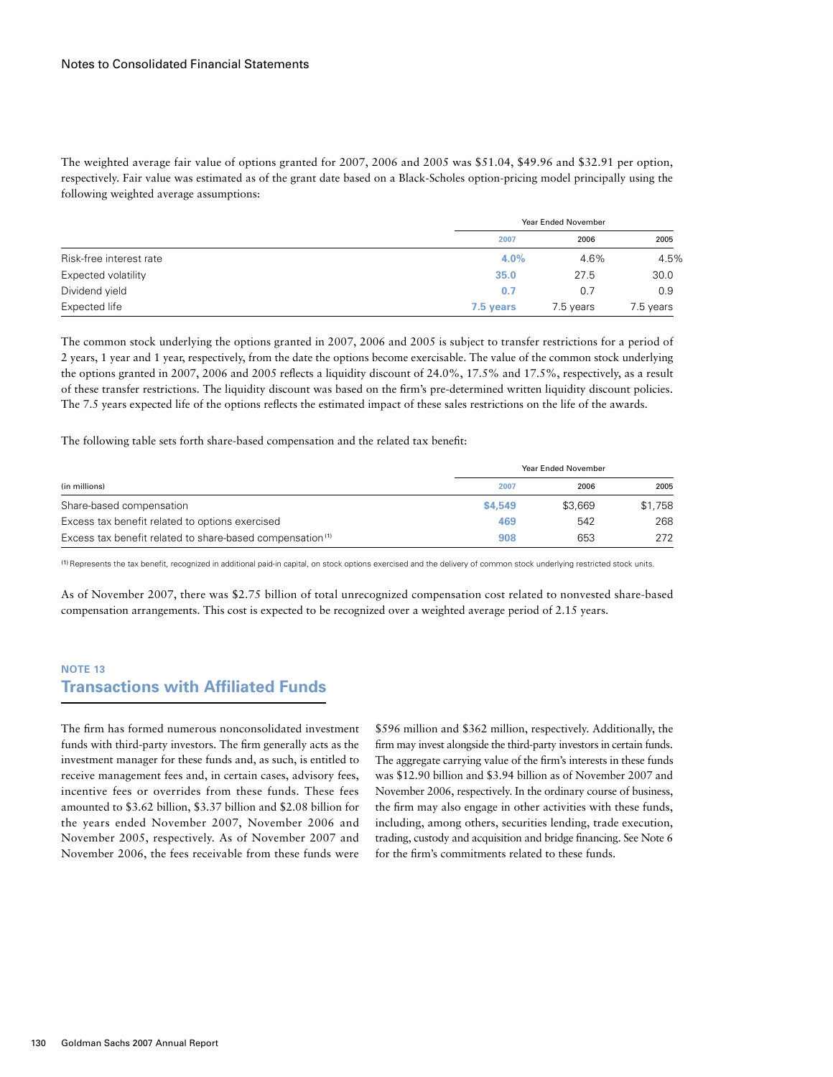The weighted average fair value of options granted for 2007, 2006 and 2005 was \$51.04, \$49.96 and \$32.91 per option, respectively. Fair value was estimated as of the grant date based on a Black-Scholes option-pricing model principally using the following weighted average assumptions:

|                         |           | Year Ended November |           |  |  |
|-------------------------|-----------|---------------------|-----------|--|--|
|                         | 2007      | 2006                | 2005      |  |  |
| Risk-free interest rate | 4.0%      | 4.6%                | 4.5%      |  |  |
| Expected volatility     | 35.0      | 27.5                | 30.0      |  |  |
| Dividend yield          | 0.7       | 0.7                 | 0.9       |  |  |
| Expected life           | 7.5 years | 7.5 years           | 7.5 years |  |  |

The common stock underlying the options granted in 2007, 2006 and 2005 is subject to transfer restrictions for a period of 2 years, 1 year and 1 year, respectively, from the date the options become exercisable. The value of the common stock underlying the options granted in 2007, 2006 and 2005 reflects a liquidity discount of 24.0%, 17.5% and 17.5%, respectively, as a result of these transfer restrictions. The liquidity discount was based on the firm's pre-determined written liquidity discount policies. The 7.5 years expected life of the options reflects the estimated impact of these sales restrictions on the life of the awards.

The following table sets forth share-based compensation and the related tax benefit:

|                                                                       |         | Year Ended November |         |  |  |
|-----------------------------------------------------------------------|---------|---------------------|---------|--|--|
| (in millions)                                                         | 2007    | 2006                | 2005    |  |  |
| Share-based compensation                                              | \$4,549 | \$3,669             | \$1,758 |  |  |
| Excess tax benefit related to options exercised                       | 469     | 542                 | 268     |  |  |
| Excess tax benefit related to share-based compensation <sup>(1)</sup> | 908     | 653                 | 272     |  |  |

(1)Represents the tax benefit, recognized in additional paid-in capital, on stock options exercised and the delivery of common stock underlying restricted stock units.

As of November 2007, there was \$2.75 billion of total unrecognized compensation cost related to nonvested share-based compensation arrangements. This cost is expected to be recognized over a weighted average period of 2.15 years.

## **Note 13 Transactions with Affiliated Funds**

The firm has formed numerous nonconsolidated investment funds with third-party investors. The firm generally acts as the investment manager for these funds and, as such, is entitled to receive management fees and, in certain cases, advisory fees, incentive fees or overrides from these funds. These fees amounted to \$3.62 billion, \$3.37 billion and \$2.08 billion for the years ended November 2007, November 2006 and November 2005, respectively. As of November 2007 and November 2006, the fees receivable from these funds were \$596 million and \$362 million, respectively. Additionally, the firm may invest alongside the third-party investors in certain funds. The aggregate carrying value of the firm's interests in these funds was \$12.90 billion and \$3.94 billion as of November 2007 and November 2006, respectively. In the ordinary course of business, the firm may also engage in other activities with these funds, including, among others, securities lending, trade execution, trading, custody and acquisition and bridge financing. See Note 6 for the firm's commitments related to these funds.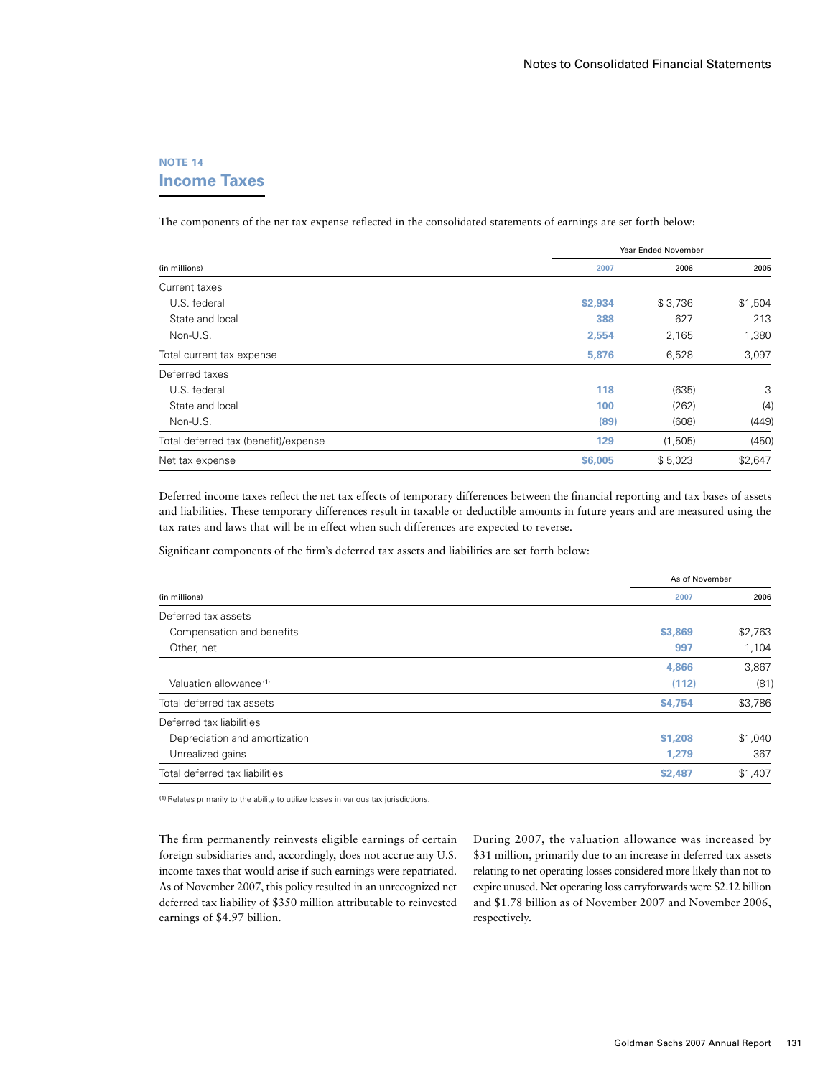# **NOTE 14 Income Taxes**

The components of the net tax expense reflected in the consolidated statements of earnings are set forth below:

|                                      |         | <b>Year Ended November</b> |         |  |  |
|--------------------------------------|---------|----------------------------|---------|--|--|
| (in millions)                        | 2007    | 2006                       | 2005    |  |  |
| Current taxes                        |         |                            |         |  |  |
| U.S. federal                         | \$2,934 | \$3,736                    | \$1,504 |  |  |
| State and local                      | 388     | 627                        | 213     |  |  |
| Non-U.S.                             | 2,554   | 2,165                      | 1,380   |  |  |
| Total current tax expense            | 5,876   | 6,528                      | 3,097   |  |  |
| Deferred taxes                       |         |                            |         |  |  |
| U.S. federal                         | 118     | (635)                      | 3       |  |  |
| State and local                      | 100     | (262)                      | (4)     |  |  |
| Non-U.S.                             | (89)    | (608)                      | (449)   |  |  |
| Total deferred tax (benefit)/expense | 129     | (1, 505)                   | (450)   |  |  |
| Net tax expense                      | \$6,005 | \$5,023                    | \$2,647 |  |  |

Deferred income taxes reflect the net tax effects of temporary differences between the financial reporting and tax bases of assets and liabilities. These temporary differences result in taxable or deductible amounts in future years and are measured using the tax rates and laws that will be in effect when such differences are expected to reverse.

Significant components of the firm's deferred tax assets and liabilities are set forth below:

|                                    | As of November |         |  |
|------------------------------------|----------------|---------|--|
| (in millions)                      | 2007           | 2006    |  |
| Deferred tax assets                |                |         |  |
| Compensation and benefits          | \$3,869        | \$2,763 |  |
| Other, net                         | 997            | 1,104   |  |
|                                    | 4.866          | 3,867   |  |
| Valuation allowance <sup>(1)</sup> | (112)          | (81)    |  |
| Total deferred tax assets          | \$4,754        | \$3,786 |  |
| Deferred tax liabilities           |                |         |  |
| Depreciation and amortization      | \$1,208        | \$1,040 |  |
| Unrealized gains                   | 1,279          | 367     |  |
| Total deferred tax liabilities     | \$2,487        | \$1,407 |  |

(1)Relates primarily to the ability to utilize losses in various tax jurisdictions.

The firm permanently reinvests eligible earnings of certain foreign subsidiaries and, accordingly, does not accrue any U.S. income taxes that would arise if such earnings were repatriated. As of November 2007, this policy resulted in an unrecognized net deferred tax liability of \$350 million attributable to reinvested earnings of \$4.97 billion.

During 2007, the valuation allowance was increased by \$31 million, primarily due to an increase in deferred tax assets relating to net operating losses considered more likely than not to expire unused. Net operating loss carryforwards were \$2.12 billion and \$1.78 billion as of November 2007 and November 2006, respectively.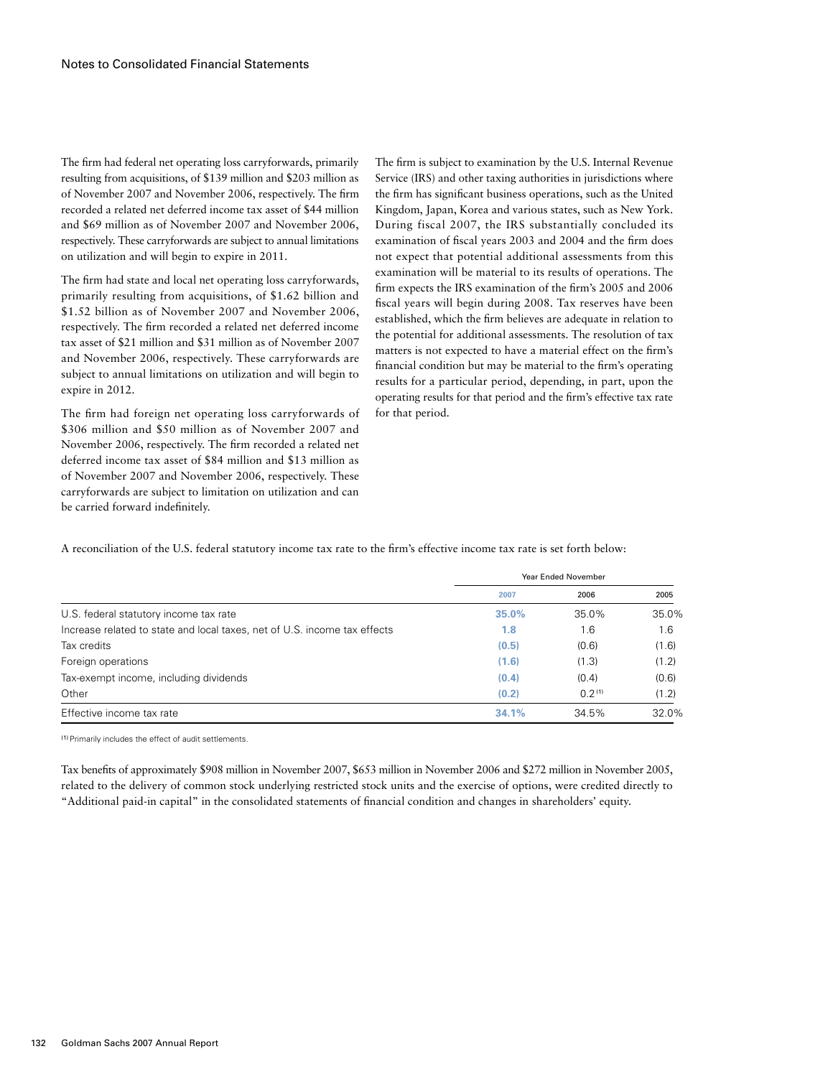The firm had federal net operating loss carryforwards, primarily resulting from acquisitions, of \$139 million and \$203 million as of November 2007 and November 2006, respectively. The firm recorded a related net deferred income tax asset of \$44 million and \$69 million as of November 2007 and November 2006, respectively. These carryforwards are subject to annual limitations on utilization and will begin to expire in 2011.

The firm had state and local net operating loss carryforwards, primarily resulting from acquisitions, of \$1.62 billion and \$1.52 billion as of November 2007 and November 2006, respectively. The firm recorded a related net deferred income tax asset of \$21 million and \$31 million as of November 2007 and November 2006, respectively. These carryforwards are subject to annual limitations on utilization and will begin to expire in 2012.

The firm had foreign net operating loss carryforwards of \$306 million and \$50 million as of November 2007 and November 2006, respectively. The firm recorded a related net deferred income tax asset of \$84 million and \$13 million as of November 2007 and November 2006, respectively. These carryforwards are subject to limitation on utilization and can be carried forward indefinitely.

The firm is subject to examination by the U.S. Internal Revenue Service (IRS) and other taxing authorities in jurisdictions where the firm has significant business operations, such as the United Kingdom, Japan, Korea and various states, such as New York. During fiscal 2007, the IRS substantially concluded its examination of fiscal years 2003 and 2004 and the firm does not expect that potential additional assessments from this examination will be material to its results of operations. The firm expects the IRS examination of the firm's 2005 and 2006 fiscal years will begin during 2008. Tax reserves have been established, which the firm believes are adequate in relation to the potential for additional assessments. The resolution of tax matters is not expected to have a material effect on the firm's financial condition but may be material to the firm's operating results for a particular period, depending, in part, upon the operating results for that period and the firm's effective tax rate for that period.

A reconciliation of the U.S. federal statutory income tax rate to the firm's effective income tax rate is set forth below:

|                                                                           | <b>Year Ended November</b> |        |       |  |
|---------------------------------------------------------------------------|----------------------------|--------|-------|--|
|                                                                           | 2007                       | 2006   | 2005  |  |
| U.S. federal statutory income tax rate                                    | 35.0%                      | 35.0%  | 35.0% |  |
| Increase related to state and local taxes, net of U.S. income tax effects | 1.8                        | 1.6    | 1.6   |  |
| Tax credits                                                               | (0.5)                      | (0.6)  | (1.6) |  |
| Foreign operations                                                        | (1.6)                      | (1.3)  | (1.2) |  |
| Tax-exempt income, including dividends                                    | (0.4)                      | (0.4)  | (0.6) |  |
| Other                                                                     | (0.2)                      | 0.2(1) | (1.2) |  |
| Effective income tax rate                                                 | 34.1%                      | 34.5%  | 32.0% |  |

(1)Primarily includes the effect of audit settlements.

Tax benefits of approximately \$908 million in November 2007, \$653 million in November 2006 and \$272 million in November 2005, related to the delivery of common stock underlying restricted stock units and the exercise of options, were credited directly to "Additional paid-in capital" in the consolidated statements of financial condition and changes in shareholders' equity.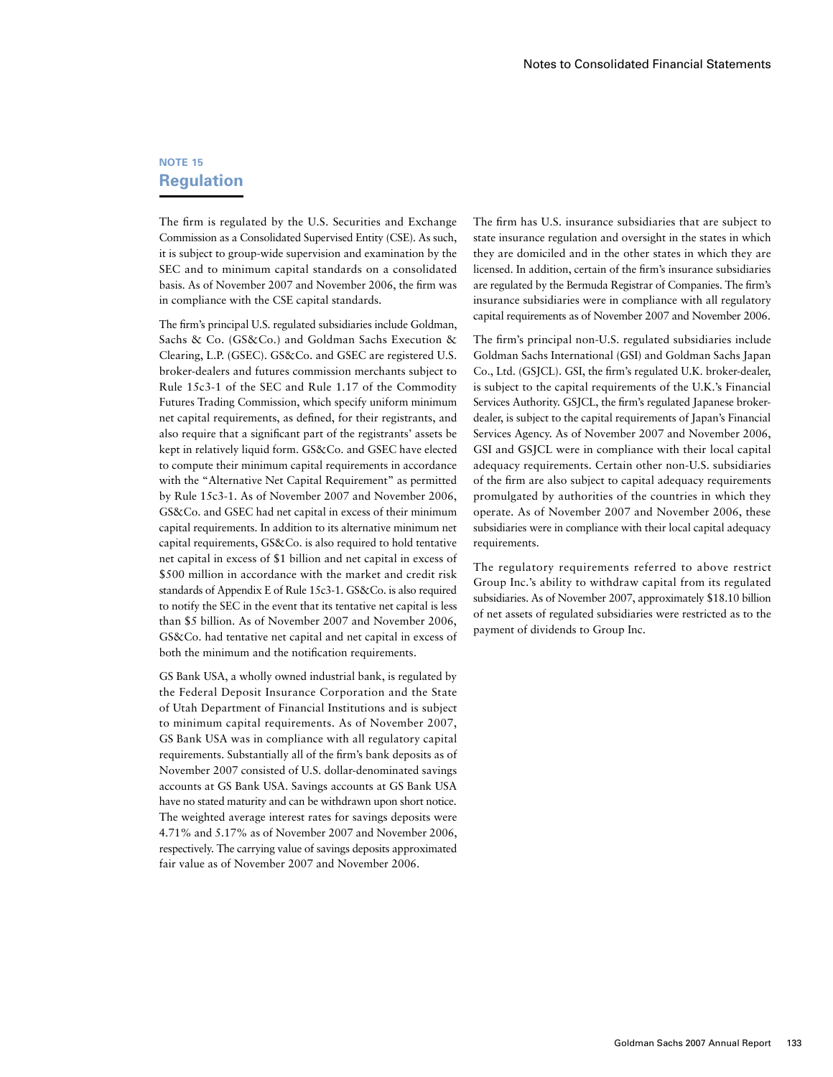## **NOTE 15 Regulation**

The firm is regulated by the U.S. Securities and Exchange Commission as a Consolidated Supervised Entity (CSE). As such, it is subject to group-wide supervision and examination by the SEC and to minimum capital standards on a consolidated basis. As of November 2007 and November 2006, the firm was in compliance with the CSE capital standards.

The firm's principal U.S. regulated subsidiaries include Goldman, Sachs & Co. (GS&Co.) and Goldman Sachs Execution & Clearing, L.P. (GSEC). GS&Co. and GSEC are registered U.S. broker-dealers and futures commission merchants subject to Rule 15c3-1 of the SEC and Rule 1.17 of the Commodity Futures Trading Commission, which specify uniform minimum net capital requirements, as defined, for their registrants, and also require that a significant part of the registrants' assets be kept in relatively liquid form. GS&Co. and GSEC have elected to compute their minimum capital requirements in accordance with the "Alternative Net Capital Requirement" as permitted by Rule 15c3-1. As of November 2007 and November 2006, GS&Co. and GSEC had net capital in excess of their minimum capital requirements. In addition to its alternative minimum net capital requirements, GS&Co. is also required to hold tentative net capital in excess of \$1 billion and net capital in excess of \$500 million in accordance with the market and credit risk standards of Appendix E of Rule 15c3-1. GS&Co. is also required to notify the SEC in the event that its tentative net capital is less than \$5 billion. As of November 2007 and November 2006, GS&Co. had tentative net capital and net capital in excess of both the minimum and the notification requirements.

GS Bank USA, a wholly owned industrial bank, is regulated by the Federal Deposit Insurance Corporation and the State of Utah Department of Financial Institutions and is subject to minimum capital requirements. As of November 2007, GS Bank USA was in compliance with all regulatory capital requirements. Substantially all of the firm's bank deposits as of November 2007 consisted of U.S. dollar-denominated savings accounts at GS Bank USA. Savings accounts at GS Bank USA have no stated maturity and can be withdrawn upon short notice. The weighted average interest rates for savings deposits were 4.71% and 5.17% as of November 2007 and November 2006, respectively. The carrying value of savings deposits approximated fair value as of November 2007 and November 2006.

The firm has U.S. insurance subsidiaries that are subject to state insurance regulation and oversight in the states in which they are domiciled and in the other states in which they are licensed. In addition, certain of the firm's insurance subsidiaries are regulated by the Bermuda Registrar of Companies. The firm's insurance subsidiaries were in compliance with all regulatory capital requirements as of November 2007 and November 2006.

The firm's principal non-U.S. regulated subsidiaries include Goldman Sachs International (GSI) and Goldman Sachs Japan Co., Ltd. (GSJCL). GSI, the firm's regulated U.K. broker-dealer, is subject to the capital requirements of the U.K.'s Financial Services Authority. GSJCL, the firm's regulated Japanese brokerdealer, is subject to the capital requirements of Japan's Financial Services Agency. As of November 2007 and November 2006, GSI and GSJCL were in compliance with their local capital adequacy requirements. Certain other non-U.S. subsidiaries of the firm are also subject to capital adequacy requirements promulgated by authorities of the countries in which they operate. As of November 2007 and November 2006, these subsidiaries were in compliance with their local capital adequacy requirements.

The regulatory requirements referred to above restrict Group Inc.'s ability to withdraw capital from its regulated subsidiaries. As of November 2007, approximately \$18.10 billion of net assets of regulated subsidiaries were restricted as to the payment of dividends to Group Inc.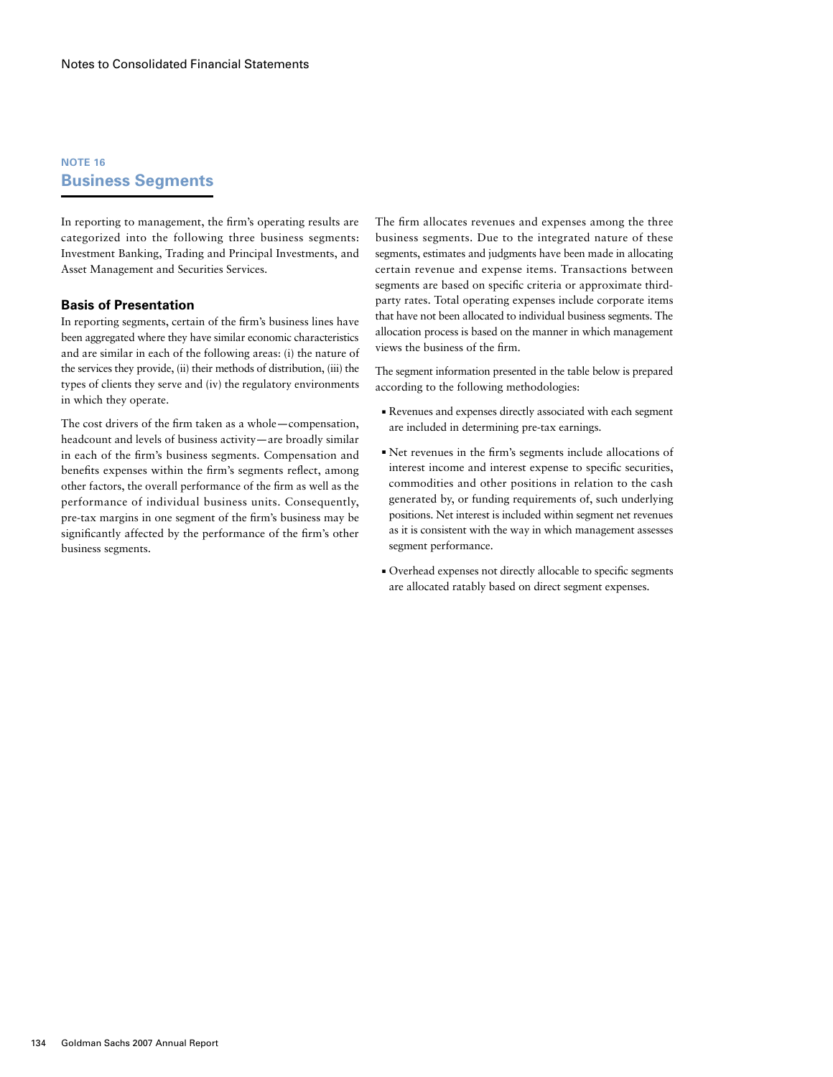### **NOTE 16 Business Segments**

In reporting to management, the firm's operating results are categorized into the following three business segments: Investment Banking, Trading and Principal Investments, and Asset Management and Securities Services.

### **Basis of Presentation**

In reporting segments, certain of the firm's business lines have been aggregated where they have similar economic characteristics and are similar in each of the following areas: (i) the nature of the services they provide, (ii) their methods of distribution, (iii) the types of clients they serve and (iv) the regulatory environments in which they operate.

The cost drivers of the firm taken as a whole—compensation, headcount and levels of business activity—are broadly similar in each of the firm's business segments. Compensation and benefits expenses within the firm's segments reflect, among other factors, the overall performance of the firm as well as the performance of individual business units. Consequently, pre-tax margins in one segment of the firm's business may be significantly affected by the performance of the firm's other business segments.

The firm allocates revenues and expenses among the three business segments. Due to the integrated nature of these segments, estimates and judgments have been made in allocating certain revenue and expense items. Transactions between segments are based on specific criteria or approximate thirdparty rates. Total operating expenses include corporate items that have not been allocated to individual business segments. The allocation process is based on the manner in which management views the business of the firm.

The segment information presented in the table below is prepared according to the following methodologies:

- ■ Revenues and expenses directly associated with each segment are included in determining pre-tax earnings.
- ■ Net revenues in the firm's segments include allocations of interest income and interest expense to specific securities, commodities and other positions in relation to the cash generated by, or funding requirements of, such underlying positions. Net interest is included within segment net revenues as it is consistent with the way in which management assesses segment performance.
- ■ Overhead expenses not directly allocable to specific segments are allocated ratably based on direct segment expenses.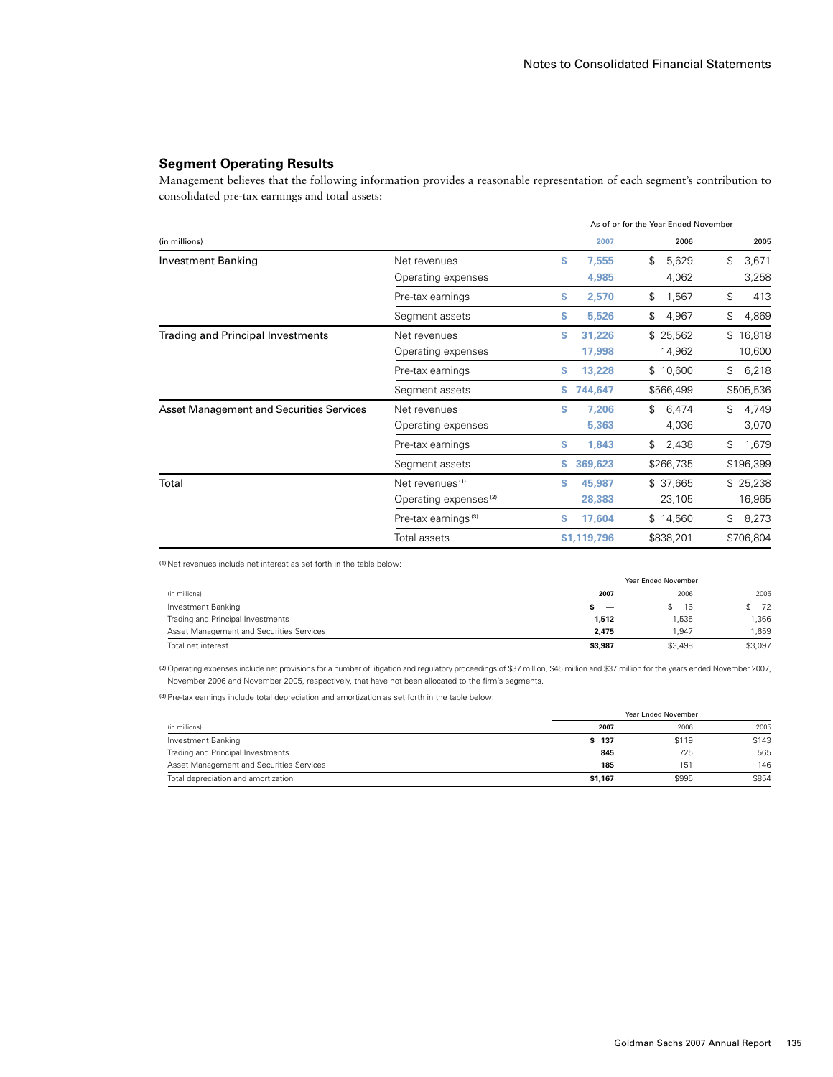### **Segment Operating Results**

Management believes that the following information provides a reasonable representation of each segment's contribution to consolidated pre-tax earnings and total assets:

|                                                 |                                   |    | As of or for the Year Ended November |    |           |    |           |
|-------------------------------------------------|-----------------------------------|----|--------------------------------------|----|-----------|----|-----------|
| (in millions)                                   |                                   |    | 2007                                 |    | 2006      |    | 2005      |
| <b>Investment Banking</b>                       | Net revenues                      | s  | 7,555                                | \$ | 5,629     | \$ | 3,671     |
|                                                 | Operating expenses                |    | 4,985                                |    | 4,062     |    | 3,258     |
|                                                 | Pre-tax earnings                  | \$ | 2,570                                | \$ | 1,567     | \$ | 413       |
|                                                 | Segment assets                    | s  | 5,526                                | \$ | 4,967     | \$ | 4,869     |
| <b>Trading and Principal Investments</b>        | Net revenues                      | s  | 31,226                               |    | \$25,562  |    | \$16,818  |
|                                                 | Operating expenses                |    | 17,998                               |    | 14,962    |    | 10,600    |
|                                                 | Pre-tax earnings                  | s  | 13,228                               |    | \$10,600  | \$ | 6,218     |
|                                                 | Segment assets                    |    | 744,647                              |    | \$566,499 |    | \$505,536 |
| <b>Asset Management and Securities Services</b> | Net revenues                      | \$ | 7,206                                | \$ | 6,474     | \$ | 4,749     |
|                                                 | Operating expenses                |    | 5,363                                |    | 4,036     |    | 3,070     |
|                                                 | Pre-tax earnings                  | s  | 1,843                                | \$ | 2,438     | \$ | 1,679     |
|                                                 | Segment assets                    |    | 369,623                              |    | \$266,735 |    | \$196,399 |
| Total                                           | Net revenues <sup>(1)</sup>       | S  | 45,987                               |    | \$37,665  |    | \$25,238  |
|                                                 | Operating expenses <sup>(2)</sup> |    | 28,383                               |    | 23,105    |    | 16,965    |
|                                                 | Pre-tax earnings <sup>(3)</sup>   | s  | 17,604                               |    | \$14,560  | \$ | 8,273     |
|                                                 | Total assets                      |    | \$1,119,796                          |    | \$838,201 |    | \$706,804 |

(1) Net revenues include net interest as set forth in the table below:

| (in millions)                            |                          | Year Ended November |         |  |  |
|------------------------------------------|--------------------------|---------------------|---------|--|--|
|                                          | 2007                     | 2006                | 2005    |  |  |
| Investment Banking                       | $\overline{\phantom{0}}$ | 16                  | \$72    |  |  |
| Trading and Principal Investments        | 1,512                    | 1.535               | .366    |  |  |
| Asset Management and Securities Services | 2.475                    | 1.947               | .659    |  |  |
| Total net interest                       | \$3.987                  | \$3.498             | \$3.097 |  |  |

(2)Operating expenses include net provisions for a number of litigation and regulatory proceedings of \$37 million, \$45 million and \$37 million for the years ended November 2007, November 2006 and November 2005, respectively, that have not been allocated to the firm's segments.

(3)Pre-tax earnings include total depreciation and amortization as set forth in the table below:

| (in millions)                            | Year Ended November |       |       |  |  |
|------------------------------------------|---------------------|-------|-------|--|--|
|                                          | 2007                | 2006  | 2005  |  |  |
| Investment Banking                       | \$ 137              | \$119 | \$143 |  |  |
| Trading and Principal Investments        | 845                 | 725   | 565   |  |  |
| Asset Management and Securities Services | 185                 | 151   | 146   |  |  |
| Total depreciation and amortization      | \$1.167             | \$995 | \$854 |  |  |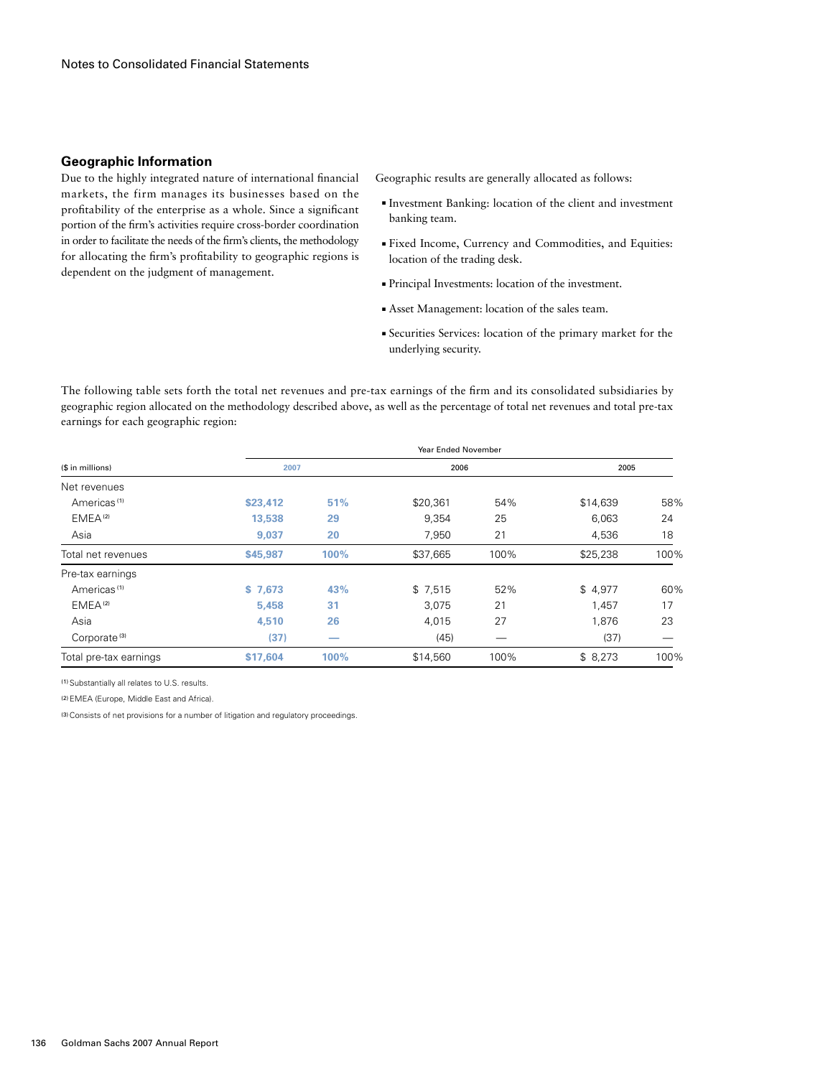#### **Geographic Information**

Due to the highly integrated nature of international financial markets, the firm manages its businesses based on the profitability of the enterprise as a whole. Since a significant portion of the firm's activities require cross-border coordination in order to facilitate the needs of the firm's clients, the methodology for allocating the firm's profitability to geographic regions is dependent on the judgment of management.

Geographic results are generally allocated as follows:

- ■ Investment Banking: location of the client and investment banking team.
- ■ Fixed Income, Currency and Commodities, and Equities: location of the trading desk.
- ■ Principal Investments: location of the investment.
- ■ Asset Management: location of the sales team.
- ■ Securities Services: location of the primary market for the underlying security.

The following table sets forth the total net revenues and pre-tax earnings of the firm and its consolidated subsidiaries by geographic region allocated on the methodology described above, as well as the percentage of total net revenues and total pre-tax earnings for each geographic region:

| (\$ in millions)         | <b>Year Ended November</b> |      |          |      |          |      |  |  |  |  |
|--------------------------|----------------------------|------|----------|------|----------|------|--|--|--|--|
|                          | 2007                       |      | 2006     |      | 2005     |      |  |  |  |  |
| Net revenues             |                            |      |          |      |          |      |  |  |  |  |
| Americas <sup>(1)</sup>  | \$23,412                   | 51%  | \$20,361 | 54%  | \$14,639 | 58%  |  |  |  |  |
| EMEA <sup>(2)</sup>      | 13,538                     | 29   | 9,354    | 25   | 6,063    | 24   |  |  |  |  |
| Asia                     | 9,037                      | 20   | 7,950    | 21   | 4,536    | 18   |  |  |  |  |
| Total net revenues       | \$45,987                   | 100% | \$37,665 | 100% | \$25,238 | 100% |  |  |  |  |
| Pre-tax earnings         |                            |      |          |      |          |      |  |  |  |  |
| Americas <sup>(1)</sup>  | \$7,673                    | 43%  | \$7,515  | 52%  | \$4,977  | 60%  |  |  |  |  |
| EMEA <sup>(2)</sup>      | 5.458                      | 31   | 3,075    | 21   | 1.457    | 17   |  |  |  |  |
| Asia                     | 4,510                      | 26   | 4,015    | 27   | 1,876    | 23   |  |  |  |  |
| Corporate <sup>(3)</sup> | (37)                       |      | (45)     |      | (37)     |      |  |  |  |  |
| Total pre-tax earnings   | \$17,604                   | 100% | \$14,560 | 100% | \$8,273  | 100% |  |  |  |  |

(1) Substantially all relates to U.S. results.

(2)EMEA (Europe, Middle East and Africa).

<sup>(3)</sup> Consists of net provisions for a number of litigation and regulatory proceedings.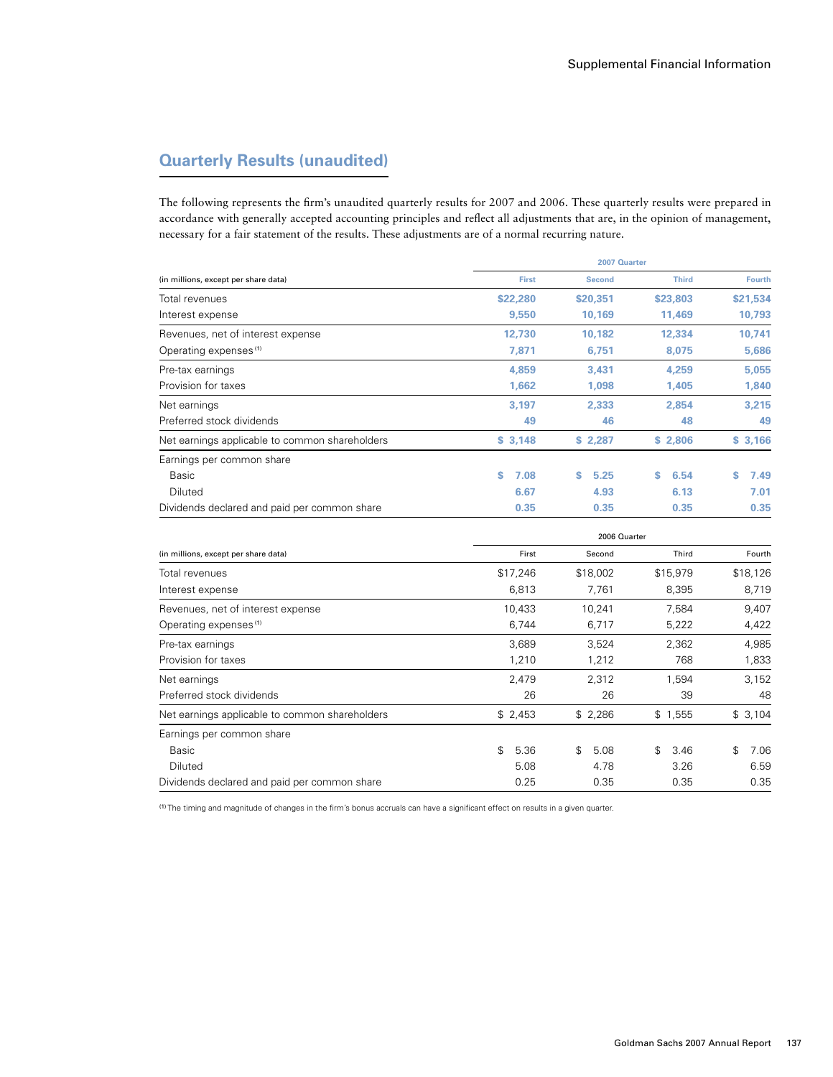# **Quarterly Results (unaudited)**

The following represents the firm's unaudited quarterly results for 2007 and 2006. These quarterly results were prepared in accordance with generally accepted accounting principles and reflect all adjustments that are, in the opinion of management, necessary for a fair statement of the results. These adjustments are of a normal recurring nature.

|                                                | 2007 Quarter |               |              |               |  |  |  |  |  |
|------------------------------------------------|--------------|---------------|--------------|---------------|--|--|--|--|--|
| (in millions, except per share data)           | <b>First</b> | <b>Second</b> | <b>Third</b> | <b>Fourth</b> |  |  |  |  |  |
| Total revenues                                 | \$22,280     | \$20,351      | \$23,803     | \$21,534      |  |  |  |  |  |
| Interest expense                               | 9,550        | 10,169        | 11,469       | 10,793        |  |  |  |  |  |
| Revenues, net of interest expense              | 12,730       | 10,182        | 12,334       | 10,741        |  |  |  |  |  |
| Operating expenses <sup>(1)</sup>              | 7,871        | 6,751         | 8,075        | 5,686         |  |  |  |  |  |
| Pre-tax earnings                               | 4,859        | 3,431         | 4,259        | 5,055         |  |  |  |  |  |
| Provision for taxes                            | 1,662        | 1,098         | 1,405        | 1,840         |  |  |  |  |  |
| Net earnings                                   | 3,197        | 2,333         | 2,854        | 3,215         |  |  |  |  |  |
| Preferred stock dividends                      | 49           | 46            | 48           | 49            |  |  |  |  |  |
| Net earnings applicable to common shareholders | \$3,148      | \$2,287       | \$2,806      | \$3,166       |  |  |  |  |  |
| Earnings per common share                      |              |               |              |               |  |  |  |  |  |
| Basic                                          | S<br>7.08    | s<br>5.25     | S.<br>6.54   | 7.49<br>\$.   |  |  |  |  |  |
| Diluted                                        | 6.67         | 4.93          | 6.13         | 7.01          |  |  |  |  |  |
| Dividends declared and paid per common share   | 0.35         | 0.35          | 0.35         | 0.35          |  |  |  |  |  |

|                                                | 2006 Quarter |            |            |            |  |  |  |  |  |
|------------------------------------------------|--------------|------------|------------|------------|--|--|--|--|--|
| (in millions, except per share data)           | First        | Second     | Third      | Fourth     |  |  |  |  |  |
| Total revenues                                 | \$17,246     | \$18,002   | \$15,979   | \$18,126   |  |  |  |  |  |
| Interest expense                               | 6,813        | 7,761      | 8,395      | 8,719      |  |  |  |  |  |
| Revenues, net of interest expense              | 10,433       | 10,241     | 7,584      | 9,407      |  |  |  |  |  |
| Operating expenses <sup>(1)</sup>              | 6,744        | 6,717      | 5,222      | 4,422      |  |  |  |  |  |
| Pre-tax earnings                               | 3,689        | 3,524      | 2,362      | 4,985      |  |  |  |  |  |
| Provision for taxes                            | 1,210        | 1,212      | 768        | 1,833      |  |  |  |  |  |
| Net earnings                                   | 2,479        | 2,312      | 1,594      | 3,152      |  |  |  |  |  |
| Preferred stock dividends                      | 26           | 26         | 39         | 48         |  |  |  |  |  |
| Net earnings applicable to common shareholders | \$2,453      | \$2,286    | \$1,555    | \$3,104    |  |  |  |  |  |
| Earnings per common share                      |              |            |            |            |  |  |  |  |  |
| Basic                                          | \$<br>5.36   | \$<br>5.08 | \$<br>3.46 | \$<br>7.06 |  |  |  |  |  |
| Diluted                                        | 5.08         | 4.78       | 3.26       | 6.59       |  |  |  |  |  |
| Dividends declared and paid per common share   | 0.25         | 0.35       | 0.35       | 0.35       |  |  |  |  |  |

(1) The timing and magnitude of changes in the firm's bonus accruals can have a significant effect on results in a given quarter.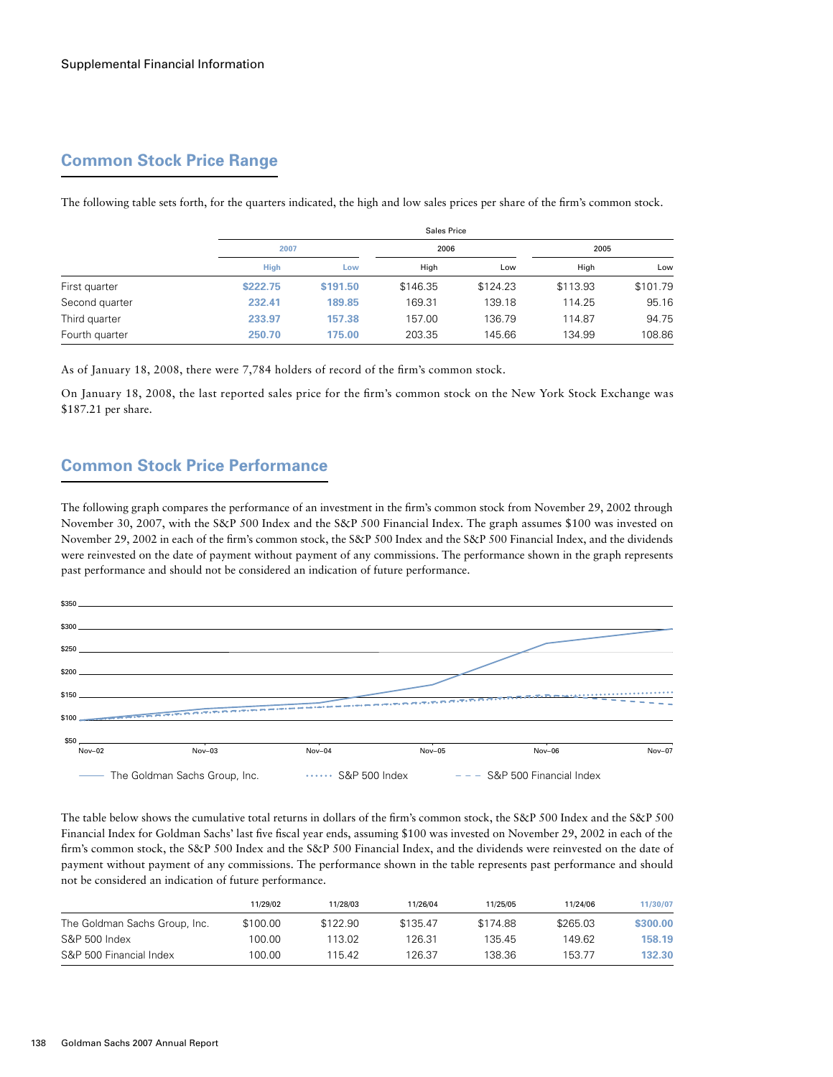# **Common Stock Price Range**

|                |             |          | Sales Price |          |          |          |  |  |  |  |  |
|----------------|-------------|----------|-------------|----------|----------|----------|--|--|--|--|--|
|                | 2007        |          |             |          | 2005     |          |  |  |  |  |  |
|                | <b>High</b> | Low      | High        | Low      | High     | Low      |  |  |  |  |  |
| First quarter  | \$222.75    | \$191.50 | \$146.35    | \$124.23 | \$113.93 | \$101.79 |  |  |  |  |  |
| Second quarter | 232.41      | 189.85   | 169.31      | 139.18   | 114.25   | 95.16    |  |  |  |  |  |
| Third quarter  | 233.97      | 157.38   | 157.00      | 136.79   | 114.87   | 94.75    |  |  |  |  |  |
| Fourth quarter | 250.70      | 175.00   | 203.35      | 145.66   | 134.99   | 108.86   |  |  |  |  |  |

The following table sets forth, for the quarters indicated, the high and low sales prices per share of the firm's common stock.

As of January 18, 2008, there were 7,784 holders of record of the firm's common stock.

On January 18, 2008, the last reported sales price for the firm's common stock on the New York Stock Exchange was \$187.21 per share.

# **Common Stock Price Performance**

The following graph compares the performance of an investment in the firm's common stock from November 29, 2002 through November 30, 2007, with the S&P 500 Index and the S&P 500 Financial Index. The graph assumes \$100 was invested on November 29, 2002 in each of the firm's common stock, the S&P 500 Index and the S&P 500 Financial Index, and the dividends were reinvested on the date of payment without payment of any commissions. The performance shown in the graph represents past performance and should not be considered an indication of future performance.



The table below shows the cumulative total returns in dollars of the firm's common stock, the S&P 500 Index and the S&P 500 Financial Index for Goldman Sachs' last five fiscal year ends, assuming \$100 was invested on November 29, 2002 in each of the firm's common stock, the S&P 500 Index and the S&P 500 Financial Index, and the dividends were reinvested on the date of payment without payment of any commissions. The performance shown in the table represents past performance and should not be considered an indication of future performance.

|                               | 11/29/02 | 11/28/03 | 11/26/04 | 11/25/05 | 11/24/06 | 11/30/07 |
|-------------------------------|----------|----------|----------|----------|----------|----------|
| The Goldman Sachs Group, Inc. | \$100.00 | \$122.90 | \$135.47 | \$174.88 | \$265.03 | \$300.00 |
| S&P 500 Index                 | 100.00   | 113.02   | 126.31   | 135.45   | 149.62   | 158.19   |
| S&P 500 Financial Index       | 100.00   | 115.42   | 126.37   | 138.36   | 153.77   | 132.30   |